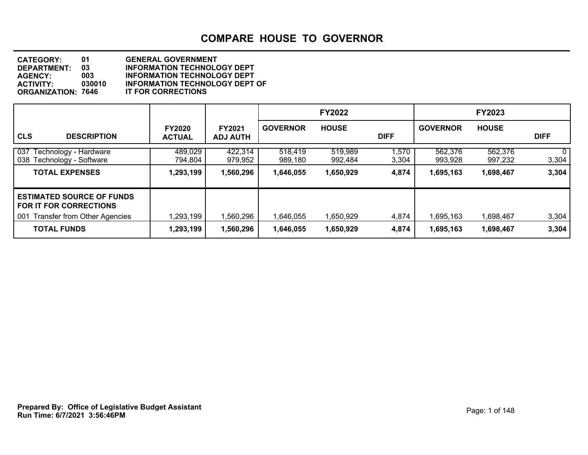| <b>CATEGORY:</b>          | 01     | <b>GENERAL GOVERNMENT</b>             |
|---------------------------|--------|---------------------------------------|
| DEPARTMENT:               | 03     | <b>INFORMATION TECHNOLOGY DEPT</b>    |
| <b>AGENCY:</b>            | 003    | <b>INFORMATION TECHNOLOGY DEPT</b>    |
| <b>ACTIVITY:</b>          | 030010 | <b>INFORMATION TECHNOLOGY DEPT OF</b> |
| <b>ORGANIZATION: 7646</b> |        | <b>IT FOR CORRECTIONS</b>             |

|                                                                           |                                |                                  |                    | <b>FY2022</b>      |                |                    | <b>FY2023</b>      |                         |
|---------------------------------------------------------------------------|--------------------------------|----------------------------------|--------------------|--------------------|----------------|--------------------|--------------------|-------------------------|
| <b>CLS</b><br><b>DESCRIPTION</b>                                          | <b>FY2020</b><br><b>ACTUAL</b> | <b>FY2021</b><br><b>ADJ AUTH</b> | <b>GOVERNOR</b>    | <b>HOUSE</b>       | <b>DIFF</b>    | <b>GOVERNOR</b>    | <b>HOUSE</b>       | <b>DIFF</b>             |
| 037<br>Technology - Hardware<br>Technology - Software<br>038 <sup>°</sup> | 489,029<br>794,804             | 422,314<br>979,952               | 518,419<br>989,180 | 519,989<br>992,484 | 1,570<br>3,304 | 562,376<br>993,928 | 562,376<br>997,232 | 0 <sup>1</sup><br>3,304 |
| <b>TOTAL EXPENSES</b>                                                     | 1,293,199                      | 1,560,296                        | 1,646,055          | 1,650,929          | 4,874          | 1,695,163          | 1,698,467          | 3,304                   |
| <b>ESTIMATED SOURCE OF FUNDS</b><br><b>FOR IT FOR CORRECTIONS</b>         |                                |                                  |                    |                    |                |                    |                    |                         |
| <b>Transfer from Other Agencies</b><br>001                                | 1,293,199                      | 1,560,296                        | 1,646,055          | 1,650,929          | 4,874          | 1,695,163          | 1,698,467          | 3,304                   |
| <b>TOTAL FUNDS</b>                                                        | 1,293,199                      | 1,560,296                        | 1,646,055          | 1,650,929          | 4,874          | 1,695,163          | 1,698,467          | 3,304                   |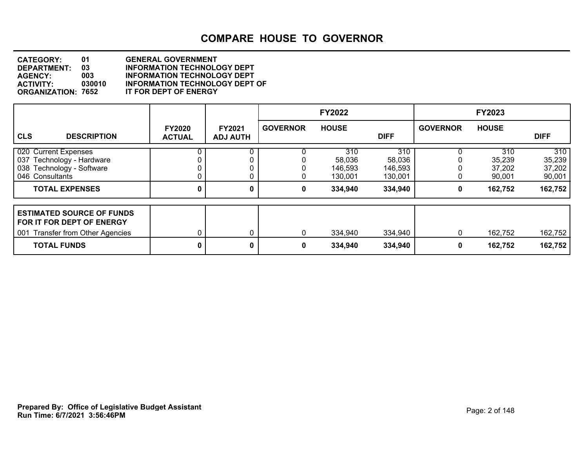| <b>CATEGORY:</b>          | 01     | <b>GENERAL GOVERNMENT</b>             |
|---------------------------|--------|---------------------------------------|
| <b>DEPARTMENT:</b>        | 03     | <b>INFORMATION TECHNOLOGY DEPT</b>    |
| <b>AGENCY:</b>            | 003    | <b>INFORMATION TECHNOLOGY DEPT</b>    |
| <b>ACTIVITY:</b>          | 030010 | <b>INFORMATION TECHNOLOGY DEPT OF</b> |
| <b>ORGANIZATION: 7652</b> |        | IT FOR DEPT OF ENERGY                 |

|                                                                                                                            |                                |                                  |                 | <b>FY2022</b>                                  |                                                |                 | <b>FY2023</b>                                |                                              |
|----------------------------------------------------------------------------------------------------------------------------|--------------------------------|----------------------------------|-----------------|------------------------------------------------|------------------------------------------------|-----------------|----------------------------------------------|----------------------------------------------|
| <b>CLS</b><br><b>DESCRIPTION</b>                                                                                           | <b>FY2020</b><br><b>ACTUAL</b> | <b>FY2021</b><br><b>ADJ AUTH</b> | <b>GOVERNOR</b> | <b>HOUSE</b>                                   | <b>DIFF</b>                                    | <b>GOVERNOR</b> | <b>HOUSE</b>                                 | <b>DIFF</b>                                  |
| 020 Current Expenses<br>037 Technology - Hardware<br>038 Technology - Software<br>046 Consultants<br><b>TOTAL EXPENSES</b> |                                | 0                                | 0               | 310<br>58,036<br>146,593<br>130,001<br>334,940 | 310<br>58,036<br>146,593<br>130,001<br>334,940 | 0<br>0          | 310<br>35,239<br>37,202<br>90,001<br>162,752 | 310<br>35,239<br>37,202<br>90,001<br>162,752 |
| <b>ESTIMATED SOURCE OF FUNDS</b><br>FOR IT FOR DEPT OF ENERGY<br>001 Transfer from Other Agencies<br><b>TOTAL FUNDS</b>    |                                | 0                                | $\Omega$<br>0   | 334,940<br>334,940                             | 334,940<br>334,940                             | 0<br>0          | 162,752<br>162,752                           | 162,752<br>162,752                           |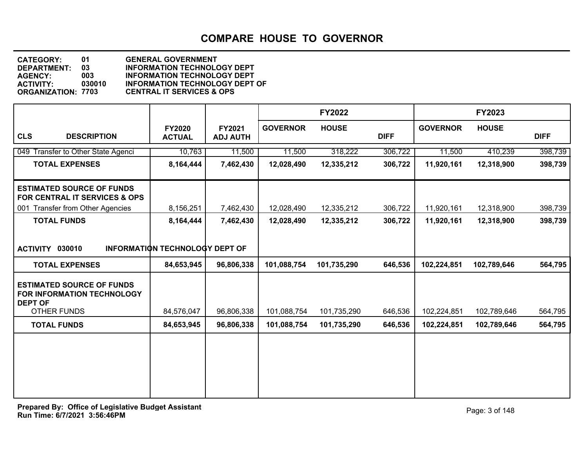**DEPARTMENT: 03 INFORMATION TECHNOLOGY DEPT CATEGORY: 01 GENERAL GOVERNMENT AGENCY: 003 INFORMATION TECHNOLOGY DEPT ACTIVITY: 030010 INFORMATION TECHNOLOGY DEPT OF ORGANIZATION: 7703 CENTRAL IT SERVICES & OPS**

|                                                                                                 |                                       |                           |                 | <b>FY2022</b> |             |                 | <b>FY2023</b> |             |
|-------------------------------------------------------------------------------------------------|---------------------------------------|---------------------------|-----------------|---------------|-------------|-----------------|---------------|-------------|
| <b>CLS</b><br><b>DESCRIPTION</b>                                                                | <b>FY2020</b><br><b>ACTUAL</b>        | FY2021<br><b>ADJ AUTH</b> | <b>GOVERNOR</b> | <b>HOUSE</b>  | <b>DIFF</b> | <b>GOVERNOR</b> | <b>HOUSE</b>  | <b>DIFF</b> |
| 049 Transfer to Other State Agenci                                                              | 10,763                                | 11,500                    | 11,500          | 318,222       | 306,722     | 11,500          | 410,239       | 398,739     |
| <b>TOTAL EXPENSES</b>                                                                           | 8,164,444                             | 7,462,430                 | 12,028,490      | 12,335,212    | 306,722     | 11,920,161      | 12,318,900    | 398,739     |
| <b>ESTIMATED SOURCE OF FUNDS</b><br>FOR CENTRAL IT SERVICES & OPS                               |                                       |                           |                 |               |             |                 |               |             |
| 001 Transfer from Other Agencies                                                                | 8,156,251                             | 7,462,430                 | 12,028,490      | 12,335,212    | 306,722     | 11,920,161      | 12,318,900    | 398,739     |
| <b>TOTAL FUNDS</b>                                                                              | 8,164,444                             | 7,462,430                 | 12,028,490      | 12,335,212    | 306,722     | 11,920,161      | 12,318,900    | 398,739     |
| ACTIVITY 030010                                                                                 | <b>INFORMATION TECHNOLOGY DEPT OF</b> |                           |                 |               |             |                 |               |             |
| <b>TOTAL EXPENSES</b>                                                                           | 84,653,945                            | 96,806,338                | 101,088,754     | 101,735,290   | 646,536     | 102,224,851     | 102,789,646   | 564,795     |
| <b>ESTIMATED SOURCE OF FUNDS</b><br>FOR INFORMATION TECHNOLOGY<br><b>DEPT OF</b><br>OTHER FUNDS | 84,576,047                            | 96,806,338                | 101,088,754     | 101,735,290   | 646,536     | 102,224,851     | 102,789,646   | 564,795     |
| <b>TOTAL FUNDS</b>                                                                              | 84,653,945                            | 96,806,338                | 101,088,754     | 101,735,290   | 646,536     | 102,224,851     | 102,789,646   | 564,795     |
|                                                                                                 |                                       |                           |                 |               |             |                 |               |             |
|                                                                                                 |                                       |                           |                 |               |             |                 |               |             |
|                                                                                                 |                                       |                           |                 |               |             |                 |               |             |
|                                                                                                 |                                       |                           |                 |               |             |                 |               |             |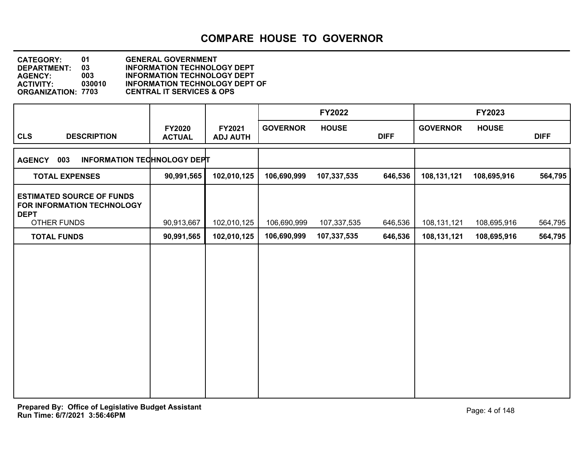| <b>CATEGORY:</b>          | 01     | <b>GENERAL GOVERNMENT</b>             |
|---------------------------|--------|---------------------------------------|
| <b>DEPARTMENT:</b>        | 03     | <b>INFORMATION TECHNOLOGY DEPT</b>    |
| <b>AGENCY:</b>            | 003    | <b>INFORMATION TECHNOLOGY DEPT</b>    |
| <b>ACTIVITY:</b>          | 030010 | <b>INFORMATION TECHNOLOGY DEPT OF</b> |
| <b>ORGANIZATION: 7703</b> |        | <b>CENTRAL IT SERVICES &amp; OPS</b>  |

|                                                                               |                                |                           |                 | <b>FY2022</b> |             |                 | <b>FY2023</b> |             |
|-------------------------------------------------------------------------------|--------------------------------|---------------------------|-----------------|---------------|-------------|-----------------|---------------|-------------|
| <b>CLS</b><br><b>DESCRIPTION</b>                                              | <b>FY2020</b><br><b>ACTUAL</b> | FY2021<br><b>ADJ AUTH</b> | <b>GOVERNOR</b> | <b>HOUSE</b>  | <b>DIFF</b> | <b>GOVERNOR</b> | <b>HOUSE</b>  | <b>DIFF</b> |
| 003<br><b>INFORMATION TECHNOLOGY DEPT</b><br><b>AGENCY</b>                    |                                |                           |                 |               |             |                 |               |             |
| <b>TOTAL EXPENSES</b>                                                         | 90,991,565                     | 102,010,125               | 106,690,999     | 107,337,535   | 646,536     | 108,131,121     | 108,695,916   | 564,795     |
| <b>ESTIMATED SOURCE OF FUNDS</b><br>FOR INFORMATION TECHNOLOGY<br><b>DEPT</b> |                                |                           |                 |               |             |                 |               |             |
| OTHER FUNDS                                                                   | 90,913,667                     | 102,010,125               | 106,690,999     | 107,337,535   | 646,536     | 108,131,121     | 108,695,916   | 564,795     |
| <b>TOTAL FUNDS</b>                                                            | 90,991,565                     | 102,010,125               | 106,690,999     | 107,337,535   | 646,536     | 108,131,121     | 108,695,916   | 564,795     |
|                                                                               |                                |                           |                 |               |             |                 |               |             |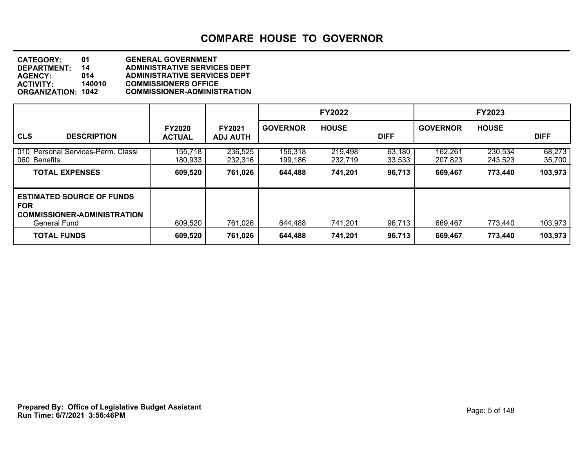| <b>CATEGORY:</b>          | 01     | <b>GENERAL GOVERNMENT</b>           |
|---------------------------|--------|-------------------------------------|
| DEPARTMENT:               | 14     | <b>ADMINISTRATIVE SERVICES DEPT</b> |
| <b>AGENCY:</b>            | 014    | <b>ADMINISTRATIVE SERVICES DEPT</b> |
| <b>ACTIVITY:</b>          | 140010 | <b>COMMISSIONERS OFFICE</b>         |
| <b>ORGANIZATION: 1042</b> |        | <b>COMMISSIONER-ADMINISTRATION</b>  |

|                                                                                                             |                                |                                  |                    | <b>FY2022</b>      |                  |                    | <b>FY2023</b>      |                  |
|-------------------------------------------------------------------------------------------------------------|--------------------------------|----------------------------------|--------------------|--------------------|------------------|--------------------|--------------------|------------------|
| <b>CLS</b><br><b>DESCRIPTION</b>                                                                            | <b>FY2020</b><br><b>ACTUAL</b> | <b>FY2021</b><br><b>ADJ AUTH</b> | <b>GOVERNOR</b>    | <b>HOUSE</b>       | <b>DIFF</b>      | <b>GOVERNOR</b>    | <b>HOUSE</b>       | <b>DIFF</b>      |
| 010 Personal Services-Perm. Classi<br>060 Benefits                                                          | 155,718<br>180,933             | 236,525<br>232,316               | 156,318<br>199,186 | 219,498<br>232,719 | 63,180<br>33,533 | 162,261<br>207,823 | 230,534<br>243,523 | 68,273<br>35,700 |
| <b>TOTAL EXPENSES</b>                                                                                       | 609,520                        | 761,026                          | 644,488            | 741,201            | 96,713           | 669,467            | 773,440            | 103,973          |
| <b>ESTIMATED SOURCE OF FUNDS</b><br><b>FOR</b><br><b>COMMISSIONER-ADMINISTRATION</b><br><b>General Fund</b> | 609,520                        | 761,026                          | 644,488            | 741,201            | 96,713           | 669,467            | 773,440            | 103,973          |
| <b>TOTAL FUNDS</b>                                                                                          | 609,520                        | 761,026                          | 644,488            | 741,201            | 96,713           | 669,467            | 773,440            | 103,973          |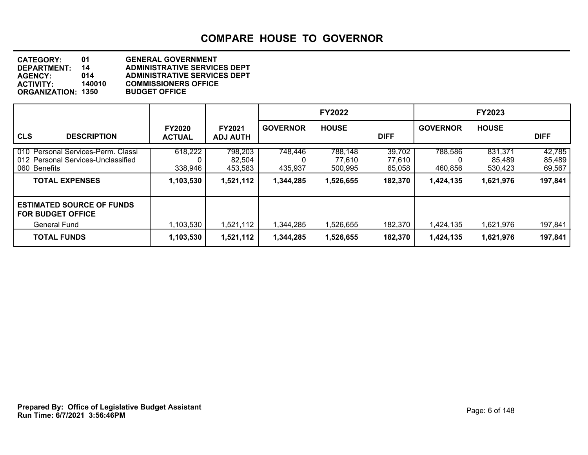| <b>CATEGORY:</b>          | 01     | <b>GENERAL GOVERNMENT</b>           |
|---------------------------|--------|-------------------------------------|
| <b>DEPARTMENT:</b>        | 14     | <b>ADMINISTRATIVE SERVICES DEPT</b> |
| <b>AGENCY:</b>            | 014    | <b>ADMINISTRATIVE SERVICES DEPT</b> |
| <b>ACTIVITY:</b>          | 140010 | <b>COMMISSIONERS OFFICE</b>         |
| <b>ORGANIZATION: 1350</b> |        | <b>BUDGET OFFICE</b>                |
|                           |        |                                     |

|                                                                                          |                                |                                  |                    | <b>FY2022</b>                |                            |                    | <b>FY2023</b>                |                            |
|------------------------------------------------------------------------------------------|--------------------------------|----------------------------------|--------------------|------------------------------|----------------------------|--------------------|------------------------------|----------------------------|
| <b>CLS</b><br><b>DESCRIPTION</b>                                                         | <b>FY2020</b><br><b>ACTUAL</b> | <b>FY2021</b><br><b>ADJ AUTH</b> | <b>GOVERNOR</b>    | <b>HOUSE</b>                 | <b>DIFF</b>                | <b>GOVERNOR</b>    | <b>HOUSE</b>                 | <b>DIFF</b>                |
| 010 Personal Services-Perm. Classi<br>012 Personal Services-Unclassified<br>060 Benefits | 618,222<br>338,946             | 798,203<br>82,504<br>453,583     | 748,446<br>435,937 | 788,148<br>77,610<br>500,995 | 39,702<br>77,610<br>65,058 | 788,586<br>460,856 | 831,371<br>85,489<br>530,423 | 42,785<br>85,489<br>69,567 |
| <b>TOTAL EXPENSES</b>                                                                    | 1,103,530                      | 1,521,112                        | 1,344,285          | 1,526,655                    | 182,370                    | 1,424,135          | 1,621,976                    | 197,841                    |
| <b>ESTIMATED SOURCE OF FUNDS</b><br><b>FOR BUDGET OFFICE</b>                             |                                |                                  |                    |                              |                            |                    |                              |                            |
| General Fund                                                                             | 1,103,530                      | 1,521,112                        | 1,344,285          | 1,526,655                    | 182,370                    | 1,424,135          | 1,621,976                    | 197,841                    |
| <b>TOTAL FUNDS</b>                                                                       | 1,103,530                      | 1,521,112                        | 1,344,285          | 1,526,655                    | 182,370                    | 1,424,135          | 1,621,976                    | 197,841                    |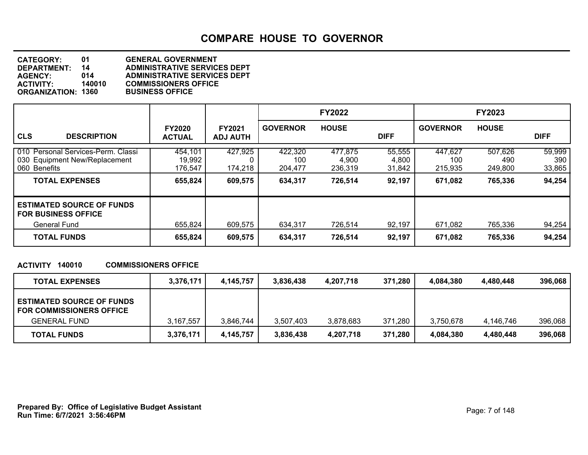| <b>CATEGORY:</b>          | O1     | <b>GENERAL GOVERNMENT</b>           |
|---------------------------|--------|-------------------------------------|
| DEPARTMENT:               | 14     | <b>ADMINISTRATIVE SERVICES DEPT</b> |
| <b>AGENCY:</b>            | 014    | <b>ADMINISTRATIVE SERVICES DEPT</b> |
| <b>ACTIVITY:</b>          | 140010 | <b>COMMISSIONERS OFFICE</b>         |
| <b>ORGANIZATION: 1360</b> |        | <b>BUSINESS OFFICE</b>              |
|                           |        |                                     |

|                                                                                     |                                |                                  |                           | <b>FY2022</b>               |                           |                           | <b>FY2023</b>             |                         |
|-------------------------------------------------------------------------------------|--------------------------------|----------------------------------|---------------------------|-----------------------------|---------------------------|---------------------------|---------------------------|-------------------------|
| <b>CLS</b><br><b>DESCRIPTION</b>                                                    | <b>FY2020</b><br><b>ACTUAL</b> | <b>FY2021</b><br><b>ADJ AUTH</b> | <b>GOVERNOR</b>           | <b>HOUSE</b>                | <b>DIFF</b>               | <b>GOVERNOR</b>           | <b>HOUSE</b>              | <b>DIFF</b>             |
| 010 Personal Services-Perm. Classi<br>030 Equipment New/Replacement<br>060 Benefits | 454,101<br>19,992<br>176,547   | 427,925<br>174,218               | 422,320<br>100<br>204,477 | 477,875<br>4,900<br>236,319 | 55,555<br>4,800<br>31,842 | 447,627<br>100<br>215,935 | 507,626<br>490<br>249,800 | 59,999<br>390<br>33,865 |
| <b>TOTAL EXPENSES</b>                                                               | 655,824                        | 609,575                          | 634,317                   | 726,514                     | 92,197                    | 671,082                   | 765,336                   | 94,254                  |
| <b>ESTIMATED SOURCE OF FUNDS</b><br><b>FOR BUSINESS OFFICE</b>                      |                                |                                  |                           |                             |                           |                           |                           |                         |
| General Fund<br><b>TOTAL FUNDS</b>                                                  | 655,824<br>655,824             | 609,575<br>609,575               | 634,317<br>634,317        | 726,514<br>726,514          | 92,197<br>92,197          | 671,082<br>671,082        | 765,336<br>765,336        | 94,254<br>94,254        |

#### **ACTIVITY 140010 COMMISSIONERS OFFICE**

| <b>TOTAL EXPENSES</b>                                                                      | 3,376,171 | 4,145,757 | 3,836,438 | 4,207,718 | 371,280 | 4.084.380 | 4,480,448 | 396.068 |
|--------------------------------------------------------------------------------------------|-----------|-----------|-----------|-----------|---------|-----------|-----------|---------|
| <b>ESTIMATED SOURCE OF FUNDS</b><br><b>FOR COMMISSIONERS OFFICE</b><br><b>GENERAL FUND</b> | 3,167,557 | 3,846,744 | 3,507,403 | 3,878,683 | 371,280 | 3.750.678 | 4.146.746 | 396.068 |
| <b>TOTAL FUNDS</b>                                                                         | 3,376,171 | 4,145,757 | 3,836,438 | 4,207,718 | 371,280 | 4,084,380 | 4,480,448 | 396,068 |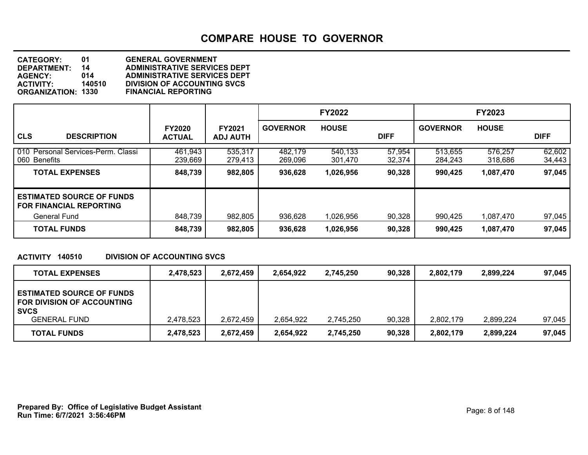| <b>CATEGORY:</b>          | 01     | <b>GENERAL GOVERNMENT</b>           |
|---------------------------|--------|-------------------------------------|
| DEPARTMENT:               | 14     | <b>ADMINISTRATIVE SERVICES DEPT</b> |
| <b>AGENCY:</b>            | 014    | <b>ADMINISTRATIVE SERVICES DEPT</b> |
| <b>ACTIVITY:</b>          | 140510 | <b>DIVISION OF ACCOUNTING SVCS</b>  |
| <b>ORGANIZATION: 1330</b> |        | <b>FINANCIAL REPORTING</b>          |
|                           |        |                                     |

|                                                                    |                                |                                  | <b>FY2022</b>      |                    |                  | <b>FY2023</b>      |                    |                  |
|--------------------------------------------------------------------|--------------------------------|----------------------------------|--------------------|--------------------|------------------|--------------------|--------------------|------------------|
| <b>CLS</b><br><b>DESCRIPTION</b>                                   | <b>FY2020</b><br><b>ACTUAL</b> | <b>FY2021</b><br><b>ADJ AUTH</b> | <b>GOVERNOR</b>    | <b>HOUSE</b>       | <b>DIFF</b>      | <b>GOVERNOR</b>    | <b>HOUSE</b>       | <b>DIFF</b>      |
| 010 Personal Services-Perm. Classi<br>060 Benefits                 | 461,943<br>239.669             | 535,317<br>279,413               | 482,179<br>269.096 | 540,133<br>301.470 | 57,954<br>32,374 | 513,655<br>284.243 | 576,257<br>318.686 | 62,602<br>34,443 |
| <b>TOTAL EXPENSES</b>                                              | 848,739                        | 982,805                          | 936,628            | 1,026,956          | 90,328           | 990,425            | 1,087,470          | 97,045           |
| <b>ESTIMATED SOURCE OF FUNDS</b><br><b>FOR FINANCIAL REPORTING</b> |                                |                                  |                    |                    |                  |                    |                    |                  |
| <b>General Fund</b>                                                | 848,739                        | 982,805                          | 936,628            | 1,026,956          | 90,328           | 990,425            | 1,087,470          | 97,045           |
| <b>TOTAL FUNDS</b>                                                 | 848,739                        | 982,805                          | 936,628            | 1,026,956          | 90,328           | 990,425            | 1,087,470          | 97,045           |

#### **ACTIVITY 140510 DIVISION OF ACCOUNTING SVCS**

| <b>TOTAL EXPENSES</b>                                                         | 2,478,523 | 2,672,459 | 2.654.922 | 2.745.250 | 90,328 | 2.802.179 | 2.899.224 | 97.045 |
|-------------------------------------------------------------------------------|-----------|-----------|-----------|-----------|--------|-----------|-----------|--------|
| <b>ESTIMATED SOURCE OF FUNDS</b><br>FOR DIVISION OF ACCOUNTING<br><b>SVCS</b> |           |           |           |           |        |           |           |        |
| <b>GENERAL FUND</b>                                                           | 2,478,523 | 2,672,459 | 2,654,922 | 2,745,250 | 90,328 | 2,802,179 | 2.899.224 | 97,045 |
| <b>TOTAL FUNDS</b>                                                            | 2,478,523 | 2,672,459 | 2,654,922 | 2,745,250 | 90,328 | 2,802,179 | 2,899,224 | 97,045 |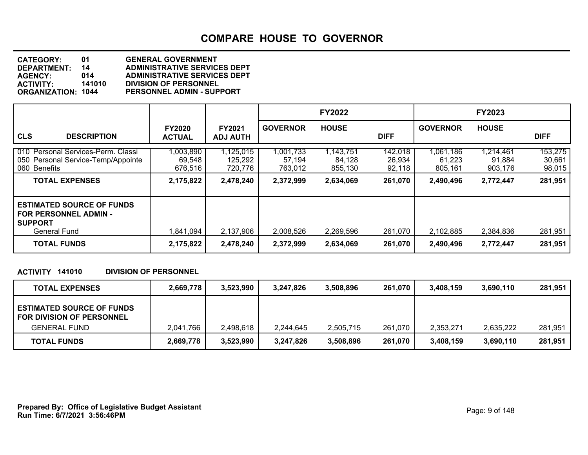| <b>CATEGORY:</b>          | 01     | <b>GENERAL GOVERNMENT</b>           |
|---------------------------|--------|-------------------------------------|
| DEPARTMENT:               | 14     | <b>ADMINISTRATIVE SERVICES DEPT</b> |
| <b>AGENCY:</b>            | 014    | <b>ADMINISTRATIVE SERVICES DEPT</b> |
| <b>ACTIVITY:</b>          | 141010 | <b>DIVISION OF PERSONNEL</b>        |
| <b>ORGANIZATION: 1044</b> |        | <b>PERSONNEL ADMIN - SUPPORT</b>    |

|                                                                                                           |                                |                                  |                                | <b>FY2022</b>                  |                             |                                | <b>FY2023</b>                  |                             |
|-----------------------------------------------------------------------------------------------------------|--------------------------------|----------------------------------|--------------------------------|--------------------------------|-----------------------------|--------------------------------|--------------------------------|-----------------------------|
| <b>CLS</b><br><b>DESCRIPTION</b>                                                                          | <b>FY2020</b><br><b>ACTUAL</b> | <b>FY2021</b><br><b>ADJ AUTH</b> | <b>GOVERNOR</b>                | <b>HOUSE</b>                   | <b>DIFF</b>                 | <b>GOVERNOR</b>                | <b>HOUSE</b>                   | <b>DIFF</b>                 |
| 010 Personal Services-Perm. Classi<br>050 Personal Service-Temp/Appointe<br>060 Benefits                  | 1,003,890<br>69,548<br>676,516 | ,125,015<br>125,292<br>720,776   | 1,001,733<br>57,194<br>763.012 | 1,143,751<br>84,128<br>855.130 | 142,018<br>26,934<br>92,118 | 1,061,186<br>61,223<br>805,161 | 1,214,461<br>91,884<br>903,176 | 153,275<br>30,661<br>98,015 |
| <b>TOTAL EXPENSES</b>                                                                                     | 2,175,822                      | 2,478,240                        | 2,372,999                      | 2,634,069                      | 261,070                     | 2,490,496                      | 2,772,447                      | 281,951                     |
| <b>ESTIMATED SOURCE OF FUNDS</b><br><b>FOR PERSONNEL ADMIN -</b><br><b>SUPPORT</b><br><b>General Fund</b> | 1,841,094                      | 2,137,906                        | 2,008,526                      | 2,269,596                      | 261.070                     | 2,102,885                      | 2,384,836                      | 281,951                     |
| <b>TOTAL FUNDS</b>                                                                                        | 2,175,822                      | 2,478,240                        | 2,372,999                      | 2,634,069                      | 261,070                     | 2,490,496                      | 2,772,447                      | 281,951                     |

#### **ACTIVITY 141010 DIVISION OF PERSONNEL**

| <b>TOTAL EXPENSES</b>                                                | 2,669,778 | 3,523,990 | 3,247,826 | 3,508,896 | 261,070 | 3.408.159 | 3,690,110 | 281,951 |
|----------------------------------------------------------------------|-----------|-----------|-----------|-----------|---------|-----------|-----------|---------|
| <b>ESTIMATED SOURCE OF FUNDS</b><br><b>FOR DIVISION OF PERSONNEL</b> |           |           |           |           |         |           |           |         |
| <b>GENERAL FUND</b>                                                  | 2,041,766 | 2,498,618 | 2.244.645 | 2,505,715 | 261,070 | 2,353,271 | 2,635,222 | 281,951 |
| <b>TOTAL FUNDS</b>                                                   | 2,669,778 | 3,523,990 | 3,247,826 | 3,508,896 | 261,070 | 3,408,159 | 3,690,110 | 281,951 |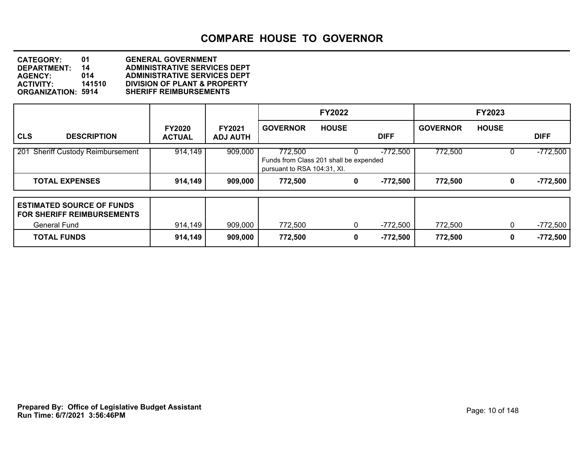| <b>CATEGORY:</b>          | 01     | <b>GENERAL GOVERNMENT</b>               |
|---------------------------|--------|-----------------------------------------|
| DEPARTMENT:               | 14     | <b>ADMINISTRATIVE SERVICES DEPT</b>     |
| <b>AGENCY:</b>            | 014    | <b>ADMINISTRATIVE SERVICES DEPT</b>     |
| <b>ACTIVITY:</b>          | 141510 | <b>DIVISION OF PLANT &amp; PROPERTY</b> |
| <b>ORGANIZATION: 5914</b> |        | <b>SHERIFF REIMBURSEMENTS</b>           |

|                                                                                              |                                |                                  | <b>FY2022</b>                                                                    |              |                 | <b>FY2023</b> |                 |              |             |
|----------------------------------------------------------------------------------------------|--------------------------------|----------------------------------|----------------------------------------------------------------------------------|--------------|-----------------|---------------|-----------------|--------------|-------------|
| <b>CLS</b><br><b>DESCRIPTION</b>                                                             | <b>FY2020</b><br><b>ACTUAL</b> | <b>FY2021</b><br><b>ADJ AUTH</b> | <b>GOVERNOR</b>                                                                  | <b>HOUSE</b> | <b>DIFF</b>     |               | <b>GOVERNOR</b> | <b>HOUSE</b> | <b>DIFF</b> |
| $\overline{201}$<br><b>Sheriff Custody Reimbursement</b>                                     | 914,149                        | 909,000                          | 772,500<br>Funds from Class 201 shall be expended<br>pursuant to RSA 104:31, XI. |              | $-772,500$      |               | 772,500         |              | $-772,500$  |
| <b>TOTAL EXPENSES</b>                                                                        | 914,149                        | 909,000                          | 772,500                                                                          |              | -772,500<br>0   |               | 772,500         | 0            | $-772,500$  |
| <b>ESTIMATED SOURCE OF FUNDS</b><br><b>FOR SHERIFF REIMBURSEMENTS</b><br><b>General Fund</b> | 914,149                        | 909,000                          | 772,500                                                                          |              | 0<br>-772,500   |               | 772,500         | 0            | $-772,500$  |
| <b>TOTAL FUNDS</b>                                                                           | 914,149                        | 909,000                          | 772,500                                                                          |              | $-772,500$<br>0 |               | 772,500         | 0            | $-772,500$  |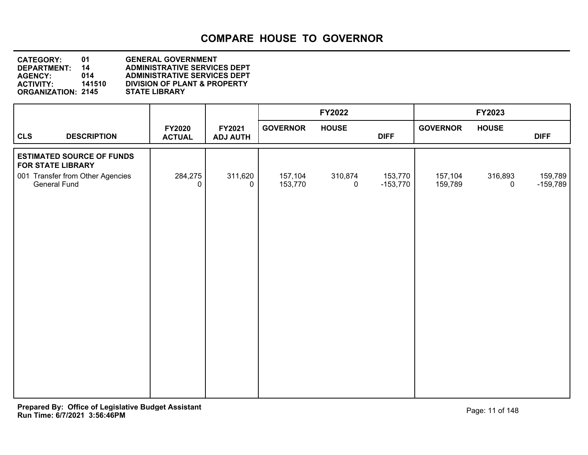| <b>CATEGORY:</b>          | 01     | <b>GENERAL GOVERNMENT</b>               |
|---------------------------|--------|-----------------------------------------|
| <b>DEPARTMENT:</b>        | 14     | <b>ADMINISTRATIVE SERVICES DEPT</b>     |
| <b>AGENCY:</b>            | 014    | <b>ADMINISTRATIVE SERVICES DEPT</b>     |
| <b>ACTIVITY:</b>          | 141510 | <b>DIVISION OF PLANT &amp; PROPERTY</b> |
| <b>ORGANIZATION: 2145</b> |        | <b>STATE LIBRARY</b>                    |
|                           |        |                                         |

|            |                                                              |                                |                           |                    | FY2022                 |                       |                    | FY2023                 |                       |
|------------|--------------------------------------------------------------|--------------------------------|---------------------------|--------------------|------------------------|-----------------------|--------------------|------------------------|-----------------------|
| <b>CLS</b> | <b>DESCRIPTION</b>                                           | <b>FY2020</b><br><b>ACTUAL</b> | FY2021<br><b>ADJ AUTH</b> | <b>GOVERNOR</b>    | <b>HOUSE</b>           | <b>DIFF</b>           | <b>GOVERNOR</b>    | <b>HOUSE</b>           | <b>DIFF</b>           |
|            | <b>ESTIMATED SOURCE OF FUNDS</b><br><b>FOR STATE LIBRARY</b> |                                |                           |                    |                        |                       |                    |                        |                       |
|            | 001 Transfer from Other Agencies<br>General Fund             | 284,275<br>0                   | 311,620<br>$\Omega$       | 157,104<br>153,770 | 310,874<br>$\mathbf 0$ | 153,770<br>$-153,770$ | 157,104<br>159,789 | 316,893<br>$\mathbf 0$ | 159,789<br>$-159,789$ |
|            |                                                              |                                |                           |                    |                        |                       |                    |                        |                       |
|            |                                                              |                                |                           |                    |                        |                       |                    |                        |                       |
|            |                                                              |                                |                           |                    |                        |                       |                    |                        |                       |
|            |                                                              |                                |                           |                    |                        |                       |                    |                        |                       |
|            |                                                              |                                |                           |                    |                        |                       |                    |                        |                       |
|            |                                                              |                                |                           |                    |                        |                       |                    |                        |                       |
|            |                                                              |                                |                           |                    |                        |                       |                    |                        |                       |
|            |                                                              |                                |                           |                    |                        |                       |                    |                        |                       |
|            |                                                              |                                |                           |                    |                        |                       |                    |                        |                       |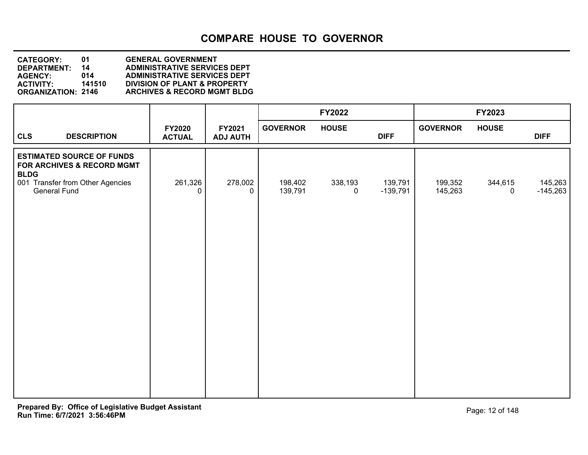**DEPARTMENT: 14 ADMINISTRATIVE SERVICES DEPT CATEGORY: 01 GENERAL GOVERNMENT AGENCY: 014 ADMINISTRATIVE SERVICES DEPT ACTIVITY: 141510 DIVISION OF PLANT & PROPERTY ORGANIZATION: 2146 ARCHIVES & RECORD MGMT BLDG**

|                                                                                                                                   |                                |                           |                    | FY2022                    |                       |                    | FY2023                 |                       |
|-----------------------------------------------------------------------------------------------------------------------------------|--------------------------------|---------------------------|--------------------|---------------------------|-----------------------|--------------------|------------------------|-----------------------|
| <b>CLS</b><br><b>DESCRIPTION</b>                                                                                                  | <b>FY2020</b><br><b>ACTUAL</b> | FY2021<br><b>ADJ AUTH</b> | <b>GOVERNOR</b>    | <b>HOUSE</b>              | <b>DIFF</b>           | <b>GOVERNOR</b>    | <b>HOUSE</b>           | <b>DIFF</b>           |
| <b>ESTIMATED SOURCE OF FUNDS</b><br>FOR ARCHIVES & RECORD MGMT<br><b>BLDG</b><br>001 Transfer from Other Agencies<br>General Fund | 261,326<br>$\mathbf 0$         | 278,002<br>$\mathbf 0$    | 198,402<br>139,791 | 338,193<br>$\overline{0}$ | 139,791<br>$-139,791$ | 199,352<br>145,263 | 344,615<br>$\mathbf 0$ | 145,263<br>$-145,263$ |
|                                                                                                                                   |                                |                           |                    |                           |                       |                    |                        |                       |
|                                                                                                                                   |                                |                           |                    |                           |                       |                    |                        |                       |
|                                                                                                                                   |                                |                           |                    |                           |                       |                    |                        |                       |
|                                                                                                                                   |                                |                           |                    |                           |                       |                    |                        |                       |
|                                                                                                                                   |                                |                           |                    |                           |                       |                    |                        |                       |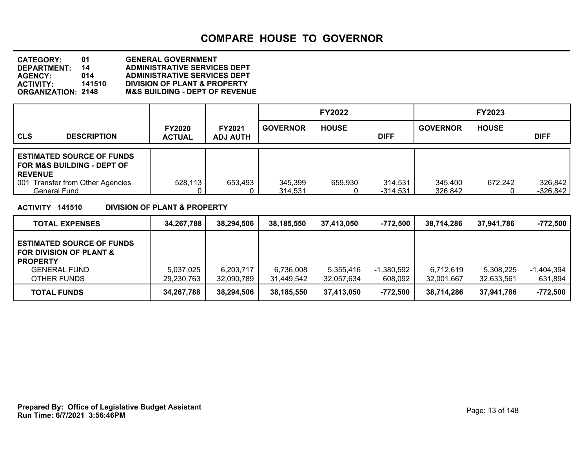**DEPARTMENT: 14 ADMINISTRATIVE SERVICES DEPT CATEGORY: 01 GENERAL GOVERNMENT AGENCY: 014 ADMINISTRATIVE SERVICES DEPT ACTIVITY: 141510 DIVISION OF PLANT & PROPERTY M&S BUILDING - DEPT OF REVENUE** 

|                                                                                             |                                |                                  |                    | <b>FY2022</b> |                       |                    | <b>FY2023</b> |                       |
|---------------------------------------------------------------------------------------------|--------------------------------|----------------------------------|--------------------|---------------|-----------------------|--------------------|---------------|-----------------------|
| <b>CLS</b><br><b>DESCRIPTION</b>                                                            | <b>FY2020</b><br><b>ACTUAL</b> | <b>FY2021</b><br><b>ADJ AUTH</b> | <b>GOVERNOR</b>    | <b>HOUSE</b>  | <b>DIFF</b>           | <b>GOVERNOR</b>    | <b>HOUSE</b>  | <b>DIFF</b>           |
| <b>ESTIMATED SOURCE OF FUNDS</b><br><b>FOR M&amp;S BUILDING - DEPT OF</b><br><b>REVENUE</b> |                                |                                  |                    |               |                       |                    |               |                       |
| <b>Transfer from Other Agencies</b><br>001<br>General Fund                                  | 528,113                        | 653,493                          | 345,399<br>314.531 | 659,930       | 314,531<br>$-314,531$ | 345,400<br>326,842 | 672,242       | 326,842<br>$-326,842$ |

**ACTIVITY 141510 DIVISION OF PLANT & PROPERTY**

| <b>TOTAL EXPENSES</b>                                                                                                  | 34,267,788              | 38,294,506              | 38,185,550              | 37.413.050              | -772,500                | 38.714.286              | 37.941.786              | -772.500              |
|------------------------------------------------------------------------------------------------------------------------|-------------------------|-------------------------|-------------------------|-------------------------|-------------------------|-------------------------|-------------------------|-----------------------|
| <b>ESTIMATED SOURCE OF FUNDS</b><br>I FOR DIVISION OF PLANT &<br><b>PROPERTY</b><br><b>GENERAL FUND</b><br>OTHER FUNDS | 5,037,025<br>29,230,763 | 6,203,717<br>32,090,789 | 6,736,008<br>31.449.542 | 5,355,416<br>32.057.634 | $-1,380,592$<br>608,092 | 6,712,619<br>32,001,667 | 5.308.225<br>32,633,561 | -1.404.394<br>631,894 |
| <b>TOTAL FUNDS</b>                                                                                                     | 34,267,788              | 38,294,506              | 38,185,550              | 37,413,050              | -772,500                | 38,714,286              | 37,941,786              | $-772,500$            |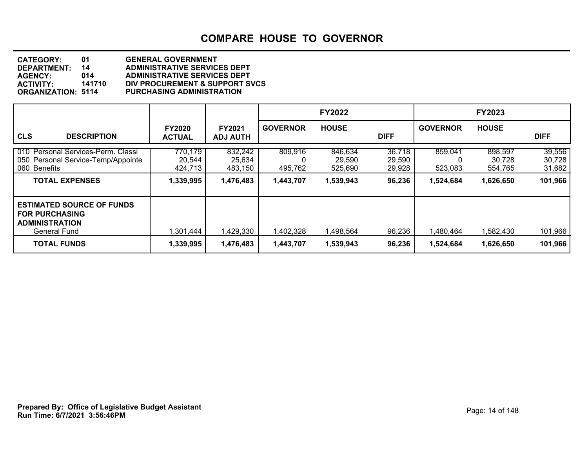| 01                        | <b>GENERAL GOVERNMENT</b>           |
|---------------------------|-------------------------------------|
| 14                        | <b>ADMINISTRATIVE SERVICES DEPT</b> |
| 014                       | <b>ADMINISTRATIVE SERVICES DEPT</b> |
| 141710                    | DIV PROCUREMENT & SUPPORT SVCS      |
| <b>ORGANIZATION: 5114</b> | <b>PURCHASING ADMINISTRATION</b>    |
|                           |                                     |

|                                                                                                                                 |                                           |                                           |                                 | <b>FY2022</b>                             |                                      |                                 | <b>FY2023</b>                             |                                       |
|---------------------------------------------------------------------------------------------------------------------------------|-------------------------------------------|-------------------------------------------|---------------------------------|-------------------------------------------|--------------------------------------|---------------------------------|-------------------------------------------|---------------------------------------|
| <b>CLS</b><br><b>DESCRIPTION</b>                                                                                                | <b>FY2020</b><br><b>ACTUAL</b>            | <b>FY2021</b><br><b>ADJ AUTH</b>          | <b>GOVERNOR</b>                 | <b>HOUSE</b>                              | <b>DIFF</b>                          | <b>GOVERNOR</b>                 | <b>HOUSE</b>                              | <b>DIFF</b>                           |
| 010 Personal Services-Perm. Classi<br>050 Personal Service-Temp/Appointe<br>060 Benefits<br><b>TOTAL EXPENSES</b>               | 770,179<br>20,544<br>424.713<br>1,339,995 | 832,242<br>25,634<br>483,150<br>1,476,483 | 809,916<br>495,762<br>1,443,707 | 846,634<br>29,590<br>525,690<br>1,539,943 | 36,718<br>29,590<br>29,928<br>96,236 | 859,041<br>523,083<br>1,524,684 | 898,597<br>30,728<br>554,765<br>1,626,650 | 39,556<br>30,728<br>31,682<br>101,966 |
| <b>ESTIMATED SOURCE OF FUNDS</b><br><b>FOR PURCHASING</b><br><b>ADMINISTRATION</b><br><b>General Fund</b><br><b>TOTAL FUNDS</b> | 1,301,444<br>1,339,995                    | 1,429,330<br>1,476,483                    | 1,402,328<br>1,443,707          | 1.498.564<br>1,539,943                    | 96,236<br>96,236                     | 1.480.464<br>1,524,684          | 1,582,430<br>1,626,650                    | 101,966<br>101,966                    |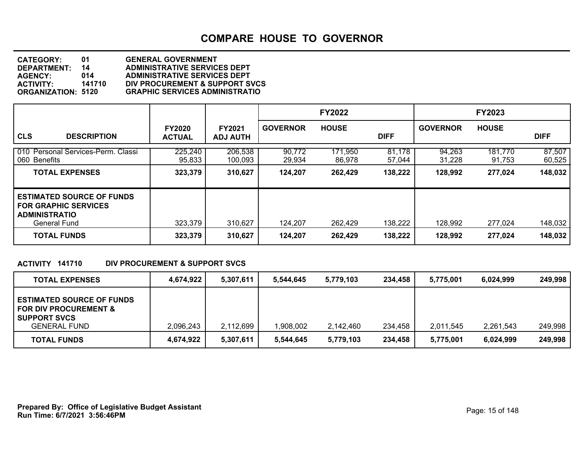**DEPARTMENT: 14 ADMINISTRATIVE SERVICES DEPT CATEGORY: 01 GENERAL GOVERNMENT AGENCY: 014 ADMINISTRATIVE SERVICES DEPT ACTIVITY: 141710 DIV PROCUREMENT & SUPPORT SVCS ORGANIZATION: 5120 GRAPHIC SERVICES ADMINISTRATIO**

|                                                                                                         |                                |                                  |                  | <b>FY2022</b>     |                  |                  | <b>FY2023</b>     |                  |
|---------------------------------------------------------------------------------------------------------|--------------------------------|----------------------------------|------------------|-------------------|------------------|------------------|-------------------|------------------|
| <b>CLS</b><br><b>DESCRIPTION</b>                                                                        | <b>FY2020</b><br><b>ACTUAL</b> | <b>FY2021</b><br><b>ADJ AUTH</b> | <b>GOVERNOR</b>  | <b>HOUSE</b>      | <b>DIFF</b>      | <b>GOVERNOR</b>  | <b>HOUSE</b>      | <b>DIFF</b>      |
| 010 Personal Services-Perm. Classi<br>060 Benefits                                                      | 225,240<br>95,833              | 206,538<br>100,093               | 90,772<br>29.934 | 171,950<br>86.978 | 81,178<br>57.044 | 94,263<br>31.228 | 181,770<br>91.753 | 87,507<br>60,525 |
| <b>TOTAL EXPENSES</b>                                                                                   | 323,379                        | 310,627                          | 124,207          | 262,429           | 138,222          | 128,992          | 277,024           | 148,032          |
| <b>ESTIMATED SOURCE OF FUNDS</b><br><b>FOR GRAPHIC SERVICES</b><br><b>ADMINISTRATIO</b><br>General Fund | 323,379                        | 310,627                          | 124,207          | 262,429           | 138,222          | 128,992          | 277,024           | 148,032          |
| <b>TOTAL FUNDS</b>                                                                                      | 323,379                        | 310,627                          | 124,207          | 262,429           | 138,222          | 128,992          | 277,024           | 148,032          |

#### **ACTIVITY 141710 DIV PROCUREMENT & SUPPORT SVCS**

| <b>TOTAL EXPENSES</b>                                                                                              | 4.674.922 | 5,307,611 | 5.544.645 | 5,779,103 | 234.458 | 5,775,001 | 6.024.999 | 249,998 |
|--------------------------------------------------------------------------------------------------------------------|-----------|-----------|-----------|-----------|---------|-----------|-----------|---------|
| <b>ESTIMATED SOURCE OF FUNDS</b><br><b>FOR DIV PROCUREMENT &amp;</b><br><b>SUPPORT SVCS</b><br><b>GENERAL FUND</b> | 2,096,243 | 2,112,699 | ,908,002  | 2,142,460 | 234.458 | 2,011,545 | 2.261.543 | 249,998 |
| <b>TOTAL FUNDS</b>                                                                                                 | 4.674.922 | 5,307,611 | 5.544.645 | 5,779,103 | 234,458 | 5,775,001 | 6.024.999 | 249,998 |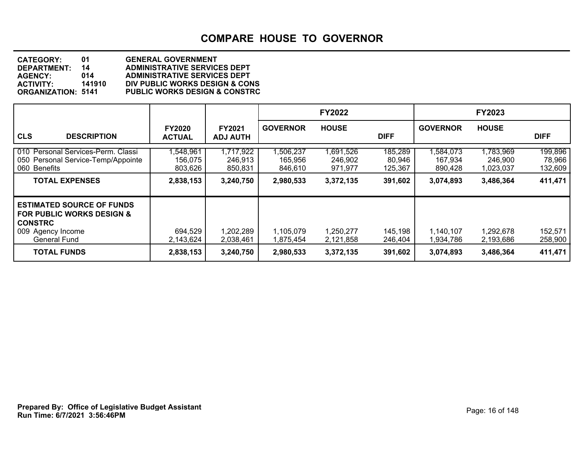| <b>CATEGORY:</b>          | 01     | <b>GENERAL GOVERNMENT</b>                |
|---------------------------|--------|------------------------------------------|
| <b>DEPARTMENT:</b>        | 14     | <b>ADMINISTRATIVE SERVICES DEPT</b>      |
| <b>AGENCY:</b>            | 014    | <b>ADMINISTRATIVE SERVICES DEPT</b>      |
| <b>ACTIVITY:</b>          | 141910 | DIV PUBLIC WORKS DESIGN & CONS           |
| <b>ORGANIZATION: 5141</b> |        | <b>PUBLIC WORKS DESIGN &amp; CONSTRC</b> |
|                           |        |                                          |

|                                                                                                                                        |                                |                                  |                                | <b>FY2022</b>                   |                              |                                | <b>FY2023</b>                     |                              |
|----------------------------------------------------------------------------------------------------------------------------------------|--------------------------------|----------------------------------|--------------------------------|---------------------------------|------------------------------|--------------------------------|-----------------------------------|------------------------------|
| <b>CLS</b><br><b>DESCRIPTION</b>                                                                                                       | <b>FY2020</b><br><b>ACTUAL</b> | <b>FY2021</b><br><b>ADJ AUTH</b> | <b>GOVERNOR</b>                | <b>HOUSE</b>                    | <b>DIFF</b>                  | <b>GOVERNOR</b>                | <b>HOUSE</b>                      | <b>DIFF</b>                  |
| 010 Personal Services-Perm. Classi<br>050 Personal Service-Temp/Appointe<br>060 Benefits                                               | ,548,961<br>156,075<br>803,626 | 1,717,922<br>246,913<br>850,831  | ,506,237<br>165,956<br>846,610 | 1,691,526<br>246,902<br>971,977 | 185,289<br>80,946<br>125,367 | ,584,073<br>167,934<br>890,428 | 1,783,969<br>246,900<br>1,023,037 | 199,896<br>78,966<br>132,609 |
| <b>TOTAL EXPENSES</b>                                                                                                                  | 2,838,153                      | 3,240,750                        | 2,980,533                      | 3,372,135                       | 391,602                      | 3,074,893                      | 3,486,364                         | 411,471                      |
| <b>ESTIMATED SOURCE OF FUNDS</b><br><b>FOR PUBLIC WORKS DESIGN &amp;</b><br><b>CONSTRC</b><br>009 Agency Income<br><b>General Fund</b> | 694,529<br>2.143.624           | 1,202,289<br>2,038,461           | 1,105,079<br>1,875,454         | 1,250,277<br>2,121,858          | 145,198<br>246,404           | 1,140,107<br>1,934,786         | 1,292,678<br>2,193,686            | 152,571<br>258,900           |
| <b>TOTAL FUNDS</b>                                                                                                                     | 2,838,153                      | 3,240,750                        | 2,980,533                      | 3,372,135                       | 391,602                      | 3,074,893                      | 3,486,364                         | 411,471                      |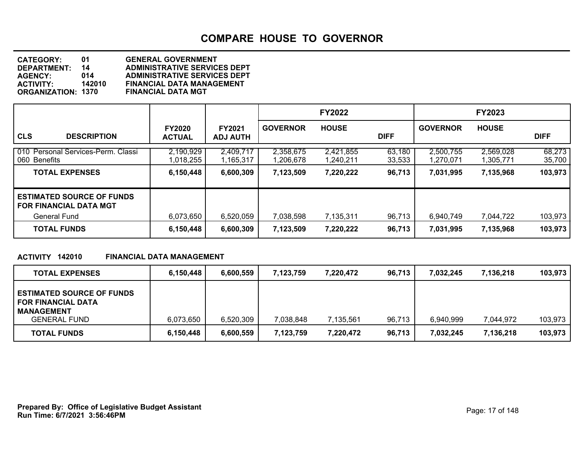| <b>CATEGORY:</b>          | O1     | <b>GENERAL GOVERNMENT</b>           |
|---------------------------|--------|-------------------------------------|
| <b>DEPARTMENT:</b>        | 14     | <b>ADMINISTRATIVE SERVICES DEPT</b> |
| <b>AGENCY:</b>            | 014    | <b>ADMINISTRATIVE SERVICES DEPT</b> |
| <b>ACTIVITY:</b>          | 142010 | <b>FINANCIAL DATA MANAGEMENT</b>    |
| <b>ORGANIZATION: 1370</b> |        | <b>FINANCIAL DATA MGT</b>           |
|                           |        |                                     |

|                                                                   |                                |                                  |                        | <b>FY2022</b>          |                  |                        | <b>FY2023</b>          |                  |
|-------------------------------------------------------------------|--------------------------------|----------------------------------|------------------------|------------------------|------------------|------------------------|------------------------|------------------|
| <b>CLS</b><br><b>DESCRIPTION</b>                                  | <b>FY2020</b><br><b>ACTUAL</b> | <b>FY2021</b><br><b>ADJ AUTH</b> | <b>GOVERNOR</b>        | <b>HOUSE</b>           | <b>DIFF</b>      | <b>GOVERNOR</b>        | <b>HOUSE</b>           | <b>DIFF</b>      |
| 010 Personal Services-Perm. Classi<br>060 Benefits                | 2,190,929<br>1,018,255         | 2,409,717<br>l,165,317           | 2,358,675<br>1,206,678 | 2,421,855<br>1,240,211 | 63,180<br>33,533 | 2,500,755<br>1,270,071 | 2,569,028<br>1,305,771 | 68,273<br>35,700 |
| <b>TOTAL EXPENSES</b>                                             | 6,150,448                      | 6,600,309                        | 7,123,509              | 7,220,222              | 96,713           | 7,031,995              | 7,135,968              | 103,973          |
| <b>ESTIMATED SOURCE OF FUNDS</b><br><b>FOR FINANCIAL DATA MGT</b> |                                |                                  |                        |                        |                  |                        |                        |                  |
| <b>General Fund</b>                                               | 6,073,650                      | 6,520,059                        | 7,038,598              | 7,135,311              | 96,713           | 6,940,749              | 7,044,722              | 103,973          |
| <b>TOTAL FUNDS</b>                                                | 6,150,448                      | 6,600,309                        | 7,123,509              | 7,220,222              | 96,713           | 7,031,995              | 7,135,968              | 103,973          |

#### **ACTIVITY 142010 FINANCIAL DATA MANAGEMENT**

| <b>TOTAL EXPENSES</b>                                                                                     | 6,150,448 | 6,600,559 | 7.123.759 | 7.220.472 | 96,713 | 7,032,245 | 7,136,218 | 103,973 |
|-----------------------------------------------------------------------------------------------------------|-----------|-----------|-----------|-----------|--------|-----------|-----------|---------|
| <b>ESTIMATED SOURCE OF FUNDS</b><br><b>FOR FINANCIAL DATA</b><br><b>MANAGEMENT</b><br><b>GENERAL FUND</b> | 6,073,650 | 6,520,309 | 7,038,848 | 7,135,561 | 96,713 | 6,940,999 | 7,044,972 | 103,973 |
| <b>TOTAL FUNDS</b>                                                                                        | 6,150,448 | 6,600,559 | 7,123,759 | 7,220,472 | 96,713 | 7,032,245 | 7,136,218 | 103,973 |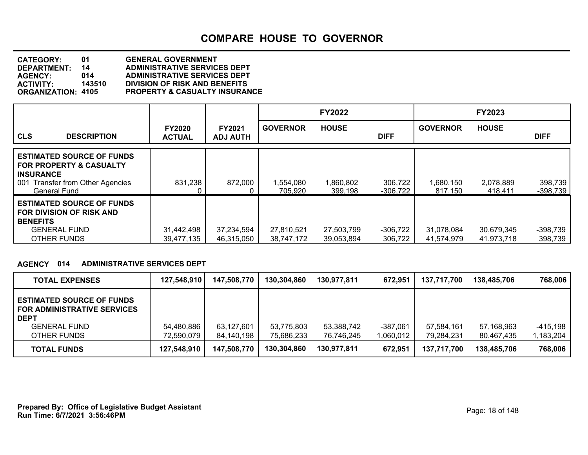**DEPARTMENT: 14 ADMINISTRATIVE SERVICES DEPT CATEGORY: 01 GENERAL GOVERNMENT AGENCY: 014 ADMINISTRATIVE SERVICES DEPT ACTIVITY: 143510 DIVISION OF RISK AND BENEFITS PROPERTY & CASUALTY INSURANCE** 

|                                                                                                                                                       |                                |                                  |                          | <b>FY2022</b>            |                       |                          | <b>FY2023</b>            |                       |
|-------------------------------------------------------------------------------------------------------------------------------------------------------|--------------------------------|----------------------------------|--------------------------|--------------------------|-----------------------|--------------------------|--------------------------|-----------------------|
| <b>CLS</b><br><b>DESCRIPTION</b>                                                                                                                      | <b>FY2020</b><br><b>ACTUAL</b> | <b>FY2021</b><br><b>ADJ AUTH</b> | <b>GOVERNOR</b>          | <b>HOUSE</b>             | <b>DIFF</b>           | <b>GOVERNOR</b>          | <b>HOUSE</b>             | <b>DIFF</b>           |
| <b>ESTIMATED SOURCE OF FUNDS</b><br><b>FOR PROPERTY &amp; CASUALTY</b><br><b>INSURANCE</b><br>001 Transfer from Other Agencies<br><b>General Fund</b> | 831,238                        | 872,000                          | 1,554,080<br>705.920     | 1,860,802<br>399.198     | 306,722<br>-306.722   | 1.680.150<br>817.150     | 2,078,889<br>418,411     | 398,739<br>-398,739   |
| <b>ESTIMATED SOURCE OF FUNDS</b><br><b>FOR DIVISION OF RISK AND</b><br><b>BENEFITS</b><br><b>GENERAL FUND</b><br>OTHER FUNDS                          | 31,442,498<br>39,477,135       | 37,234,594<br>46,315,050         | 27,810,521<br>38,747,172 | 27,503,799<br>39,053,894 | $-306,722$<br>306,722 | 31,078,084<br>41,574,979 | 30,679,345<br>41,973,718 | $-398,739$<br>398,739 |

#### **AGENCY 014 ADMINISTRATIVE SERVICES DEPT**

| <b>TOTAL EXPENSES</b>                                                                                                       | 127,548,910              | 147,508,770              | 130,304,860              | 130,977,811              | 672,951                 | 137.717.700              | 138,485,706              | 768.006                 |
|-----------------------------------------------------------------------------------------------------------------------------|--------------------------|--------------------------|--------------------------|--------------------------|-------------------------|--------------------------|--------------------------|-------------------------|
| <b>ESTIMATED SOURCE OF FUNDS</b><br><b>FOR ADMINISTRATIVE SERVICES</b><br><b>DEPT</b><br><b>GENERAL FUND</b><br>OTHER FUNDS | 54,480,886<br>72,590,079 | 63,127,601<br>84,140,198 | 53,775,803<br>75,686,233 | 53.388.742<br>76.746.245 | $-387.061$<br>1,060,012 | 57,584,161<br>79.284.231 | 57,168,963<br>80.467.435 | $-415,198$<br>1,183,204 |
| <b>TOTAL FUNDS</b>                                                                                                          | 127,548,910              | 147,508,770              | 130,304,860              | 130,977,811              | 672,951                 | 137,717,700              | 138,485,706              | 768,006                 |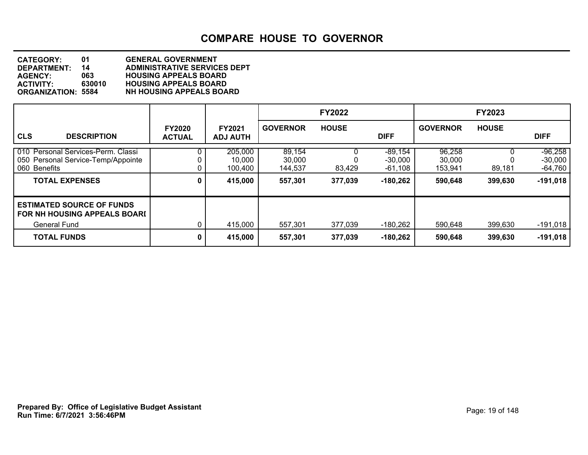| <b>CATEGORY:</b>          | 01     | <b>GENERAL GOVERNMENT</b>           |
|---------------------------|--------|-------------------------------------|
| DEPARTMENT:               | 14     | <b>ADMINISTRATIVE SERVICES DEPT</b> |
| <b>AGENCY:</b>            | 063    | <b>HOUSING APPEALS BOARD</b>        |
| <b>ACTIVITY:</b>          | 630010 | <b>HOUSING APPEALS BOARD</b>        |
| <b>ORGANIZATION: 5584</b> |        | <b>NH HOUSING APPEALS BOARD</b>     |

|                                                                                                                   |                                |                                         |                                        | <b>FY2022</b>      |                                                 |                                        | <b>FY2023</b>      |                                                   |
|-------------------------------------------------------------------------------------------------------------------|--------------------------------|-----------------------------------------|----------------------------------------|--------------------|-------------------------------------------------|----------------------------------------|--------------------|---------------------------------------------------|
| <b>CLS</b><br><b>DESCRIPTION</b>                                                                                  | <b>FY2020</b><br><b>ACTUAL</b> | <b>FY2021</b><br><b>ADJ AUTH</b>        | <b>GOVERNOR</b>                        | <b>HOUSE</b>       | <b>DIFF</b>                                     | <b>GOVERNOR</b>                        | <b>HOUSE</b>       | <b>DIFF</b>                                       |
| 010 Personal Services-Perm. Classi<br>050 Personal Service-Temp/Appointe<br>060 Benefits<br><b>TOTAL EXPENSES</b> | 0<br>0                         | 205,000<br>10,000<br>100,400<br>415,000 | 89,154<br>30,000<br>144,537<br>557,301 | 83,429<br>377,039  | $-89,154$<br>$-30,000$<br>-61,108<br>$-180,262$ | 96,258<br>30,000<br>153,941<br>590,648 | 89,181<br>399,630  | $-96,258$<br>$-30,000$<br>$-64,760$<br>$-191,018$ |
| <b>ESTIMATED SOURCE OF FUNDS</b><br>FOR NH HOUSING APPEALS BOARD<br>General Fund<br><b>TOTAL FUNDS</b>            | 0<br>0                         | 415,000<br>415,000                      | 557,301<br>557,301                     | 377,039<br>377,039 | -180,262<br>-180,262                            | 590,648<br>590,648                     | 399,630<br>399,630 | $-191,018$<br>$-191,018$                          |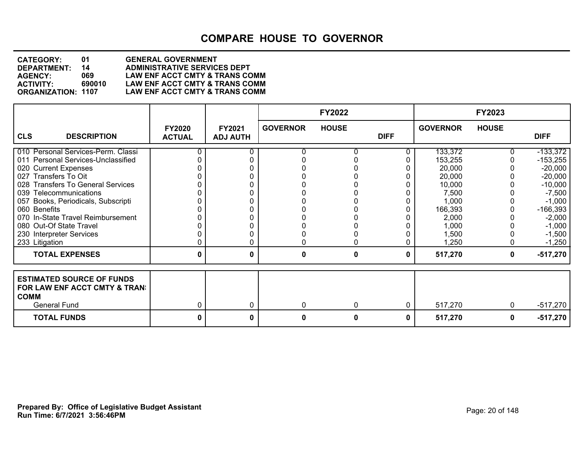#### **DEPARTMENT: 14 ADMINISTRATIVE SERVICES DEPT CATEGORY: 01 GENERAL GOVERNMENT AGENCY: 069 LAW ENF ACCT CMTY & TRANS COMM ACTIVITY: 690010 LAW ENF ACCT CMTY & TRANS COMM** LAW ENF ACCT CMTY & TRANS COMM

|                                              |                                |                           |                 | <b>FY2022</b> |             |                 | <b>FY2023</b> |             |
|----------------------------------------------|--------------------------------|---------------------------|-----------------|---------------|-------------|-----------------|---------------|-------------|
| <b>CLS</b><br><b>DESCRIPTION</b>             | <b>FY2020</b><br><b>ACTUAL</b> | FY2021<br><b>ADJ AUTH</b> | <b>GOVERNOR</b> | <b>HOUSE</b>  | <b>DIFF</b> | <b>GOVERNOR</b> | <b>HOUSE</b>  | <b>DIFF</b> |
|                                              |                                |                           |                 |               |             |                 |               |             |
| 010 Personal Services-Perm. Classi           |                                | 0                         |                 |               |             | 133,372         |               | $-133,372$  |
| 011 Personal Services-Unclassified           |                                |                           |                 |               |             | 153,255         |               | $-153,255$  |
| 020 Current Expenses                         |                                |                           |                 |               |             | 20,000          |               | $-20,000$   |
| 027 Transfers To Oit                         |                                |                           |                 |               |             | 20,000          |               | $-20,000$   |
| 028 Transfers To General Services            |                                |                           |                 |               |             | 10,000          |               | $-10,000$   |
| 039 Telecommunications                       |                                |                           |                 |               |             | 7,500           |               | $-7,500$    |
| 057 Books, Periodicals, Subscripti           |                                |                           |                 |               |             | 1,000           |               | $-1,000$    |
| 060 Benefits                                 |                                |                           |                 |               |             | 166,393         |               | $-166,393$  |
| 070 In-State Travel Reimbursement            |                                |                           |                 |               |             | 2,000           |               | $-2,000$    |
| 080 Out-Of State Travel                      |                                |                           |                 |               |             | 1,000           |               | $-1,000$    |
| 230 Interpreter Services                     |                                | 0                         |                 |               |             | 1,500           |               | $-1,500$    |
| 233 Litigation                               |                                | 0                         |                 | 0             |             | 1,250           |               | $-1,250$    |
| <b>TOTAL EXPENSES</b>                        | 0                              | 0                         | 0               | 0             | 0           | 517,270         | 0             | $-517,270$  |
| <b>ESTIMATED SOURCE OF FUNDS</b>             |                                |                           |                 |               |             |                 |               |             |
| FOR LAW ENF ACCT CMTY & TRAN!<br><b>COMM</b> |                                |                           |                 |               |             |                 |               |             |
| <b>General Fund</b>                          | 0                              | 0                         | 0               | 0             | 0           | 517,270         | 0             | $-517,270$  |
| <b>TOTAL FUNDS</b>                           | 0                              | 0                         | 0               | 0             | 0           | 517,270         | 0             | $-517,270$  |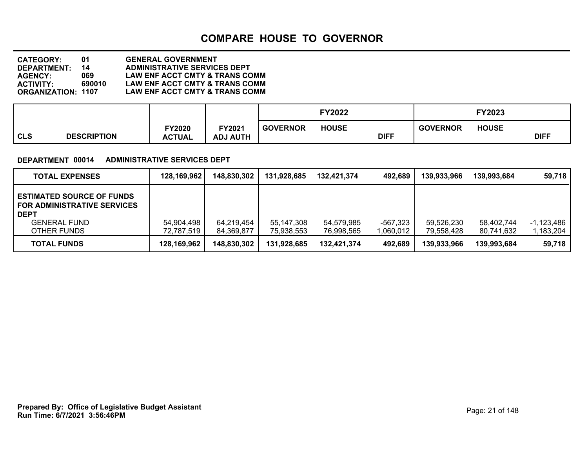| <b>CATEGORY:</b>          | 01     | <b>GENERAL GOVERNMENT</b>                 |
|---------------------------|--------|-------------------------------------------|
| <b>DEPARTMENT:</b>        | 14     | <b>ADMINISTRATIVE SERVICES DEPT</b>       |
| <b>AGENCY:</b>            | 069.   | <b>LAW ENF ACCT CMTY &amp; TRANS COMM</b> |
| <b>ACTIVITY:</b>          | 690010 | LAW ENF ACCT CMTY & TRANS COMM            |
| <b>ORGANIZATION: 1107</b> |        | LAW ENF ACCT CMTY & TRANS COMM            |

| FY2021<br><b>FY2020</b><br><b>CLS</b><br><b>DESCRIPTION</b><br><b>ACTUAL</b><br><b>ADJ AUTH</b> | <b>GOVERNOR</b> | <b>HOUSE</b> | <b>DIFF</b> | <b>GOVERNOR</b> | <b>HOUSE</b> | <b>DIFF</b> |
|-------------------------------------------------------------------------------------------------|-----------------|--------------|-------------|-----------------|--------------|-------------|

#### **DEPARTMENT 00014 ADMINISTRATIVE SERVICES DEPT**

| <b>TOTAL EXPENSES</b>                                                                                                       | 128,169,962              | 148,830,302              | 131,928,685                | 132,421,374              | 492,689               | 139,933,966              | 139.993.684              | 59,718                  |
|-----------------------------------------------------------------------------------------------------------------------------|--------------------------|--------------------------|----------------------------|--------------------------|-----------------------|--------------------------|--------------------------|-------------------------|
| <b>ESTIMATED SOURCE OF FUNDS</b><br><b>FOR ADMINISTRATIVE SERVICES</b><br><b>DEPT</b><br><b>GENERAL FUND</b><br>OTHER FUNDS | 54,904,498<br>72,787,519 | 64,219,454<br>84,369,877 | 55, 147, 308<br>75,938,553 | 54,579,985<br>76,998,565 | -567,323<br>1,060,012 | 59,526,230<br>79,558,428 | 58.402.744<br>80,741,632 | -1,123,486<br>1,183,204 |
| <b>TOTAL FUNDS</b>                                                                                                          | 128,169,962              | 148,830,302              | 131,928,685                | 132,421,374              | 492,689               | 139,933,966              | 139.993.684              | 59,718                  |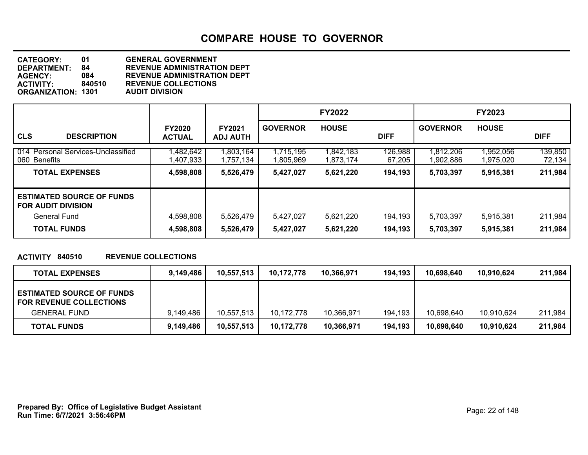| 01                        | <b>GENERAL GOVERNMENT</b>          |
|---------------------------|------------------------------------|
| 84                        | <b>REVENUE ADMINISTRATION DEPT</b> |
| 084                       | <b>REVENUE ADMINISTRATION DEPT</b> |
| 840510                    | <b>REVENUE COLLECTIONS</b>         |
| <b>ORGANIZATION: 1301</b> | <b>AUDIT DIVISION</b>              |
|                           |                                    |

|                                                                                      |                                |                                  |                        | <b>FY2022</b>          |                   |                        | <b>FY2023</b>          |                    |
|--------------------------------------------------------------------------------------|--------------------------------|----------------------------------|------------------------|------------------------|-------------------|------------------------|------------------------|--------------------|
| <b>CLS</b><br><b>DESCRIPTION</b>                                                     | <b>FY2020</b><br><b>ACTUAL</b> | <b>FY2021</b><br><b>ADJ AUTH</b> | <b>GOVERNOR</b>        | <b>HOUSE</b>           | <b>DIFF</b>       | <b>GOVERNOR</b>        | <b>HOUSE</b>           | <b>DIFF</b>        |
| 014 Personal Services-Unclassified<br>060 Benefits                                   | ,482,642<br>,407,933           | ,803,164<br>,757,134             | 1,715,195<br>1,805,969 | 1,842,183<br>1,873,174 | 126,988<br>67,205 | 1,812,206<br>1,902,886 | 1,952,056<br>1,975,020 | 139,850<br>72,134  |
| <b>TOTAL EXPENSES</b>                                                                | 4,598,808                      | 5,526,479                        | 5,427,027              | 5,621,220              | 194,193           | 5,703,397              | 5,915,381              | 211,984            |
| <b>ESTIMATED SOURCE OF FUNDS</b><br><b>FOR AUDIT DIVISION</b><br><b>General Fund</b> | 4.598.808                      | 5.526.479                        | 5.427.027              | 5.621.220              | 194,193           |                        |                        |                    |
| <b>TOTAL FUNDS</b>                                                                   | 4,598,808                      | 5,526,479                        | 5,427,027              | 5,621,220              | 194,193           | 5,703,397<br>5,703,397 | 5,915,381<br>5,915,381 | 211,984<br>211,984 |

#### **ACTIVITY 840510 REVENUE COLLECTIONS**

| <b>TOTAL EXPENSES</b>                                              | 9,149,486 | 10,557,513 | 10,172,778 | 10,366,971 | 194,193 | 10.698.640 | 10,910,624 | 211,984 |
|--------------------------------------------------------------------|-----------|------------|------------|------------|---------|------------|------------|---------|
| <b>ESTIMATED SOURCE OF FUNDS</b><br><b>FOR REVENUE COLLECTIONS</b> |           |            |            |            |         |            |            |         |
| <b>GENERAL FUND</b>                                                | 9.149.486 | 10,557,513 | 10.172.778 | 10,366,971 | 194,193 | 10,698,640 | 10.910.624 | 211.984 |
| <b>TOTAL FUNDS</b>                                                 | 9,149,486 | 10,557,513 | 10,172,778 | 10,366,971 | 194,193 | 10,698,640 | 10,910,624 | 211,984 |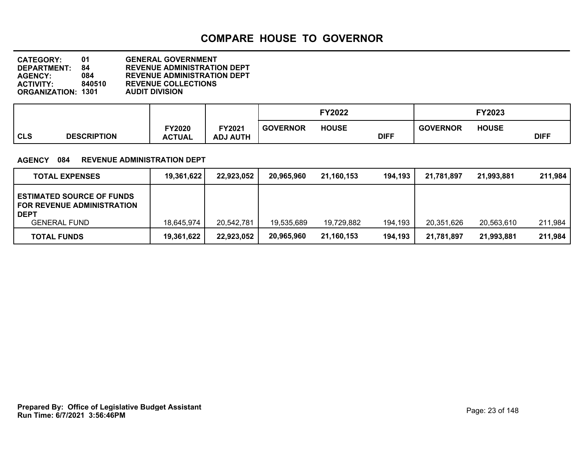| <b>CATEGORY:</b>          | 01     | <b>GENERAL GOVERNMENT</b>          |
|---------------------------|--------|------------------------------------|
| DEPARTMENT:               | 84     | <b>REVENUE ADMINISTRATION DEPT</b> |
| <b>AGENCY:</b>            | 084    | <b>REVENUE ADMINISTRATION DEPT</b> |
| <b>ACTIVITY:</b>          | 840510 | <b>REVENUE COLLECTIONS</b>         |
| <b>ORGANIZATION: 1301</b> |        | <b>AUDIT DIVISION</b>              |

|            |                    |                         |                           |                 | <b>FY2022</b> |             |                 | <b>FY2023</b> |             |
|------------|--------------------|-------------------------|---------------------------|-----------------|---------------|-------------|-----------------|---------------|-------------|
| <b>CLS</b> | <b>DESCRIPTION</b> | FY2020<br><b>ACTUAL</b> | FY2021<br><b>ADJ AUTH</b> | <b>GOVERNOR</b> | <b>HOUSE</b>  | <b>DIFF</b> | <b>GOVERNOR</b> | <b>HOUSE</b>  | <b>DIFF</b> |

#### **AGENCY 084 REVENUE ADMINISTRATION DEPT**

| <b>TOTAL EXPENSES</b>                                                                                       | 19,361,622 | 22,923,052 | 20,965,960 | 21,160,153 | 194,193 | 21,781,897 | 21,993,881 | 211,984 |
|-------------------------------------------------------------------------------------------------------------|------------|------------|------------|------------|---------|------------|------------|---------|
| <b>ESTIMATED SOURCE OF FUNDS</b><br><b>FOR REVENUE ADMINISTRATION</b><br><b>DEPT</b><br><b>GENERAL FUND</b> | 18,645,974 | 20,542,781 | 19,535,689 | 19,729,882 | 194,193 | 20,351,626 | 20,563,610 | 211,984 |
| <b>TOTAL FUNDS</b>                                                                                          | 19,361,622 | 22,923,052 | 20,965,960 | 21,160,153 | 194,193 | 21,781,897 | 21,993,881 | 211,984 |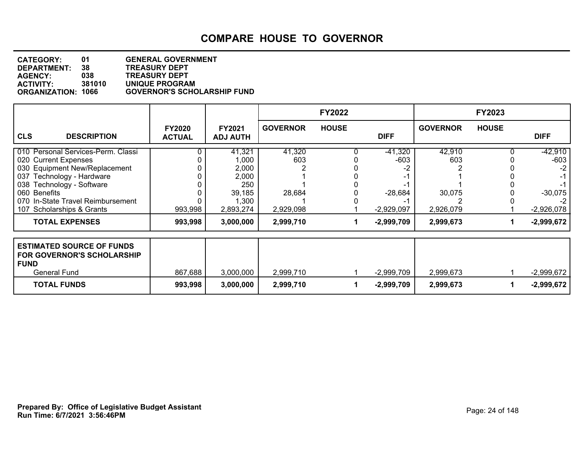| <b>CATEGORY:</b>          | 01     | <b>GENERAL GOVERNMENT</b>          |
|---------------------------|--------|------------------------------------|
| <b>DEPARTMENT:</b>        | 38     | <b>TREASURY DEPT</b>               |
| <b>AGENCY:</b>            | 038    | <b>TREASURY DEPT</b>               |
| <b>ACTIVITY:</b>          | 381010 | UNIQUE PROGRAM                     |
| <b>ORGANIZATION: 1066</b> |        | <b>GOVERNOR'S SCHOLARSHIP FUND</b> |

|                                                                                                                                                                                                                                         |                                |                                                                          |                                      | <b>FY2022</b> |                                                  |                                      | <b>FY2023</b> |                                                                        |
|-----------------------------------------------------------------------------------------------------------------------------------------------------------------------------------------------------------------------------------------|--------------------------------|--------------------------------------------------------------------------|--------------------------------------|---------------|--------------------------------------------------|--------------------------------------|---------------|------------------------------------------------------------------------|
| <b>CLS</b><br><b>DESCRIPTION</b>                                                                                                                                                                                                        | <b>FY2020</b><br><b>ACTUAL</b> | <b>FY2021</b><br><b>ADJ AUTH</b>                                         | <b>GOVERNOR</b>                      | <b>HOUSE</b>  | <b>DIFF</b>                                      | <b>GOVERNOR</b>                      | <b>HOUSE</b>  | <b>DIFF</b>                                                            |
| 010 Personal Services-Perm. Classi<br>020 Current Expenses<br>030 Equipment New/Replacement<br>037 Technology - Hardware<br>038 Technology - Software<br>060 Benefits<br>070 In-State Travel Reimbursement<br>107 Scholarships & Grants | 993,998                        | 41,321<br>1,000<br>2,000<br>2,000<br>250<br>39,185<br>1,300<br>2,893,274 | 41,320<br>603<br>28,684<br>2,929,098 |               | $-41,320$<br>$-603$<br>$-28,684$<br>$-2,929,097$ | 42,910<br>603<br>30,075<br>2,926,079 |               | $-42,910$<br>$-603$<br>$-2$<br>-1<br>$-30,075$<br>$-2$<br>$-2,926,078$ |
| <b>TOTAL EXPENSES</b>                                                                                                                                                                                                                   | 993,998                        | 3,000,000                                                                | 2,999,710                            |               | $-2,999,709$                                     | 2,999,673                            |               | $-2,999,672$                                                           |
| <b>ESTIMATED SOURCE OF FUNDS</b><br><b>FOR GOVERNOR'S SCHOLARSHIP</b><br><b>FUND</b><br><b>General Fund</b>                                                                                                                             | 867,688                        | 3,000,000                                                                | 2,999,710                            |               | $-2,999,709$                                     | 2,999,673                            |               | $-2,999,672$                                                           |
| <b>TOTAL FUNDS</b>                                                                                                                                                                                                                      | 993,998                        | 3,000,000                                                                | 2,999,710                            |               | $-2,999,709$                                     | 2,999,673                            |               | $-2,999,672$                                                           |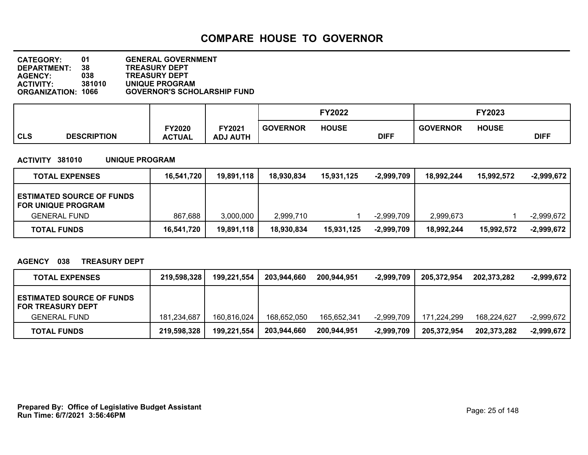| <b>CATEGORY:</b>          | 01     | <b>GENERAL GOVERNMENT</b>          |
|---------------------------|--------|------------------------------------|
| DEPARTMENT:               | 38     | <b>TREASURY DEPT</b>               |
| <b>AGENCY:</b>            | 038    | <b>TREASURY DEPT</b>               |
| <b>ACTIVITY:</b>          | 381010 | UNIQUE PROGRAM                     |
| <b>ORGANIZATION: 1066</b> |        | <b>GOVERNOR'S SCHOLARSHIP FUND</b> |

|                |                    |               |                 | FY2022          |              |             |                 | FY2023       |             |
|----------------|--------------------|---------------|-----------------|-----------------|--------------|-------------|-----------------|--------------|-------------|
|                |                    | TY2020        | FY2021          | <b>GOVERNOR</b> | <b>HOUSE</b> |             | <b>GOVERNOR</b> | <b>HOUSE</b> |             |
| <sub>cls</sub> | <b>DESCRIPTION</b> | <b>ACTUAL</b> | <b>ADJ AUTH</b> |                 |              | <b>DIFF</b> |                 |              | <b>DIFF</b> |

#### **ACTIVITY 381010 UNIQUE PROGRAM**

| <b>TOTAL EXPENSES</b>                                         | 16,541,720 | 19,891,118 | 18,930,834 | 15.931.125 | $-2,999,709$ | 18.992.244 | 15,992,572 | -2,999,672   |
|---------------------------------------------------------------|------------|------------|------------|------------|--------------|------------|------------|--------------|
| <b>ESTIMATED SOURCE OF FUNDS</b><br><b>FOR UNIQUE PROGRAM</b> |            |            |            |            |              |            |            |              |
| <b>GENERAL FUND</b>                                           | 867,688    | 3,000,000  | 2.999.710  |            | -2,999,709   | 2,999,673  |            | -2,999,672   |
| <b>TOTAL FUNDS</b>                                            | 16,541,720 | 19,891,118 | 18,930,834 | 15,931,125 | $-2,999,709$ | 18,992,244 | 15,992,572 | $-2,999,672$ |

#### **AGENCY 038 TREASURY DEPT**

| <b>TOTAL EXPENSES</b>                                        | 219,598,328 | 199,221,554 | 203,944,660 | 200,944,951 | $-2,999,709$ | 205.372.954 | 202,373,282 | -2,999,672   |
|--------------------------------------------------------------|-------------|-------------|-------------|-------------|--------------|-------------|-------------|--------------|
| <b>ESTIMATED SOURCE OF FUNDS</b><br><b>FOR TREASURY DEPT</b> |             |             |             |             |              |             |             |              |
| <b>GENERAL FUND</b>                                          | 181.234.687 | 160,816,024 | 168,652,050 | 165,652,341 | $-2,999,709$ | 171.224.299 | 168,224,627 | $-2,999,672$ |
| <b>TOTAL FUNDS</b>                                           | 219,598,328 | 199,221,554 | 203,944,660 | 200.944.951 | $-2,999,709$ | 205,372,954 | 202,373,282 | $-2,999,672$ |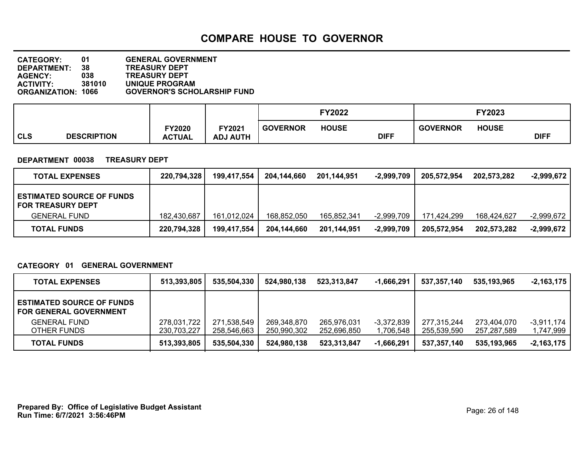| <b>CATEGORY:</b>          | 01     | <b>GENERAL GOVERNMENT</b>          |
|---------------------------|--------|------------------------------------|
| DEPARTMENT:               | 38     | <b>TREASURY DEPT</b>               |
| <b>AGENCY:</b>            | 038    | <b>TREASURY DEPT</b>               |
| <b>ACTIVITY:</b>          | 381010 | UNIQUE PROGRAM                     |
| <b>ORGANIZATION: 1066</b> |        | <b>GOVERNOR'S SCHOLARSHIP FUND</b> |

|            |                    |               |                 |                 | FY2022       |             |                 | FY2023       |             |  |
|------------|--------------------|---------------|-----------------|-----------------|--------------|-------------|-----------------|--------------|-------------|--|
|            |                    | FY2020        | FY2021          | <b>GOVERNOR</b> | <b>HOUSE</b> |             | <b>GOVERNOR</b> | <b>HOUSE</b> |             |  |
| <b>CLS</b> | <b>DESCRIPTION</b> | <b>ACTUAL</b> | <b>ADJ AUTH</b> |                 |              | <b>DIFF</b> |                 |              | <b>DIFF</b> |  |

#### **DEPARTMENT 00038 TREASURY DEPT**

| <b>TOTAL EXPENSES</b>                                        | 220,794,328 | 199,417,554 | 204,144,660 | 201,144,951 | -2.999.709   | 205.572.954 | 202,573,282 | $-2,999,672$ |
|--------------------------------------------------------------|-------------|-------------|-------------|-------------|--------------|-------------|-------------|--------------|
| <b>ESTIMATED SOURCE OF FUNDS</b><br><b>FOR TREASURY DEPT</b> |             |             |             |             |              |             |             |              |
| <b>GENERAL FUND</b>                                          | 182.430.687 | 161,012,024 | 168,852,050 | 165,852,341 | $-2,999,709$ | 171.424.299 | 168.424.627 | $-2,999,672$ |
| <b>TOTAL FUNDS</b>                                           | 220,794,328 | 199,417,554 | 204,144,660 | 201.144.951 | $-2,999,709$ | 205,572,954 | 202,573,282 | $-2.999.672$ |

#### **CATEGORY 01 GENERAL GOVERNMENT**

| <b>TOTAL EXPENSES</b>                                             | 513,393,805                | 535,504,330                | 524,980,138                | 523,313,847                | $-1,666,291$              | 537,357,140                | 535.193.965                | $-2.163.175$              |
|-------------------------------------------------------------------|----------------------------|----------------------------|----------------------------|----------------------------|---------------------------|----------------------------|----------------------------|---------------------------|
| <b>ESTIMATED SOURCE OF FUNDS</b><br><b>FOR GENERAL GOVERNMENT</b> |                            |                            |                            |                            |                           |                            |                            |                           |
| <b>GENERAL FUND</b><br>OTHER FUNDS                                | 278,031,722<br>230,703,227 | 271,538,549<br>258,546,663 | 269,348,870<br>250,990,302 | 265.976.031<br>252,696,850 | $-3,372,839$<br>1,706,548 | 277.315.244<br>255,539,590 | 273,404,070<br>257,287,589 | $-3.911.174$<br>1,747,999 |
| <b>TOTAL FUNDS</b>                                                | 513,393,805                | 535,504,330                | 524,980,138                | 523.313.847                | $-1,666,291$              | 537.357.140                | 535.193.965                | $-2,163,175$              |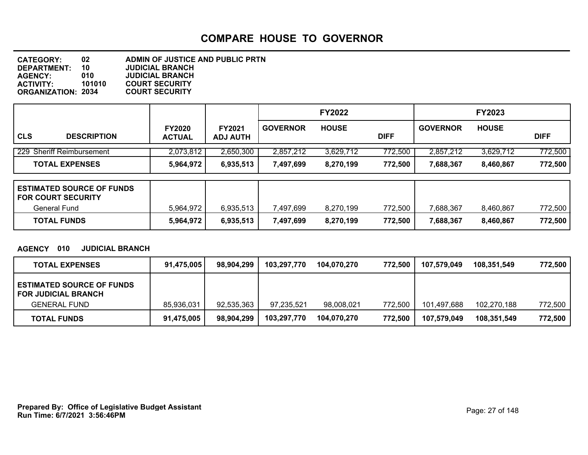**DEPARTMENT: 10 JUDICIAL BRANCH CATEGORY: 02 ADMIN OF JUSTICE AND PUBLIC PRTN AGENCY: 010 JUDICIAL BRANCH ACTIVITY: 101010 COURT SECURITY ORGANIZATION: 2034** 

|            |                           |                                |                                  | <b>FY2022</b>   |              |             | <b>FY2023</b>   |              |             |
|------------|---------------------------|--------------------------------|----------------------------------|-----------------|--------------|-------------|-----------------|--------------|-------------|
| <b>CLS</b> | <b>DESCRIPTION</b>        | <b>FY2020</b><br><b>ACTUAL</b> | <b>FY2021</b><br><b>ADJ AUTH</b> | <b>GOVERNOR</b> | <b>HOUSE</b> | <b>DIFF</b> | <b>GOVERNOR</b> | <b>HOUSE</b> | <b>DIFF</b> |
|            | 229 Sheriff Reimbursement | 2,073,812                      | 2,650,300                        | 2,857,212       | 3,629,712    | 772,500     | 2,857,212       | 3,629,712    | 772,500     |
|            | <b>TOTAL EXPENSES</b>     | 5,964,972                      | 6,935,513                        | 7,497,699       | 8,270,199    | 772,500     | 7.688.367       | 8,460,867    | 772,500     |

| <b>ESTIMATED SOURCE OF FUNDS</b><br><b>FOR COURT SECURITY</b> |           |           |           |           |         |           |           |         |
|---------------------------------------------------------------|-----------|-----------|-----------|-----------|---------|-----------|-----------|---------|
| General Fund                                                  | 5.964.972 | 6,935,513 | 497,699." | 8,270,199 | 772,500 | 7.688.367 | 8.460.867 | 772,500 |
| <b>TOTAL FUNDS</b>                                            | 5,964,972 | 6,935,513 | 7,497,699 | 8,270,199 | 772,500 | 7,688,367 | 8,460,867 | 772,500 |

**AGENCY 010 JUDICIAL BRANCH**

| <b>TOTAL EXPENSES</b>                                          | 91,475,005 | 98,904,299 | 103,297,770 | 104.070.270 | 772,500 | 107,579,049 | 108.351.549 | 772,500 |
|----------------------------------------------------------------|------------|------------|-------------|-------------|---------|-------------|-------------|---------|
| <b>ESTIMATED SOURCE OF FUNDS</b><br><b>FOR JUDICIAL BRANCH</b> |            |            |             |             |         |             |             |         |
| <b>GENERAL FUND</b>                                            | 85,936,031 | 92,535,363 | 97,235,521  | 98,008,021  | 772,500 | 101.497.688 | 102,270,188 | 772,500 |
| <b>TOTAL FUNDS</b>                                             | 91,475,005 | 98,904,299 | 103,297,770 | 104.070.270 | 772.500 | 107.579.049 | 108.351.549 | 772.500 |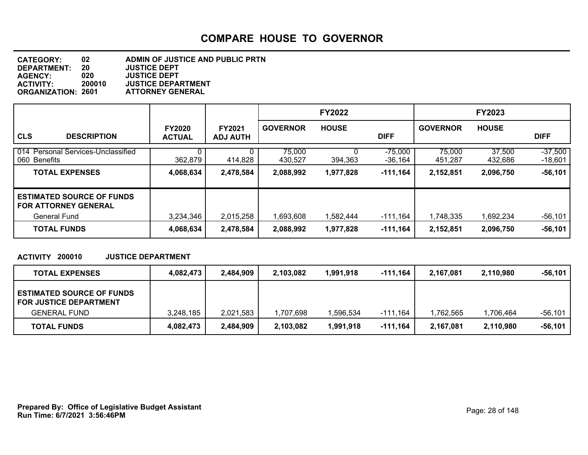| <b>CATEGORY:</b>          | 02     | ADMIN OF JUSTICE AND PUBLIC PRTN |
|---------------------------|--------|----------------------------------|
| <b>DEPARTMENT:</b>        | 20     | <b>JUSTICE DEPT</b>              |
| <b>AGENCY:</b>            | 020    | <b>JUSTICE DEPT</b>              |
| <b>ACTIVITY:</b>          | 200010 | <b>JUSTICE DEPARTMENT</b>        |
| <b>ORGANIZATION: 2601</b> |        | <b>ATTORNEY GENERAL</b>          |

|                                                                 |                                |                                  |                   | <b>FY2022</b> |                        |                   | <b>FY2023</b>     |                        |
|-----------------------------------------------------------------|--------------------------------|----------------------------------|-------------------|---------------|------------------------|-------------------|-------------------|------------------------|
| <b>CLS</b><br><b>DESCRIPTION</b>                                | <b>FY2020</b><br><b>ACTUAL</b> | <b>FY2021</b><br><b>ADJ AUTH</b> | <b>GOVERNOR</b>   | <b>HOUSE</b>  | <b>DIFF</b>            | <b>GOVERNOR</b>   | <b>HOUSE</b>      | <b>DIFF</b>            |
| 014 Personal Services-Unclassified<br>060 Benefits              | 362,879                        | 414,828                          | 75,000<br>430,527 | 394,363       | $-75,000$<br>$-36,164$ | 75,000<br>451,287 | 37,500<br>432,686 | $-37,500$<br>$-18,601$ |
| <b>TOTAL EXPENSES</b>                                           | 4,068,634                      | 2,478,584                        | 2,088,992         | 1,977,828     | $-111,164$             | 2,152,851         | 2,096,750         | $-56,101$              |
| <b>ESTIMATED SOURCE OF FUNDS</b><br><b>FOR ATTORNEY GENERAL</b> |                                |                                  |                   |               |                        |                   |                   |                        |
| <b>General Fund</b>                                             | 3,234,346                      | 2,015,258                        | 1,693,608         | 1,582,444     | $-111,164$             | ,748,335          | 1,692,234         | $-56,101$              |
| <b>TOTAL FUNDS</b>                                              | 4,068,634                      | 2,478,584                        | 2,088,992         | 1,977,828     | -111,164               | 2,152,851         | 2,096,750         | $-56,101$              |

#### **ACTIVITY 200010 JUSTICE DEPARTMENT**

| <b>TOTAL EXPENSES</b>                                             | 4,082,473 | 2,484,909 | 2,103,082 | 1.991.918 | -111,164 | 2,167,081 | 2,110,980 | -56,101 |
|-------------------------------------------------------------------|-----------|-----------|-----------|-----------|----------|-----------|-----------|---------|
| <b>ESTIMATED SOURCE OF FUNDS</b><br><b>FOR JUSTICE DEPARTMENT</b> |           |           |           |           |          |           |           |         |
| <b>GENERAL FUND</b>                                               | 3.248.185 | 2,021,583 | 1,707,698 | .596.534  | -111,164 | .762.565  | .706.464  | -56,101 |
| <b>TOTAL FUNDS</b>                                                | 4,082,473 | 2,484,909 | 2,103,082 | 1,991,918 | -111,164 | 2,167,081 | 2,110,980 | -56,101 |

**Run Time: 6/7/2021 3:56:46PM Prepared By: Office of Legislative Budget Assistant** Page: 28 of 148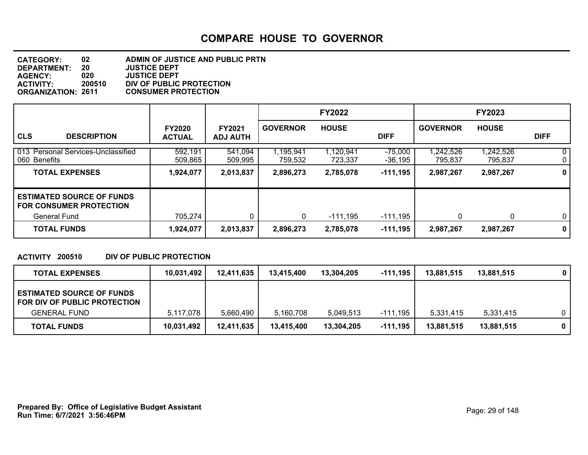| <b>CATEGORY:</b>          | 02     | ADMIN OF JUSTICE AND PUBLIC PRTN |
|---------------------------|--------|----------------------------------|
| <b>DEPARTMENT:</b>        | 20     | <b>JUSTICE DEPT</b>              |
| <b>AGENCY:</b>            | 020    | <b>JUSTICE DEPT</b>              |
| <b>ACTIVITY:</b>          | 200510 | DIV OF PUBLIC PROTECTION         |
| <b>ORGANIZATION: 2611</b> |        | <b>CONSUMER PROTECTION</b>       |

|                                                                                           |                                |                           |                      | <b>FY2022</b>        |                      |                     | <b>FY2023</b>        |                                  |
|-------------------------------------------------------------------------------------------|--------------------------------|---------------------------|----------------------|----------------------|----------------------|---------------------|----------------------|----------------------------------|
| <b>CLS</b><br><b>DESCRIPTION</b>                                                          | <b>FY2020</b><br><b>ACTUAL</b> | FY2021<br><b>ADJ AUTH</b> | <b>GOVERNOR</b>      | <b>HOUSE</b>         | <b>DIFF</b>          | <b>GOVERNOR</b>     | <b>HOUSE</b>         | <b>DIFF</b>                      |
| 013 Personal Services-Unclassified<br>060 Benefits                                        | 592,191<br>509,865             | 541,094<br>509,995        | 1,195,941<br>759,532 | 1,120,941<br>723,337 | $-75,000$<br>-36,195 | ,242,526<br>795,837 | 1,242,526<br>795,837 | 0 <sup>1</sup><br>0 <sup>1</sup> |
| <b>TOTAL EXPENSES</b>                                                                     | 1,924,077                      | 2,013,837                 | 2,896,273            | 2,785,078            | $-111,195$           | 2,987,267           | 2,987,267            | $\mathbf{0}$                     |
| <b>ESTIMATED SOURCE OF FUNDS</b><br><b>FOR CONSUMER PROTECTION</b><br><b>General Fund</b> | 705,274                        | 0                         | 0                    | $-111,195$           | $-111,195$           | 0                   | 0                    | 0 <sup>1</sup>                   |
| <b>TOTAL FUNDS</b>                                                                        | 1,924,077                      | 2,013,837                 | 2,896,273            | 2,785,078            | $-111,195$           | 2,987,267           | 2,987,267            | $\mathbf{0}$                     |

#### **ACTIVITY 200510 DIV OF PUBLIC PROTECTION**

| <b>TOTAL EXPENSES</b>                                                                   | 10,031,492 | 12,411,635 | 13.415.400 | 13,304,205 | -111,195   | 13,881,515 | 13,881,515 |             |
|-----------------------------------------------------------------------------------------|------------|------------|------------|------------|------------|------------|------------|-------------|
| <b>ESTIMATED SOURCE OF FUNDS</b><br>FOR DIV OF PUBLIC PROTECTION<br><b>GENERAL FUND</b> | 5,117,078  | 5,660,490  | 5,160,708  | 5.049.513  | -111,195   | 5.331.415  | 5,331,415  | 0           |
| <b>TOTAL FUNDS</b>                                                                      | 10,031,492 | 12,411,635 | 13,415,400 | 13,304,205 | $-111,195$ | 13,881,515 | 13,881,515 | $\mathbf 0$ |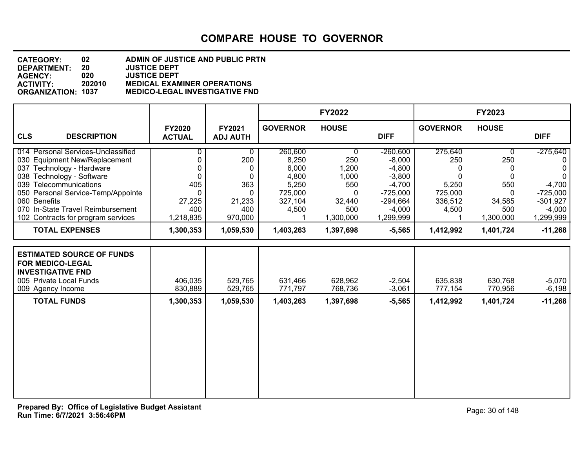#### **DEPARTMENT: 20 JUSTICE DEPT CATEGORY: 02 ADMIN OF JUSTICE AND PUBLIC PRTN AGENCY: 020 JUSTICE DEPT ACTIVITY: 202010 MEDICAL EXAMINER OPERATIONS ORGANIZATION: 1037 MEDICO-LEGAL INVESTIGATIVE FND**

|                                                                                                                                                                                                                                                    |                                                             |                                                 |                                                                            | <b>FY2022</b>                                           |                                                                                                    |                                                                         | FY2023                                                 |                                                                                       |
|----------------------------------------------------------------------------------------------------------------------------------------------------------------------------------------------------------------------------------------------------|-------------------------------------------------------------|-------------------------------------------------|----------------------------------------------------------------------------|---------------------------------------------------------|----------------------------------------------------------------------------------------------------|-------------------------------------------------------------------------|--------------------------------------------------------|---------------------------------------------------------------------------------------|
| <b>CLS</b><br><b>DESCRIPTION</b>                                                                                                                                                                                                                   | <b>FY2020</b><br><b>ACTUAL</b>                              | FY2021<br><b>ADJ AUTH</b>                       | <b>GOVERNOR</b>                                                            | <b>HOUSE</b>                                            | <b>DIFF</b>                                                                                        | <b>GOVERNOR</b>                                                         | <b>HOUSE</b>                                           | <b>DIFF</b>                                                                           |
| 014 Personal Services-Unclassified<br>030 Equipment New/Replacement<br>037 Technology - Hardware<br>038 Technology - Software<br>039 Telecommunications<br>050 Personal Service-Temp/Appointe<br>060 Benefits<br>070 In-State Travel Reimbursement | 0<br>0<br>$\Omega$<br>$\Omega$<br>405<br>0<br>27,225<br>400 | 0<br>200<br>0<br>0<br>363<br>0<br>21,233<br>400 | 260,600<br>8,250<br>6,000<br>4,800<br>5,250<br>725,000<br>327,104<br>4,500 | 0<br>250<br>1,200<br>1,000<br>550<br>0<br>32,440<br>500 | $-260,600$<br>$-8,000$<br>$-4,800$<br>$-3,800$<br>$-4,700$<br>$-725,000$<br>$-294,664$<br>$-4,000$ | 275,640<br>250<br>0<br>$\Omega$<br>5,250<br>725,000<br>336,512<br>4,500 | 0<br>250<br>0<br>$\Omega$<br>550<br>0<br>34,585<br>500 | $-275,640$<br>0<br>$\pmb{0}$<br>0<br>$-4,700$<br>$-725,000$<br>$-301,927$<br>$-4,000$ |
| 102 Contracts for program services<br><b>TOTAL EXPENSES</b>                                                                                                                                                                                        | 1,218,835<br>1,300,353                                      | 970,000<br>1,059,530                            | 1,403,263                                                                  | 1,300,000<br>1,397,698                                  | 1,299,999<br>$-5,565$                                                                              | 1,412,992                                                               | 1,300,000<br>1,401,724                                 | 1,299,999<br>$-11,268$                                                                |
| <b>ESTIMATED SOURCE OF FUNDS</b><br><b>FOR MEDICO-LEGAL</b><br><b>INVESTIGATIVE FND</b><br>005 Private Local Funds<br>009 Agency Income                                                                                                            | 406,035<br>830,889                                          | 529,765<br>529,765                              | 631,466<br>771,797                                                         | 628,962<br>768,736                                      | $-2,504$<br>$-3,061$                                                                               | 635,838<br>777,154                                                      | 630,768<br>770,956                                     | $-5,070$<br>$-6,198$                                                                  |
| <b>TOTAL FUNDS</b>                                                                                                                                                                                                                                 | 1,300,353                                                   | 1,059,530                                       | 1,403,263                                                                  | 1,397,698                                               | $-5,565$                                                                                           | 1,412,992                                                               | 1,401,724                                              | $-11,268$                                                                             |
|                                                                                                                                                                                                                                                    |                                                             |                                                 |                                                                            |                                                         |                                                                                                    |                                                                         |                                                        |                                                                                       |
|                                                                                                                                                                                                                                                    |                                                             |                                                 |                                                                            |                                                         |                                                                                                    |                                                                         |                                                        |                                                                                       |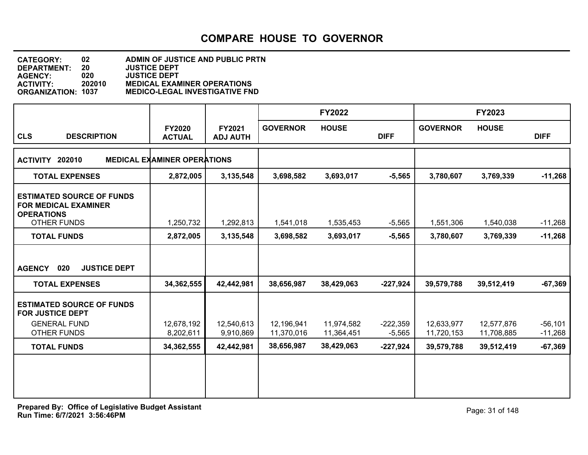| <b>CATEGORY:</b>          | 02.    | ADMIN OF JUSTICE AND PUBLIC PRTN      |
|---------------------------|--------|---------------------------------------|
| <b>DEPARTMENT:</b>        | 20     | <b>JUSTICE DEPT</b>                   |
| <b>AGENCY:</b>            | 020    | <b>JUSTICE DEPT</b>                   |
| <b>ACTIVITY:</b>          | 202010 | <b>MEDICAL EXAMINER OPERATIONS</b>    |
| <b>ORGANIZATION: 1037</b> |        | <b>MEDICO-LEGAL INVESTIGATIVE FND</b> |

|                                                                                                            |                                    |                           |                          | <b>FY2022</b>            |                        |                          | <b>FY2023</b>            |                        |
|------------------------------------------------------------------------------------------------------------|------------------------------------|---------------------------|--------------------------|--------------------------|------------------------|--------------------------|--------------------------|------------------------|
| <b>CLS</b><br><b>DESCRIPTION</b>                                                                           | <b>FY2020</b><br><b>ACTUAL</b>     | FY2021<br><b>ADJ AUTH</b> | <b>GOVERNOR</b>          | <b>HOUSE</b>             | <b>DIFF</b>            | <b>GOVERNOR</b>          | <b>HOUSE</b>             | <b>DIFF</b>            |
| 202010<br><b>ACTIVITY</b>                                                                                  | <b>MEDICAL EXAMINER OPERATIONS</b> |                           |                          |                          |                        |                          |                          |                        |
| <b>TOTAL EXPENSES</b>                                                                                      | 2,872,005                          | 3,135,548                 | 3,698,582                | 3,693,017                | $-5,565$               | 3,780,607                | 3,769,339                | $-11,268$              |
| <b>ESTIMATED SOURCE OF FUNDS</b><br><b>FOR MEDICAL EXAMINER</b><br><b>OPERATIONS</b><br><b>OTHER FUNDS</b> | 1,250,732                          | 1,292,813                 | 1,541,018                | 1,535,453                | $-5,565$               | 1,551,306                | 1,540,038                | $-11,268$              |
| <b>TOTAL FUNDS</b>                                                                                         | 2,872,005                          | 3,135,548                 | 3,698,582                | 3,693,017                | $-5,565$               | 3,780,607                | 3,769,339                | $-11,268$              |
| <b>JUSTICE DEPT</b><br><b>AGENCY</b><br>020                                                                |                                    |                           |                          |                          |                        |                          |                          |                        |
| <b>TOTAL EXPENSES</b>                                                                                      | 34, 362, 555                       | 42,442,981                | 38,656,987               | 38,429,063               | $-227,924$             | 39,579,788               | 39,512,419               | $-67,369$              |
| <b>ESTIMATED SOURCE OF FUNDS</b><br><b>FOR JUSTICE DEPT</b>                                                |                                    |                           |                          |                          |                        |                          |                          |                        |
| <b>GENERAL FUND</b><br><b>OTHER FUNDS</b>                                                                  | 12,678,192<br>8,202,611            | 12,540,613<br>9,910,869   | 12,196,941<br>11,370,016 | 11,974,582<br>11,364,451 | $-222,359$<br>$-5,565$ | 12,633,977<br>11,720,153 | 12,577,876<br>11,708,885 | $-56,101$<br>$-11,268$ |
| <b>TOTAL FUNDS</b>                                                                                         | 34,362,555                         | 42,442,981                | 38,656,987               | 38,429,063               | $-227,924$             | 39,579,788               | 39,512,419               | $-67,369$              |
|                                                                                                            |                                    |                           |                          |                          |                        |                          |                          |                        |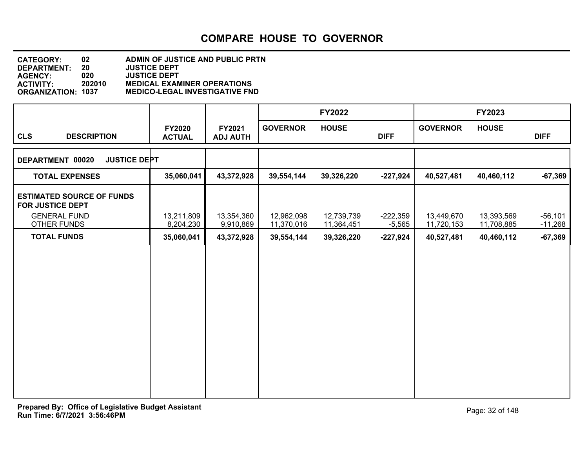#### **DEPARTMENT: 20 JUSTICE DEPT CATEGORY: 02 ADMIN OF JUSTICE AND PUBLIC PRTN AGENCY: 020 JUSTICE DEPT ACTIVITY: 202010 MEDICAL EXAMINER OPERATIONS ORGANIZATION: 1037 MEDICO-LEGAL INVESTIGATIVE FND**

|                                                             |                         |                           |                          | <b>FY2022</b>            |                        |                          | FY2023                   |                        |
|-------------------------------------------------------------|-------------------------|---------------------------|--------------------------|--------------------------|------------------------|--------------------------|--------------------------|------------------------|
| <b>CLS</b><br><b>DESCRIPTION</b>                            | FY2020<br><b>ACTUAL</b> | FY2021<br><b>ADJ AUTH</b> | <b>GOVERNOR</b>          | <b>HOUSE</b>             | <b>DIFF</b>            | <b>GOVERNOR</b>          | <b>HOUSE</b>             | <b>DIFF</b>            |
| DEPARTMENT 00020<br><b>JUSTICE DEPT</b>                     |                         |                           |                          |                          |                        |                          |                          |                        |
| <b>TOTAL EXPENSES</b>                                       | 35,060,041              | 43,372,928                | 39,554,144               | 39,326,220               | $-227,924$             | 40,527,481               | 40,460,112               | $-67,369$              |
| <b>ESTIMATED SOURCE OF FUNDS</b><br><b>FOR JUSTICE DEPT</b> |                         |                           |                          |                          |                        |                          |                          |                        |
| <b>GENERAL FUND</b><br>OTHER FUNDS                          | 13,211,809<br>8,204,230 | 13,354,360<br>9,910,869   | 12,962,098<br>11,370,016 | 12,739,739<br>11,364,451 | $-222,359$<br>$-5,565$ | 13,449,670<br>11,720,153 | 13,393,569<br>11,708,885 | $-56,101$<br>$-11,268$ |
| <b>TOTAL FUNDS</b>                                          | 35,060,041              | 43,372,928                | 39,554,144               | 39,326,220               | $-227,924$             | 40,527,481               | 40,460,112               | $-67,369$              |
|                                                             |                         |                           |                          |                          |                        |                          |                          |                        |
|                                                             |                         |                           |                          |                          |                        |                          |                          |                        |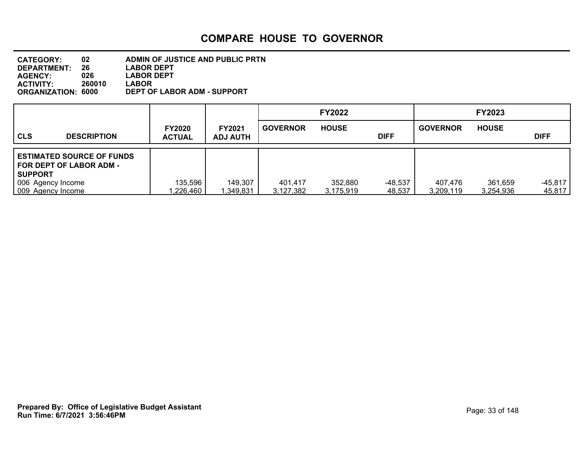| <b>CATEGORY:</b>          | 02     | ADMIN OF JUSTICE AND PUBLIC PRTN |
|---------------------------|--------|----------------------------------|
| DEPARTMENT:               | 26     | <b>LABOR DEPT</b>                |
| <b>AGENCY:</b>            | 026    | <b>LABOR DEPT</b>                |
| <b>ACTIVITY</b>           | 260010 | <b>LABOR</b>                     |
| <b>ORGANIZATION: 6000</b> |        | DEPT OF LABOR ADM - SUPPORT      |

|                   |                                                               |                                |                                  |                      | <b>FY2022</b>        |                   |                      | <b>FY2023</b>        |                     |
|-------------------|---------------------------------------------------------------|--------------------------------|----------------------------------|----------------------|----------------------|-------------------|----------------------|----------------------|---------------------|
| <b>CLS</b>        | <b>DESCRIPTION</b>                                            | <b>FY2020</b><br><b>ACTUAL</b> | <b>FY2021</b><br><b>ADJ AUTH</b> | <b>GOVERNOR</b>      | <b>HOUSE</b>         | <b>DIFF</b>       | <b>GOVERNOR</b>      | <b>HOUSE</b>         | <b>DIFF</b>         |
| SUPPORT           | <b>ESTIMATED SOURCE OF FUNDS</b><br>l FOR DEPT OF LABOR ADM - |                                |                                  |                      |                      |                   |                      |                      |                     |
| 009 Agency Income | 006 Agency Income                                             | 135,596<br>1,226,460           | 149,307<br>,349,831              | 401.417<br>3,127,382 | 352,880<br>3,175,919 | -48,537<br>48,537 | 407.476<br>3,209,119 | 361,659<br>3,254,936 | $-45.817$<br>45,817 |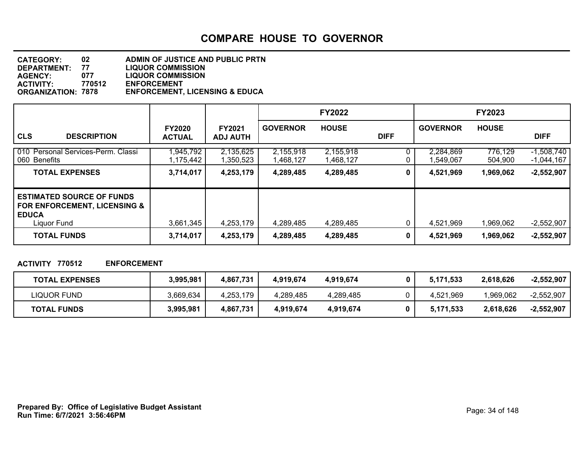| <b>CATEGORY:</b>          | 02     | ADMIN OF JUSTICE AND PUBLIC PRTN          |
|---------------------------|--------|-------------------------------------------|
| <b>DEPARTMENT:</b>        | 77     | <b>LIQUOR COMMISSION</b>                  |
| <b>AGENCY:</b>            | 077    | <b>LIQUOR COMMISSION</b>                  |
| <b>ACTIVITY:</b>          | 770512 | <b>ENFORCEMENT</b>                        |
| <b>ORGANIZATION: 7878</b> |        | <b>ENFORCEMENT, LICENSING &amp; EDUCA</b> |

|                                                                                                 |                                |                                  |                        | <b>FY2022</b>          |             |                        | <b>FY2023</b>      |                              |
|-------------------------------------------------------------------------------------------------|--------------------------------|----------------------------------|------------------------|------------------------|-------------|------------------------|--------------------|------------------------------|
| <b>CLS</b><br><b>DESCRIPTION</b>                                                                | <b>FY2020</b><br><b>ACTUAL</b> | <b>FY2021</b><br><b>ADJ AUTH</b> | <b>GOVERNOR</b>        | <b>HOUSE</b>           | <b>DIFF</b> | <b>GOVERNOR</b>        | <b>HOUSE</b>       | <b>DIFF</b>                  |
| 010 Personal Services-Perm. Classi<br>l 060 Benefits                                            | 945,792<br>1,175,442           | 2,135,625<br>1,350,523           | 2,155,918<br>1,468,127 | 2,155,918<br>1,468,127 |             | 2,284,869<br>1,549,067 | 776,129<br>504,900 | $-1,508,740$<br>$-1,044,167$ |
| <b>TOTAL EXPENSES</b>                                                                           | 3,714,017                      | 4,253,179                        | 4,289,485              | 4,289,485              | 0           | 4,521,969              | 1,969,062          | $-2,552,907$                 |
| <b>ESTIMATED SOURCE OF FUNDS</b><br>FOR ENFORCEMENT, LICENSING &<br><b>EDUCA</b><br>Liquor Fund | 3,661,345                      | 4,253,179                        | 4,289,485              | 4,289,485              |             | 4,521,969              | 1,969,062          | $-2,552,907$                 |
| <b>TOTAL FUNDS</b>                                                                              | 3,714,017                      | 4,253,179                        | 4,289,485              | 4,289,485              | 0           | 4,521,969              | 1,969,062          | $-2,552,907$                 |

#### **ACTIVITY 770512 ENFORCEMENT**

| <b>TOTAL EXPENSES</b> | 3,995,981 | 4.867.731 | 4.919.674 | 4.919.674 | 5,171,533 | 2,618,626 | $-2,552,907$ |
|-----------------------|-----------|-----------|-----------|-----------|-----------|-----------|--------------|
| LIQUOR FUND           | 3,669,634 | 4,253,179 | 4,289,485 | 4,289,485 | 4,521,969 | 0.969,062 | $-2.552.907$ |
| <b>TOTAL FUNDS</b>    | 3,995,981 | 4,867,731 | 4,919,674 | 4,919,674 | 5,171,533 | 2,618,626 | $-2,552,907$ |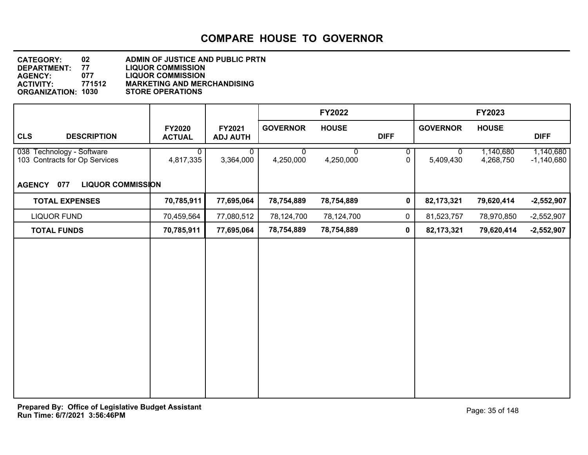| <b>CATEGORY:</b>          | 02     | ADMIN OF JUSTICE AND PUBLIC PRTN   |
|---------------------------|--------|------------------------------------|
| DEPARTMENT:               | 77     | <b>LIQUOR COMMISSION</b>           |
| <b>AGENCY:</b>            | 077    | <b>LIQUOR COMMISSION</b>           |
| <b>ACTIVITY:</b>          | 771512 | <b>MARKETING AND MERCHANDISING</b> |
| <b>ORGANIZATION: 1030</b> |        | <b>STORE OPERATIONS</b>            |

|                                                            |                                |                           |                 | <b>FY2022</b>  |             |                          | FY2023                 |                           |
|------------------------------------------------------------|--------------------------------|---------------------------|-----------------|----------------|-------------|--------------------------|------------------------|---------------------------|
| <b>CLS</b><br><b>DESCRIPTION</b>                           | <b>FY2020</b><br><b>ACTUAL</b> | FY2021<br><b>ADJ AUTH</b> | <b>GOVERNOR</b> | <b>HOUSE</b>   | <b>DIFF</b> | <b>GOVERNOR</b>          | <b>HOUSE</b>           | <b>DIFF</b>               |
| 038 Technology - Software<br>103 Contracts for Op Services | $\overline{0}$<br>4,817,335    | $\mathbf{0}$<br>3,364,000 | 0<br>4,250,000  | 0<br>4,250,000 | 0<br>0      | $\mathbf 0$<br>5,409,430 | 1,140,680<br>4,268,750 | 1,140,680<br>$-1,140,680$ |
| AGENCY 077<br><b>LIQUOR COMMISSION</b>                     |                                |                           |                 |                |             |                          |                        |                           |
| <b>TOTAL EXPENSES</b>                                      | 70,785,911                     | 77,695,064                | 78,754,889      | 78,754,889     | $\pmb{0}$   | 82, 173, 321             | 79,620,414             | $-2,552,907$              |
| <b>LIQUOR FUND</b>                                         | 70,459,564                     | 77,080,512                | 78,124,700      | 78,124,700     | $\mathbf 0$ | 81,523,757               | 78,970,850             | $-2,552,907$              |
| <b>TOTAL FUNDS</b>                                         | 70,785,911                     | 77,695,064                | 78,754,889      | 78,754,889     | $\mathbf 0$ | 82,173,321               | 79,620,414             | $-2,552,907$              |
|                                                            |                                |                           |                 |                |             |                          |                        |                           |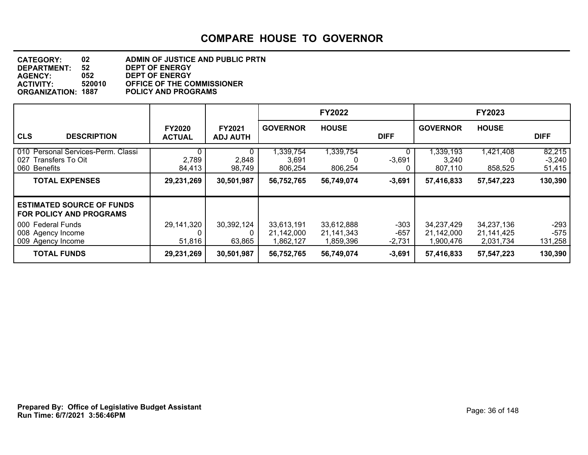| <b>CATEGORY:</b>          | 02     | ADMIN OF JUSTICE AND PUBLIC PRTN  |
|---------------------------|--------|-----------------------------------|
| <b>DEPARTMENT:</b>        | 52     | <b>DEPT OF ENERGY</b>             |
| <b>AGENCY:</b>            | 052    | <b>DEPT OF ENERGY</b>             |
| <b>ACTIVITY:</b>          | 520010 | <b>OFFICE OF THE COMMISSIONER</b> |
| <b>ORGANIZATION: 1887</b> |        | <b>POLICY AND PROGRAMS</b>        |

|                                                                               |                                |                                  |                                       | <b>FY2022</b>                         |                              |                                        | <b>FY2023</b>                         |                              |
|-------------------------------------------------------------------------------|--------------------------------|----------------------------------|---------------------------------------|---------------------------------------|------------------------------|----------------------------------------|---------------------------------------|------------------------------|
| <b>CLS</b><br><b>DESCRIPTION</b>                                              | <b>FY2020</b><br><b>ACTUAL</b> | <b>FY2021</b><br><b>ADJ AUTH</b> | <b>GOVERNOR</b>                       | <b>HOUSE</b>                          | <b>DIFF</b>                  | <b>GOVERNOR</b>                        | <b>HOUSE</b>                          | <b>DIFF</b>                  |
| 010 Personal Services-Perm. Classi<br>027<br>Transfers To Oit<br>060 Benefits | 0<br>2,789<br>84,413           | 2,848<br>98,749                  | 1,339,754<br>3,691<br>806,254         | 1,339,754<br>806,254                  | $-3,691$                     | ,339,193<br>3,240<br>807,110           | 1,421,408<br>858,525                  | 82,215<br>$-3,240$<br>51,415 |
| <b>TOTAL EXPENSES</b>                                                         | 29,231,269                     | 30,501,987                       | 56,752,765                            | 56,749,074                            | $-3,691$                     | 57,416,833                             | 57,547,223                            | 130,390                      |
| <b>ESTIMATED SOURCE OF FUNDS</b><br>FOR POLICY AND PROGRAMS                   |                                |                                  |                                       |                                       |                              |                                        |                                       |                              |
| 000 Federal Funds<br>008 Agency Income<br>009 Agency Income                   | 29,141,320<br>51,816           | 30,392,124<br>63,865             | 33,613,191<br>21,142,000<br>1,862,127 | 33,612,888<br>21,141,343<br>1,859,396 | $-303$<br>$-657$<br>$-2,731$ | 34,237,429<br>21,142,000<br>900,476. ا | 34,237,136<br>21,141,425<br>2,031,734 | $-293$<br>$-575$<br>131,258  |
| <b>TOTAL FUNDS</b>                                                            | 29,231,269                     | 30,501,987                       | 56,752,765                            | 56,749,074                            | $-3,691$                     | 57,416,833                             | 57,547,223                            | 130,390                      |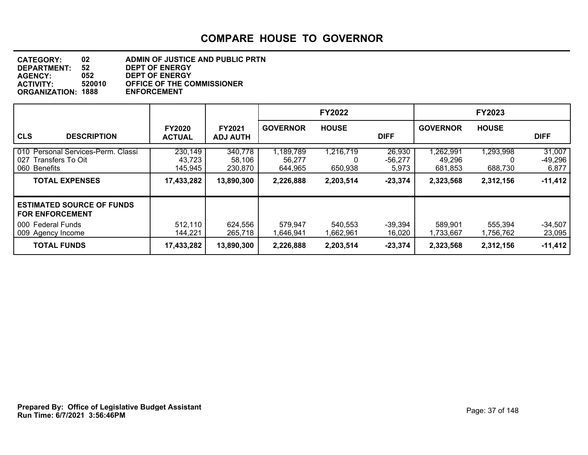| ADMIN OF JUSTICE AND PUBLIC PRTN  |
|-----------------------------------|
| <b>DEPT OF ENERGY</b>             |
| <b>DEPT OF ENERGY</b>             |
| <b>OFFICE OF THE COMMISSIONER</b> |
| <b>ENFORCEMENT</b>                |
|                                   |

|                                                                                                        |                                            |                                            |                                             | <b>FY2022</b>                          |                                           |                                            | <b>FY2023</b>                          |                                           |
|--------------------------------------------------------------------------------------------------------|--------------------------------------------|--------------------------------------------|---------------------------------------------|----------------------------------------|-------------------------------------------|--------------------------------------------|----------------------------------------|-------------------------------------------|
| <b>CLS</b><br><b>DESCRIPTION</b>                                                                       | <b>FY2020</b><br><b>ACTUAL</b>             | <b>FY2021</b><br><b>ADJ AUTH</b>           | <b>GOVERNOR</b>                             | <b>HOUSE</b>                           | <b>DIFF</b>                               | <b>GOVERNOR</b>                            | <b>HOUSE</b>                           | <b>DIFF</b>                               |
| 010 Personal Services-Perm. Classi<br>Transfers To Oit<br>027<br>060 Benefits<br><b>TOTAL EXPENSES</b> | 230,149<br>43,723<br>145,945<br>17,433,282 | 340,778<br>58,106<br>230,870<br>13,890,300 | 1,189,789<br>56,277<br>644,965<br>2,226,888 | 1,216,719<br>0<br>650,938<br>2,203,514 | 26,930<br>$-56,277$<br>5,973<br>$-23,374$ | ,262,991<br>49,296<br>681,853<br>2,323,568 | 1,293,998<br>O<br>688.730<br>2,312,156 | 31,007<br>$-49,296$<br>6,877<br>$-11,412$ |
| <b>ESTIMATED SOURCE OF FUNDS</b><br><b>FOR ENFORCEMENT</b><br>000 Federal Funds<br>009 Agency Income   | 512,110<br>144,221                         | 624,556<br>265,718                         | 579,947<br>1,646,941                        | 540,553<br>1,662,961                   | $-39,394$<br>16,020                       | 589,901<br>1,733,667                       | 555,394<br>1,756,762                   | $-34,507$<br>23,095                       |
| <b>TOTAL FUNDS</b>                                                                                     | 17,433,282                                 | 13,890,300                                 | 2,226,888                                   | 2,203,514                              | $-23,374$                                 | 2,323,568                                  | 2,312,156                              | $-11,412$                                 |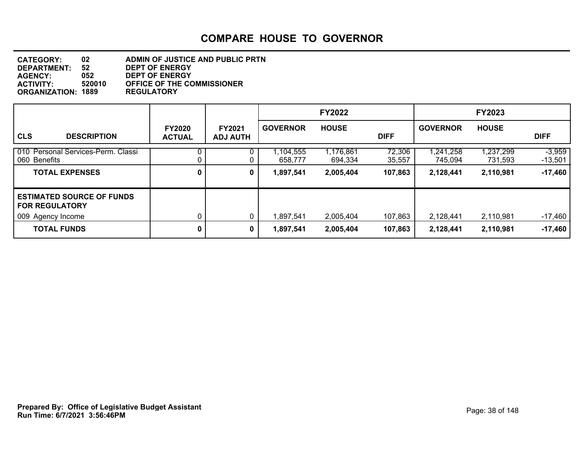| <b>CATEGORY:</b>          | 02     | ADMIN OF JUSTICE AND PUBLIC PRTN  |
|---------------------------|--------|-----------------------------------|
| <b>DEPARTMENT:</b>        | 52     | <b>DEPT OF ENERGY</b>             |
| <b>AGENCY:</b>            | 052    | <b>DEPT OF ENERGY</b>             |
| <b>ACTIVITY:</b>          | 520010 | <b>OFFICE OF THE COMMISSIONER</b> |
| <b>ORGANIZATION: 1889</b> |        | <b>REGULATORY</b>                 |

|                                                           |                                |                                  |                      | <b>FY2022</b>        |                  |                    | <b>FY2023</b>        |                     |
|-----------------------------------------------------------|--------------------------------|----------------------------------|----------------------|----------------------|------------------|--------------------|----------------------|---------------------|
| <b>CLS</b><br><b>DESCRIPTION</b>                          | <b>FY2020</b><br><b>ACTUAL</b> | <b>FY2021</b><br><b>ADJ AUTH</b> | <b>GOVERNOR</b>      | <b>HOUSE</b>         | <b>DIFF</b>      | <b>GOVERNOR</b>    | <b>HOUSE</b>         | <b>DIFF</b>         |
| 010 Personal Services-Perm. Classi<br>060 Benefits        | 0.                             |                                  | 1,104,555<br>658,777 | 1,176,861<br>694,334 | 72,306<br>35,557 | 241,258<br>745,094 | 1,237,299<br>731,593 | $-3,959$<br>-13,501 |
| <b>TOTAL EXPENSES</b>                                     | 0                              | 0                                | 1,897,541            | 2,005,404            | 107,863          | 2,128,441          | 2,110,981            | $-17,460$           |
| <b>ESTIMATED SOURCE OF FUNDS</b><br><b>FOR REGULATORY</b> |                                |                                  |                      |                      |                  |                    |                      |                     |
| 009 Agency Income                                         |                                | 0                                | 1,897,541            | 2,005,404            | 107,863          | 2,128,441          | 2,110,981            | $-17,460$           |
| <b>TOTAL FUNDS</b>                                        | 0                              | 0                                | 1,897,541            | 2,005,404            | 107,863          | 2,128,441          | 2,110,981            | $-17,460$           |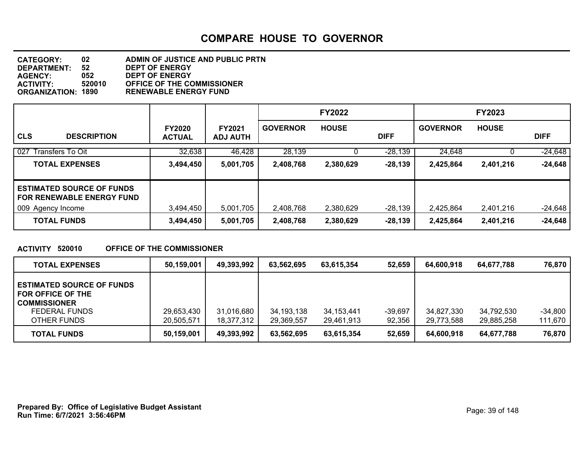| <b>CATEGORY:</b>          | 02     | ADMIN OF JUSTICE AND PUBLIC PRTN  |
|---------------------------|--------|-----------------------------------|
| <b>DEPARTMENT:</b>        | 52     | <b>DEPT OF ENERGY</b>             |
| <b>AGENCY:</b>            | 052    | <b>DEPT OF ENERGY</b>             |
| <b>ACTIVITY:</b>          | 520010 | <b>OFFICE OF THE COMMISSIONER</b> |
| <b>ORGANIZATION: 1890</b> |        | <b>RENEWABLE ENERGY FUND</b>      |

|                                                                      |                                |                                  |                 | <b>FY2022</b> |             |                 | <b>FY2023</b> |             |
|----------------------------------------------------------------------|--------------------------------|----------------------------------|-----------------|---------------|-------------|-----------------|---------------|-------------|
| <b>CLS</b><br><b>DESCRIPTION</b>                                     | <b>FY2020</b><br><b>ACTUAL</b> | <b>FY2021</b><br><b>ADJ AUTH</b> | <b>GOVERNOR</b> | <b>HOUSE</b>  | <b>DIFF</b> | <b>GOVERNOR</b> | <b>HOUSE</b>  | <b>DIFF</b> |
| 027 Transfers To Oit                                                 | 32,638                         | 46,428                           | 28,139          |               | $-28,139$   | 24,648          |               | $-24,648$   |
| <b>TOTAL EXPENSES</b>                                                | 3,494,450                      | 5,001,705                        | 2,408,768       | 2,380,629     | $-28,139$   | 2,425,864       | 2,401,216     | $-24,648$   |
| <b>ESTIMATED SOURCE OF FUNDS</b><br><b>FOR RENEWABLE ENERGY FUND</b> |                                |                                  |                 |               |             |                 |               |             |
| 009 Agency Income                                                    | 3,494,450                      | 5,001,705                        | 2,408,768       | 2,380,629     | $-28,139$   | 2,425,864       | 2,401,216     | $-24,648$   |
| <b>TOTAL FUNDS</b>                                                   | 3,494,450                      | 5,001,705                        | 2,408,768       | 2,380,629     | $-28,139$   | 2,425,864       | 2,401,216     | $-24,648$   |

#### **ACTIVITY 520010 OFFICE OF THE COMMISSIONER**

| <b>TOTAL EXPENSES</b>                                                                                        | 50,159,001               | 49,393,992               | 63.562.695                 | 63.615.354               | 52.659            | 64.600.918               | 64.677.788               | 76,870               |
|--------------------------------------------------------------------------------------------------------------|--------------------------|--------------------------|----------------------------|--------------------------|-------------------|--------------------------|--------------------------|----------------------|
| <b>ESTIMATED SOURCE OF FUNDS</b><br>FOR OFFICE OF THE<br><b>COMMISSIONER</b><br>FEDERAL FUNDS<br>OTHER FUNDS | 29,653,430<br>20,505,571 | 31,016,680<br>18,377,312 | 34, 193, 138<br>29,369,557 | 34,153,441<br>29,461,913 | -39.697<br>92,356 | 34,827,330<br>29,773,588 | 34,792,530<br>29,885,258 | $-34,800$<br>111,670 |
| <b>TOTAL FUNDS</b>                                                                                           | 50,159,001               | 49,393,992               | 63,562,695                 | 63,615,354               | 52,659            | 64,600,918               | 64.677.788               | 76,870               |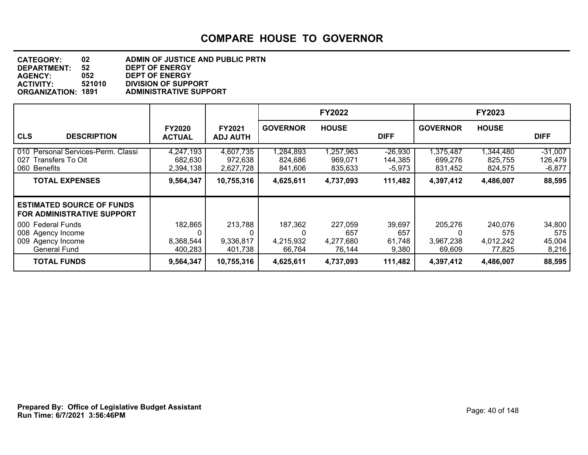| <b>CATEGORY:</b>          | 02     | ADMIN OF JUSTICE AND PUBLIC PRTN |
|---------------------------|--------|----------------------------------|
| DEPARTMENT:               | 52     | <b>DEPT OF ENERGY</b>            |
| <b>AGENCY:</b>            | 052    | <b>DEPT OF ENERGY</b>            |
| <b>ACTIVITY</b>           | 521010 | <b>DIVISION OF SUPPORT</b>       |
| <b>ORGANIZATION: 1891</b> |        | <b>ADMINISTRATIVE SUPPORT</b>    |

|                                                                                    |                                   |                                   |                                 | <b>FY2022</b>                         |                                  |                                     | <b>FY2023</b>                         |                                  |
|------------------------------------------------------------------------------------|-----------------------------------|-----------------------------------|---------------------------------|---------------------------------------|----------------------------------|-------------------------------------|---------------------------------------|----------------------------------|
| <b>CLS</b><br><b>DESCRIPTION</b>                                                   | <b>FY2020</b><br><b>ACTUAL</b>    | <b>FY2021</b><br><b>ADJ AUTH</b>  | <b>GOVERNOR</b>                 | <b>HOUSE</b>                          | <b>DIFF</b>                      | <b>GOVERNOR</b>                     | <b>HOUSE</b>                          | <b>DIFF</b>                      |
| 010 Personal Services-Perm. Classi<br>027 Transfers To Oit<br>060 Benefits         | 4,247,193<br>682,630<br>2,394,138 | 4,607,735<br>972,638<br>2,627,728 | 1,284,893<br>824,686<br>841,606 | 1,257,963<br>969,071<br>835,633       | $-26,930$<br>144,385<br>$-5,973$ | 1,375,487<br>699,276<br>831,452     | 1,344,480<br>825,755<br>824,575       | $-31,007$<br>126,479<br>$-6,877$ |
| <b>TOTAL EXPENSES</b>                                                              | 9,564,347                         | 10,755,316                        | 4,625,611                       | 4,737,093                             | 111,482                          | 4,397,412                           | 4,486,007                             | 88,595                           |
| <b>ESTIMATED SOURCE OF FUNDS</b><br><b>FOR ADMINISTRATIVE SUPPORT</b>              |                                   |                                   |                                 |                                       |                                  |                                     |                                       |                                  |
| 000 Federal Funds<br>008 Agency Income<br>009 Agency Income<br><b>General Fund</b> | 182,865<br>8,368,544<br>400,283   | 213,788<br>9,336,817<br>401,738   | 187,362<br>4,215,932<br>66,764  | 227,059<br>657<br>4,277,680<br>76,144 | 39,697<br>657<br>61,748<br>9,380 | 205,276<br>0<br>3,967,238<br>69,609 | 240,076<br>575<br>4,012,242<br>77,825 | 34,800<br>575<br>45,004<br>8,216 |
| <b>TOTAL FUNDS</b>                                                                 | 9,564,347                         | 10,755,316                        | 4,625,611                       | 4,737,093                             | 111,482                          | 4,397,412                           | 4,486,007                             | 88,595                           |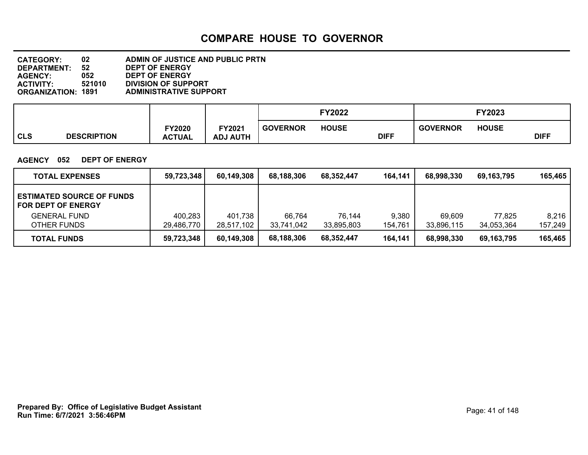| <b>CATEGORY:</b>          | 02     | ADMIN OF JUSTICE AND PUBLIC PRTN |
|---------------------------|--------|----------------------------------|
| DEPARTMENT:               | 52     | <b>DEPT OF ENERGY</b>            |
| <b>AGENCY:</b>            | 052    | <b>DEPT OF ENERGY</b>            |
| <b>ACTIVITY:</b>          | 521010 | <b>DIVISION OF SUPPORT</b>       |
| <b>ORGANIZATION: 1891</b> |        | <b>ADMINISTRATIVE SUPPORT</b>    |

|            |                    |                           |                                       |                 | <b>FY2022</b> |             |                 | FY2023       |             |
|------------|--------------------|---------------------------|---------------------------------------|-----------------|---------------|-------------|-----------------|--------------|-------------|
| <b>CLS</b> | <b>DESCRIPTION</b> | $-Y2020$<br><b>ACTUAL</b> | FY2021<br><b>HTUA U</b><br><b>ADJ</b> | <b>GOVERNOR</b> | <b>HOUSE</b>  | <b>DIFF</b> | <b>GOVERNOR</b> | <b>HOUSE</b> | <b>DIFF</b> |

#### **AGENCY 052 DEPT OF ENERGY**

| <b>TOTAL EXPENSES</b>                                         | 59,723,348 | 60,149,308 | 68,188,306 | 68,352,447 | 164,141 | 68,998,330 | 69,163,795 | 165,465 |
|---------------------------------------------------------------|------------|------------|------------|------------|---------|------------|------------|---------|
| <b>ESTIMATED SOURCE OF FUNDS</b><br><b>FOR DEPT OF ENERGY</b> |            |            |            |            |         |            |            |         |
| <b>GENERAL FUND</b>                                           | 400,283    | 401,738    | 66.764     | 76,144     | 9,380   | 69.609     | 77.825     | 8,216   |
| OTHER FUNDS                                                   | 29.486.770 | 28,517,102 | 33,741,042 | 33,895,803 | 154,761 | 33,896,115 | 34.053.364 | 157,249 |
| <b>TOTAL FUNDS</b>                                            | 59,723,348 | 60,149,308 | 68,188,306 | 68,352,447 | 164,141 | 68,998,330 | 69,163,795 | 165,465 |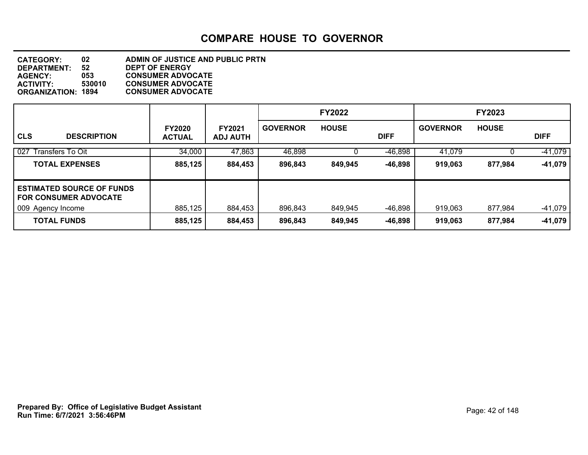| <b>CATEGORY:</b>          | 02     | ADMIN OF JUSTICE AND PUBLIC PRTN |
|---------------------------|--------|----------------------------------|
| <b>DEPARTMENT:</b>        | 52     | <b>DEPT OF ENERGY</b>            |
| <b>AGENCY:</b>            | 053    | <b>CONSUMER ADVOCATE</b>         |
| <b>ACTIVITY:</b>          | 530010 | <b>CONSUMER ADVOCATE</b>         |
| <b>ORGANIZATION: 1894</b> |        | <b>CONSUMER ADVOCATE</b>         |
|                           |        |                                  |

|                                                                  |                                |                                  |                 | <b>FY2022</b> |             |                 | <b>FY2023</b> |             |
|------------------------------------------------------------------|--------------------------------|----------------------------------|-----------------|---------------|-------------|-----------------|---------------|-------------|
| <b>CLS</b><br><b>DESCRIPTION</b>                                 | <b>FY2020</b><br><b>ACTUAL</b> | <b>FY2021</b><br><b>ADJ AUTH</b> | <b>GOVERNOR</b> | <b>HOUSE</b>  | <b>DIFF</b> | <b>GOVERNOR</b> | <b>HOUSE</b>  | <b>DIFF</b> |
| 027<br>Transfers To Oit                                          | 34,000                         | 47,863                           | 46,898          |               | $-46,898$   | 41.079          |               | $-41,079$   |
| <b>TOTAL EXPENSES</b>                                            | 885,125                        | 884,453                          | 896,843         | 849,945       | $-46,898$   | 919,063         | 877,984       | -41,079     |
| <b>ESTIMATED SOURCE OF FUNDS</b><br><b>FOR CONSUMER ADVOCATE</b> |                                |                                  |                 |               |             |                 |               |             |
| 009 Agency Income                                                | 885,125                        | 884,453                          | 896,843         | 849,945       | -46,898     | 919,063         | 877,984       | $-41,079$   |
| <b>TOTAL FUNDS</b>                                               | 885,125                        | 884,453                          | 896,843         | 849,945       | $-46,898$   | 919,063         | 877,984       | -41,079     |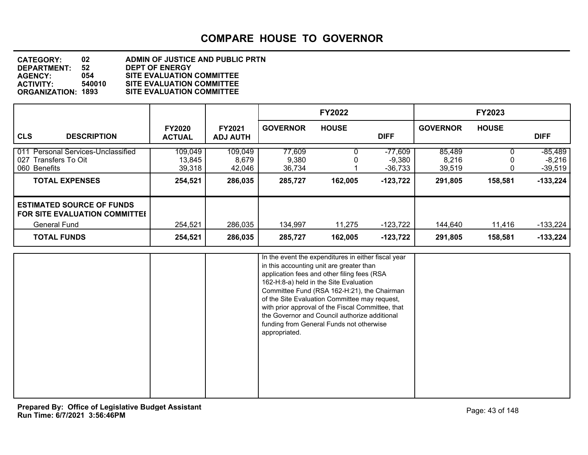#### **DEPARTMENT: 52 DEPT OF ENERGY CATEGORY: 02 ADMIN OF JUSTICE AND PUBLIC PRTN AGENCY: 054 SITE EVALUATION COMMITTEE ACTIVITY: 540010 SITE EVALUATION COMMITTEE SITE EVALUATION COMMITTEE**

|                                                                                                                       |                                        |                                       |                                      | <b>FY2022</b>     |                                                  |                                      | <b>FY2023</b>     |                                                |
|-----------------------------------------------------------------------------------------------------------------------|----------------------------------------|---------------------------------------|--------------------------------------|-------------------|--------------------------------------------------|--------------------------------------|-------------------|------------------------------------------------|
| <b>CLS</b><br><b>DESCRIPTION</b>                                                                                      | <b>FY2020</b><br><b>ACTUAL</b>         | <b>FY2021</b><br><b>ADJ AUTH</b>      | <b>GOVERNOR</b>                      | <b>HOUSE</b>      | <b>DIFF</b>                                      | <b>GOVERNOR</b>                      | <b>HOUSE</b>      | <b>DIFF</b>                                    |
| Personal Services-Unclassified<br>011<br>027<br>Transfers To Oit<br>060 Benefits<br><b>TOTAL EXPENSES</b>             | 109,049<br>13,845<br>39,318<br>254,521 | 109,049<br>8,679<br>42,046<br>286,035 | 77,609<br>9,380<br>36.734<br>285,727 | 162,005           | $-77,609$<br>$-9,380$<br>$-36,733$<br>$-123,722$ | 85,489<br>8,216<br>39.519<br>291,805 | 158,581           | $-85,489$<br>-8,216<br>$-39,519$<br>$-133,224$ |
| <b>ESTIMATED SOURCE OF FUNDS</b><br><b>FOR SITE EVALUATION COMMITTEE</b><br><b>General Fund</b><br><b>TOTAL FUNDS</b> | 254,521<br>254,521                     | 286,035<br>286,035                    | 134,997<br>285,727                   | 11,275<br>162,005 | $-123,722$<br>$-123,722$                         | 144,640<br>291,805                   | 11.416<br>158,581 | $-133,224$<br>$-133,224$                       |

|  | In the event the expenditures in either fiscal year<br>in this accounting unit are greater than<br>application fees and other filing fees (RSA<br>162-H:8-a) held in the Site Evaluation<br>Committee Fund (RSA 162-H:21), the Chairman<br>of the Site Evaluation Committee may request,<br>with prior approval of the Fiscal Committee, that<br>the Governor and Council authorize additional<br>funding from General Funds not otherwise<br>appropriated. |  |
|--|-------------------------------------------------------------------------------------------------------------------------------------------------------------------------------------------------------------------------------------------------------------------------------------------------------------------------------------------------------------------------------------------------------------------------------------------------------------|--|
|  |                                                                                                                                                                                                                                                                                                                                                                                                                                                             |  |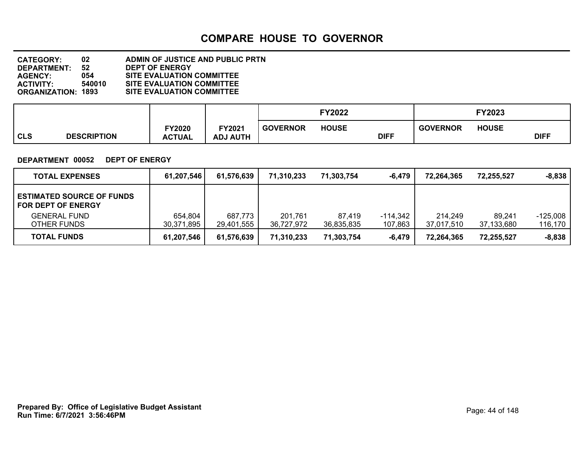#### **DEPARTMENT: 52 DEPT OF ENERGY CATEGORY: 02 ADMIN OF JUSTICE AND PUBLIC PRTN AGENCY: 054 SITE EVALUATION COMMITTEE ACTIVITY: 540010 SITE EVALUATION COMMITTEE SITE EVALUATION COMMITTEE**

|            |                    |                         |                                  |                 | <b>FY2022</b> |             |                 | FY2023       |             |
|------------|--------------------|-------------------------|----------------------------------|-----------------|---------------|-------------|-----------------|--------------|-------------|
| <b>CLS</b> | <b>DESCRIPTION</b> | FY2020<br><b>ACTUAL</b> | <b>FY2021</b><br><b>ADJ AUTH</b> | <b>GOVERNOR</b> | <b>HOUSE</b>  | <b>DIFF</b> | <b>GOVERNOR</b> | <b>HOUSE</b> | <b>DIFF</b> |

#### **DEPARTMENT 00052 DEPT OF ENERGY**

| <b>TOTAL EXPENSES</b>                                         | 61,207,546            | 61,576,639            | 71,310,233            | 71,303,754           | -6.479              | 72.264.365            | 72.255.527           | $-8,838$            |
|---------------------------------------------------------------|-----------------------|-----------------------|-----------------------|----------------------|---------------------|-----------------------|----------------------|---------------------|
| <b>ESTIMATED SOURCE OF FUNDS</b><br><b>FOR DEPT OF ENERGY</b> |                       |                       |                       |                      |                     |                       |                      |                     |
| <b>GENERAL FUND</b><br>OTHER FUNDS                            | 654,804<br>30,371,895 | 687,773<br>29,401,555 | 201.761<br>36.727.972 | 87,419<br>36,835,835 | -114,342<br>107,863 | 214.249<br>37,017,510 | 89.241<br>37,133,680 | -125.008<br>116,170 |
| <b>TOTAL FUNDS</b>                                            | 61,207,546            | 61,576,639            | 71,310,233            | 71,303,754           | $-6,479$            | 72,264,365            | 72,255,527           | $-8,838$            |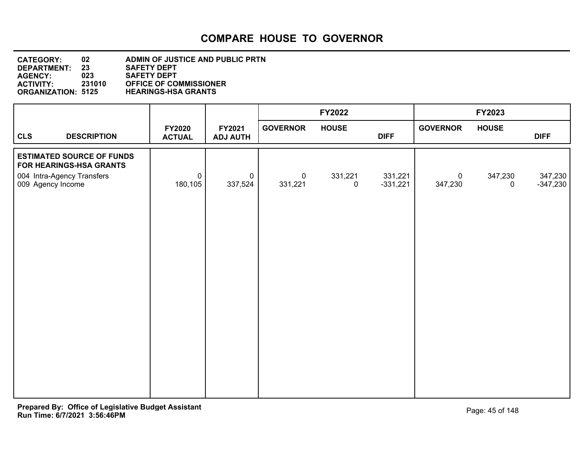| <b>CATEGORY:</b>          | 02     | <b>ADMIN OF JUSTICE AND PUBLIC PRTN</b> |
|---------------------------|--------|-----------------------------------------|
| <b>DEPARTMENT:</b>        | 23     | <b>SAFETY DEPT</b>                      |
| <b>AGENCY:</b>            | 023    | <b>SAFETY DEPT</b>                      |
| <b>ACTIVITY:</b>          | 231010 | <b>OFFICE OF COMMISSIONER</b>           |
| <b>ORGANIZATION: 5125</b> |        | <b>HEARINGS-HSA GRANTS</b>              |

|                                                                                                                |                                |                           |                           | <b>FY2022</b>          |                       |                           | FY2023                 |                       |
|----------------------------------------------------------------------------------------------------------------|--------------------------------|---------------------------|---------------------------|------------------------|-----------------------|---------------------------|------------------------|-----------------------|
| <b>CLS</b><br><b>DESCRIPTION</b>                                                                               | <b>FY2020</b><br><b>ACTUAL</b> | FY2021<br><b>ADJ AUTH</b> | <b>GOVERNOR</b>           | <b>HOUSE</b>           | <b>DIFF</b>           | <b>GOVERNOR</b>           | <b>HOUSE</b>           | <b>DIFF</b>           |
| <b>ESTIMATED SOURCE OF FUNDS</b><br>FOR HEARINGS-HSA GRANTS<br>004 Intra-Agency Transfers<br>009 Agency Income | $\mathbf 0$<br>180,105         | $\mathbf 0$<br>337,524    | $\overline{0}$<br>331,221 | 331,221<br>$\mathbf 0$ | 331,221<br>$-331,221$ | $\overline{0}$<br>347,230 | 347,230<br>$\mathbf 0$ | 347,230<br>$-347,230$ |
|                                                                                                                |                                |                           |                           |                        |                       |                           |                        |                       |
|                                                                                                                |                                |                           |                           |                        |                       |                           |                        |                       |
|                                                                                                                |                                |                           |                           |                        |                       |                           |                        |                       |
|                                                                                                                |                                |                           |                           |                        |                       |                           |                        |                       |
|                                                                                                                |                                |                           |                           |                        |                       |                           |                        |                       |
|                                                                                                                |                                |                           |                           |                        |                       |                           |                        |                       |
|                                                                                                                |                                |                           |                           |                        |                       |                           |                        |                       |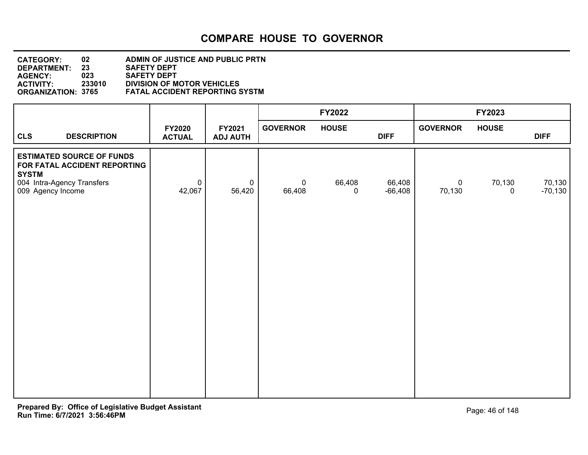#### **DEPARTMENT: 23 SAFETY DEPT CATEGORY: 02 ADMIN OF JUSTICE AND PUBLIC PRTN AGENCY: 023 SAFETY DEPT ACTIVITY: 233010 DIVISION OF MOTOR VEHICLES ORGANIZATION: 3765 FATAL ACCIDENT REPORTING SYSTM**

| <b>GOVERNOR</b><br><b>GOVERNOR</b><br><b>HOUSE</b><br><b>HOUSE</b><br><b>FY2020</b><br>FY2021<br><b>CLS</b><br><b>DESCRIPTION</b><br><b>DIFF</b><br><b>DIFF</b><br><b>ACTUAL</b><br><b>ADJ AUTH</b><br><b>ESTIMATED SOURCE OF FUNDS</b><br>FOR FATAL ACCIDENT REPORTING<br><b>SYSTM</b><br>004 Intra-Agency Transfers<br>66,408<br>66,408<br>70,130<br>$\mathbf 0$<br>$\pmb{0}$<br>$\overline{0}$<br>$\mathbf 0$<br>56,420<br>42,067<br>$-66,408$<br>009 Agency Income<br>66,408<br>70,130<br>0<br>$\mathbf 0$ |  | FY2022 | FY2023              |
|----------------------------------------------------------------------------------------------------------------------------------------------------------------------------------------------------------------------------------------------------------------------------------------------------------------------------------------------------------------------------------------------------------------------------------------------------------------------------------------------------------------|--|--------|---------------------|
|                                                                                                                                                                                                                                                                                                                                                                                                                                                                                                                |  |        |                     |
|                                                                                                                                                                                                                                                                                                                                                                                                                                                                                                                |  |        | 70,130<br>$-70,130$ |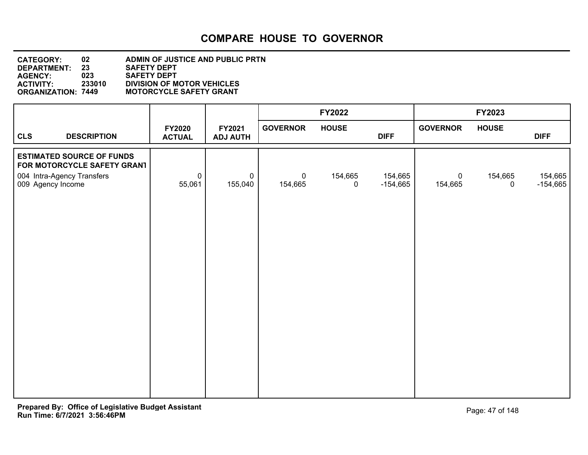#### **DEPARTMENT: 23 SAFETY DEPT CATEGORY: 02 ADMIN OF JUSTICE AND PUBLIC PRTN AGENCY: 023 SAFETY DEPT ACTIVITY: 233010 DIVISION OF MOTOR VEHICLES MOTORCYCLE SAFETY GRANT**

|                                                                 |                                |                           |                           | FY2022                 |                       |                        | FY2023                 |                       |
|-----------------------------------------------------------------|--------------------------------|---------------------------|---------------------------|------------------------|-----------------------|------------------------|------------------------|-----------------------|
| <b>CLS</b><br><b>DESCRIPTION</b>                                | <b>FY2020</b><br><b>ACTUAL</b> | FY2021<br><b>ADJ AUTH</b> | <b>GOVERNOR</b>           | <b>HOUSE</b>           | <b>DIFF</b>           | <b>GOVERNOR</b>        | <b>HOUSE</b>           | <b>DIFF</b>           |
| <b>ESTIMATED SOURCE OF FUNDS</b><br>FOR MOTORCYCLE SAFETY GRANT |                                |                           |                           |                        |                       |                        |                        |                       |
| 004 Intra-Agency Transfers<br>009 Agency Income                 | $\pmb{0}$<br>55,061            | $\mathbf 0$<br>155,040    | $\overline{0}$<br>154,665 | 154,665<br>$\mathbf 0$ | 154,665<br>$-154,665$ | $\mathbf 0$<br>154,665 | 154,665<br>$\mathbf 0$ | 154,665<br>$-154,665$ |
|                                                                 |                                |                           |                           |                        |                       |                        |                        |                       |
|                                                                 |                                |                           |                           |                        |                       |                        |                        |                       |
|                                                                 |                                |                           |                           |                        |                       |                        |                        |                       |
|                                                                 |                                |                           |                           |                        |                       |                        |                        |                       |
|                                                                 |                                |                           |                           |                        |                       |                        |                        |                       |
|                                                                 |                                |                           |                           |                        |                       |                        |                        |                       |
|                                                                 |                                |                           |                           |                        |                       |                        |                        |                       |
|                                                                 |                                |                           |                           |                        |                       |                        |                        |                       |
|                                                                 |                                |                           |                           |                        |                       |                        |                        |                       |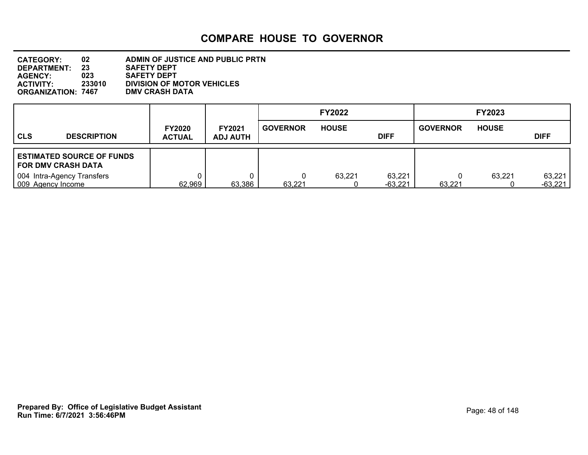| <b>CATEGORY:</b>          | 02     | ADMIN OF JUSTICE AND PUBLIC PRTN  |
|---------------------------|--------|-----------------------------------|
| <b>DEPARTMENT:</b>        | 23     | <b>SAFETY DEPT</b>                |
| <b>AGENCY:</b>            | 023    | <b>SAFETY DEPT</b>                |
| <b>ACTIVITY:</b>          | 233010 | <b>DIVISION OF MOTOR VEHICLES</b> |
| <b>ORGANIZATION: 7467</b> |        | <b>DMV CRASH DATA</b>             |

|                                                          |                                |                                  |                 | <b>FY2022</b> |                     |                 | <b>FY2023</b> |                     |
|----------------------------------------------------------|--------------------------------|----------------------------------|-----------------|---------------|---------------------|-----------------|---------------|---------------------|
| <b>CLS</b><br><b>DESCRIPTION</b>                         | <b>FY2020</b><br><b>ACTUAL</b> | <b>FY2021</b><br><b>ADJ AUTH</b> | <b>GOVERNOR</b> | <b>HOUSE</b>  | <b>DIFF</b>         | <b>GOVERNOR</b> | <b>HOUSE</b>  | <b>DIFF</b>         |
| <b>ESTIMATED SOURCE OF FUNDS</b><br>  FOR DMV CRASH DATA |                                |                                  |                 |               |                     |                 |               |                     |
| 004 Intra-Agency Transfers<br>009 Agency Income          | 62,969                         | 63,386                           | 63,221          | 63,221        | 63,221<br>$-63,221$ | 63,221          | 63,221        | 63,221<br>$-63,221$ |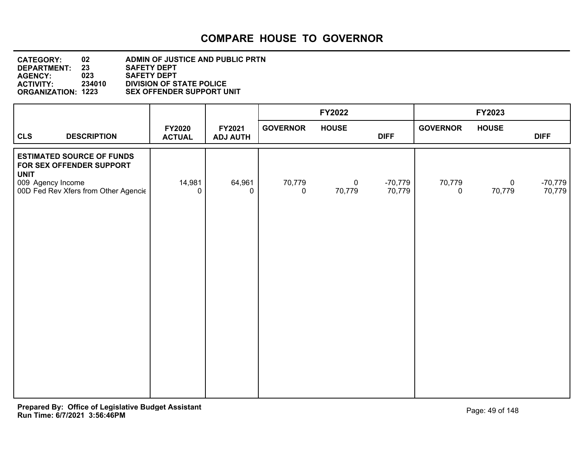#### **DEPARTMENT: 23 SAFETY DEPT CATEGORY: 02 ADMIN OF JUSTICE AND PUBLIC PRTN AGENCY: 023 SAFETY DEPT ACTIVITY: 234010 DIVISION OF STATE POLICE SEX OFFENDER SUPPORT UNIT**

|                                                                                                                                          |                                |                           |                 | FY2022                |                     |                 | FY2023                |                     |
|------------------------------------------------------------------------------------------------------------------------------------------|--------------------------------|---------------------------|-----------------|-----------------------|---------------------|-----------------|-----------------------|---------------------|
| <b>CLS</b><br><b>DESCRIPTION</b>                                                                                                         | <b>FY2020</b><br><b>ACTUAL</b> | FY2021<br><b>ADJ AUTH</b> | <b>GOVERNOR</b> | <b>HOUSE</b>          | <b>DIFF</b>         | <b>GOVERNOR</b> | <b>HOUSE</b>          | <b>DIFF</b>         |
| <b>ESTIMATED SOURCE OF FUNDS</b><br>FOR SEX OFFENDER SUPPORT<br><b>UNIT</b><br>009 Agency Income<br>00D Fed Rev Xfers from Other Agencie | 14,981<br>0                    | 64,961<br>0               | 70,779<br>0     | $\mathbf 0$<br>70,779 | $-70,779$<br>70,779 | 70,779<br>0     | $\mathbf 0$<br>70,779 | $-70,779$<br>70,779 |
|                                                                                                                                          |                                |                           |                 |                       |                     |                 |                       |                     |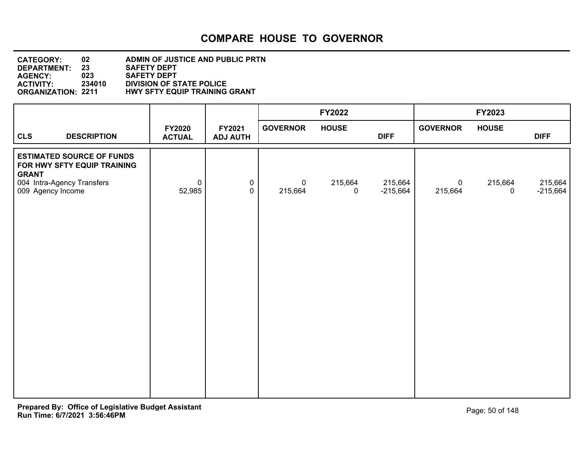#### **DEPARTMENT: 23 SAFETY DEPT CATEGORY: 02 ADMIN OF JUSTICE AND PUBLIC PRTN AGENCY: 023 SAFETY DEPT ACTIVITY: 234010 DIVISION OF STATE POLICE HWY SFTY EQUIP TRAINING GRANT**

|                                                                                                                                    |                                |                             |                        | <b>FY2022</b>          |                       |                        | FY2023                 |                       |
|------------------------------------------------------------------------------------------------------------------------------------|--------------------------------|-----------------------------|------------------------|------------------------|-----------------------|------------------------|------------------------|-----------------------|
| <b>CLS</b><br><b>DESCRIPTION</b>                                                                                                   | <b>FY2020</b><br><b>ACTUAL</b> | FY2021<br><b>ADJ AUTH</b>   | <b>GOVERNOR</b>        | <b>HOUSE</b>           | <b>DIFF</b>           | <b>GOVERNOR</b>        | <b>HOUSE</b>           | <b>DIFF</b>           |
| <b>ESTIMATED SOURCE OF FUNDS</b><br>FOR HWY SFTY EQUIP TRAINING<br><b>GRANT</b><br>004 Intra-Agency Transfers<br>009 Agency Income | $\mathsf{O}$<br>52,985         | $\mathbf 0$<br>$\mathbf{0}$ | $\mathbf 0$<br>215,664 | 215,664<br>$\mathbf 0$ | 215,664<br>$-215,664$ | $\mathbf 0$<br>215,664 | 215,664<br>$\mathbf 0$ | 215,664<br>$-215,664$ |
|                                                                                                                                    |                                |                             |                        |                        |                       |                        |                        |                       |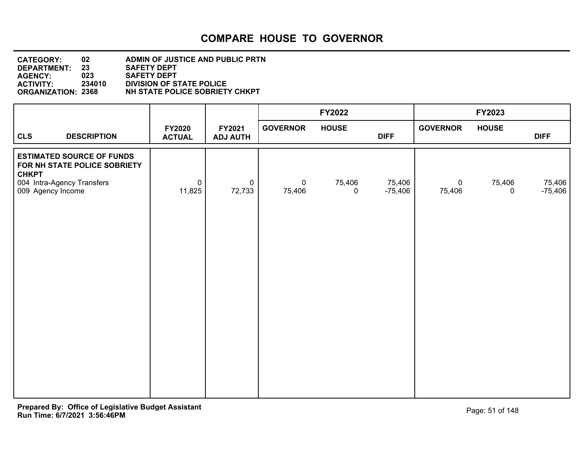| <b>CATEGORY:</b>          | 02     | ADMIN OF JUSTICE AND PUBLIC PRTN |
|---------------------------|--------|----------------------------------|
| DEPARTMENT:               | 23     | <b>SAFETY DEPT</b>               |
| <b>AGENCY:</b>            | 023    | <b>SAFETY DEPT</b>               |
| <b>ACTIVITY:</b>          | 234010 | <b>DIVISION OF STATE POLICE</b>  |
| <b>ORGANIZATION: 2368</b> |        | NH STATE POLICE SOBRIETY CHKPT   |

|                                                                                                                                     |                                |                           |                       | FY2022                |                     |                       | FY2023                     |                     |
|-------------------------------------------------------------------------------------------------------------------------------------|--------------------------------|---------------------------|-----------------------|-----------------------|---------------------|-----------------------|----------------------------|---------------------|
| <b>CLS</b><br><b>DESCRIPTION</b>                                                                                                    | <b>FY2020</b><br><b>ACTUAL</b> | FY2021<br><b>ADJ AUTH</b> | <b>GOVERNOR</b>       | <b>HOUSE</b>          | <b>DIFF</b>         | <b>GOVERNOR</b>       | <b>HOUSE</b>               | <b>DIFF</b>         |
| <b>ESTIMATED SOURCE OF FUNDS</b><br>FOR NH STATE POLICE SOBRIETY<br><b>CHKPT</b><br>004 Intra-Agency Transfers<br>009 Agency Income | $\pmb{0}$<br>11,825            | $\mathbf 0$<br>72,733     | $\mathbf 0$<br>75,406 | 75,406<br>$\mathbf 0$ | 75,406<br>$-75,406$ | $\mathbf 0$<br>75,406 | 75,406<br>$\boldsymbol{0}$ | 75,406<br>$-75,406$ |
|                                                                                                                                     |                                |                           |                       |                       |                     |                       |                            |                     |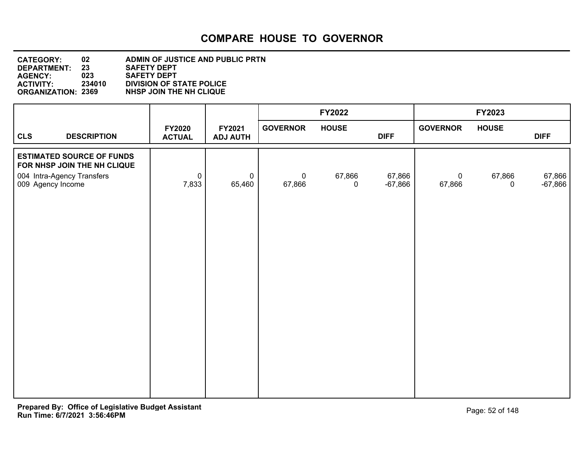| <b>CATEGORY:</b>          | 02     | ADMIN OF JUSTICE AND PUBLIC PRTN |
|---------------------------|--------|----------------------------------|
| <b>DEPARTMENT:</b>        | 23     | <b>SAFETY DEPT</b>               |
| <b>AGENCY:</b>            | 023    | <b>SAFETY DEPT</b>               |
| <b>ACTIVITY:</b>          | 234010 | <b>DIVISION OF STATE POLICE</b>  |
| <b>ORGANIZATION: 2369</b> |        | NHSP JOIN THE NH CLIQUE          |

|                                                                                                                    |                                |                           |                          | FY2022                |                     |                       | FY2023       |                     |
|--------------------------------------------------------------------------------------------------------------------|--------------------------------|---------------------------|--------------------------|-----------------------|---------------------|-----------------------|--------------|---------------------|
| <b>CLS</b><br><b>DESCRIPTION</b>                                                                                   | <b>FY2020</b><br><b>ACTUAL</b> | FY2021<br><b>ADJ AUTH</b> | <b>GOVERNOR</b>          | <b>HOUSE</b>          | <b>DIFF</b>         | <b>GOVERNOR</b>       | <b>HOUSE</b> | <b>DIFF</b>         |
| <b>ESTIMATED SOURCE OF FUNDS</b><br>FOR NHSP JOIN THE NH CLIQUE<br>004 Intra-Agency Transfers<br>009 Agency Income | $\pmb{0}$<br>7,833             | $\pmb{0}$<br>65,460       | $\overline{0}$<br>67,866 | 67,866<br>$\mathbf 0$ | 67,866<br>$-67,866$ | $\mathbf 0$<br>67,866 | 67,866<br>0  | 67,866<br>$-67,866$ |
|                                                                                                                    |                                |                           |                          |                       |                     |                       |              |                     |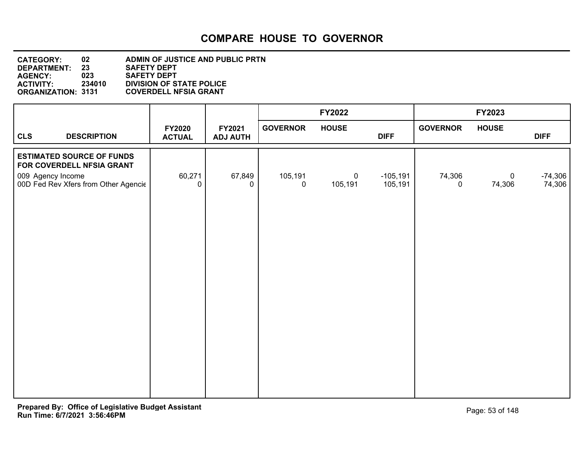| <b>CATEGORY:</b>          | 02     | ADMIN OF JUSTICE AND PUBLIC PRTN |
|---------------------------|--------|----------------------------------|
| <b>DEPARTMENT:</b>        | 23     | <b>SAFETY DEPT</b>               |
| <b>AGENCY:</b>            | 023    | <b>SAFETY DEPT</b>               |
| <b>ACTIVITY:</b>          | 234010 | <b>DIVISION OF STATE POLICE</b>  |
| <b>ORGANIZATION: 3131</b> |        | <b>COVERDELL NFSIA GRANT</b>     |

|                                                                                    |                                      |                                |                           |                 | FY2022                    |                       |                       | FY2023                |                     |
|------------------------------------------------------------------------------------|--------------------------------------|--------------------------------|---------------------------|-----------------|---------------------------|-----------------------|-----------------------|-----------------------|---------------------|
| <b>CLS</b>                                                                         | <b>DESCRIPTION</b>                   | <b>FY2020</b><br><b>ACTUAL</b> | FY2021<br><b>ADJ AUTH</b> | <b>GOVERNOR</b> | <b>HOUSE</b>              | <b>DIFF</b>           | <b>GOVERNOR</b>       | <b>HOUSE</b>          | <b>DIFF</b>         |
| <b>ESTIMATED SOURCE OF FUNDS</b><br>FOR COVERDELL NFSIA GRANT<br>009 Agency Income | 00D Fed Rev Xfers from Other Agencie | 60,271<br>0                    | 67,849<br>0               | 105,191<br>0    | $\overline{0}$<br>105,191 | $-105,191$<br>105,191 | 74,306<br>$\mathbf 0$ | $\mathbf 0$<br>74,306 | $-74,306$<br>74,306 |
|                                                                                    |                                      |                                |                           |                 |                           |                       |                       |                       |                     |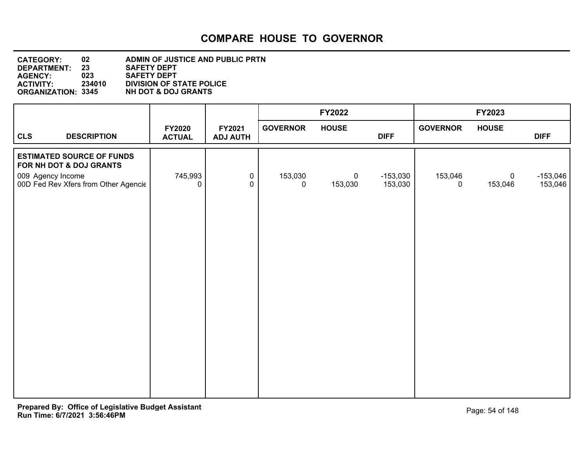| <b>CATEGORY:</b>          | 02     | ADMIN OF JUSTICE AND PUBLIC PRTN |
|---------------------------|--------|----------------------------------|
| DEPARTMENT:               | 23     | <b>SAFETY DEPT</b>               |
| <b>AGENCY:</b>            | 023    | <b>SAFETY DEPT</b>               |
| <b>ACTIVITY:</b>          | 234010 | <b>DIVISION OF STATE POLICE</b>  |
| <b>ORGANIZATION: 3345</b> |        | <b>NH DOT &amp; DOJ GRANTS</b>   |
|                           |        |                                  |

|                                                                                                                          |                                |                           |                        | <b>FY2022</b>             |                       |                        | FY2023                    |                       |
|--------------------------------------------------------------------------------------------------------------------------|--------------------------------|---------------------------|------------------------|---------------------------|-----------------------|------------------------|---------------------------|-----------------------|
| <b>CLS</b><br><b>DESCRIPTION</b>                                                                                         | <b>FY2020</b><br><b>ACTUAL</b> | FY2021<br><b>ADJ AUTH</b> | <b>GOVERNOR</b>        | <b>HOUSE</b>              | <b>DIFF</b>           | <b>GOVERNOR</b>        | <b>HOUSE</b>              | <b>DIFF</b>           |
| <b>ESTIMATED SOURCE OF FUNDS</b><br>FOR NH DOT & DOJ GRANTS<br>009 Agency Income<br>00D Fed Rev Xfers from Other Agencie | 745,993<br>0                   | $\pmb{0}$<br>$\mathbf 0$  | 153,030<br>$\mathbf 0$ | $\overline{0}$<br>153,030 | $-153,030$<br>153,030 | 153,046<br>$\mathbf 0$ | $\overline{0}$<br>153,046 | $-153,046$<br>153,046 |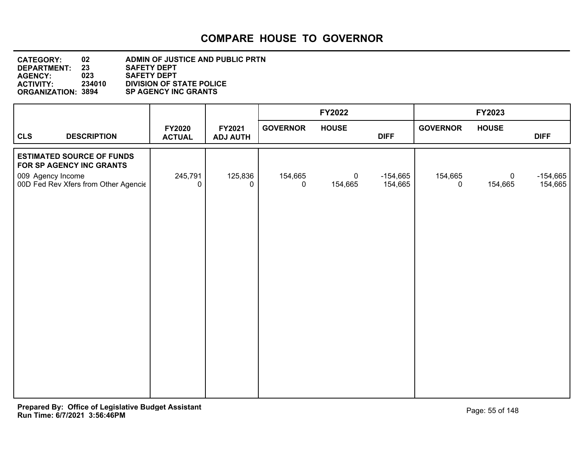| <b>CATEGORY:</b>          | 02     | ADMIN OF JUSTICE AND PUBLIC PRTN |
|---------------------------|--------|----------------------------------|
| DEPARTMENT:               | 23     | <b>SAFETY DEPT</b>               |
| <b>AGENCY:</b>            | 023    | <b>SAFETY DEPT</b>               |
| <b>ACTIVITY:</b>          | 234010 | <b>DIVISION OF STATE POLICE</b>  |
| <b>ORGANIZATION: 3894</b> |        | <b>SP AGENCY INC GRANTS</b>      |

|            |                                                                                                                           |                                |                           |                        | FY2022                    |                       |                        | FY2023                 |                       |
|------------|---------------------------------------------------------------------------------------------------------------------------|--------------------------------|---------------------------|------------------------|---------------------------|-----------------------|------------------------|------------------------|-----------------------|
| <b>CLS</b> | <b>DESCRIPTION</b>                                                                                                        | <b>FY2020</b><br><b>ACTUAL</b> | FY2021<br><b>ADJ AUTH</b> | <b>GOVERNOR</b>        | <b>HOUSE</b>              | <b>DIFF</b>           | <b>GOVERNOR</b>        | <b>HOUSE</b>           | <b>DIFF</b>           |
|            | <b>ESTIMATED SOURCE OF FUNDS</b><br>FOR SP AGENCY INC GRANTS<br>009 Agency Income<br>00D Fed Rev Xfers from Other Agencie | 245,791<br>0                   | 125,836<br>0              | 154,665<br>$\mathbf 0$ | $\overline{0}$<br>154,665 | $-154,665$<br>154,665 | 154,665<br>$\mathbf 0$ | $\mathbf 0$<br>154,665 | $-154,665$<br>154,665 |
|            |                                                                                                                           |                                |                           |                        |                           |                       |                        |                        |                       |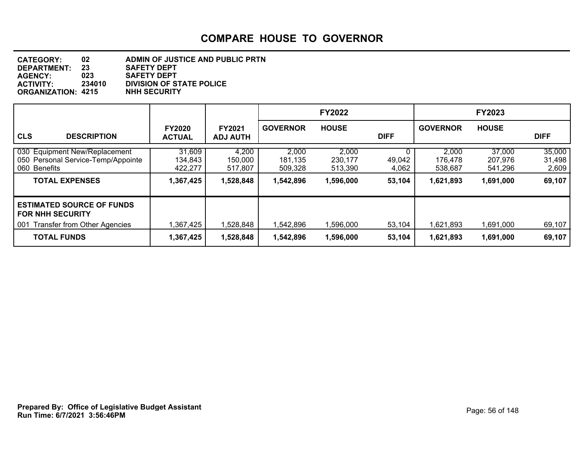| <b>CATEGORY:</b>          | 02     | ADMIN OF JUSTICE AND PUBLIC PRTN |
|---------------------------|--------|----------------------------------|
| DEPARTMENT:               | 23     | <b>SAFETY DEPT</b>               |
| <b>AGENCY:</b>            | 023    | <b>SAFETY DEPT</b>               |
| <b>ACTIVITY:</b>          | 234010 | <b>DIVISION OF STATE POLICE</b>  |
| <b>ORGANIZATION: 4215</b> |        | <b>NHH SECURITY</b>              |

|                                                                                                                       |                                           |                                          |                                          | <b>FY2022</b>                            |                                |                                          | <b>FY2023</b>                             |                                     |
|-----------------------------------------------------------------------------------------------------------------------|-------------------------------------------|------------------------------------------|------------------------------------------|------------------------------------------|--------------------------------|------------------------------------------|-------------------------------------------|-------------------------------------|
| <b>CLS</b><br><b>DESCRIPTION</b>                                                                                      | <b>FY2020</b><br><b>ACTUAL</b>            | <b>FY2021</b><br><b>ADJ AUTH</b>         | <b>GOVERNOR</b>                          | <b>HOUSE</b>                             | <b>DIFF</b>                    | <b>GOVERNOR</b>                          | <b>HOUSE</b>                              | <b>DIFF</b>                         |
| 030 Equipment New/Replacement<br>050 Personal Service-Temp/Appointe<br>060 Benefits<br><b>TOTAL EXPENSES</b>          | 31,609<br>134,843<br>422,277<br>1,367,425 | 4,200<br>150,000<br>517,807<br>1,528,848 | 2,000<br>181,135<br>509,328<br>1,542,896 | 2,000<br>230,177<br>513,390<br>1,596,000 | 0<br>49,042<br>4,062<br>53,104 | 2,000<br>176,478<br>538,687<br>1,621,893 | 37,000<br>207,976<br>541,296<br>1,691,000 | 35,000<br>31,498<br>2,609<br>69,107 |
| <b>ESTIMATED SOURCE OF FUNDS</b><br><b>FOR NHH SECURITY</b><br>001 Transfer from Other Agencies<br><b>TOTAL FUNDS</b> | 1,367,425<br>1,367,425                    | 1,528,848<br>1,528,848                   | 1,542,896<br>1,542,896                   | 1,596,000<br>1,596,000                   | 53,104<br>53,104               | 1,621,893<br>1,621,893                   | 1,691,000<br>1,691,000                    | 69,107<br>69,107                    |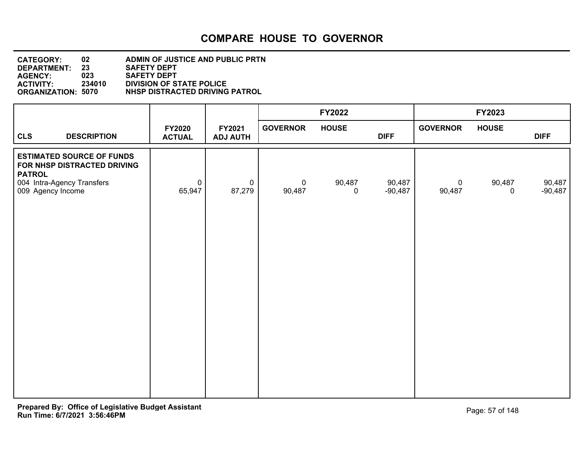| <b>CATEGORY:</b>          | 02     | ADMIN OF JUSTICE AND PUBLIC PRTN |
|---------------------------|--------|----------------------------------|
| DEPARTMENT:               | 23     | <b>SAFETY DEPT</b>               |
| <b>AGENCY:</b>            | 023    | <b>SAFETY DEPT</b>               |
| <b>ACTIVITY:</b>          | 234010 | <b>DIVISION OF STATE POLICE</b>  |
| <b>ORGANIZATION: 5070</b> |        | NHSP DISTRACTED DRIVING PATROL   |

|                                                                                                                                     |                       |                           |                       | FY2022                |                     |                          | FY2023                |                     |
|-------------------------------------------------------------------------------------------------------------------------------------|-----------------------|---------------------------|-----------------------|-----------------------|---------------------|--------------------------|-----------------------|---------------------|
| FY2020<br><b>CLS</b><br><b>DESCRIPTION</b><br><b>ACTUAL</b>                                                                         |                       | FY2021<br><b>ADJ AUTH</b> | <b>GOVERNOR</b>       | <b>HOUSE</b>          | <b>DIFF</b>         | <b>GOVERNOR</b>          | <b>HOUSE</b>          | <b>DIFF</b>         |
| <b>ESTIMATED SOURCE OF FUNDS</b><br>FOR NHSP DISTRACTED DRIVING<br><b>PATROL</b><br>004 Intra-Agency Transfers<br>009 Agency Income | $\mathbf 0$<br>65,947 | $\mathbf 0$<br>87,279     | $\mathsf 0$<br>90,487 | 90,487<br>$\mathbf 0$ | 90,487<br>$-90,487$ | $\overline{0}$<br>90,487 | 90,487<br>$\mathbf 0$ | 90,487<br>$-90,487$ |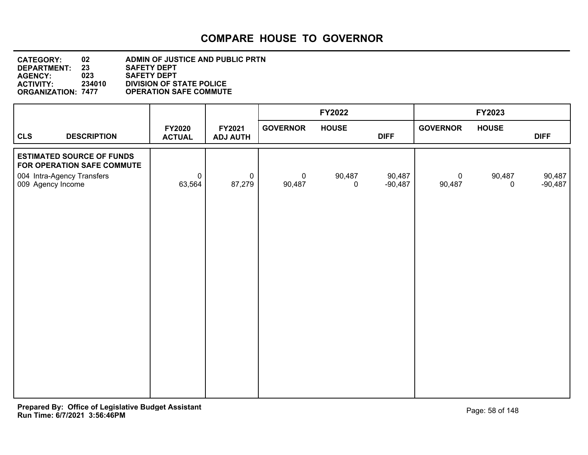#### **DEPARTMENT: 23 SAFETY DEPT CATEGORY: 02 ADMIN OF JUSTICE AND PUBLIC PRTN AGENCY: 023 SAFETY DEPT ACTIVITY: 234010 DIVISION OF STATE POLICE ORGANIZATION: 7477 OPERATION SAFE COMMUTE**

|                   |                                                                |                                |                           |                       | FY2022                |                     |                       | FY2023                |                     |
|-------------------|----------------------------------------------------------------|--------------------------------|---------------------------|-----------------------|-----------------------|---------------------|-----------------------|-----------------------|---------------------|
| <b>CLS</b>        | <b>DESCRIPTION</b>                                             | <b>FY2020</b><br><b>ACTUAL</b> | FY2021<br><b>ADJ AUTH</b> | <b>GOVERNOR</b>       | <b>HOUSE</b>          | <b>DIFF</b>         | <b>GOVERNOR</b>       | <b>HOUSE</b>          | <b>DIFF</b>         |
|                   | <b>ESTIMATED SOURCE OF FUNDS</b><br>FOR OPERATION SAFE COMMUTE |                                |                           |                       |                       |                     |                       |                       |                     |
| 009 Agency Income | 004 Intra-Agency Transfers                                     | $\pmb{0}$<br>63,564            | $\pmb{0}$<br>87,279       | $\mathbf 0$<br>90,487 | 90,487<br>$\mathbf 0$ | 90,487<br>$-90,487$ | $\mathbf 0$<br>90,487 | 90,487<br>$\mathbf 0$ | 90,487<br>$-90,487$ |
|                   |                                                                |                                |                           |                       |                       |                     |                       |                       |                     |
|                   |                                                                |                                |                           |                       |                       |                     |                       |                       |                     |
|                   |                                                                |                                |                           |                       |                       |                     |                       |                       |                     |
|                   |                                                                |                                |                           |                       |                       |                     |                       |                       |                     |
|                   |                                                                |                                |                           |                       |                       |                     |                       |                       |                     |
|                   |                                                                |                                |                           |                       |                       |                     |                       |                       |                     |
|                   |                                                                |                                |                           |                       |                       |                     |                       |                       |                     |
|                   |                                                                |                                |                           |                       |                       |                     |                       |                       |                     |
|                   |                                                                |                                |                           |                       |                       |                     |                       |                       |                     |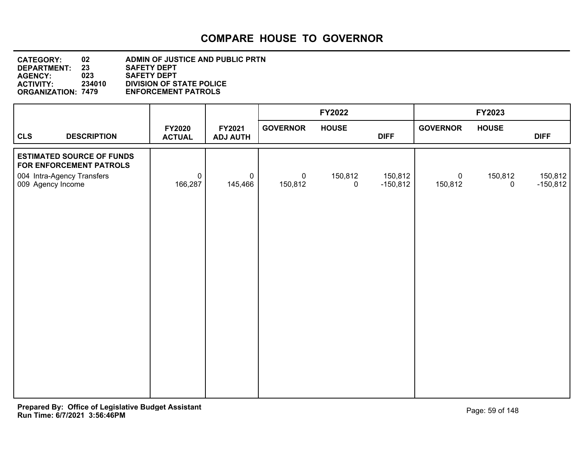| <b>CATEGORY:</b>          | 02     | <b>ADMIN OF JUSTICE AND PUBLIC PRTN</b> |
|---------------------------|--------|-----------------------------------------|
| DEPARTMENT:               | 23     | <b>SAFETY DEPT</b>                      |
| <b>AGENCY:</b>            | 023    | <b>SAFETY DEPT</b>                      |
| <b>ACTIVITY:</b>          | 234010 | <b>DIVISION OF STATE POLICE</b>         |
| <b>ORGANIZATION: 7479</b> |        | <b>ENFORCEMENT PATROLS</b>              |

|                                                             |                                |                                       |                           | <b>FY2022</b>          |                       |                           | FY2023                 |                       |
|-------------------------------------------------------------|--------------------------------|---------------------------------------|---------------------------|------------------------|-----------------------|---------------------------|------------------------|-----------------------|
| <b>CLS</b><br><b>DESCRIPTION</b>                            | <b>FY2020</b><br><b>ACTUAL</b> | FY2021<br><b>ADJ AUTH</b>             | <b>GOVERNOR</b>           | <b>HOUSE</b>           | <b>DIFF</b>           | <b>GOVERNOR</b>           | <b>HOUSE</b>           | <b>DIFF</b>           |
| <b>ESTIMATED SOURCE OF FUNDS</b><br>FOR ENFORCEMENT PATROLS |                                |                                       |                           |                        |                       |                           |                        |                       |
| 004 Intra-Agency Transfers<br>009 Agency Income             | 166,287                        | $\mathbf 0$<br>$\mathbf 0$<br>145,466 | $\overline{0}$<br>150,812 | 150,812<br>$\mathbf 0$ | 150,812<br>$-150,812$ | $\overline{0}$<br>150,812 | 150,812<br>$\mathbf 0$ | 150,812<br>$-150,812$ |
|                                                             |                                |                                       |                           |                        |                       |                           |                        |                       |
|                                                             |                                |                                       |                           |                        |                       |                           |                        |                       |
|                                                             |                                |                                       |                           |                        |                       |                           |                        |                       |
|                                                             |                                |                                       |                           |                        |                       |                           |                        |                       |
|                                                             |                                |                                       |                           |                        |                       |                           |                        |                       |
|                                                             |                                |                                       |                           |                        |                       |                           |                        |                       |
|                                                             |                                |                                       |                           |                        |                       |                           |                        |                       |
|                                                             |                                |                                       |                           |                        |                       |                           |                        |                       |
|                                                             |                                |                                       |                           |                        |                       |                           |                        |                       |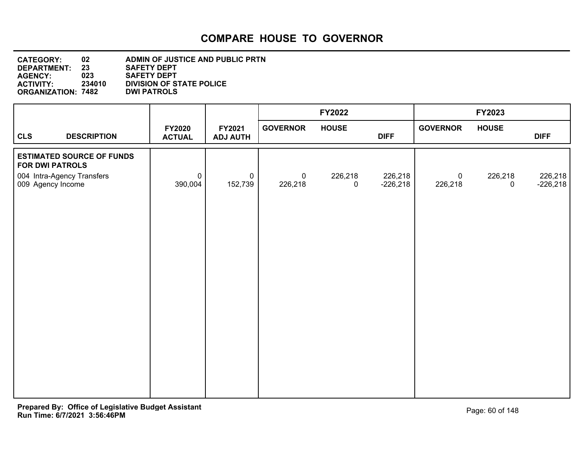| <b>CATEGORY:</b>          | 02     | ADMIN OF JUSTICE AND PUBLIC PRTN |
|---------------------------|--------|----------------------------------|
| DEPARTMENT:               | 23     | <b>SAFETY DEPT</b>               |
| <b>AGENCY:</b>            | 023    | <b>SAFETY DEPT</b>               |
| <b>ACTIVITY:</b>          | 234010 | <b>DIVISION OF STATE POLICE</b>  |
| <b>ORGANIZATION: 7482</b> |        | <b>DWI PATROLS</b>               |
|                           |        |                                  |

|                                                            |                                |                           |                 | FY2022                 |                       |                           | FY2023       |                       |
|------------------------------------------------------------|--------------------------------|---------------------------|-----------------|------------------------|-----------------------|---------------------------|--------------|-----------------------|
| <b>CLS</b><br><b>DESCRIPTION</b>                           | <b>FY2020</b><br><b>ACTUAL</b> | FY2021<br><b>ADJ AUTH</b> | <b>GOVERNOR</b> | <b>HOUSE</b>           | <b>DIFF</b>           | <b>GOVERNOR</b>           | <b>HOUSE</b> | <b>DIFF</b>           |
| <b>ESTIMATED SOURCE OF FUNDS</b><br><b>FOR DWI PATROLS</b> | $\mathbf 0$                    | $\mathbf 0$               | $\mathbf 0$     |                        |                       |                           |              |                       |
| 004 Intra-Agency Transfers<br>009 Agency Income            | 390,004                        | 152,739                   | 226,218         | 226,218<br>$\mathbf 0$ | 226,218<br>$-226,218$ | $\overline{0}$<br>226,218 | 226,218<br>0 | 226,218<br>$-226,218$ |
|                                                            |                                |                           |                 |                        |                       |                           |              |                       |
|                                                            |                                |                           |                 |                        |                       |                           |              |                       |
|                                                            |                                |                           |                 |                        |                       |                           |              |                       |
|                                                            |                                |                           |                 |                        |                       |                           |              |                       |
|                                                            |                                |                           |                 |                        |                       |                           |              |                       |
|                                                            |                                |                           |                 |                        |                       |                           |              |                       |
|                                                            |                                |                           |                 |                        |                       |                           |              |                       |
|                                                            |                                |                           |                 |                        |                       |                           |              |                       |
|                                                            |                                |                           |                 |                        |                       |                           |              |                       |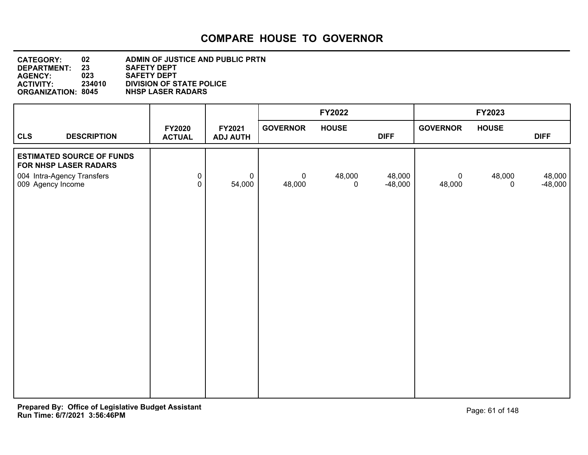| <b>CATEGORY:</b>          | 02     | ADMIN OF JUSTICE AND PUBLIC PRTN |
|---------------------------|--------|----------------------------------|
| DEPARTMENT:               | 23     | <b>SAFETY DEPT</b>               |
| <b>AGENCY:</b>            | 023    | <b>SAFETY DEPT</b>               |
| <b>ACTIVITY:</b>          | 234010 | <b>DIVISION OF STATE POLICE</b>  |
| <b>ORGANIZATION: 8045</b> |        | <b>NHSP LASER RADARS</b>         |

|                                                                                                              |                                |                           |                       | <b>FY2022</b>          |                     |                       | FY2023                |                     |
|--------------------------------------------------------------------------------------------------------------|--------------------------------|---------------------------|-----------------------|------------------------|---------------------|-----------------------|-----------------------|---------------------|
| <b>CLS</b><br><b>DESCRIPTION</b>                                                                             | <b>FY2020</b><br><b>ACTUAL</b> | FY2021<br><b>ADJ AUTH</b> | <b>GOVERNOR</b>       | <b>HOUSE</b>           | <b>DIFF</b>         | <b>GOVERNOR</b>       | <b>HOUSE</b>          | <b>DIFF</b>         |
| <b>ESTIMATED SOURCE OF FUNDS</b><br>FOR NHSP LASER RADARS<br>004 Intra-Agency Transfers<br>009 Agency Income | $\pmb{0}$<br>$\overline{0}$    | $\mathbf 0$<br>54,000     | $\mathbf 0$<br>48,000 | 48,000<br>$\mathsf{O}$ | 48,000<br>$-48,000$ | $\mathbf 0$<br>48,000 | 48,000<br>$\mathbf 0$ | 48,000<br>$-48,000$ |
|                                                                                                              |                                |                           |                       |                        |                     |                       |                       |                     |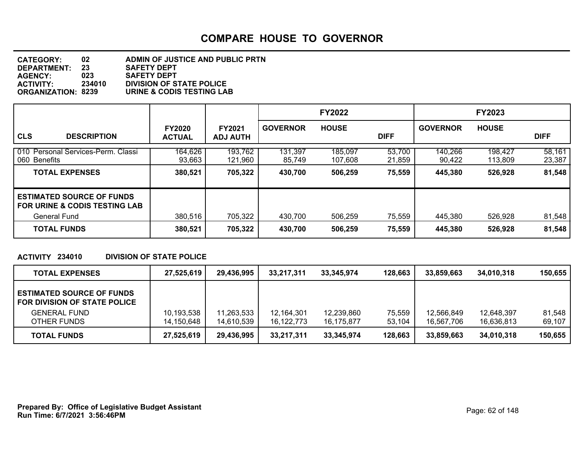| <b>CATEGORY:</b>          | 02     | ADMIN OF JUSTICE AND PUBLIC PRTN |
|---------------------------|--------|----------------------------------|
| DEPARTMENT:               | 23     | <b>SAFETY DEPT</b>               |
| <b>AGENCY:</b>            | 023    | <b>SAFETY DEPT</b>               |
| <b>ACTIVITY:</b>          | 234010 | <b>DIVISION OF STATE POLICE</b>  |
| <b>ORGANIZATION: 8239</b> |        | URINE & CODIS TESTING LAB        |

|                                                                              |                                |                                  |                   | <b>FY2022</b>      |                  |                   | <b>FY2023</b>      |                  |
|------------------------------------------------------------------------------|--------------------------------|----------------------------------|-------------------|--------------------|------------------|-------------------|--------------------|------------------|
| <b>CLS</b><br><b>DESCRIPTION</b>                                             | <b>FY2020</b><br><b>ACTUAL</b> | <b>FY2021</b><br><b>ADJ AUTH</b> | <b>GOVERNOR</b>   | <b>HOUSE</b>       | <b>DIFF</b>      | <b>GOVERNOR</b>   | <b>HOUSE</b>       | <b>DIFF</b>      |
| 010 Personal Services-Perm. Classi<br>060 Benefits                           | 164,626<br>93,663              | 193,762<br>121,960               | 131,397<br>85,749 | 185,097<br>107,608 | 53,700<br>21,859 | 140,266<br>90,422 | 198,427<br>113,809 | 58,161<br>23,387 |
| <b>TOTAL EXPENSES</b>                                                        | 380,521                        | 705,322                          | 430,700           | 506,259            | 75,559           | 445,380           | 526,928            | 81,548           |
| <b>ESTIMATED SOURCE OF FUNDS</b><br><b>FOR URINE &amp; CODIS TESTING LAB</b> |                                |                                  |                   |                    |                  |                   |                    |                  |
| General Fund                                                                 | 380,516                        | 705,322                          | 430,700           | 506,259            | 75,559           | 445,380           | 526,928            | 81,548           |
| <b>TOTAL FUNDS</b>                                                           | 380,521                        | 705,322                          | 430,700           | 506,259            | 75,559           | 445,380           | 526,928            | 81,548           |

#### **ACTIVITY 234010 DIVISION OF STATE POLICE**

| <b>TOTAL EXPENSES</b>                                            | 27,525,619 | 29,436,995 | 33,217,311   | 33.345.974 | 128,663 | 33.859.663 | 34,010,318 | 150.655 |
|------------------------------------------------------------------|------------|------------|--------------|------------|---------|------------|------------|---------|
| <b>ESTIMATED SOURCE OF FUNDS</b><br>FOR DIVISION OF STATE POLICE |            |            |              |            |         |            |            |         |
| <b>GENERAL FUND</b>                                              | 10,193,538 | 11,263,533 | 12,164,301   | 12,239,860 | 75,559  | 12,566,849 | 12,648,397 | 81,548  |
| OTHER FUNDS                                                      | 14,150,648 | 14,610,539 | 16, 122, 773 | 16,175,877 | 53,104  | 16,567,706 | 16,636,813 | 69,107  |
| <b>TOTAL FUNDS</b>                                               | 27,525,619 | 29,436,995 | 33,217,311   | 33,345,974 | 128,663 | 33,859,663 | 34,010,318 | 150,655 |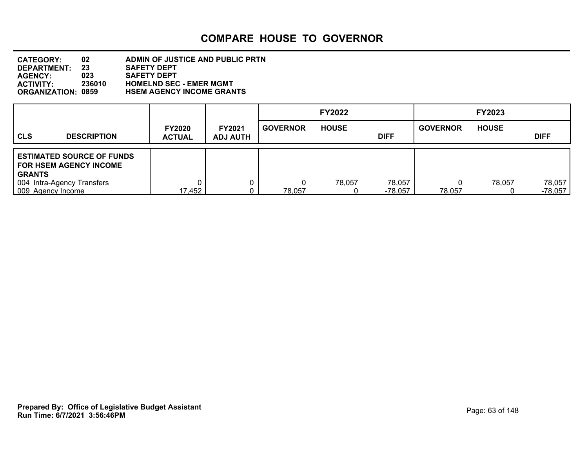| <b>CATEGORY:</b>          | 02     | ADMIN OF JUSTICE AND PUBLIC PRTN |
|---------------------------|--------|----------------------------------|
| <b>DEPARTMENT:</b>        | 23     | <b>SAFETY DEPT</b>               |
| <b>AGENCY:</b>            | 023    | <b>SAFETY DEPT</b>               |
| <b>ACTIVITY:</b>          | 236010 | <b>HOMELND SEC - EMER MGMT</b>   |
| <b>ORGANIZATION: 0859</b> |        | <b>HSEM AGENCY INCOME GRANTS</b> |

|                   |                                                                   |                                |                                  |                 | <b>FY2022</b> |                   |                 | <b>FY2023</b> |                     |
|-------------------|-------------------------------------------------------------------|--------------------------------|----------------------------------|-----------------|---------------|-------------------|-----------------|---------------|---------------------|
| <b>CLS</b>        | <b>DESCRIPTION</b>                                                | <b>FY2020</b><br><b>ACTUAL</b> | <b>FY2021</b><br><b>ADJ AUTH</b> | <b>GOVERNOR</b> | <b>HOUSE</b>  | <b>DIFF</b>       | <b>GOVERNOR</b> | <b>HOUSE</b>  | <b>DIFF</b>         |
| <b>GRANTS</b>     | <b>ESTIMATED SOURCE OF FUNDS</b><br><b>FOR HSEM AGENCY INCOME</b> |                                |                                  |                 |               |                   |                 |               |                     |
| 009 Agency Income | 004 Intra-Agency Transfers                                        | 17,452                         |                                  | 78,057          | 78,057        | 78,057<br>-78.057 | 78,057          | 78,057        | 78,057<br>$-78,057$ |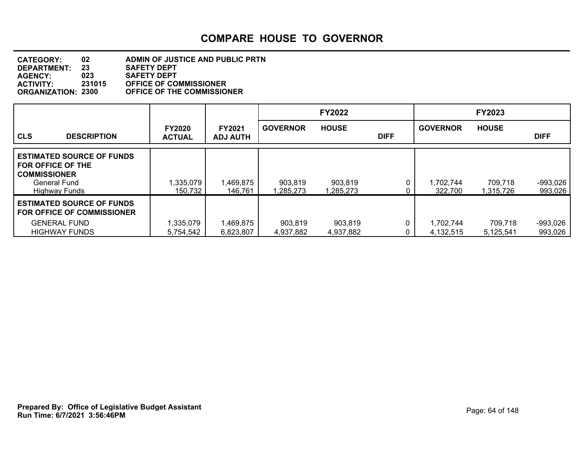#### **DEPARTMENT: 23 SAFETY DEPT CATEGORY: 02 ADMIN OF JUSTICE AND PUBLIC PRTN AGENCY: 023 SAFETY DEPT ACTIVITY: 231015 OFFICE OF COMMISSIONER ORGANIZATION: 2300 OFFICE OF THE COMMISSIONER**

|                                                                                                                             |                                |                                  |                      | <b>FY2022</b>        |             |                        | <b>FY2023</b>        |                       |
|-----------------------------------------------------------------------------------------------------------------------------|--------------------------------|----------------------------------|----------------------|----------------------|-------------|------------------------|----------------------|-----------------------|
| <b>CLS</b><br><b>DESCRIPTION</b>                                                                                            | <b>FY2020</b><br><b>ACTUAL</b> | <b>FY2021</b><br><b>ADJ AUTH</b> | <b>GOVERNOR</b>      | <b>HOUSE</b>         | <b>DIFF</b> | <b>GOVERNOR</b>        | <b>HOUSE</b>         | <b>DIFF</b>           |
| <b>ESTIMATED SOURCE OF FUNDS</b><br><b>FOR OFFICE OF THE</b><br><b>COMMISSIONER</b><br>General Fund<br><b>Highway Funds</b> | 1,335,079<br>150,732           | 1,469,875<br>146,761             | 903,819<br>.285.273  | 903,819<br>.285.273  | 0           | 1.702.744<br>322,700   | 709,718<br>1.315.726 | $-993.026$<br>993,026 |
| <b>ESTIMATED SOURCE OF FUNDS</b><br><b>FOR OFFICE OF COMMISSIONER</b><br><b>GENERAL FUND</b><br><b>HIGHWAY FUNDS</b>        | 1,335,079<br>5,754,542         | 1,469,875<br>6,823,807           | 903,819<br>4.937.882 | 903,819<br>4,937,882 |             | 1.702.744<br>4.132.515 | 709,718<br>5,125,541 | $-993,026$<br>993,026 |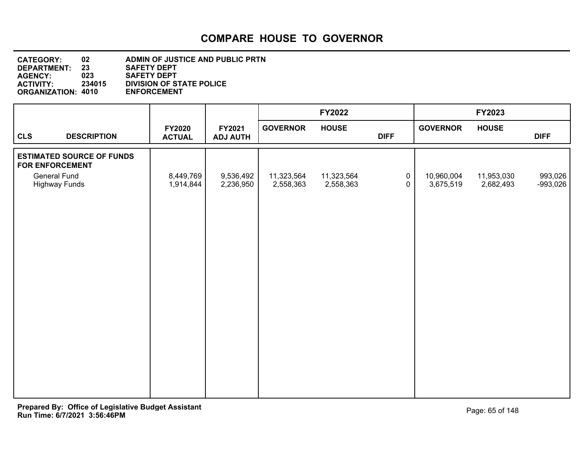| <b>CATEGORY:</b>          | 02     | ADMIN OF JUSTICE AND PUBLIC PRTN |
|---------------------------|--------|----------------------------------|
| <b>DEPARTMENT:</b>        | 23     | <b>SAFETY DEPT</b>               |
| <b>AGENCY:</b>            | 023    | <b>SAFETY DEPT</b>               |
| <b>ACTIVITY:</b>          | 234015 | <b>DIVISION OF STATE POLICE</b>  |
| <b>ORGANIZATION: 4010</b> |        | <b>ENFORCEMENT</b>               |
|                           |        |                                  |

|                        |                                             |                                |                           |                         | <b>FY2022</b>           |                            |                         | FY2023                  |                       |
|------------------------|---------------------------------------------|--------------------------------|---------------------------|-------------------------|-------------------------|----------------------------|-------------------------|-------------------------|-----------------------|
| <b>CLS</b>             | <b>DESCRIPTION</b>                          | <b>FY2020</b><br><b>ACTUAL</b> | FY2021<br><b>ADJ AUTH</b> | <b>GOVERNOR</b>         | <b>HOUSE</b>            | <b>DIFF</b>                | <b>GOVERNOR</b>         | <b>HOUSE</b>            | <b>DIFF</b>           |
| <b>FOR ENFORCEMENT</b> | <b>ESTIMATED SOURCE OF FUNDS</b>            |                                |                           |                         |                         |                            |                         |                         |                       |
|                        | <b>General Fund</b><br><b>Highway Funds</b> | 8,449,769<br>1,914,844         | 9,536,492<br>2,236,950    | 11,323,564<br>2,558,363 | 11,323,564<br>2,558,363 | $\mathbf 0$<br>$\mathbf 0$ | 10,960,004<br>3,675,519 | 11,953,030<br>2,682,493 | 993,026<br>$-993,026$ |
|                        |                                             |                                |                           |                         |                         |                            |                         |                         |                       |
|                        |                                             |                                |                           |                         |                         |                            |                         |                         |                       |
|                        |                                             |                                |                           |                         |                         |                            |                         |                         |                       |
|                        |                                             |                                |                           |                         |                         |                            |                         |                         |                       |
|                        |                                             |                                |                           |                         |                         |                            |                         |                         |                       |
|                        |                                             |                                |                           |                         |                         |                            |                         |                         |                       |
|                        |                                             |                                |                           |                         |                         |                            |                         |                         |                       |
|                        |                                             |                                |                           |                         |                         |                            |                         |                         |                       |
|                        |                                             |                                |                           |                         |                         |                            |                         |                         |                       |
|                        |                                             |                                |                           |                         |                         |                            |                         |                         |                       |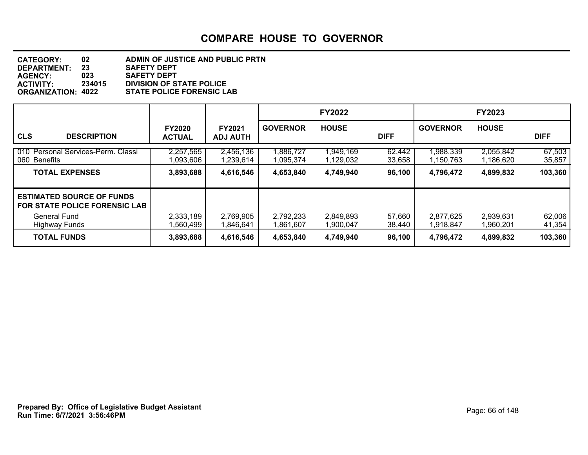| <b>CATEGORY:</b>          | 02     | ADMIN OF JUSTICE AND PUBLIC PRTN |
|---------------------------|--------|----------------------------------|
| <b>DEPARTMENT:</b>        | 23     | <b>SAFETY DEPT</b>               |
| <b>AGENCY:</b>            | 023    | <b>SAFETY DEPT</b>               |
| <b>ACTIVITY:</b>          | 234015 | <b>DIVISION OF STATE POLICE</b>  |
| <b>ORGANIZATION: 4022</b> |        | <b>STATE POLICE FORENSIC LAB</b> |

|                                                                                          |                                |                                  |                        | <b>FY2022</b>          |                  |                        | <b>FY2023</b>          |                   |
|------------------------------------------------------------------------------------------|--------------------------------|----------------------------------|------------------------|------------------------|------------------|------------------------|------------------------|-------------------|
| <b>CLS</b><br><b>DESCRIPTION</b>                                                         | <b>FY2020</b><br><b>ACTUAL</b> | <b>FY2021</b><br><b>ADJ AUTH</b> | <b>GOVERNOR</b>        | <b>HOUSE</b>           | <b>DIFF</b>      | <b>GOVERNOR</b>        | <b>HOUSE</b>           | <b>DIFF</b>       |
| 010 Personal Services-Perm. Classi<br>060 Benefits                                       | 2,257,565<br>1,093,606         | 2,456,136<br>1,239,614           | 1,886,727<br>1,095,374 | 1,949,169<br>1,129,032 | 62,442<br>33,658 | 1,988,339<br>1,150,763 | 2,055,842<br>1,186,620 | 67,503<br>35,857  |
| <b>TOTAL EXPENSES</b>                                                                    | 3,893,688                      | 4,616,546                        | 4,653,840              | 4,749,940              | 96,100           | 4,796,472              | 4,899,832              | 103,360           |
| <b>ESTIMATED SOURCE OF FUNDS</b><br><b>FOR STATE POLICE FORENSIC LAB</b><br>General Fund | 2,333,189                      | 2,769,905                        | 2,792,233              | 2,849,893              | 57,660           | 2,877,625              | 2,939,631              | 62,006            |
| Highway Funds<br><b>TOTAL FUNDS</b>                                                      | 1,560,499<br>3,893,688         | 1,846,641<br>4,616,546           | 1,861,607<br>4,653,840 | 1.900.047<br>4,749,940 | 38,440<br>96,100 | 1,918,847<br>4,796,472 | 1,960,201<br>4,899,832 | 41,354<br>103,360 |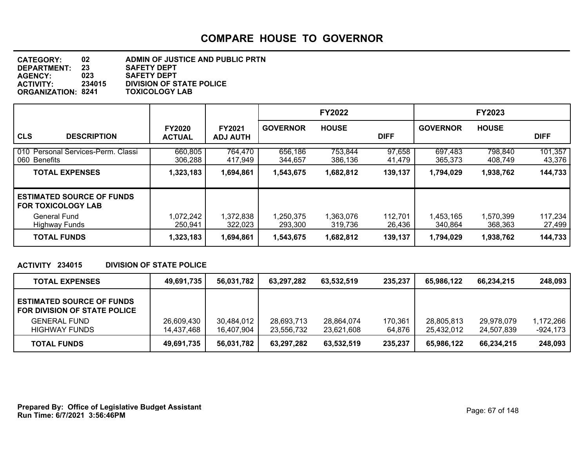| <b>CATEGORY:</b>          | 02     | ADMIN OF JUSTICE AND PUBLIC PRTN |
|---------------------------|--------|----------------------------------|
| DEPARTMENT:               | 23     | <b>SAFETY DEPT</b>               |
| <b>AGENCY:</b>            | 023    | <b>SAFETY DEPT</b>               |
| <b>ACTIVITY</b>           | 234015 | <b>DIVISION OF STATE POLICE</b>  |
| <b>ORGANIZATION: 8241</b> |        | <b>TOXICOLOGY LAB</b>            |

|                                                                               |                                |                                  |                    | <b>FY2022</b>      |                  |                    | <b>FY2023</b>      |                   |
|-------------------------------------------------------------------------------|--------------------------------|----------------------------------|--------------------|--------------------|------------------|--------------------|--------------------|-------------------|
| <b>CLS</b><br><b>DESCRIPTION</b>                                              | <b>FY2020</b><br><b>ACTUAL</b> | <b>FY2021</b><br><b>ADJ AUTH</b> | <b>GOVERNOR</b>    | <b>HOUSE</b>       | <b>DIFF</b>      | <b>GOVERNOR</b>    | <b>HOUSE</b>       | <b>DIFF</b>       |
| 010 Personal Services-Perm. Classi<br>060 Benefits                            | 660,805<br>306,288             | 764,470<br>417,949               | 656,186<br>344,657 | 753,844<br>386,136 | 97,658<br>41,479 | 697,483<br>365,373 | 798.840<br>408,749 | 101,357<br>43,376 |
| <b>TOTAL EXPENSES</b>                                                         | 1,323,183                      | 1,694,861                        | 1,543,675          | 1,682,812          | 139,137          | 1,794,029          | 1,938,762          | 144,733           |
| <b>ESTIMATED SOURCE OF FUNDS</b><br><b>FOR TOXICOLOGY LAB</b><br>General Fund | 1,072,242                      | 1,372,838                        | 1,250,375          | 1,363,076          | 112,701          | 1,453,165          | 1,570,399          | 117,234           |
| <b>Highway Funds</b>                                                          | 250,941                        | 322,023                          | 293,300            | 319.736            | 26,436           | 340,864            | 368,363            | 27,499            |
| <b>TOTAL FUNDS</b>                                                            | 1,323,183                      | 1,694,861                        | 1,543,675          | 1,682,812          | 139,137          | 1,794,029          | 1,938,762          | 144,733           |

#### **ACTIVITY 234015 DIVISION OF STATE POLICE**

| <b>TOTAL EXPENSES</b>                                            | 49,691,735 | 56,031,782 | 63,297,282 | 63.532.519 | 235,237 | 65.986.122 | 66,234,215 | 248.093   |
|------------------------------------------------------------------|------------|------------|------------|------------|---------|------------|------------|-----------|
| <b>ESTIMATED SOURCE OF FUNDS</b><br>FOR DIVISION OF STATE POLICE |            |            |            |            |         |            |            |           |
| <b>GENERAL FUND</b>                                              | 26,609,430 | 30.484.012 | 28,693,713 | 28.864.074 | 170,361 | 28,805,813 | 29,978,079 | 1,172,266 |
| <b>HIGHWAY FUNDS</b>                                             | 14.437.468 | 16,407,904 | 23.556.732 | 23.621.608 | 64,876  | 25.432.012 | 24.507.839 | -924,173  |
| <b>TOTAL FUNDS</b>                                               | 49,691,735 | 56,031,782 | 63,297,282 | 63,532,519 | 235,237 | 65.986.122 | 66,234,215 | 248.093   |

**Run Time: 6/7/2021 3:56:46PM Prepared By: Office of Legislative Budget Assistant** Page: 67 of 148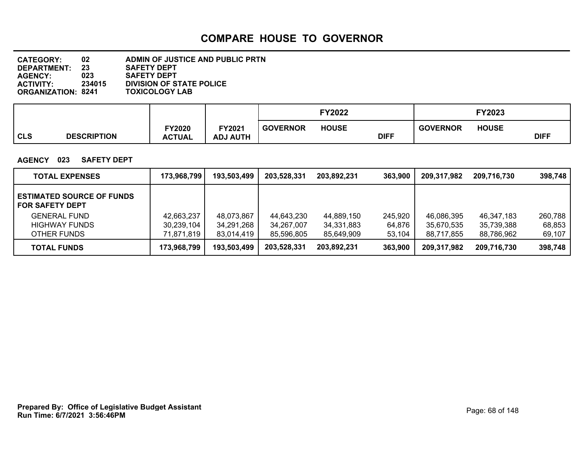| <b>CATEGORY:</b>          | 02     | ADMIN OF JUSTICE AND PUBLIC PRTN |
|---------------------------|--------|----------------------------------|
| <b>DEPARTMENT:</b>        | 23     | <b>SAFETY DEPT</b>               |
| <b>AGENCY:</b>            | 023    | <b>SAFETY DEPT</b>               |
| <b>ACTIVITY:</b>          | 234015 | <b>DIVISION OF STATE POLICE</b>  |
| <b>ORGANIZATION: 8241</b> |        | <b>TOXICOLOGY LAB</b>            |

|     |                    |                                |                                       |                 | <b>FY2022</b> |             |                 | <b>FY2023</b> |             |
|-----|--------------------|--------------------------------|---------------------------------------|-----------------|---------------|-------------|-----------------|---------------|-------------|
| CLS | <b>DESCRIPTION</b> | <b>FY2020</b><br><b>ACTUAL</b> | FY2021<br><b>J AUTH</b><br><b>ADJ</b> | <b>GOVERNOR</b> | <b>HOUSE</b>  | <b>DIFF</b> | <b>GOVERNOR</b> | <b>HOUSE</b>  | <b>DIFF</b> |

#### **AGENCY 023 SAFETY DEPT**

| <b>TOTAL EXPENSES</b>                                      | 173,968,799 | 193,503,499 | 203,528,331 | 203,892,231 | 363,900 | 209,317,982 | 209,716,730 | 398,748 |
|------------------------------------------------------------|-------------|-------------|-------------|-------------|---------|-------------|-------------|---------|
| <b>ESTIMATED SOURCE OF FUNDS</b><br><b>FOR SAFETY DEPT</b> |             |             |             |             |         |             |             |         |
| <b>GENERAL FUND</b>                                        | 42,663,237  | 48,073,867  | 44,643,230  | 44,889,150  | 245,920 | 46,086,395  | 46,347,183  | 260,788 |
| <b>HIGHWAY FUNDS</b>                                       | 30,239,104  | 34,291,268  | 34,267,007  | 34,331,883  | 64.876  | 35,670,535  | 35,739,388  | 68,853  |
| OTHER FUNDS                                                | 71,871,819  | 83,014,419  | 85,596,805  | 85,649,909  | 53,104  | 88.717.855  | 88.786.962  | 69,107  |
| <b>TOTAL FUNDS</b>                                         | 173,968,799 | 193,503,499 | 203,528,331 | 203,892,231 | 363,900 | 209,317,982 | 209,716,730 | 398,748 |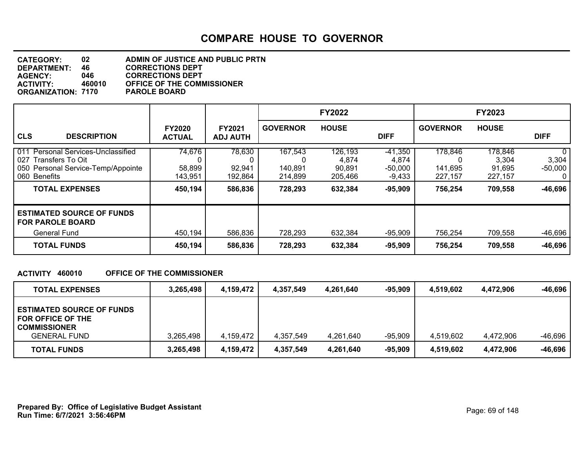| <b>CATEGORY:</b>          | 02     | ADMIN OF JUSTICE AND PUBLIC PRTN  |
|---------------------------|--------|-----------------------------------|
| DEPARTMENT:               | 46     | <b>CORRECTIONS DEPT</b>           |
| <b>AGENCY:</b>            | 046.   | <b>CORRECTIONS DEPT</b>           |
| <b>ACTIVITY:</b>          | 460010 | <b>OFFICE OF THE COMMISSIONER</b> |
| <b>ORGANIZATION: 7170</b> |        | <b>PAROLE BOARD</b>               |

|                                                                                                                                                 |                                        |                                        |                                          | <b>FY2022</b>                                    |                                                          |                                               | <b>FY2023</b>                                    |                                           |
|-------------------------------------------------------------------------------------------------------------------------------------------------|----------------------------------------|----------------------------------------|------------------------------------------|--------------------------------------------------|----------------------------------------------------------|-----------------------------------------------|--------------------------------------------------|-------------------------------------------|
| <b>CLS</b><br><b>DESCRIPTION</b>                                                                                                                | <b>FY2020</b><br><b>ACTUAL</b>         | <b>FY2021</b><br><b>ADJ AUTH</b>       | <b>GOVERNOR</b>                          | <b>HOUSE</b>                                     | <b>DIFF</b>                                              | <b>GOVERNOR</b>                               | <b>HOUSE</b>                                     | <b>DIFF</b>                               |
| 011<br>Personal Services-Unclassified<br>027<br>Transfers To Oit<br>050 Personal Service-Temp/Appointe<br>060 Benefits<br><b>TOTAL EXPENSES</b> | 74,676<br>58,899<br>143,951<br>450,194 | 78,630<br>92,941<br>192,864<br>586,836 | 167,543<br>140,891<br>214,899<br>728,293 | 126,193<br>4,874<br>90,891<br>205,466<br>632,384 | $-41,350$<br>4,874<br>$-50,000$<br>$-9,433$<br>$-95,909$ | 178,846<br>0<br>141,695<br>227,157<br>756,254 | 178,846<br>3,304<br>91,695<br>227,157<br>709,558 | 0<br>3,304<br>$-50,000$<br>0<br>$-46,696$ |
| <b>ESTIMATED SOURCE OF FUNDS</b><br><b>FOR PAROLE BOARD</b><br>General Fund                                                                     | 450,194                                | 586,836                                | 728,293                                  | 632,384                                          | $-95,909$                                                | 756,254                                       | 709,558                                          | -46,696                                   |
| <b>TOTAL FUNDS</b>                                                                                                                              | 450,194                                | 586,836                                | 728,293                                  | 632,384                                          | $-95,909$                                                | 756,254                                       | 709,558                                          | -46,696                                   |

#### **ACTIVITY 460010 OFFICE OF THE COMMISSIONER**

| <b>TOTAL EXPENSES</b>                                                                               | 3,265,498 | 4.159.472 | 4.357.549 | 4.261.640 | -95.909   | 4.519.602 | 4.472.906 | -46,696   |
|-----------------------------------------------------------------------------------------------------|-----------|-----------|-----------|-----------|-----------|-----------|-----------|-----------|
| <b>ESTIMATED SOURCE OF FUNDS</b><br>FOR OFFICE OF THE<br><b>COMMISSIONER</b><br><b>GENERAL FUND</b> | 3,265,498 | 4,159,472 | 4,357,549 | 4,261,640 | $-95,909$ | 4,519,602 | 4,472,906 | -46,696   |
| <b>TOTAL FUNDS</b>                                                                                  | 3,265,498 | 4,159,472 | 4,357,549 | 4,261,640 | -95,909   | 4,519,602 | 4,472,906 | $-46,696$ |

**Run Time: 6/7/2021 3:56:46PM Prepared By: Office of Legislative Budget Assistant** Page: 69 of 148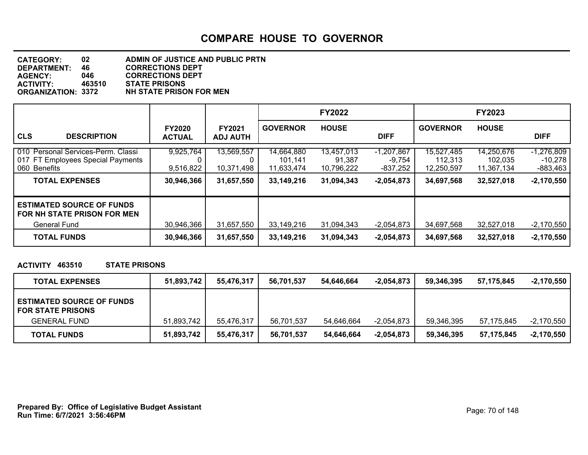| <b>CATEGORY:</b>          | 02     | <b>ADMIN OF JUSTICE AND PUBLIC PRTN</b> |
|---------------------------|--------|-----------------------------------------|
| DEPARTMENT:               | 46     | <b>CORRECTIONS DEPT</b>                 |
| <b>AGENCY:</b>            | 046    | <b>CORRECTIONS DEPT</b>                 |
| <b>ACTIVITY:</b>          | 463510 | <b>STATE PRISONS</b>                    |
| <b>ORGANIZATION: 3372</b> |        | <b>NH STATE PRISON FOR MEN</b>          |

|                                                                                                                     |                                      |                                        |                                                   | <b>FY2022</b>                                    |                                                      |                                                   | <b>FY2023</b>                                     |                                                       |
|---------------------------------------------------------------------------------------------------------------------|--------------------------------------|----------------------------------------|---------------------------------------------------|--------------------------------------------------|------------------------------------------------------|---------------------------------------------------|---------------------------------------------------|-------------------------------------------------------|
| <b>CLS</b><br><b>DESCRIPTION</b>                                                                                    | <b>FY2020</b><br><b>ACTUAL</b>       | <b>FY2021</b><br><b>ADJ AUTH</b>       | <b>GOVERNOR</b>                                   | <b>HOUSE</b>                                     | <b>DIFF</b>                                          | <b>GOVERNOR</b>                                   | <b>HOUSE</b>                                      | <b>DIFF</b>                                           |
| 010 Personal Services-Perm. Classi<br>017 FT Employees Special Payments<br>060 Benefits<br><b>TOTAL EXPENSES</b>    | 9,925,764<br>9,516,822<br>30,946,366 | 13,569,557<br>10,371,498<br>31,657,550 | 14,664,880<br>101,141<br>11,633,474<br>33,149,216 | 13,457,013<br>91,387<br>10,796,222<br>31,094,343 | $-1,207,867$<br>$-9,754$<br>-837,252<br>$-2,054,873$ | 15,527,485<br>112,313<br>12,250,597<br>34,697,568 | 14,250,676<br>102,035<br>11,367,134<br>32,527,018 | $-1,276,809$<br>$-10,278$<br>-883,463<br>$-2,170,550$ |
| <b>ESTIMATED SOURCE OF FUNDS</b><br><b>FOR NH STATE PRISON FOR MEN</b><br><b>General Fund</b><br><b>TOTAL FUNDS</b> | 30,946,366<br>30,946,366             | 31,657,550<br>31,657,550               | 33,149,216<br>33,149,216                          | 31,094,343<br>31,094,343                         | $-2,054,873$<br>$-2,054,873$                         | 34,697,568<br>34,697,568                          | 32,527,018<br>32,527,018                          | $-2,170,550$<br>$-2,170,550$                          |

**ACTIVITY 463510 STATE PRISONS**

| <b>TOTAL EXPENSES</b>                                        | 51,893,742 | 55.476.317 | 56.701.537 | 54.646.664 | $-2.054.873$ | 59.346.395 | 57.175.845 | -2,170,550   |
|--------------------------------------------------------------|------------|------------|------------|------------|--------------|------------|------------|--------------|
| <b>ESTIMATED SOURCE OF FUNDS</b><br><b>FOR STATE PRISONS</b> |            |            |            |            |              |            |            |              |
| <b>GENERAL FUND</b>                                          | 51,893,742 | 55.476.317 | 56.701.537 | 54.646.664 | $-2.054.873$ | 59.346.395 | 57.175.845 | $-2,170,550$ |
| <b>TOTAL FUNDS</b>                                           | 51,893,742 | 55,476,317 | 56,701,537 | 54,646,664 | $-2,054,873$ | 59.346.395 | 57.175.845 | $-2,170,550$ |

**Run Time: 6/7/2021 3:56:46PM Prepared By: Office of Legislative Budget Assistant** Page: 70 of 148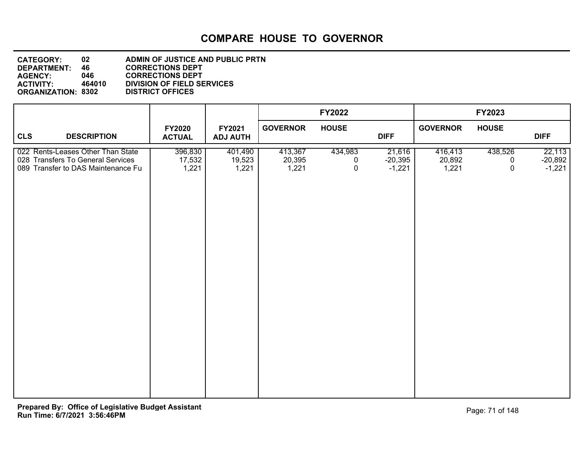| <b>CATEGORY:</b>          | 02     | ADMIN OF JUSTICE AND PUBLIC PRTN  |
|---------------------------|--------|-----------------------------------|
| <b>DEPARTMENT:</b>        | 46     | <b>CORRECTIONS DEPT</b>           |
| <b>AGENCY:</b>            | 046.   | <b>CORRECTIONS DEPT</b>           |
| <b>ACTIVITY:</b>          | 464010 | <b>DIVISION OF FIELD SERVICES</b> |
| <b>ORGANIZATION: 8302</b> |        | <b>DISTRICT OFFICES</b>           |
|                           |        |                                   |

|                                                                                                              |                                |                            |                            | <b>FY2022</b>     |                                 |                            | FY2023            |                                 |
|--------------------------------------------------------------------------------------------------------------|--------------------------------|----------------------------|----------------------------|-------------------|---------------------------------|----------------------------|-------------------|---------------------------------|
| <b>CLS</b><br><b>DESCRIPTION</b>                                                                             | <b>FY2020</b><br><b>ACTUAL</b> | FY2021<br><b>ADJ AUTH</b>  | <b>GOVERNOR</b>            | <b>HOUSE</b>      | <b>DIFF</b>                     | <b>GOVERNOR</b>            | <b>HOUSE</b>      | <b>DIFF</b>                     |
| 022 Rents-Leases Other Than State<br>028 Transfers To General Services<br>089 Transfer to DAS Maintenance Fu | 396,830<br>17,532<br>1,221     | 401,490<br>19,523<br>1,221 | 413,367<br>20,395<br>1,221 | 434,983<br>0<br>0 | 21,616<br>$-20,395$<br>$-1,221$ | 416,413<br>20,892<br>1,221 | 438,526<br>0<br>0 | 22,113<br>$-20,892$<br>$-1,221$ |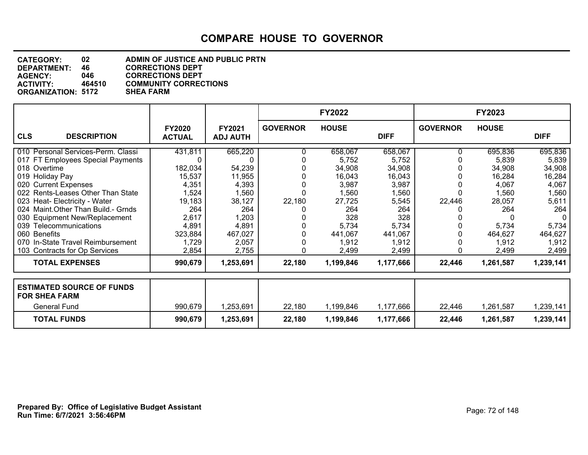| <b>CATEGORY:</b>          | 02     | ADMIN OF JUSTICE AND PUBLIC PRTN |
|---------------------------|--------|----------------------------------|
| DEPARTMENT:               | 46     | <b>CORRECTIONS DEPT</b>          |
| <b>AGENCY:</b>            | 046.   | <b>CORRECTIONS DEPT</b>          |
| <b>ACTIVITY:</b>          | 464510 | <b>COMMUNITY CORRECTIONS</b>     |
| <b>ORGANIZATION: 5172</b> |        | <b>SHEA FARM</b>                 |
|                           |        |                                  |

|                                                          |                                |                                  |                 | <b>FY2022</b> |             |                 | <b>FY2023</b> |             |
|----------------------------------------------------------|--------------------------------|----------------------------------|-----------------|---------------|-------------|-----------------|---------------|-------------|
| <b>CLS</b><br><b>DESCRIPTION</b>                         | <b>FY2020</b><br><b>ACTUAL</b> | <b>FY2021</b><br><b>ADJ AUTH</b> | <b>GOVERNOR</b> | <b>HOUSE</b>  | <b>DIFF</b> | <b>GOVERNOR</b> | <b>HOUSE</b>  | <b>DIFF</b> |
| 010 Personal Services-Perm. Classi                       | 431,811                        | 665,220                          |                 | 658,067       | 658,067     |                 | 695,836       | 695,836     |
| 017 FT Employees Special Payments                        |                                | 0                                |                 | 5,752         | 5,752       |                 | 5,839         | 5,839       |
| 018 Overtime                                             | 182,034                        | 54,239                           |                 | 34,908        | 34,908      |                 | 34,908        | 34,908      |
| 019 Holiday Pay                                          | 15,537                         | 11,955                           |                 | 16,043        | 16,043      |                 | 16,284        | 16,284      |
| 020 Current Expenses                                     | 4,351                          | 4,393                            |                 | 3,987         | 3,987       |                 | 4,067         | 4,067       |
| 022 Rents-Leases Other Than State                        | 1,524                          | 1,560                            |                 | 1,560         | 1,560       |                 | 1,560         | 1,560       |
| 023 Heat- Electricity - Water                            | 19,183                         | 38,127                           | 22,180          | 27,725        | 5,545       | 22,446          | 28,057        | 5,611       |
| 024 Maint. Other Than Build. - Grnds                     | 264                            | 264                              |                 | 264           | 264         |                 | 264           | 264         |
| 030 Equipment New/Replacement                            | 2,617                          | 1,203                            |                 | 328           | 328         |                 |               |             |
| 039 Telecommunications                                   | 4,891                          | 4,891                            |                 | 5,734         | 5,734       |                 | 5,734         | 5,734       |
| 060 Benefits                                             | 323,884                        | 467,027                          |                 | 441,067       | 441,067     |                 | 464,627       | 464,627     |
| 070 In-State Travel Reimbursement                        | 1,729                          | 2,057                            |                 | 1,912         | 1,912       |                 | 1,912         | 1,912       |
| 103 Contracts for Op Services                            | 2,854                          | 2,755                            |                 | 2,499         | 2,499       |                 | 2,499         | 2,499       |
| <b>TOTAL EXPENSES</b>                                    | 990,679                        | 1,253,691                        | 22,180          | 1,199,846     | 1,177,666   | 22,446          | 1,261,587     | 1,239,141   |
|                                                          |                                |                                  |                 |               |             |                 |               |             |
| <b>ESTIMATED SOURCE OF FUNDS</b><br><b>FOR SHEA FARM</b> |                                |                                  |                 |               |             |                 |               |             |
| <b>General Fund</b>                                      | 990,679                        | 1,253,691                        | 22,180          | 1,199,846     | 1,177,666   | 22,446          | 1,261,587     | 1,239,141   |
| <b>TOTAL FUNDS</b>                                       | 990,679                        | 1,253,691                        | 22,180          | 1,199,846     | 1,177,666   | 22,446          | 1,261,587     | 1,239,141   |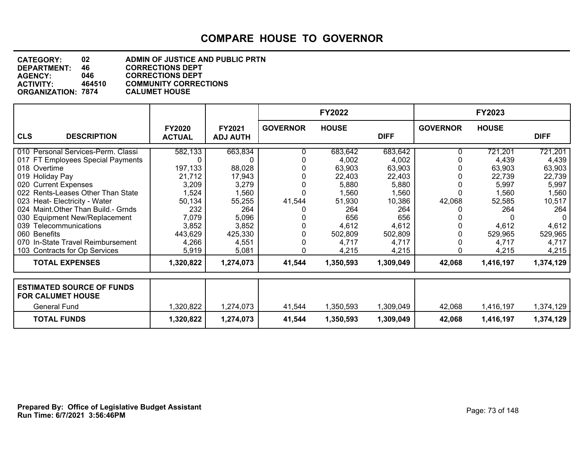| <b>CATEGORY:</b>          | 02     | ADMIN OF JUSTICE AND PUBLIC PRTN |
|---------------------------|--------|----------------------------------|
| DEPARTMENT:               | 46.    | <b>CORRECTIONS DEPT</b>          |
| <b>AGENCY:</b>            | 046    | <b>CORRECTIONS DEPT</b>          |
| <b>ACTIVITY:</b>          | 464510 | <b>COMMUNITY CORRECTIONS</b>     |
| <b>ORGANIZATION: 7874</b> |        | <b>CALUMET HOUSE</b>             |
|                           |        |                                  |

|                                      |                                |                                  |                 | <b>FY2022</b> |             |                 | <b>FY2023</b> |             |
|--------------------------------------|--------------------------------|----------------------------------|-----------------|---------------|-------------|-----------------|---------------|-------------|
| <b>CLS</b><br><b>DESCRIPTION</b>     | <b>FY2020</b><br><b>ACTUAL</b> | <b>FY2021</b><br><b>ADJ AUTH</b> | <b>GOVERNOR</b> | <b>HOUSE</b>  | <b>DIFF</b> | <b>GOVERNOR</b> | <b>HOUSE</b>  | <b>DIFF</b> |
| 010 Personal Services-Perm. Classi   | 582,133                        | 663,834                          |                 | 683,642       | 683,642     |                 | 721,201       | 721,201     |
| 017 FT Employees Special Payments    |                                |                                  |                 | 4,002         | 4,002       |                 | 4,439         | 4,439       |
| 018 Overtime                         | 197,133                        | 88,028                           |                 | 63,903        | 63,903      |                 | 63,903        | 63,903      |
| 019 Holiday Pay                      | 21,712                         | 17,943                           |                 | 22,403        | 22,403      |                 | 22,739        | 22,739      |
| 020 Current Expenses                 | 3,209                          | 3,279                            |                 | 5,880         | 5,880       |                 | 5,997         | 5,997       |
| 022 Rents-Leases Other Than State    | 1,524                          | 1,560                            |                 | 1,560         | 1,560       |                 | 1,560         | 1,560       |
| 023 Heat- Electricity - Water        | 50,134                         | 55,255                           | 41,544          | 51,930        | 10,386      | 42,068          | 52,585        | 10,517      |
| 024 Maint. Other Than Build. - Grnds | 232                            | 264                              |                 | 264           | 264         |                 | 264           | 264         |
| 030 Equipment New/Replacement        | 7,079                          | 5,096                            |                 | 656           | 656         |                 |               | 0           |
| 039 Telecommunications               | 3,852                          | 3,852                            |                 | 4,612         | 4,612       |                 | 4,612         | 4,612       |
| 060 Benefits                         | 443,629                        | 425,330                          |                 | 502,809       | 502,809     |                 | 529,965       | 529,965     |
| 070 In-State Travel Reimbursement    | 4,266                          | 4,551                            |                 | 4,717         | 4,717       |                 | 4,717         | 4,717       |
| 103 Contracts for Op Services        | 5,919                          | 5,081                            |                 | 4,215         | 4,215       | 0               | 4,215         | 4,215       |
| <b>TOTAL EXPENSES</b>                | 1,320,822                      | 1,274,073                        | 41,544          | 1,350,593     | 1,309,049   | 42,068          | 1,416,197     | 1,374,129   |
| <b>ESTIMATED SOURCE OF FUNDS</b>     |                                |                                  |                 |               |             |                 |               |             |
| <b>FOR CALUMET HOUSE</b>             |                                |                                  |                 |               |             |                 |               |             |
| General Fund                         | 1,320,822                      | 1,274,073                        | 41,544          | 1,350,593     | 1,309,049   | 42,068          | 1,416,197     | 1,374,129   |
| <b>TOTAL FUNDS</b>                   | 1,320,822                      | 1,274,073                        | 41,544          | 1,350,593     | 1,309,049   | 42,068          | 1,416,197     | 1,374,129   |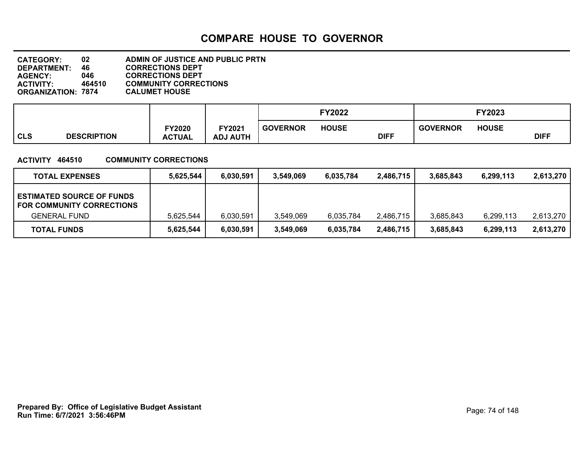| <b>CATEGORY:</b>          | 02     | ADMIN OF JUSTICE AND PUBLIC PRTN |
|---------------------------|--------|----------------------------------|
| DEPARTMENT:               | 46     | <b>CORRECTIONS DEPT</b>          |
| <b>AGENCY:</b>            | 046    | <b>CORRECTIONS DEPT</b>          |
| <b>ACTIVITY:</b>          | 464510 | <b>COMMUNITY CORRECTIONS</b>     |
| <b>ORGANIZATION: 7874</b> |        | <b>CALUMET HOUSE</b>             |
|                           |        |                                  |

|            |                    |                                |                           |                 | <b>FY2022</b> |             |                 | FY2023       |             |
|------------|--------------------|--------------------------------|---------------------------|-----------------|---------------|-------------|-----------------|--------------|-------------|
| <b>CLS</b> | <b>DESCRIPTION</b> | <b>FY2020</b><br><b>ACTUAL</b> | FY2021<br><b>ADJ AUTH</b> | <b>GOVERNOR</b> | <b>HOUSE</b>  | <b>DIFF</b> | <b>GOVERNOR</b> | <b>HOUSE</b> | <b>DIFF</b> |

### **ACTIVITY 464510 COMMUNITY CORRECTIONS**

| <b>TOTAL EXPENSES</b>                                                                       | 5,625,544 | 6,030,591 | 3.549.069 | 6,035,784 | 2.486.715 | 3.685.843 | 6.299.113 | 2,613,270 |
|---------------------------------------------------------------------------------------------|-----------|-----------|-----------|-----------|-----------|-----------|-----------|-----------|
| <b>ESTIMATED SOURCE OF FUNDS</b><br><b>FOR COMMUNITY CORRECTIONS</b><br><b>GENERAL FUND</b> | 5.625.544 | 6,030,591 | 3.549.069 | 6,035,784 | 2.486.715 | 3,685,843 | 6,299,113 | 2,613,270 |
| <b>TOTAL FUNDS</b>                                                                          | 5,625,544 | 6,030,591 | 3,549,069 | 6,035,784 | 2,486,715 | 3.685.843 | 6,299,113 | 2,613,270 |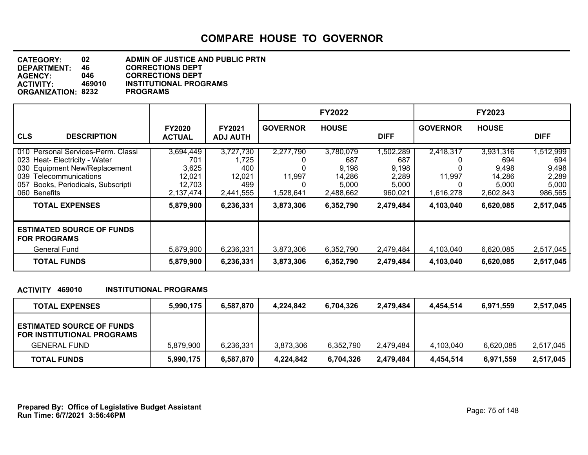| <b>CATEGORY:</b>          | 02     | <b>ADMIN OF JUSTICE AND PUBLIC PRTN</b> |
|---------------------------|--------|-----------------------------------------|
| <b>DEPARTMENT:</b>        | 46     | <b>CORRECTIONS DEPT</b>                 |
| <b>AGENCY:</b>            | 046.   | <b>CORRECTIONS DEPT</b>                 |
| <b>ACTIVITY:</b>          | 469010 | <b>INSTITUTIONAL PROGRAMS</b>           |
| <b>ORGANIZATION: 8232</b> |        | <b>PROGRAMS</b>                         |
|                           |        |                                         |

|                                                                                                                                                                                            |                                                            |                                                         |                                  | <b>FY2022</b>                                             |                                                        |                                  | <b>FY2023</b>                                             |                                                        |
|--------------------------------------------------------------------------------------------------------------------------------------------------------------------------------------------|------------------------------------------------------------|---------------------------------------------------------|----------------------------------|-----------------------------------------------------------|--------------------------------------------------------|----------------------------------|-----------------------------------------------------------|--------------------------------------------------------|
| <b>CLS</b><br><b>DESCRIPTION</b>                                                                                                                                                           | <b>FY2020</b><br><b>ACTUAL</b>                             | <b>FY2021</b><br><b>ADJ AUTH</b>                        | <b>GOVERNOR</b>                  | <b>HOUSE</b>                                              | <b>DIFF</b>                                            | <b>GOVERNOR</b>                  | <b>HOUSE</b>                                              | <b>DIFF</b>                                            |
| 010 Personal Services-Perm. Classi<br>023 Heat- Electricity - Water<br>030 Equipment New/Replacement<br>039<br>Telecommunications<br>Books, Periodicals, Subscripti<br>057<br>060 Benefits | 3,694,449<br>701<br>3,625<br>12,021<br>12,703<br>2,137,474 | 3,727,730<br>1,725<br>400<br>12,021<br>499<br>2,441,555 | 2,277,790<br>11,997<br>1,528,641 | 3,780,079<br>687<br>9,198<br>14,286<br>5,000<br>2,488,662 | 1,502,289<br>687<br>9,198<br>2,289<br>5,000<br>960,021 | 2,418,317<br>11,997<br>1,616,278 | 3,931,316<br>694<br>9,498<br>14,286<br>5,000<br>2,602,843 | 1,512,999<br>694<br>9,498<br>2,289<br>5,000<br>986,565 |
| <b>TOTAL EXPENSES</b>                                                                                                                                                                      | 5,879,900                                                  | 6,236,331                                               | 3,873,306                        | 6,352,790                                                 | 2,479,484                                              | 4,103,040                        | 6,620,085                                                 | 2,517,045                                              |
| <b>ESTIMATED SOURCE OF FUNDS</b><br><b>FOR PROGRAMS</b>                                                                                                                                    |                                                            |                                                         |                                  |                                                           |                                                        |                                  |                                                           |                                                        |
| <b>General Fund</b><br><b>TOTAL FUNDS</b>                                                                                                                                                  | 5,879,900<br>5,879,900                                     | 6,236,331<br>6,236,331                                  | 3,873,306<br>3,873,306           | 6,352,790<br>6,352,790                                    | 2,479,484<br>2,479,484                                 | 4,103,040<br>4,103,040           | 6,620,085<br>6,620,085                                    | 2,517,045<br>2,517,045                                 |

### **ACTIVITY 469010 INSTITUTIONAL PROGRAMS**

| <b>TOTAL EXPENSES</b>                                                                 | 5,990,175 | 6,587,870 | 4.224.842 | 6,704,326 | 2,479,484 | 4.454.514 | 6,971,559 | 2,517,045 |
|---------------------------------------------------------------------------------------|-----------|-----------|-----------|-----------|-----------|-----------|-----------|-----------|
| <b>ESTIMATED SOURCE OF FUNDS</b><br>FOR INSTITUTIONAL PROGRAMS<br><b>GENERAL FUND</b> | 5,879,900 | 6,236,331 | 3,873,306 | 6.352.790 | 2,479,484 | 4,103,040 | 6,620,085 | 2,517,045 |
| <b>TOTAL FUNDS</b>                                                                    | 5,990,175 | 6,587,870 | 4,224,842 | 6.704.326 | 2,479,484 | 4.454.514 | 6,971,559 | 2,517,045 |

**Run Time: 6/7/2021 3:56:46PM Prepared By: Office of Legislative Budget Assistant** Page: 75 of 148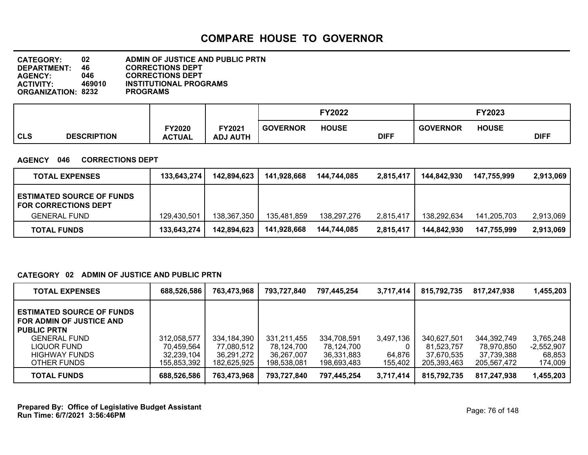**DEPARTMENT: 46 CORRECTIONS DEPT**<br>**AGENCY: 046 CORRECTIONS DEPT CATEGORY: 02 ADMIN OF JUSTICE AND PUBLIC PRTN AGENCY: 046 CORRECTIONS DEPT INSTITUTIONAL PROGRAMS<br>PROGRAMS ORGANIZATION: 8232** 

|                                  |                                |                                              |                 | <sup>=</sup> Y2022 |             |                 | FY2023       |             |
|----------------------------------|--------------------------------|----------------------------------------------|-----------------|--------------------|-------------|-----------------|--------------|-------------|
| <b>CLS</b><br><b>DESCRIPTION</b> | <b>FY2020</b><br><b>ACTUAL</b> | <b>FY2021</b><br><b>HTUA U</b><br><b>ADJ</b> | <b>GOVERNOR</b> | <b>HOUSE</b>       | <b>DIFF</b> | <b>GOVERNOR</b> | <b>HOUSE</b> | <b>DIFF</b> |

### **AGENCY 046 CORRECTIONS DEPT**

| <b>TOTAL EXPENSES</b>                                           | 133,643,274 | 142,894,623 | 141,928,668 | 144,744,085 | 2,815,417 | 144.842.930 | 147,755,999 | 2,913,069 |
|-----------------------------------------------------------------|-------------|-------------|-------------|-------------|-----------|-------------|-------------|-----------|
| <b>ESTIMATED SOURCE OF FUNDS</b><br><b>FOR CORRECTIONS DEPT</b> |             |             |             |             |           |             |             |           |
| <b>GENERAL FUND</b>                                             | 129,430,501 | 138,367,350 | 135,481,859 | 138.297.276 | 2,815,417 | 138.292.634 | 141.205.703 | 2,913,069 |
| <b>TOTAL FUNDS</b>                                              | 133,643,274 | 142,894,623 | 141,928,668 | 144.744.085 | 2,815,417 | 144.842.930 | 147,755,999 | 2,913,069 |

### **CATEGORY 02 ADMIN OF JUSTICE AND PUBLIC PRTN**

| <b>TOTAL EXPENSES</b>                                                              | 688,526,586               | 763,473,968               | 793,727,840               | 797,445,254               | 3,717,414         | 815,792,735               | 817,247,938               | 1,455,203                 |
|------------------------------------------------------------------------------------|---------------------------|---------------------------|---------------------------|---------------------------|-------------------|---------------------------|---------------------------|---------------------------|
| <b>ESTIMATED SOURCE OF FUNDS</b><br>FOR ADMIN OF JUSTICE AND<br><b>PUBLIC PRTN</b> |                           |                           |                           |                           |                   |                           |                           |                           |
| <b>GENERAL FUND</b><br>LIQUOR FUND                                                 | 312.058.577<br>70.459.564 | 334,184,390<br>77,080,512 | 331,211,455<br>78,124,700 | 334,708,591<br>78.124.700 | 3,497,136         | 340,627,501<br>81.523.757 | 344,392,749<br>78,970,850 | 3,765,248<br>$-2,552,907$ |
| <b>HIGHWAY FUNDS</b><br>OTHER FUNDS                                                | 32,239,104<br>155.853.392 | 36.291.272<br>182.625.925 | 36,267,007<br>198.538.081 | 36.331.883<br>198,693,483 | 64,876<br>155,402 | 37.670.535<br>205,393,463 | 37.739.388<br>205.567.472 | 68,853<br>174,009         |
| <b>TOTAL FUNDS</b>                                                                 | 688,526,586               | 763,473,968               | 793,727,840               | 797,445,254               | 3,717,414         | 815,792,735               | 817,247,938               | 1,455,203                 |

**Run Time: 6/7/2021 3:56:46PM Prepared By: Office of Legislative Budget Assistant** Page: 76 of 148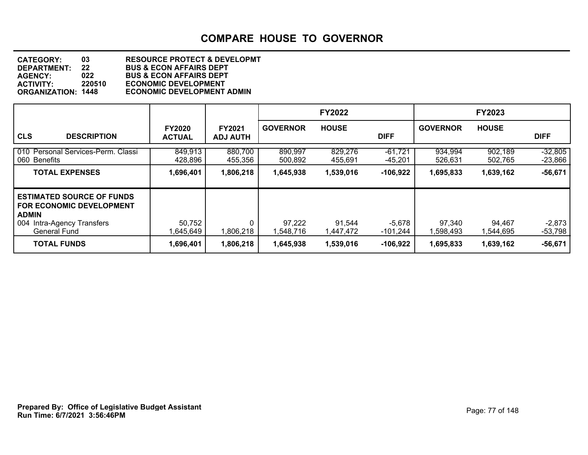| <b>CATEGORY:</b>          | 03     | <b>RESOURCE PROTECT &amp; DEVELOPMT</b> |
|---------------------------|--------|-----------------------------------------|
| <b>DEPARTMENT:</b>        | 22     | <b>BUS &amp; ECON AFFAIRS DEPT</b>      |
| <b>AGENCY:</b>            | 022    | <b>BUS &amp; ECON AFFAIRS DEPT</b>      |
| <b>ACTIVITY:</b>          | 220510 | <b>ECONOMIC DEVELOPMENT</b>             |
| <b>ORGANIZATION: 1448</b> |        | <b>ECONOMIC DEVELOPMENT ADMIN</b>       |

|                                                                                                                                          |                                |                                  |                     | <b>FY2022</b>       |                        |                     | <b>FY2023</b>       |                        |
|------------------------------------------------------------------------------------------------------------------------------------------|--------------------------------|----------------------------------|---------------------|---------------------|------------------------|---------------------|---------------------|------------------------|
| <b>CLS</b><br><b>DESCRIPTION</b>                                                                                                         | <b>FY2020</b><br><b>ACTUAL</b> | <b>FY2021</b><br><b>ADJ AUTH</b> | <b>GOVERNOR</b>     | <b>HOUSE</b>        | <b>DIFF</b>            | <b>GOVERNOR</b>     | <b>HOUSE</b>        | <b>DIFF</b>            |
| 010 Personal Services-Perm. Classi<br>060 Benefits                                                                                       | 849,913<br>428,896             | 880,700<br>455,356               | 890,997<br>500,892  | 829,276<br>455,691  | $-61,721$<br>$-45,201$ | 934,994<br>526,631  | 902,189<br>502,765  | $-32,805$<br>$-23,866$ |
| <b>TOTAL EXPENSES</b>                                                                                                                    | 1,696,401                      | 1,806,218                        | 1,645,938           | 1,539,016           | $-106,922$             | 1,695,833           | 1,639,162           | $-56,671$              |
| <b>ESTIMATED SOURCE OF FUNDS</b><br><b>FOR ECONOMIC DEVELOPMENT</b><br><b>ADMIN</b><br>004 Intra-Agency Transfers<br><b>General Fund</b> | 50,752<br>1,645,649            | 1,806,218                        | 97,222<br>1,548,716 | 91,544<br>1,447,472 | $-5,678$<br>$-101,244$ | 97,340<br>1,598,493 | 94,467<br>1,544,695 | $-2,873$<br>$-53,798$  |
| <b>TOTAL FUNDS</b>                                                                                                                       | 1,696,401                      | 1,806,218                        | 1,645,938           | 1,539,016           | $-106,922$             | 1,695,833           | 1,639,162           | $-56,671$              |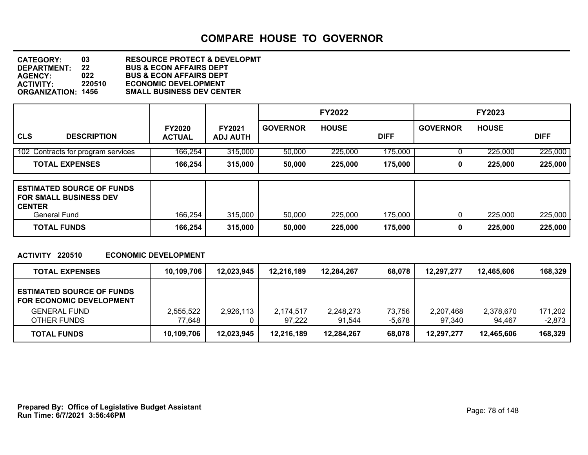**DEPARTMENT: 22 BUS & ECON AFFAIRS DEPT CATEGORY: 03 RESOURCE PROTECT & DEVELOPMT AGENCY: 022 BUS & ECON AFFAIRS DEPT ACTIVITY: 220510 ECONOMIC DEVELOPMENT SMALL BUSINESS DEV CENTER** 

|                                    |                                |                           |                 | <b>FY2022</b> |             |                 | <b>FY2023</b> |             |
|------------------------------------|--------------------------------|---------------------------|-----------------|---------------|-------------|-----------------|---------------|-------------|
| <b>CLS</b><br><b>DESCRIPTION</b>   | <b>FY2020</b><br><b>ACTUAL</b> | FY2021<br><b>ADJ AUTH</b> | <b>GOVERNOR</b> | <b>HOUSE</b>  | <b>DIFF</b> | <b>GOVERNOR</b> | <b>HOUSE</b>  | <b>DIFF</b> |
| 102 Contracts for program services | 166,254                        | 315,000                   | 50,000          | 225,000       | 175,000     |                 | 225,000       | 225,000     |
| <b>TOTAL EXPENSES</b>              | 166,254                        | 315,000                   | 50,000          | 225,000       | 175,000     | 0               | 225,000       | 225,000     |

| <b>ESTIMATED SOURCE OF FUNDS</b><br><b>FOR SMALL BUSINESS DEV</b><br><b>CENTER</b><br>General Fund | 166,254 | 315,000 | 50,000 | 225,000 | 175,000 | 225,000 | 225,000 |
|----------------------------------------------------------------------------------------------------|---------|---------|--------|---------|---------|---------|---------|
|                                                                                                    |         |         |        |         |         |         |         |
| <b>TOTAL FUNDS</b>                                                                                 | 166,254 | 315,000 | 50,000 | 225,000 | 175,000 | 225,000 | 225,000 |

### **ACTIVITY 220510 ECONOMIC DEVELOPMENT**

| <b>TOTAL EXPENSES</b>                                               | 10,109,706 | 12,023,945 | 12.216.189 | 12,284,267 | 68,078 | 12,297,277 | 12.465.606 | 168,329  |
|---------------------------------------------------------------------|------------|------------|------------|------------|--------|------------|------------|----------|
| <b>ESTIMATED SOURCE OF FUNDS</b><br><b>FOR ECONOMIC DEVELOPMENT</b> |            |            |            |            |        |            |            |          |
| <b>GENERAL FUND</b>                                                 | 2,555,522  | 2,926,113  | 2,174,517  | 2,248,273  | 73.756 | 2.207.468  | 2,378,670  | 171,202  |
| OTHER FUNDS                                                         | 77.648     |            | 97.222     | 91.544     | -5,678 | 97.340     | 94.467     | $-2,873$ |
| <b>TOTAL FUNDS</b>                                                  | 10,109,706 | 12,023,945 | 12.216.189 | 12.284.267 | 68,078 | 12.297.277 | 12,465,606 | 168,329  |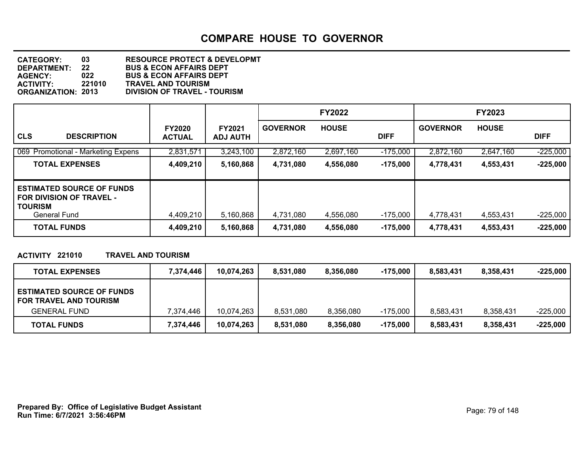**DEPARTMENT: 22 BUS & ECON AFFAIRS DEPT CATEGORY: 03 RESOURCE PROTECT & DEVELOPMT AGENCY: 022 BUS & ECON AFFAIRS DEPT ACTIVITY: 221010 TRAVEL AND TOURISM ORGANIZATION: 2013 DIVISION OF TRAVEL - TOURISM**

|                                                                                                       |                                |                                  |                 | <b>FY2022</b> |             |                 | <b>FY2023</b> |             |
|-------------------------------------------------------------------------------------------------------|--------------------------------|----------------------------------|-----------------|---------------|-------------|-----------------|---------------|-------------|
| <b>CLS</b><br><b>DESCRIPTION</b>                                                                      | <b>FY2020</b><br><b>ACTUAL</b> | <b>FY2021</b><br><b>ADJ AUTH</b> | <b>GOVERNOR</b> | <b>HOUSE</b>  | <b>DIFF</b> | <b>GOVERNOR</b> | <b>HOUSE</b>  | <b>DIFF</b> |
| 069 Promotional - Marketing Expens                                                                    | 2,831,571                      | 3,243,100                        | 2,872,160       | 2,697,160     | $-175,000$  | 2,872,160       | 2,647,160     | $-225,000$  |
| <b>TOTAL EXPENSES</b>                                                                                 | 4,409,210                      | 5,160,868                        | 4,731,080       | 4,556,080     | $-175,000$  | 4,778,431       | 4,553,431     | $-225,000$  |
| <b>ESTIMATED SOURCE OF FUNDS</b><br><b>FOR DIVISION OF TRAVEL -</b><br><b>TOURISM</b><br>General Fund | 4,409,210                      | 5,160,868                        | 4,731,080       | 4,556,080     | -175,000    | 4,778,431       | 4,553,431     | $-225,000$  |
| <b>TOTAL FUNDS</b>                                                                                    | 4,409,210                      | 5,160,868                        | 4,731,080       | 4,556,080     | $-175,000$  | 4,778,431       | 4,553,431     | $-225,000$  |

### **ACTIVITY 221010 TRAVEL AND TOURISM**

| <b>TOTAL EXPENSES</b>                                             | 7.374.446 | 10,074,263 | 8.531.080 | 8.356.080 | $-175.000$ | 8.583.431 | 8.358.431 | $-225.000$ |
|-------------------------------------------------------------------|-----------|------------|-----------|-----------|------------|-----------|-----------|------------|
| <b>ESTIMATED SOURCE OF FUNDS</b><br><b>FOR TRAVEL AND TOURISM</b> |           |            |           |           |            |           |           |            |
| <b>GENERAL FUND</b>                                               | 7.374.446 | 10,074,263 | 8,531,080 | 8,356,080 | -175.000   | 8.583.431 | 8,358,431 | $-225,000$ |
| <b>TOTAL FUNDS</b>                                                | 7,374,446 | 10,074,263 | 8,531,080 | 8,356,080 | -175,000   | 8.583.431 | 8,358,431 | $-225,000$ |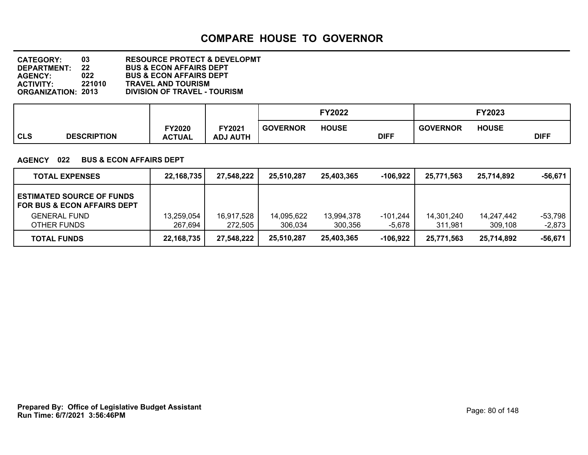**DEPARTMENT: 22 BUS & ECON AFFAIRS DEPT CATEGORY: 03 RESOURCE PROTECT & DEVELOPMT AGENCY: 022 BUS & ECON AFFAIRS DEPT ACTIVITY: 221010 TRAVEL AND TOURISM ORGANIZATION: 2013 DIVISION OF TRAVEL - TOURISM**

|            |                    |                                |                          |                 | FY2022       |             |                 | FY2023       |             |
|------------|--------------------|--------------------------------|--------------------------|-----------------|--------------|-------------|-----------------|--------------|-------------|
| <b>CLS</b> | <b>DESCRIPTION</b> | <b>FY2020</b><br><b>ACTUAL</b> | Y2021<br><b>ADJ AUTH</b> | <b>GOVERNOR</b> | <b>HOUSE</b> | <b>DIFF</b> | <b>GOVERNOR</b> | <b>HOUSE</b> | <b>DIFF</b> |

### **AGENCY 022 BUS & ECON AFFAIRS DEPT**

| <b>TOTAL EXPENSES</b>                                                      | 22, 168, 735 | 27,548,222 | 25,510,287 | 25.403.365 | -106.922   | 25,771,563 | 25.714.892 | $-56,671$ |
|----------------------------------------------------------------------------|--------------|------------|------------|------------|------------|------------|------------|-----------|
| <b>ESTIMATED SOURCE OF FUNDS</b><br><b>FOR BUS &amp; ECON AFFAIRS DEPT</b> |              |            |            |            |            |            |            |           |
| <b>GENERAL FUND</b>                                                        | 13,259,054   | 16,917,528 | 14,095,622 | 13,994,378 | -101,244   | 14.301.240 | 14,247,442 | -53,798   |
| OTHER FUNDS                                                                | 267,694      | 272.505    | 306.034    | 300,356    | -5,678     | 311,981    | 309.108    | $-2,873$  |
| <b>TOTAL FUNDS</b>                                                         | 22, 168, 735 | 27,548,222 | 25.510.287 | 25,403,365 | $-106,922$ | 25,771,563 | 25,714,892 | -56.671   |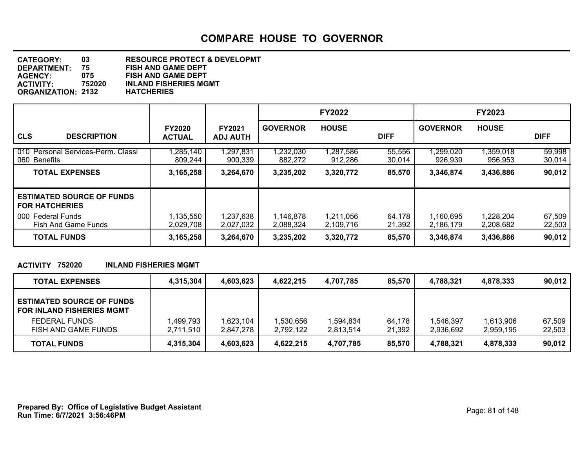| <b>CATEGORY:</b>          | 03     | <b>RESOURCE PROTECT &amp; DEVELOPMT</b> |
|---------------------------|--------|-----------------------------------------|
| <b>DEPARTMENT:</b>        | 75.    | <b>FISH AND GAME DEPT</b>               |
| <b>AGENCY:</b>            | 075    | <b>FISH AND GAME DEPT</b>               |
| <b>ACTIVITY:</b>          | 752020 | <b>INLAND FISHERIES MGMT</b>            |
| <b>ORGANIZATION: 2132</b> |        | <b>HATCHERIES</b>                       |
|                           |        |                                         |

|                                                                                          |                                |                                  |                             | <b>FY2022</b>          |                  |                        | <b>FY2023</b>          |                  |
|------------------------------------------------------------------------------------------|--------------------------------|----------------------------------|-----------------------------|------------------------|------------------|------------------------|------------------------|------------------|
| <b>CLS</b><br><b>DESCRIPTION</b>                                                         | <b>FY2020</b><br><b>ACTUAL</b> | <b>FY2021</b><br><b>ADJ AUTH</b> | <b>GOVERNOR</b>             | <b>HOUSE</b>           | <b>DIFF</b>      | <b>GOVERNOR</b>        | <b>HOUSE</b>           | <b>DIFF</b>      |
| 010 Personal Services-Perm. Classi<br>060 Benefits                                       | ,285,140<br>809,244            | 1,297,831<br>900,339             | $\sqrt{232,030}$<br>882,272 | ,287,586<br>912,286    | 55,556<br>30,014 | 1,299,020<br>926,939   | 1,359,018<br>956,953   | 59,998<br>30,014 |
| <b>TOTAL EXPENSES</b>                                                                    | 3,165,258                      | 3,264,670                        | 3,235,202                   | 3,320,772              | 85,570           | 3,346,874              | 3,436,886              | 90,012           |
| <b>ESTIMATED SOURCE OF FUNDS</b><br><b>FOR HATCHERIES</b><br><b>Federal Funds</b><br>000 | 1,135,550                      | 1,237,638                        | 1,146,878                   | 1,211,056              | 64,178           | 1,160,695              | 1,228,204              | 67,509           |
| Fish And Game Funds<br><b>TOTAL FUNDS</b>                                                | 2,029,708<br>3,165,258         | 2,027,032<br>3,264,670           | 2,088,324<br>3,235,202      | 2,109,716<br>3,320,772 | 21,392<br>85,570 | 2,186,179<br>3,346,874 | 2,208,682<br>3,436,886 | 22,503<br>90,012 |

### **ACTIVITY 752020 INLAND FISHERIES MGMT**

| <b>TOTAL EXPENSES</b>                                                | 4,315,304 | 4,603,623 | 4.622.215 | 4,707,785 | 85,570 | 4.788.321 | 4,878,333 | 90,012 |
|----------------------------------------------------------------------|-----------|-----------|-----------|-----------|--------|-----------|-----------|--------|
| <b>ESTIMATED SOURCE OF FUNDS</b><br><b>FOR INLAND FISHERIES MGMT</b> |           |           |           |           |        |           |           |        |
| <b>FEDERAL FUNDS</b>                                                 | 1,499,793 | 1,623,104 | 530,656,ا | 834,594,  | 64.178 | 1.546.397 | 1.613.906 | 67,509 |
| FISH AND GAME FUNDS                                                  | 2,711,510 | 2.847.278 | 2,792,122 | 2,813,514 | 21,392 | 2,936,692 | 2,959,195 | 22,503 |
| <b>TOTAL FUNDS</b>                                                   | 4,315,304 | 4,603,623 | 4,622,215 | 4,707,785 | 85,570 | 4,788,321 | 4,878,333 | 90,012 |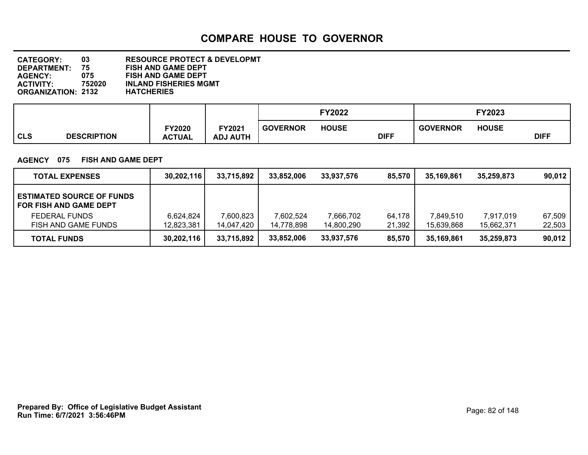**DEPARTMENT: 75 FISH AND GAME DEPT CATEGORY: 03 RESOURCE PROTECT & DEVELOPMT AGENCY: 075 FISH AND GAME DEPT INLAND FISHERIES MGMT<br>HATCHERIES ORGANIZATION: 2132** 

|            |                    |               |                 |                 | <b>FY2022</b> |             |                 | FY2023       |             |
|------------|--------------------|---------------|-----------------|-----------------|---------------|-------------|-----------------|--------------|-------------|
| <b>CLS</b> | <b>DESCRIPTION</b> | <b>FY2020</b> | FY2021          | <b>GOVERNOR</b> | <b>HOUSE</b>  | <b>DIFF</b> | <b>GOVERNOR</b> | <b>HOUSE</b> | <b>DIFF</b> |
|            |                    | <b>ACTUAL</b> | <b>ADJ AUTH</b> |                 |               |             |                 |              |             |

### **AGENCY 075 FISH AND GAME DEPT**

| <b>TOTAL EXPENSES</b>                                             | 30,202,116 | 33,715,892 | 33,852,006 | 33.937.576 | 85.570 | 35.169.861 | 35.259.873 | 90.012 |
|-------------------------------------------------------------------|------------|------------|------------|------------|--------|------------|------------|--------|
| <b>ESTIMATED SOURCE OF FUNDS</b><br><b>FOR FISH AND GAME DEPT</b> |            |            |            |            |        |            |            |        |
| <b>FEDERAL FUNDS</b>                                              | 6.624.824  | 7,600,823  | 7,602,524  | 7,666,702  | 64.178 | 7,849,510  | 7,917,019  | 67,509 |
| FISH AND GAME FUNDS                                               | 12,823,381 | 14,047,420 | 14.778.898 | 14,800,290 | 21,392 | 15,639,868 | 15,662,371 | 22,503 |
| <b>TOTAL FUNDS</b>                                                | 30,202,116 | 33,715,892 | 33,852,006 | 33,937,576 | 85,570 | 35,169,861 | 35,259,873 | 90,012 |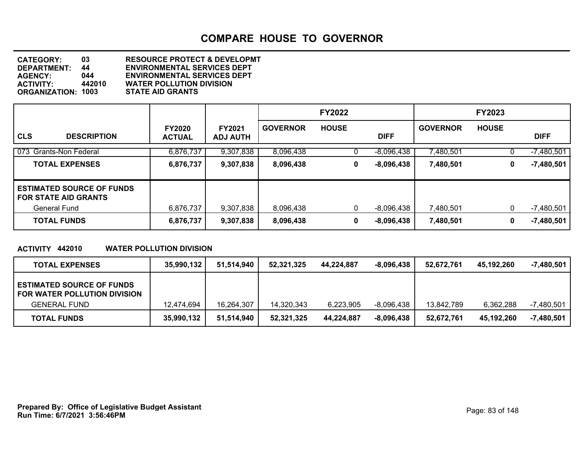**DEPARTMENT: 44 ENVIRONMENTAL SERVICES DEPT CATEGORY: 03 RESOURCE PROTECT & DEVELOPMT AGENCY: 044 ENVIRONMENTAL SERVICES DEPT WATER POLLUTION DIVISION**<br>STATE AID GRANTS **ORGANIZATION: 1003** 

|                                                                 |                                |                                  |                 | <b>FY2022</b> |              |                 | <b>FY2023</b> |              |
|-----------------------------------------------------------------|--------------------------------|----------------------------------|-----------------|---------------|--------------|-----------------|---------------|--------------|
| <b>CLS</b><br><b>DESCRIPTION</b>                                | <b>FY2020</b><br><b>ACTUAL</b> | <b>FY2021</b><br><b>ADJ AUTH</b> | <b>GOVERNOR</b> | <b>HOUSE</b>  | <b>DIFF</b>  | <b>GOVERNOR</b> | <b>HOUSE</b>  | <b>DIFF</b>  |
| 073 Grants-Non Federal                                          | 6,876,737                      | 9,307,838                        | 8,096,438       | U             | $-8,096,438$ | 7,480,501       |               | $-7,480,501$ |
| <b>TOTAL EXPENSES</b>                                           | 6,876,737                      | 9,307,838                        | 8,096,438       | 0             | $-8,096,438$ | 7,480,501       | 0             | $-7,480,501$ |
| <b>ESTIMATED SOURCE OF FUNDS</b><br><b>FOR STATE AID GRANTS</b> |                                |                                  |                 |               |              |                 |               |              |
| <b>General Fund</b>                                             | 6,876,737                      | 9,307,838                        | 8,096,438       | 0             | -8,096,438   | 7,480,501       | 0             | $-7,480,501$ |
| <b>TOTAL FUNDS</b>                                              | 6,876,737                      | 9,307,838                        | 8,096,438       | 0             | $-8,096,438$ | 7,480,501       | 0             | $-7,480,501$ |

### **ACTIVITY 442010 WATER POLLUTION DIVISION**

| <b>TOTAL EXPENSES</b>                                            | 35,990,132 | 51.514.940 | 52,321,325 | 44,224,887 | $-8,096,438$ | 52.672.761 | 45,192,260 | -7,480,501   |
|------------------------------------------------------------------|------------|------------|------------|------------|--------------|------------|------------|--------------|
| <b>ESTIMATED SOURCE OF FUNDS</b><br>FOR WATER POLLUTION DIVISION |            |            |            |            |              |            |            |              |
| <b>GENERAL FUND</b>                                              | 12.474.694 | 16.264.307 | 14.320.343 | 6,223,905  | $-8.096.438$ | 13.842.789 | 6,362,288  | $-7,480,501$ |
| <b>TOTAL FUNDS</b>                                               | 35,990,132 | 51,514,940 | 52,321,325 | 44,224,887 | $-8,096,438$ | 52,672,761 | 45,192,260 | $-7,480,501$ |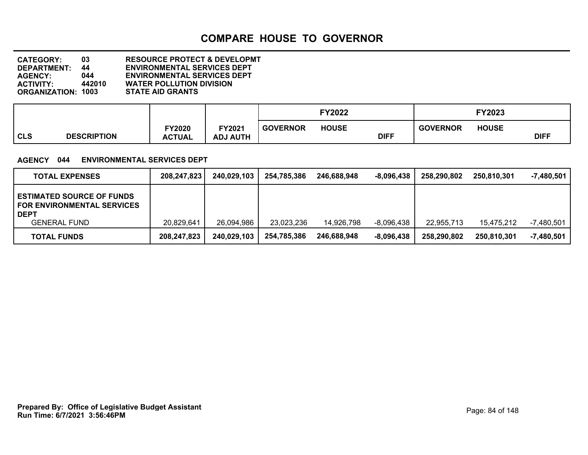**DEPARTMENT: 44 ENVIRONMENTAL SERVICES DEPT CATEGORY: 03 RESOURCE PROTECT & DEVELOPMT AGENCY: 044 ENVIRONMENTAL SERVICES DEPT WATER POLLUTION DIVISION**<br>STATE AID GRANTS **ORGANIZATION: 1003** 

|            |                    |                                |                           |                 | <b>FY2022</b> |             |                 | FY2023       |             |
|------------|--------------------|--------------------------------|---------------------------|-----------------|---------------|-------------|-----------------|--------------|-------------|
| <b>CLS</b> | <b>DESCRIPTION</b> | <b>FY2020</b><br><b>ACTUAL</b> | FY2021<br><b>ADJ AUTH</b> | <b>GOVERNOR</b> | <b>HOUSE</b>  | <b>DIFF</b> | <b>GOVERNOR</b> | <b>HOUSE</b> | <b>DIFF</b> |

### **AGENCY 044 ENVIRONMENTAL SERVICES DEPT**

| <b>TOTAL EXPENSES</b>                                                                | 208,247,823 | 240,029,103 | 254,785,386 | 246,688,948 | $-8,096,438$ | 258.290.802 | 250,810,301 | $-7,480,501$ |
|--------------------------------------------------------------------------------------|-------------|-------------|-------------|-------------|--------------|-------------|-------------|--------------|
| <b>ESTIMATED SOURCE OF FUNDS</b><br><b>FOR ENVIRONMENTAL SERVICES</b><br><b>DEPT</b> |             |             |             |             |              |             |             |              |
| <b>GENERAL FUND</b>                                                                  | 20,829,641  | 26,094,986  | 23,023,236  | 14,926,798  | $-8.096.438$ | 22.955.713  | 15.475.212  | $-7,480,501$ |
| <b>TOTAL FUNDS</b>                                                                   | 208,247,823 | 240,029,103 | 254,785,386 | 246,688,948 | $-8,096,438$ | 258.290.802 | 250.810.301 | -7,480,501   |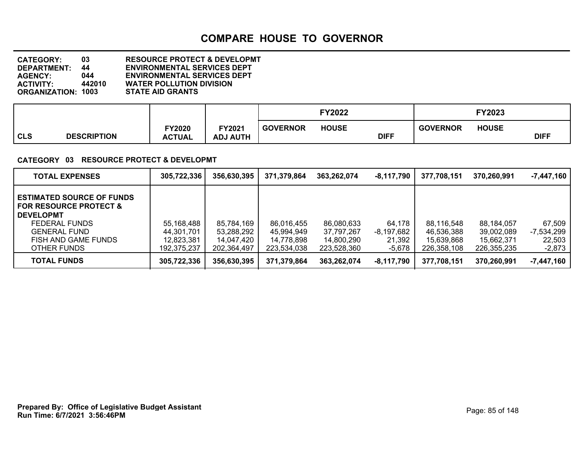**DEPARTMENT: 44 ENVIRONMENTAL SERVICES DEPT CATEGORY: 03 RESOURCE PROTECT & DEVELOPMT AGENCY: 044 ENVIRONMENTAL SERVICES DEPT WATER POLLUTION DIVISION**<br>STATE AID GRANTS **ORGANIZATION: 1003** 

|            |                    |                         |                                  |                 | <b>FY2022</b> |             |                 | FY2023       |             |
|------------|--------------------|-------------------------|----------------------------------|-----------------|---------------|-------------|-----------------|--------------|-------------|
| <b>CLS</b> | <b>DESCRIPTION</b> | FY2020<br><b>ACTUAL</b> | <b>FY2021</b><br><b>ADJ AUTH</b> | <b>GOVERNOR</b> | <b>HOUSE</b>  | <b>DIFF</b> | <b>GOVERNOR</b> | <b>HOUSE</b> | <b>DIFF</b> |

### **CATEGORY 03 RESOURCE PROTECT & DEVELOPMT**

| <b>TOTAL EXPENSES</b>                                                                                             | 305,722,336                             | 356,630,395                             | 371,379,864                             | 363,262,074                             | $-8,117,790$                     | 377,708,151                             | 370,260,991                             | $-7,447,160$                   |
|-------------------------------------------------------------------------------------------------------------------|-----------------------------------------|-----------------------------------------|-----------------------------------------|-----------------------------------------|----------------------------------|-----------------------------------------|-----------------------------------------|--------------------------------|
| <b>ESTIMATED SOURCE OF FUNDS</b><br><b>FOR RESOURCE PROTECT &amp;</b><br><b>DEVELOPMT</b><br><b>FEDERAL FUNDS</b> | 55,168,488                              | 85,784,169                              | 86,016,455                              | 86,080,633                              | 64,178                           | 88.116.548                              | 88.184.057                              | 67,509                         |
| <b>GENERAL FUND</b><br>FISH AND GAME FUNDS<br>OTHER FUNDS                                                         | 44.301.701<br>12,823,381<br>192,375,237 | 53,288,292<br>14,047,420<br>202,364,497 | 45.994.949<br>14.778.898<br>223,534,038 | 37.797.267<br>14.800.290<br>223,528,360 | -8,197,682<br>21,392<br>$-5,678$ | 46.536.388<br>15,639,868<br>226,358,108 | 39.002.089<br>15.662.371<br>226,355,235 | -7,534,299<br>22,503<br>-2,873 |
| <b>TOTAL FUNDS</b>                                                                                                | 305,722,336                             | 356,630,395                             | 371,379,864                             | 363,262,074                             | $-8,117,790$                     | 377,708,151                             | 370,260,991                             | $-7,447,160$                   |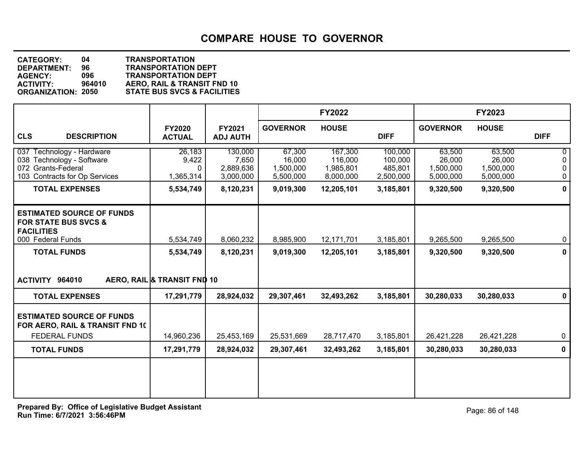| <b>CATEGORY:</b>          | 04     | <b>TRANSPORTATION</b>                  |
|---------------------------|--------|----------------------------------------|
| <b>DEPARTMENT:</b>        | 96     | <b>TRANSPORTATION DEPT</b>             |
| <b>AGENCY:</b>            | 096    | <b>TRANSPORTATION DEPT</b>             |
| <b>ACTIVITY:</b>          | 964010 | AERO, RAIL & TRANSIT FND 10            |
| <b>ORGANIZATION: 2050</b> |        | <b>STATE BUS SVCS &amp; FACILITIES</b> |
|                           |        |                                        |

|                                                                                                                                        |                                                       |                                                         |                                                         | <b>FY2022</b>                                              |                                                         |                                                         | <b>FY2023</b>                                           |                               |
|----------------------------------------------------------------------------------------------------------------------------------------|-------------------------------------------------------|---------------------------------------------------------|---------------------------------------------------------|------------------------------------------------------------|---------------------------------------------------------|---------------------------------------------------------|---------------------------------------------------------|-------------------------------|
| <b>CLS</b><br><b>DESCRIPTION</b>                                                                                                       | <b>FY2020</b><br><b>ACTUAL</b>                        | FY2021<br><b>ADJ AUTH</b>                               | <b>GOVERNOR</b>                                         | <b>HOUSE</b>                                               | <b>DIFF</b>                                             | <b>GOVERNOR</b>                                         | <b>HOUSE</b>                                            | <b>DIFF</b>                   |
| 037 Technology - Hardware<br>038 Technology - Software<br>072 Grants-Federal<br>103 Contracts for Op Services<br><b>TOTAL EXPENSES</b> | 26,183<br>9,422<br>$\Omega$<br>1,365,314<br>5,534,749 | 130,000<br>7,650<br>2,889,636<br>3,000,000<br>8,120,231 | 67,300<br>16,000<br>1,500,000<br>5,500,000<br>9,019,300 | 167,300<br>116,000<br>1,985,801<br>8,000,000<br>12,205,101 | 100,000<br>100,000<br>485,801<br>2,500,000<br>3,185,801 | 63,500<br>26,000<br>1,500,000<br>5,000,000<br>9,320,500 | 63,500<br>26,000<br>1,500,000<br>5,000,000<br>9,320,500 | 0<br>0<br>0<br>$\pmb{0}$<br>0 |
| <b>ESTIMATED SOURCE OF FUNDS</b><br><b>FOR STATE BUS SVCS &amp;</b><br><b>FACILITIES</b><br>000 Federal Funds                          | 5,534,749                                             | 8,060,232                                               | 8,985,900                                               | 12,171,701                                                 | 3,185,801                                               | 9,265,500                                               | 9,265,500                                               | 0                             |
| <b>TOTAL FUNDS</b><br>ACTIVITY 964010                                                                                                  | 5,534,749<br>AERO, RAIL & TRANSIT FND 10              | 8,120,231                                               | 9,019,300                                               | 12,205,101                                                 | 3,185,801                                               | 9,320,500                                               | 9,320,500                                               | 0                             |
| <b>TOTAL EXPENSES</b>                                                                                                                  | 17,291,779                                            | 28,924,032                                              | 29,307,461                                              | 32,493,262                                                 | 3,185,801                                               | 30,280,033                                              | 30,280,033                                              | 0                             |
| <b>ESTIMATED SOURCE OF FUNDS</b><br>FOR AERO, RAIL & TRANSIT FND 10<br><b>FEDERAL FUNDS</b>                                            | 14,960,236                                            | 25,453,169                                              | 25,531,669                                              | 28,717,470                                                 | 3,185,801                                               | 26,421,228                                              | 26,421,228                                              | 0                             |
| <b>TOTAL FUNDS</b>                                                                                                                     | 17,291,779                                            | 28,924,032                                              | 29,307,461                                              | 32,493,262                                                 | 3,185,801                                               | 30,280,033                                              | 30,280,033                                              | 0                             |
|                                                                                                                                        |                                                       |                                                         |                                                         |                                                            |                                                         |                                                         |                                                         |                               |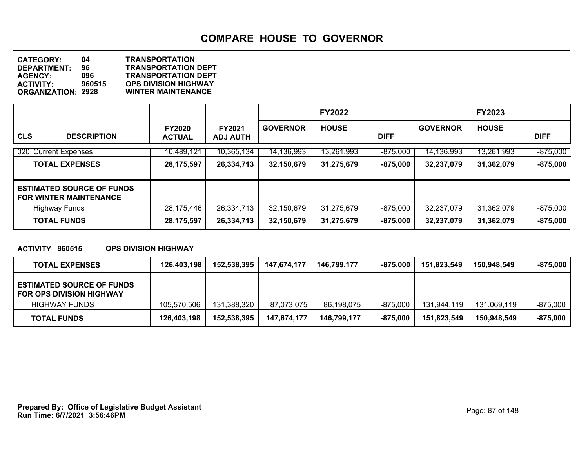| <b>CATEGORY:</b>          | 04     | <b>TRANSPORTATION</b>       |
|---------------------------|--------|-----------------------------|
| DEPARTMENT:               | 96     | <b>TRANSPORTATION DEPT</b>  |
| <b>AGENCY:</b>            | 096    | <b>TRANSPORTATION DEPT</b>  |
| <b>ACTIVITY:</b>          | 960515 | <b>OPS DIVISION HIGHWAY</b> |
| <b>ORGANIZATION: 2928</b> |        | <b>WINTER MAINTENANCE</b>   |
|                           |        |                             |

|                                                                   |                                |                                  |                 | <b>FY2022</b> |             |                 | <b>FY2023</b> |             |
|-------------------------------------------------------------------|--------------------------------|----------------------------------|-----------------|---------------|-------------|-----------------|---------------|-------------|
| <b>CLS</b><br><b>DESCRIPTION</b>                                  | <b>FY2020</b><br><b>ACTUAL</b> | <b>FY2021</b><br><b>ADJ AUTH</b> | <b>GOVERNOR</b> | <b>HOUSE</b>  | <b>DIFF</b> | <b>GOVERNOR</b> | <b>HOUSE</b>  | <b>DIFF</b> |
| 020 Current Expenses                                              | 10,489,121                     | 10,365,134                       | 14,136,993      | 13,261,993    | $-875,000$  | 14,136,993      | 13,261,993    | $-875,000$  |
| <b>TOTAL EXPENSES</b>                                             | 28, 175, 597                   | 26,334,713                       | 32,150,679      | 31,275,679    | $-875,000$  | 32,237,079      | 31,362,079    | $-875,000$  |
| <b>ESTIMATED SOURCE OF FUNDS</b><br><b>FOR WINTER MAINTENANCE</b> |                                |                                  |                 |               |             |                 |               |             |
| <b>Highway Funds</b>                                              | 28.175.446                     | 26,334,713                       | 32,150,679      | 31,275,679    | $-875,000$  | 32,237,079      | 31,362,079    | $-875,000$  |
| <b>TOTAL FUNDS</b>                                                | 28, 175, 597                   | 26,334,713                       | 32,150,679      | 31,275,679    | $-875,000$  | 32,237,079      | 31,362,079    | $-875,000$  |

### **ACTIVITY 960515 OPS DIVISION HIGHWAY**

| <b>TOTAL EXPENSES</b>                                               | 126,403,198 | 152,538,395 | 147,674,177 | 146.799.177 | -875.000   | 151,823,549 | 150.948.549 | $-875.000$ |
|---------------------------------------------------------------------|-------------|-------------|-------------|-------------|------------|-------------|-------------|------------|
| <b>ESTIMATED SOURCE OF FUNDS</b><br><b>FOR OPS DIVISION HIGHWAY</b> |             |             |             |             |            |             |             |            |
| <b>HIGHWAY FUNDS</b>                                                | 105,570,506 | 131,388,320 | 87,073,075  | 86,198,075  | $-875,000$ | 131.944.119 | 131.069.119 | $-875.000$ |
| <b>TOTAL FUNDS</b>                                                  | 126,403,198 | 152,538,395 | 147,674,177 | 146,799,177 | -875,000   | 151,823,549 | 150,948,549 | $-875,000$ |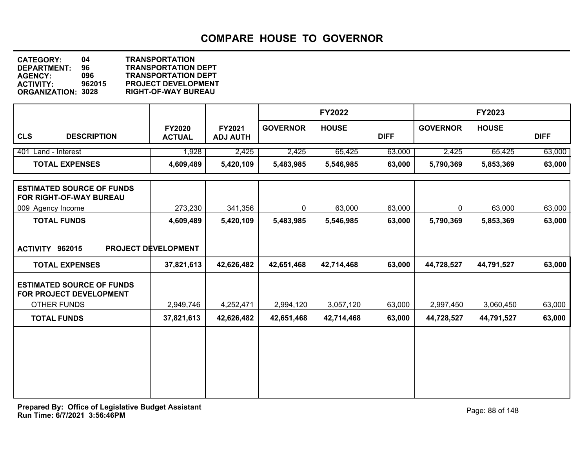**DEPARTMENT: 96 TRANSPORTATION DEPT CATEGORY: 04 TRANSPORTATION AGENCY: 096 TRANSPORTATION DEPT ACTIVITY: 962015 PROJECT DEVELOPMENT ORGANIZATION: 3028 RIGHT-OF-WAY BUREAU**

|                                                                                   |                                |                           |                 | <b>FY2022</b> |             |                 | <b>FY2023</b> |             |
|-----------------------------------------------------------------------------------|--------------------------------|---------------------------|-----------------|---------------|-------------|-----------------|---------------|-------------|
| <b>CLS</b><br><b>DESCRIPTION</b>                                                  | <b>FY2020</b><br><b>ACTUAL</b> | FY2021<br><b>ADJ AUTH</b> | <b>GOVERNOR</b> | <b>HOUSE</b>  | <b>DIFF</b> | <b>GOVERNOR</b> | <b>HOUSE</b>  | <b>DIFF</b> |
| 401 Land - Interest                                                               | 1,928                          | 2,425                     | 2,425           | 65,425        | 63,000      | 2,425           | 65,425        | 63,000      |
| <b>TOTAL EXPENSES</b>                                                             | 4,609,489                      | 5,420,109                 | 5,483,985       | 5,546,985     | 63,000      | 5,790,369       | 5,853,369     | 63,000      |
| <b>ESTIMATED SOURCE OF FUNDS</b><br>FOR RIGHT-OF-WAY BUREAU                       |                                |                           |                 |               |             |                 |               |             |
| 009 Agency Income                                                                 | 273,230                        | 341,356                   | $\mathbf{0}$    | 63,000        | 63,000      | 0               | 63,000        | 63,000      |
| <b>TOTAL FUNDS</b>                                                                | 4,609,489                      | 5,420,109                 | 5,483,985       | 5,546,985     | 63,000      | 5,790,369       | 5,853,369     | 63,000      |
| ACTIVITY 962015                                                                   | PROJECT DEVELOPMENT            |                           |                 |               |             |                 |               |             |
| <b>TOTAL EXPENSES</b>                                                             | 37,821,613                     | 42,626,482                | 42,651,468      | 42,714,468    | 63,000      | 44,728,527      | 44,791,527    | 63,000      |
| <b>ESTIMATED SOURCE OF FUNDS</b><br>FOR PROJECT DEVELOPMENT<br><b>OTHER FUNDS</b> | 2,949,746                      | 4,252,471                 | 2,994,120       | 3,057,120     | 63,000      | 2,997,450       | 3,060,450     | 63,000      |
| <b>TOTAL FUNDS</b>                                                                | 37,821,613                     | 42,626,482                | 42,651,468      | 42,714,468    | 63,000      | 44,728,527      | 44,791,527    | 63,000      |
|                                                                                   |                                |                           |                 |               |             |                 |               |             |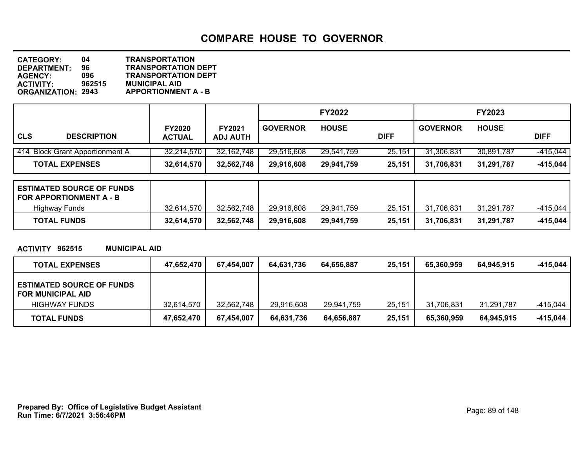**DEPARTMENT: 96 TRANSPORTATION DEPT CATEGORY: 04 TRANSPORTATION AGENCY: 096 TRANSPORTATION DEPT ACTIVITY: 962515 MUNICIPAL AID APPORTIONMENT A - B** 

|            |                                 |               |                 |                 | <b>FY2022</b> |             |                 | <b>FY2023</b> |             |
|------------|---------------------------------|---------------|-----------------|-----------------|---------------|-------------|-----------------|---------------|-------------|
|            |                                 | <b>FY2020</b> | <b>FY2021</b>   | <b>GOVERNOR</b> | <b>HOUSE</b>  |             | <b>GOVERNOR</b> | <b>HOUSE</b>  |             |
| <b>CLS</b> | <b>DESCRIPTION</b>              | <b>ACTUAL</b> | <b>ADJ AUTH</b> |                 |               | <b>DIFF</b> |                 |               | <b>DIFF</b> |
|            | 414 Block Grant Apportionment A | 32,214,570    | 32, 162, 748    | 29,516,608      | 29,541,759    | 25,151      | 31,306,831      | 30,891,787    | $-415,044$  |
|            | <b>TOTAL EXPENSES</b>           | 32,614,570    | 32,562,748      | 29,916,608      | 29,941,759    | 25,151      | 31,706,831      | 31,291,787    | $-415,044$  |

| <b>ESTIMATED SOURCE OF FUNDS</b><br><b>FOR APPORTIONMENT A - B</b> |            |            |            |            |        |            |            |          |
|--------------------------------------------------------------------|------------|------------|------------|------------|--------|------------|------------|----------|
| Highway Funds                                                      | 32,614,570 | 32,562,748 | 29,916,608 | 29,941,759 | 25.151 | 31,706,831 | 31.291.787 | -415.044 |
| <b>TOTAL FUNDS</b>                                                 | 32,614,570 | 32,562,748 | 29,916,608 | 29,941,759 | 25,151 | 31,706,831 | 31,291,787 | -415,044 |

### **ACTIVITY 962515 MUNICIPAL AID**

| <b>TOTAL EXPENSES</b>                                        | 47,652,470 | 67,454,007 | 64.631.736 | 64.656.887 | 25,151 | 65.360.959 | 64.945.915 | -415,044 |
|--------------------------------------------------------------|------------|------------|------------|------------|--------|------------|------------|----------|
| <b>ESTIMATED SOURCE OF FUNDS</b><br><b>FOR MUNICIPAL AID</b> |            |            |            |            |        |            |            |          |
| <b>HIGHWAY FUNDS</b>                                         | 32.614.570 | 32,562,748 | 29,916,608 | 29,941,759 | 25,151 | 31.706.831 | 31,291,787 | -415.044 |
| <b>TOTAL FUNDS</b>                                           | 47,652,470 | 67,454,007 | 64,631,736 | 64,656,887 | 25,151 | 65,360,959 | 64,945,915 | -415,044 |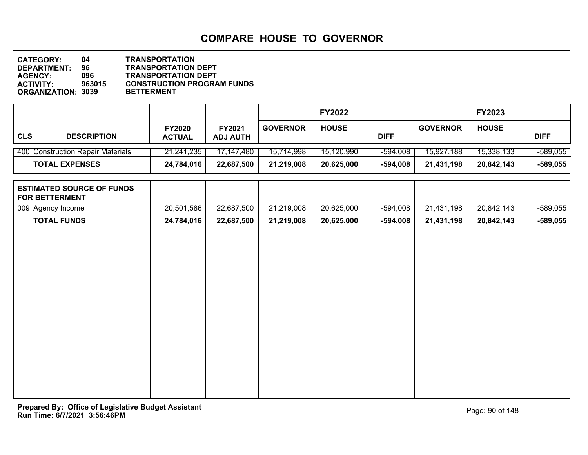| <b>CATEGORY:</b>          | 04.    | <b>TRANSPORTATION</b>             |
|---------------------------|--------|-----------------------------------|
| DEPARTMENT:               | 96     | <b>TRANSPORTATION DEPT</b>        |
| <b>AGENCY:</b>            | 096    | <b>TRANSPORTATION DEPT</b>        |
| <b>ACTIVITY:</b>          | 963015 | <b>CONSTRUCTION PROGRAM FUNDS</b> |
| <b>ORGANIZATION: 3039</b> |        | <b>BETTERMENT</b>                 |

|                                   |                                |                                  |                 | <b>FY2022</b> |             |                 | <b>FY2023</b> |             |
|-----------------------------------|--------------------------------|----------------------------------|-----------------|---------------|-------------|-----------------|---------------|-------------|
| <b>CLS</b><br><b>DESCRIPTION</b>  | <b>FY2020</b><br><b>ACTUAL</b> | <b>FY2021</b><br><b>ADJ AUTH</b> | <b>GOVERNOR</b> | <b>HOUSE</b>  | <b>DIFF</b> | <b>GOVERNOR</b> | <b>HOUSE</b>  | <b>DIFF</b> |
| 400 Construction Repair Materials | 21,241,235                     | 17,147,480                       | 15,714,998      | 15,120,990    | $-594,008$  | 15,927,188      | 15,338,133    | $-589,055$  |
| <b>TOTAL EXPENSES</b>             | 24,784,016                     | 22,687,500                       | 21,219,008      | 20,625,000    | $-594,008$  | 21,431,198      | 20,842,143    | $-589,055$  |

| <b>ESTIMATED SOURCE OF FUNDS</b><br><b>FOR BETTERMENT</b> |            |            |            |            |          |            |            |            |
|-----------------------------------------------------------|------------|------------|------------|------------|----------|------------|------------|------------|
| 009 Agency Income                                         | 20,501,586 | 22,687,500 | 21,219,008 | 20,625,000 | -594,008 | 21,431,198 | 20,842,143 | $-589,055$ |
| <b>TOTAL FUNDS</b>                                        | 24,784,016 | 22,687,500 | 21,219,008 | 20,625,000 | -594,008 | 21,431,198 | 20,842,143 | $-589,055$ |
|                                                           |            |            |            |            |          |            |            |            |
|                                                           |            |            |            |            |          |            |            |            |
|                                                           |            |            |            |            |          |            |            |            |
|                                                           |            |            |            |            |          |            |            |            |
|                                                           |            |            |            |            |          |            |            |            |
|                                                           |            |            |            |            |          |            |            |            |
|                                                           |            |            |            |            |          |            |            |            |
|                                                           |            |            |            |            |          |            |            |            |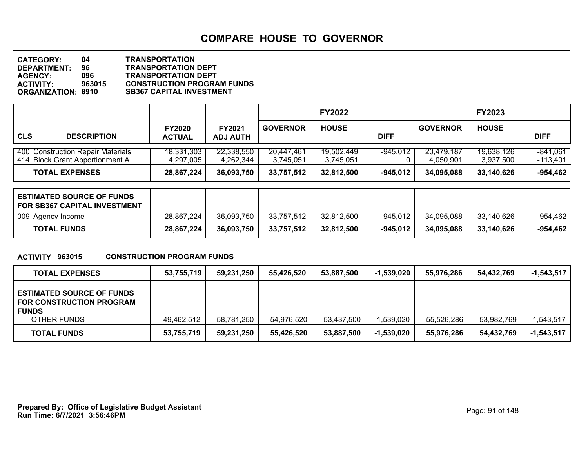| <b>CATEGORY:</b>          | 04     | <b>TRANSPORTATION</b>             |
|---------------------------|--------|-----------------------------------|
| <b>DEPARTMENT:</b>        | 96     | <b>TRANSPORTATION DEPT</b>        |
| <b>AGENCY:</b>            | 096    | <b>TRANSPORTATION DEPT</b>        |
| <b>ACTIVITY:</b>          | 963015 | <b>CONSTRUCTION PROGRAM FUNDS</b> |
| <b>ORGANIZATION: 8910</b> |        | <b>SB367 CAPITAL INVESTMENT</b>   |

|                                                                      |                                |                                  |                         | <b>FY2022</b>           |             |                         | <b>FY2023</b>           |                          |
|----------------------------------------------------------------------|--------------------------------|----------------------------------|-------------------------|-------------------------|-------------|-------------------------|-------------------------|--------------------------|
| <b>CLS</b><br><b>DESCRIPTION</b>                                     | <b>FY2020</b><br><b>ACTUAL</b> | <b>FY2021</b><br><b>ADJ AUTH</b> | <b>GOVERNOR</b>         | <b>HOUSE</b>            | <b>DIFF</b> | <b>GOVERNOR</b>         | <b>HOUSE</b>            | <b>DIFF</b>              |
| 400 Construction Repair Materials<br>414 Block Grant Apportionment A | 18,331,303<br>4,297,005        | 22,338,550<br>4,262,344          | 20,447,461<br>3,745,051 | 19,502,449<br>3,745,051 | $-945.012$  | 20,479,187<br>4.050.901 | 19,638,126<br>3,937,500 | $-841,061$<br>$-113,401$ |
| <b>TOTAL EXPENSES</b>                                                | 28,867,224                     | 36,093,750                       | 33,757,512              | 32,812,500              | $-945.012$  | 34,095,088              | 33,140,626              | $-954,462$               |

| <b>ESTIMATED SOURCE OF FUNDS</b><br><b>FOR SB367 CAPITAL INVESTMENT</b> |            |            |            |            |            |            |            |            |
|-------------------------------------------------------------------------|------------|------------|------------|------------|------------|------------|------------|------------|
| 009 Agency Income                                                       | 28,867,224 | 36,093,750 | 33.757.512 | 32.812.500 | -945,012 ' | 34.095.088 | 33.140.626 | $-954,462$ |
| <b>TOTAL FUNDS</b>                                                      | 28,867,224 | 36,093,750 | 33,757,512 | 32,812,500 | $-945.012$ | 34,095,088 | 33,140,626 | -954,462   |

### **ACTIVITY 963015 CONSTRUCTION PROGRAM FUNDS**

| <b>TOTAL EXPENSES</b>                                                               | 53,755,719 | 59,231,250 | 55.426.520 | 53,887,500 | $-1,539,020$ | 55.976.286 | 54.432.769 | $-1,543,517$ |
|-------------------------------------------------------------------------------------|------------|------------|------------|------------|--------------|------------|------------|--------------|
| <b>ESTIMATED SOURCE OF FUNDS</b><br><b>FOR CONSTRUCTION PROGRAM</b><br><b>FUNDS</b> |            |            |            |            |              |            |            |              |
| OTHER FUNDS                                                                         | 49,462,512 | 58,781,250 | 54,976,520 | 53.437.500 | $-1,539,020$ | 55,526,286 | 53.982.769 | $-1,543,517$ |
| <b>TOTAL FUNDS</b>                                                                  | 53,755,719 | 59,231,250 | 55.426.520 | 53,887,500 | $-1,539,020$ | 55,976,286 | 54,432,769 | $-1,543,517$ |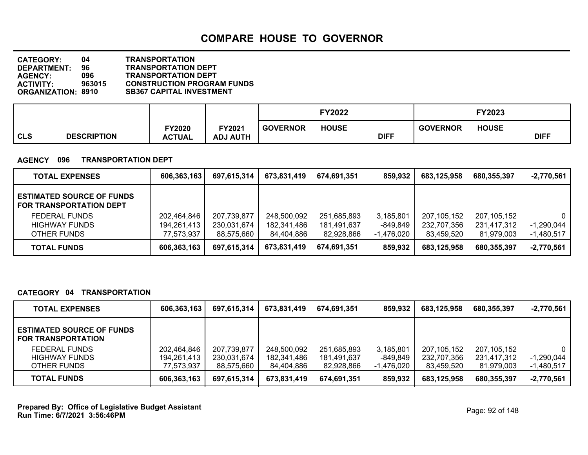**DEPARTMENT: 96 TRANSPORTATION DEPT CATEGORY: 04 TRANSPORTATION AGENCY: 096 TRANSPORTATION DEPT ACTIVITY: 963015 CONSTRUCTION PROGRAM FUNDS SB367 CAPITAL INVESTMENT** 

|            |                    |                                |                           |                 | <b>FY2022</b> |             |                 | FY2023       |             |
|------------|--------------------|--------------------------------|---------------------------|-----------------|---------------|-------------|-----------------|--------------|-------------|
| <b>CLS</b> | <b>DESCRIPTION</b> | <b>FY2020</b><br><b>ACTUAL</b> | FY2021<br><b>ADJ AUTH</b> | <b>GOVERNOR</b> | <b>HOUSE</b>  | <b>DIFF</b> | <b>GOVERNOR</b> | <b>HOUSE</b> | <b>DIFF</b> |

#### **AGENCY 096 TRANSPORTATION DEPT**

| <b>TOTAL EXPENSES</b>                                              | 606,363,163 | 697,615,314 | 673,831,419 | 674.691.351 | 859,932      | 683,125,958 | 680,355,397 | $-2,770,561$ |
|--------------------------------------------------------------------|-------------|-------------|-------------|-------------|--------------|-------------|-------------|--------------|
| <b>ESTIMATED SOURCE OF FUNDS</b><br><b>FOR TRANSPORTATION DEPT</b> |             |             |             |             |              |             |             |              |
| FEDERAL FUNDS                                                      | 202,464,846 | 207,739,877 | 248,500,092 | 251,685,893 | 3,185,801    | 207.105.152 | 207,105,152 | $\Omega$     |
| <b>HIGHWAY FUNDS</b>                                               | 194,261,413 | 230,031,674 | 182,341,486 | 181,491,637 | -849,849     | 232,707,356 | 231,417,312 | $-1,290,044$ |
| OTHER FUNDS                                                        | 77,573,937  | 88,575,660  | 84,404,886  | 82,928,866  | $-1,476,020$ | 83,459,520  | 81,979,003  | $-1,480,517$ |
| <b>TOTAL FUNDS</b>                                                 | 606,363,163 | 697,615,314 | 673,831,419 | 674,691,351 | 859,932      | 683,125,958 | 680,355,397 | $-2,770,561$ |

### **CATEGORY 04 TRANSPORTATION**

| <b>TOTAL EXPENSES</b>                                         | 606,363,163                | 697,615,314                | 673,831,419                | 674.691.351                | 859,932               | 683,125,958                  | 680,355,397                  | $-2,770,561$                 |
|---------------------------------------------------------------|----------------------------|----------------------------|----------------------------|----------------------------|-----------------------|------------------------------|------------------------------|------------------------------|
| <b>ESTIMATED SOURCE OF FUNDS</b><br><b>FOR TRANSPORTATION</b> |                            |                            |                            |                            |                       |                              |                              |                              |
| FEDERAL FUNDS<br><b>HIGHWAY FUNDS</b>                         | 202,464,846<br>194,261,413 | 207,739,877<br>230,031,674 | 248,500,092<br>182,341,486 | 251,685,893<br>181.491.637 | 3,185,801<br>-849.849 | 207, 105, 152<br>232,707,356 | 207, 105, 152<br>231,417,312 | $\mathbf{0}$<br>$-1,290,044$ |
| OTHER FUNDS                                                   | 77.573.937                 | 88,575,660                 | 84,404,886                 | 82,928,866                 | -1,476,020            | 83,459,520                   | 81,979,003                   | $-1,480,517$                 |
| <b>TOTAL FUNDS</b>                                            | 606,363,163                | 697,615,314                | 673,831,419                | 674.691.351                | 859,932               | 683,125,958                  | 680.355.397                  | $-2,770,561$                 |

**Run Time: 6/7/2021 3:56:46PM Prepared By: Office of Legislative Budget Assistant** Page: 92 of 148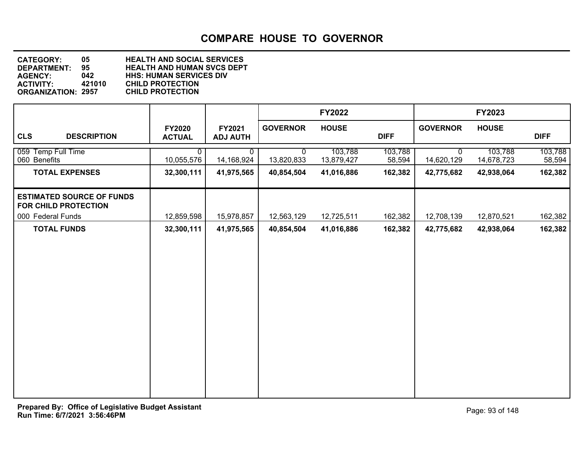**DEPARTMENT: 95 HEALTH AND HUMAN SVCS DEPT CATEGORY: 05 HEALTH AND SOCIAL SERVICES AGENCY: 042 HHS: HUMAN SERVICES DIV ACTIVITY: 421010 CHILD PROTECTION ORGANIZATION: 2957** 

|                                                          |                            |                           |                 | <b>FY2022</b>         |                   |                            | FY2023                |                   |
|----------------------------------------------------------|----------------------------|---------------------------|-----------------|-----------------------|-------------------|----------------------------|-----------------------|-------------------|
| <b>CLS</b><br><b>DESCRIPTION</b>                         | FY2020<br><b>ACTUAL</b>    | FY2021<br><b>ADJ AUTH</b> | <b>GOVERNOR</b> | <b>HOUSE</b>          | <b>DIFF</b>       | <b>GOVERNOR</b>            | <b>HOUSE</b>          | <b>DIFF</b>       |
| 059 Temp Full Time<br>060 Benefits                       | $\mathbf{0}$<br>10,055,576 | 0<br>14,168,924           | 0<br>13,820,833 | 103,788<br>13,879,427 | 103,788<br>58,594 | $\mathbf{0}$<br>14,620,129 | 103,788<br>14,678,723 | 103,788<br>58,594 |
| <b>TOTAL EXPENSES</b>                                    | 32,300,111                 | 41,975,565                | 40,854,504      | 41,016,886            | 162,382           | 42,775,682                 | 42,938,064            | 162,382           |
| <b>ESTIMATED SOURCE OF FUNDS</b><br>FOR CHILD PROTECTION |                            |                           |                 |                       |                   |                            |                       |                   |
| 000 Federal Funds                                        | 12,859,598                 | 15,978,857                | 12,563,129      | 12,725,511            | 162,382           | 12,708,139                 | 12,870,521            | 162,382           |
| <b>TOTAL FUNDS</b>                                       | 32,300,111                 | 41,975,565                | 40,854,504      | 41,016,886            | 162,382           | 42,775,682                 | 42,938,064            | 162,382           |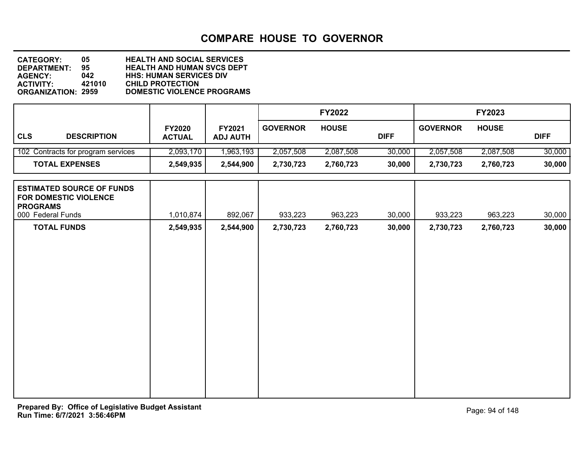| <b>CATEGORY:</b>          | 05.    | <b>HEALTH AND SOCIAL SERVICES</b> |
|---------------------------|--------|-----------------------------------|
| <b>DEPARTMENT:</b>        | 95.    | <b>HEALTH AND HUMAN SVCS DEPT</b> |
| <b>AGENCY:</b>            | 042    | <b>HHS: HUMAN SERVICES DIV</b>    |
| <b>ACTIVITY:</b>          | 421010 | <b>CHILD PROTECTION</b>           |
| <b>ORGANIZATION: 2959</b> |        | DOMESTIC VIOLENCE PROGRAMS        |

|                                                                                                          |                                |                           |                 | <b>FY2022</b> |             |                 | FY2023       |             |
|----------------------------------------------------------------------------------------------------------|--------------------------------|---------------------------|-----------------|---------------|-------------|-----------------|--------------|-------------|
| <b>CLS</b><br><b>DESCRIPTION</b>                                                                         | <b>FY2020</b><br><b>ACTUAL</b> | FY2021<br><b>ADJ AUTH</b> | <b>GOVERNOR</b> | <b>HOUSE</b>  | <b>DIFF</b> | <b>GOVERNOR</b> | <b>HOUSE</b> | <b>DIFF</b> |
| 102 Contracts for program services                                                                       | 2,093,170                      | 1,963,193                 | 2,057,508       | 2,087,508     | 30,000      | 2,057,508       | 2,087,508    | 30,000      |
| <b>TOTAL EXPENSES</b>                                                                                    | 2,549,935                      | 2,544,900                 | 2,730,723       | 2,760,723     | 30,000      | 2,730,723       | 2,760,723    | 30,000      |
| <b>ESTIMATED SOURCE OF FUNDS</b><br><b>FOR DOMESTIC VIOLENCE</b><br><b>PROGRAMS</b><br>000 Federal Funds | 1,010,874                      | 892,067                   | 933,223         | 963,223       | 30,000      | 933,223         | 963,223      | 30,000      |
| <b>TOTAL FUNDS</b>                                                                                       | 2,549,935                      | 2,544,900                 | 2,730,723       | 2,760,723     | 30,000      | 2,730,723       | 2,760,723    | 30,000      |
|                                                                                                          |                                |                           |                 |               |             |                 |              |             |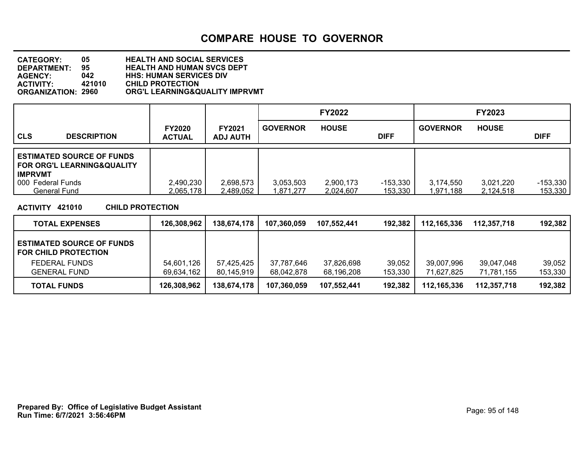| <b>CATEGORY:</b>          | 05     | <b>HEALTH AND SOCIAL SERVICES</b> |
|---------------------------|--------|-----------------------------------|
| DEPARTMENT:               | 95     | <b>HEALTH AND HUMAN SVCS DEPT</b> |
| <b>AGENCY:</b>            | 042    | <b>HHS: HUMAN SERVICES DIV</b>    |
| <b>ACTIVITY:</b>          | 421010 | <b>CHILD PROTECTION</b>           |
| <b>ORGANIZATION: 2960</b> |        | ORG'L LEARNING&QUALITY IMPRVMT    |

|                                                                                  |                                |                                  |                        | <b>FY2022</b>          |                       |                        | <b>FY2023</b>          |                       |
|----------------------------------------------------------------------------------|--------------------------------|----------------------------------|------------------------|------------------------|-----------------------|------------------------|------------------------|-----------------------|
| <b>CLS</b><br><b>DESCRIPTION</b>                                                 | <b>FY2020</b><br><b>ACTUAL</b> | <b>FY2021</b><br><b>ADJ AUTH</b> | <b>GOVERNOR</b>        | <b>HOUSE</b>           | <b>DIFF</b>           | <b>GOVERNOR</b>        | <b>HOUSE</b>           | <b>DIFF</b>           |
| <b>ESTIMATED SOURCE OF FUNDS</b><br>FOR ORG'L LEARNING&QUALITY<br><b>IMPRVMT</b> |                                |                                  |                        |                        |                       |                        |                        |                       |
| 000 Federal Funds<br><b>General Fund</b>                                         | 2,490,230<br>2,065,178         | 2,698,573<br>2,489,052           | 3,053,503<br>1,871,277 | 2,900,173<br>2,024,607 | $-153,330$<br>153,330 | 3,174,550<br>1.971.188 | 3,021,220<br>2.124.518 | $-153,330$<br>153,330 |

**ACTIVITY 421010 CHILD PROTECTION**

| <b>TOTAL EXPENSES</b>                                       | 126,308,962 | 138,674,178 | 107,360,059 | 107.552.441 | 192.382 | 112,165,336 | 112,357,718 | 192,382 |
|-------------------------------------------------------------|-------------|-------------|-------------|-------------|---------|-------------|-------------|---------|
| <b>LESTIMATED SOURCE OF FUNDS</b><br>I FOR CHILD PROTECTION |             |             |             |             |         |             |             |         |
| FEDERAL FUNDS                                               | 54,601,126  | 57,425,425  | 37,787,646  | 37,826,698  | 39,052  | 39,007,996  | 39,047,048  | 39,052  |
| <b>GENERAL FUND</b>                                         | 69,634,162  | 80,145,919  | 68.042.878  | 68,196,208  | 153,330 | 71.627.825  | 71.781.155  | 153,330 |
| <b>TOTAL FUNDS</b>                                          | 126,308,962 | 138,674,178 | 107,360,059 | 107.552.441 | 192,382 | 112,165,336 | 112.357.718 | 192,382 |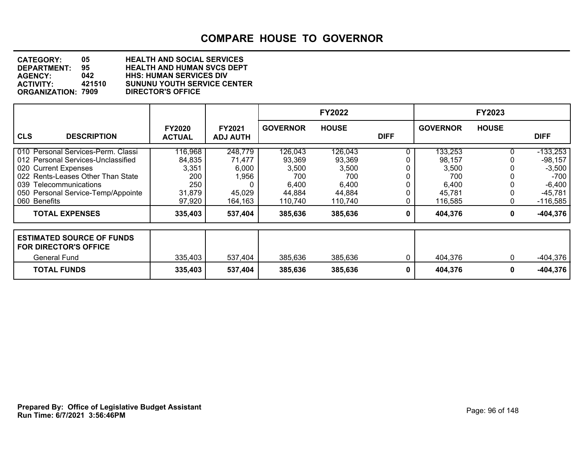| <b>CATEGORY:</b>          | 05.    | <b>HEALTH AND SOCIAL SERVICES</b>  |
|---------------------------|--------|------------------------------------|
| <b>DEPARTMENT:</b>        | 95.    | <b>HEALTH AND HUMAN SVCS DEPT</b>  |
| <b>AGENCY:</b>            | 042    | <b>HHS: HUMAN SERVICES DIV</b>     |
| <b>ACTIVITY:</b>          | 421510 | <b>SUNUNU YOUTH SERVICE CENTER</b> |
| <b>ORGANIZATION: 7909</b> |        | <b>DIRECTOR'S OFFICE</b>           |

|                                                                                                                                                                                                                       |                                                              |                                                          |                                                                 | <b>FY2022</b>                                                   |             |                                                                 | <b>FY2023</b> |                                                                                    |
|-----------------------------------------------------------------------------------------------------------------------------------------------------------------------------------------------------------------------|--------------------------------------------------------------|----------------------------------------------------------|-----------------------------------------------------------------|-----------------------------------------------------------------|-------------|-----------------------------------------------------------------|---------------|------------------------------------------------------------------------------------|
| <b>CLS</b><br><b>DESCRIPTION</b>                                                                                                                                                                                      | <b>FY2020</b><br><b>ACTUAL</b>                               | <b>FY2021</b><br><b>ADJ AUTH</b>                         | <b>GOVERNOR</b>                                                 | <b>HOUSE</b>                                                    | <b>DIFF</b> | <b>GOVERNOR</b>                                                 | <b>HOUSE</b>  | <b>DIFF</b>                                                                        |
| 010 Personal Services-Perm. Classi<br>012 Personal Services-Unclassified<br>020 Current Expenses<br>022 Rents-Leases Other Than State<br>039 Telecommunications<br>050 Personal Service-Temp/Appointe<br>060 Benefits | 116,968<br>84,835<br>3,351<br>200<br>250<br>31,879<br>97,920 | 248,779<br>71,477<br>6,000<br>1,956<br>45,029<br>164,163 | 126,043<br>93,369<br>3,500<br>700<br>6,400<br>44,884<br>110,740 | 126,043<br>93,369<br>3,500<br>700<br>6,400<br>44,884<br>110,740 |             | 133,253<br>98,157<br>3,500<br>700<br>6,400<br>45,781<br>116,585 |               | $-133,253$<br>$-98,157$<br>$-3,500$<br>-700 l<br>$-6,400$<br>-45,781<br>$-116,585$ |
| <b>TOTAL EXPENSES</b>                                                                                                                                                                                                 | 335,403                                                      | 537,404                                                  | 385,636                                                         | 385,636                                                         | 0           | 404,376                                                         | 0             | $-404,376$                                                                         |
| <b>ESTIMATED SOURCE OF FUNDS</b><br><b>FOR DIRECTOR'S OFFICE</b><br><b>General Fund</b>                                                                                                                               | 335,403                                                      | 537,404                                                  | 385,636                                                         | 385,636                                                         |             | 404,376                                                         | 0             | -404,376                                                                           |
| <b>TOTAL FUNDS</b>                                                                                                                                                                                                    | 335,403                                                      | 537,404                                                  | 385,636                                                         | 385,636                                                         | 0           | 404,376                                                         | 0             | $-404,376$                                                                         |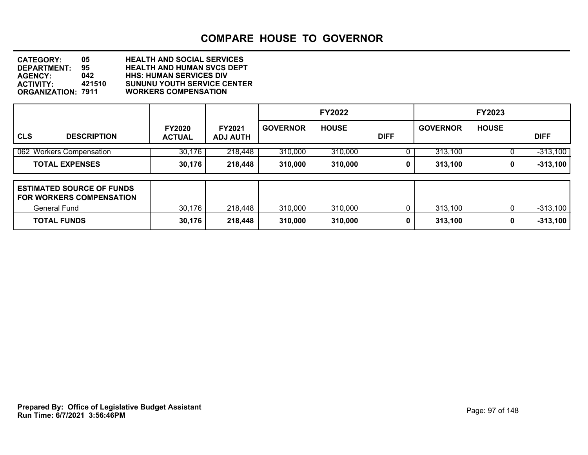**DEPARTMENT: 95 HEALTH AND HUMAN SVCS DEPT CATEGORY: 05 HEALTH AND SOCIAL SERVICES AGENCY: 042 HHS: HUMAN SERVICES DIV ACTIVITY: 421510 SUNUNU YOUTH SERVICE CENTER ORGANIZATION: 7911 WORKERS COMPENSATION**

|                                                                                             |                                |                                  |                 | <b>FY2022</b> |             |                 | <b>FY2023</b> |             |
|---------------------------------------------------------------------------------------------|--------------------------------|----------------------------------|-----------------|---------------|-------------|-----------------|---------------|-------------|
| <b>CLS</b><br><b>DESCRIPTION</b>                                                            | <b>FY2020</b><br><b>ACTUAL</b> | <b>FY2021</b><br><b>ADJ AUTH</b> | <b>GOVERNOR</b> | <b>HOUSE</b>  | <b>DIFF</b> | <b>GOVERNOR</b> | <b>HOUSE</b>  | <b>DIFF</b> |
| 062 Workers Compensation                                                                    | 30,176                         | 218,448                          | 310,000         | 310,000       |             | 313,100         |               | $-313,100$  |
| <b>TOTAL EXPENSES</b>                                                                       | 30,176                         | 218,448                          | 310,000         | 310,000       | 0           | 313,100         | 0             | $-313,100$  |
| <b>LESTIMATED SOURCE OF FUNDS</b><br><b>FOR WORKERS COMPENSATION</b><br><b>General Fund</b> | 30,176                         | 218,448                          | 310,000         | 310,000       |             | 313,100         | 0             | $-313,100$  |
| <b>TOTAL FUNDS</b>                                                                          | 30,176                         | 218,448                          | 310,000         | 310,000       | 0           | 313,100         | 0             | $-313,100$  |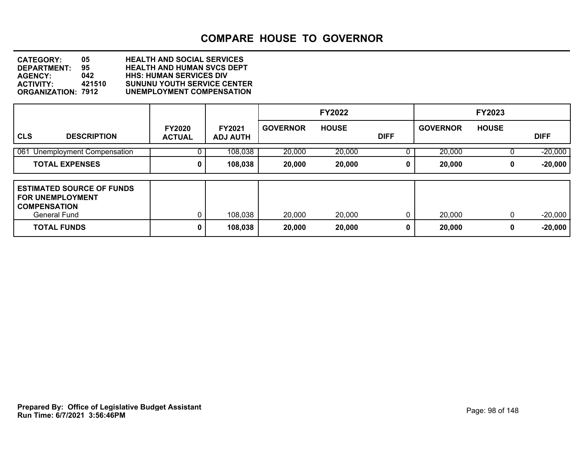| <b>CATEGORY:</b>          | 05     | <b>HEALTH AND SOCIAL SERVICES</b>  |
|---------------------------|--------|------------------------------------|
| DEPARTMENT:               | 95.    | <b>HEALTH AND HUMAN SVCS DEPT</b>  |
| <b>AGENCY:</b>            | 042    | <b>HHS: HUMAN SERVICES DIV</b>     |
| <b>ACTIVITY:</b>          | 421510 | <b>SUNUNU YOUTH SERVICE CENTER</b> |
| <b>ORGANIZATION: 7912</b> |        | UNEMPLOYMENT COMPENSATION          |

|                                                                                                                          |                                |                                  |                  | <b>FY2022</b>    |             |                  | <b>FY2023</b> |                        |
|--------------------------------------------------------------------------------------------------------------------------|--------------------------------|----------------------------------|------------------|------------------|-------------|------------------|---------------|------------------------|
| <b>CLS</b><br><b>DESCRIPTION</b>                                                                                         | <b>FY2020</b><br><b>ACTUAL</b> | <b>FY2021</b><br><b>ADJ AUTH</b> | <b>GOVERNOR</b>  | <b>HOUSE</b>     | <b>DIFF</b> | <b>GOVERNOR</b>  | <b>HOUSE</b>  | <b>DIFF</b>            |
| 061 Unemployment Compensation                                                                                            |                                | 108,038                          | 20,000           | 20,000           |             | 20,000           |               | $-20,000$              |
| <b>TOTAL EXPENSES</b>                                                                                                    | 0                              | 108,038                          | 20,000           | 20,000           | 0           | 20,000           | 0             | $-20,000$              |
| <b>ESTIMATED SOURCE OF FUNDS</b><br><b>FOR UNEMPLOYMENT</b><br><b>COMPENSATION</b><br>General Fund<br><b>TOTAL FUNDS</b> | 0                              | 108,038<br>108,038               | 20,000<br>20,000 | 20,000<br>20,000 | 0<br>0      | 20,000<br>20,000 | $\Omega$<br>0 | $-20,000$<br>$-20,000$ |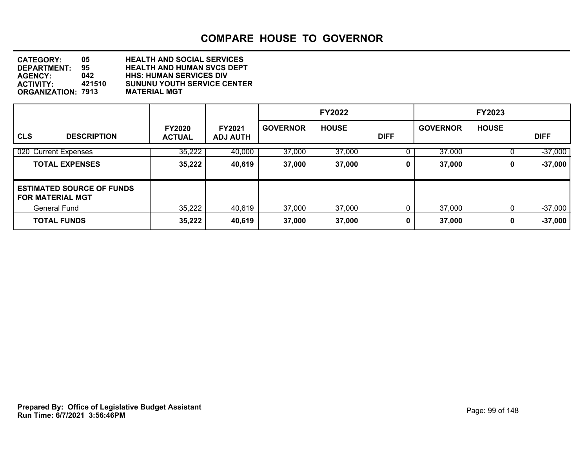| <b>CATEGORY:</b>          | 05.    | <b>HEALTH AND SOCIAL SERVICES</b>  |
|---------------------------|--------|------------------------------------|
| <b>DEPARTMENT:</b>        | 95.    | <b>HEALTH AND HUMAN SVCS DEPT</b>  |
| <b>AGENCY:</b>            | 042    | <b>HHS: HUMAN SERVICES DIV</b>     |
| <b>ACTIVITY:</b>          | 421510 | <b>SUNUNU YOUTH SERVICE CENTER</b> |
| <b>ORGANIZATION: 7913</b> |        | <b>MATERIAL MGT</b>                |

|                                                             |                                |                                  |                 | <b>FY2022</b> |             |                 | <b>FY2023</b> |             |
|-------------------------------------------------------------|--------------------------------|----------------------------------|-----------------|---------------|-------------|-----------------|---------------|-------------|
| <b>CLS</b><br><b>DESCRIPTION</b>                            | <b>FY2020</b><br><b>ACTUAL</b> | <b>FY2021</b><br><b>ADJ AUTH</b> | <b>GOVERNOR</b> | <b>HOUSE</b>  | <b>DIFF</b> | <b>GOVERNOR</b> | <b>HOUSE</b>  | <b>DIFF</b> |
| 020 Current Expenses                                        | 35,222                         | 40,000                           | 37,000          | 37,000        |             | 37,000          |               | $-37,000$   |
| <b>TOTAL EXPENSES</b>                                       | 35,222                         | 40,619                           | 37,000          | 37,000        | 0           | 37,000          | 0             | $-37,000$   |
| <b>ESTIMATED SOURCE OF FUNDS</b><br><b>FOR MATERIAL MGT</b> |                                |                                  |                 |               |             |                 |               |             |
| <b>General Fund</b>                                         | 35,222                         | 40,619                           | 37,000          | 37,000        | 0           | 37,000          | 0             | $-37,000$   |
| <b>TOTAL FUNDS</b>                                          | 35,222                         | 40,619                           | 37,000          | 37,000        | 0           | 37,000          | 0             | $-37,000$   |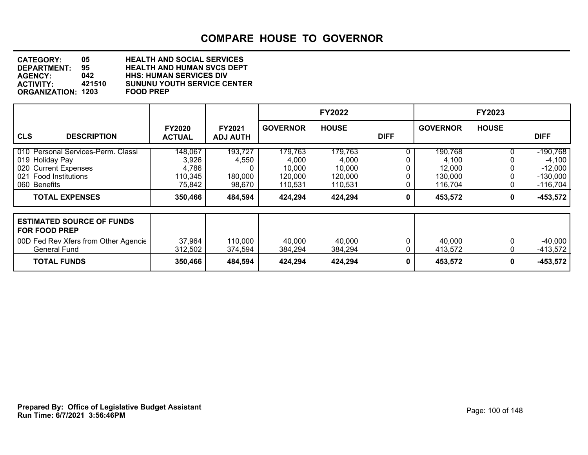| <b>CATEGORY:</b>          | 05.    | <b>HEALTH AND SOCIAL SERVICES</b>  |
|---------------------------|--------|------------------------------------|
| <b>DEPARTMENT:</b>        | 95.    | <b>HEALTH AND HUMAN SVCS DEPT</b>  |
| <b>AGENCY:</b>            | 042    | <b>HHS: HUMAN SERVICES DIV</b>     |
| <b>ACTIVITY:</b>          | 421510 | <b>SUNUNU YOUTH SERVICE CENTER</b> |
| <b>ORGANIZATION: 1203</b> |        | <b>FOOD PREP</b>                   |

|                                                                                                                         |                                                |                                       |                                                  | <b>FY2022</b>                                    |             |                                                  | <b>FY2023</b> |                                                                 |
|-------------------------------------------------------------------------------------------------------------------------|------------------------------------------------|---------------------------------------|--------------------------------------------------|--------------------------------------------------|-------------|--------------------------------------------------|---------------|-----------------------------------------------------------------|
| <b>CLS</b><br><b>DESCRIPTION</b>                                                                                        | <b>FY2020</b><br><b>ACTUAL</b>                 | <b>FY2021</b><br><b>ADJ AUTH</b>      | <b>GOVERNOR</b>                                  | <b>HOUSE</b>                                     | <b>DIFF</b> | <b>GOVERNOR</b>                                  | <b>HOUSE</b>  | <b>DIFF</b>                                                     |
| 010 Personal Services-Perm. Classi<br>019 Holiday Pay<br>020 Current Expenses<br>021 Food Institutions<br>060 Benefits  | 148,067<br>3,926<br>4,786<br>110,345<br>75,842 | 193,727<br>4,550<br>180,000<br>98,670 | 179,763<br>4,000<br>10,000<br>120,000<br>110,531 | 179,763<br>4,000<br>10,000<br>120,000<br>110,531 |             | 190,768<br>4,100<br>12,000<br>130,000<br>116,704 |               | $-190,768$<br>$-4,100$<br>$-12,000$<br>$-130,000$<br>$-116,704$ |
| <b>TOTAL EXPENSES</b>                                                                                                   | 350,466                                        | 484,594                               | 424,294                                          | 424,294                                          | 0           | 453,572                                          | 0             | $-453,572$                                                      |
| <b>ESTIMATED SOURCE OF FUNDS</b><br><b>FOR FOOD PREP</b><br>00D Fed Rev Xfers from Other Agencie<br><b>General Fund</b> | 37,964<br>312,502                              | 110,000<br>374,594                    | 40,000<br>384,294                                | 40,000<br>384,294                                |             | 40,000<br>413,572                                |               | $-40,000$<br>$-413,572$                                         |
| <b>TOTAL FUNDS</b>                                                                                                      | 350,466                                        | 484,594                               | 424,294                                          | 424,294                                          | 0           | 453,572                                          | 0             | $-453,572$                                                      |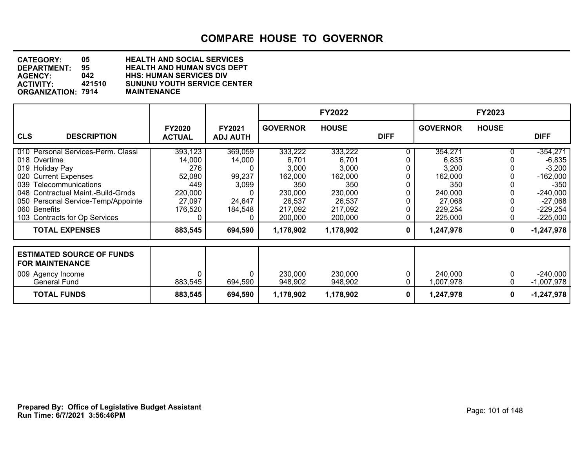| <b>CATEGORY:</b>          | 05     | <b>HEALTH AND SOCIAL SERVICES</b>  |
|---------------------------|--------|------------------------------------|
| DEPARTMENT:               | 95     | <b>HEALTH AND HUMAN SVCS DEPT</b>  |
| <b>AGENCY:</b>            | 042    | <b>HHS: HUMAN SERVICES DIV</b>     |
| <b>ACTIVITY:</b>          | 421510 | <b>SUNUNU YOUTH SERVICE CENTER</b> |
| <b>ORGANIZATION: 7914</b> |        | <b>MAINTENANCE</b>                 |

|                                                                                                                                                                                                                                                      |                                                                           |                                                           |                                                                                        | <b>FY2022</b>                                                                          |             |                                                                                        | <b>FY2023</b> |                                                                                                                   |
|------------------------------------------------------------------------------------------------------------------------------------------------------------------------------------------------------------------------------------------------------|---------------------------------------------------------------------------|-----------------------------------------------------------|----------------------------------------------------------------------------------------|----------------------------------------------------------------------------------------|-------------|----------------------------------------------------------------------------------------|---------------|-------------------------------------------------------------------------------------------------------------------|
| <b>CLS</b><br><b>DESCRIPTION</b>                                                                                                                                                                                                                     | <b>FY2020</b><br><b>ACTUAL</b>                                            | <b>FY2021</b><br><b>ADJ AUTH</b>                          | <b>GOVERNOR</b>                                                                        | <b>HOUSE</b>                                                                           | <b>DIFF</b> | <b>GOVERNOR</b>                                                                        | <b>HOUSE</b>  | <b>DIFF</b>                                                                                                       |
| 010 Personal Services-Perm. Classi<br>018 Overtime<br>019 Holiday Pay<br>020 Current Expenses<br>039 Telecommunications<br>048 Contractual Maint.-Build-Grnds<br>050 Personal Service-Temp/Appointe<br>060 Benefits<br>103 Contracts for Op Services | 393,123<br>14,000<br>276<br>52,080<br>449<br>220,000<br>27,097<br>176,520 | 369,059<br>14,000<br>99,237<br>3,099<br>24,647<br>184,548 | 333,222<br>6,701<br>3,000<br>162,000<br>350<br>230,000<br>26,537<br>217,092<br>200,000 | 333,222<br>6,701<br>3,000<br>162,000<br>350<br>230,000<br>26,537<br>217,092<br>200,000 |             | 354,271<br>6,835<br>3,200<br>162,000<br>350<br>240,000<br>27,068<br>229,254<br>225,000 |               | $-354,271$<br>$-6,835$<br>$-3,200$<br>$-162,000$<br>$-350$<br>$-240,000$<br>$-27,068$<br>$-229,254$<br>$-225,000$ |
| <b>TOTAL EXPENSES</b>                                                                                                                                                                                                                                | 883,545                                                                   | 694,590                                                   | 1,178,902                                                                              | 1,178,902                                                                              | 0           | 1,247,978                                                                              | 0             | $-1,247,978$                                                                                                      |
| <b>ESTIMATED SOURCE OF FUNDS</b><br><b>FOR MAINTENANCE</b><br>009 Agency Income<br>General Fund                                                                                                                                                      | 883,545                                                                   | 694,590                                                   | 230,000<br>948,902                                                                     | 230,000<br>948,902                                                                     |             | 240,000<br>1,007,978                                                                   | 0<br>0        | $-240,000$<br>$-1,007,978$                                                                                        |
| <b>TOTAL FUNDS</b>                                                                                                                                                                                                                                   | 883,545                                                                   | 694,590                                                   | 1,178,902                                                                              | 1,178,902                                                                              | 0           | 1,247,978                                                                              | 0             | $-1,247,978$                                                                                                      |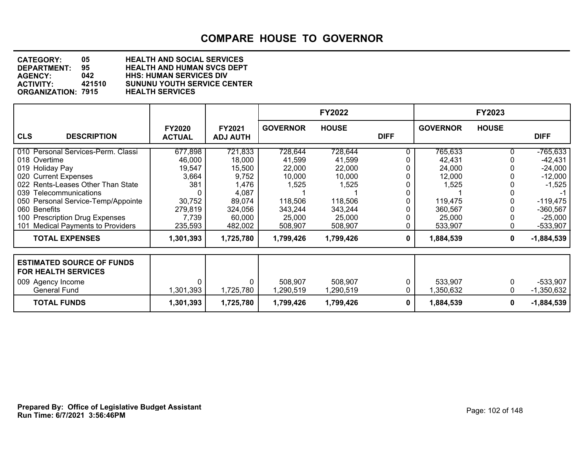| <b>CATEGORY:</b>          | 05     | <b>HEALTH AND SOCIAL SERVICES</b>  |
|---------------------------|--------|------------------------------------|
| DEPARTMENT:               | 95     | <b>HEALTH AND HUMAN SVCS DEPT</b>  |
| <b>AGENCY:</b>            | 042    | <b>HHS: HUMAN SERVICES DIV</b>     |
| <b>ACTIVITY:</b>          | 421510 | <b>SUNUNU YOUTH SERVICE CENTER</b> |
| <b>ORGANIZATION: 7915</b> |        | <b>HEALTH SERVICES</b>             |

|                                                                                                                                                                                                                                                                                                     |                                                                                      |                                                                                                  |                                                                                           | <b>FY2022</b>                                                                             |             |                                                                                           | <b>FY2023</b> |                                                                                                                      |
|-----------------------------------------------------------------------------------------------------------------------------------------------------------------------------------------------------------------------------------------------------------------------------------------------------|--------------------------------------------------------------------------------------|--------------------------------------------------------------------------------------------------|-------------------------------------------------------------------------------------------|-------------------------------------------------------------------------------------------|-------------|-------------------------------------------------------------------------------------------|---------------|----------------------------------------------------------------------------------------------------------------------|
| <b>CLS</b><br><b>DESCRIPTION</b>                                                                                                                                                                                                                                                                    | <b>FY2020</b><br><b>ACTUAL</b>                                                       | <b>FY2021</b><br><b>ADJ AUTH</b>                                                                 | <b>GOVERNOR</b>                                                                           | <b>HOUSE</b>                                                                              | <b>DIFF</b> | <b>GOVERNOR</b>                                                                           | <b>HOUSE</b>  | <b>DIFF</b>                                                                                                          |
| 010 Personal Services-Perm. Classi<br>018 Overtime<br>019 Holiday Pay<br>020 Current Expenses<br>022 Rents-Leases Other Than State<br>039 Telecommunications<br>050 Personal Service-Temp/Appointe<br>060 Benefits<br>100 Prescription Drug Expenses<br><b>Medical Payments to Providers</b><br>101 | 677,898<br>46,000<br>19,547<br>3,664<br>381<br>30,752<br>279,819<br>7,739<br>235,593 | 721,833<br>18,000<br>15,500<br>9,752<br>1,476<br>4,087<br>89,074<br>324,056<br>60,000<br>482,002 | 728,644<br>41,599<br>22,000<br>10,000<br>1,525<br>118,506<br>343,244<br>25,000<br>508,907 | 728,644<br>41,599<br>22,000<br>10,000<br>1,525<br>118,506<br>343,244<br>25,000<br>508,907 |             | 765,633<br>42,431<br>24,000<br>12,000<br>1,525<br>119,475<br>360,567<br>25,000<br>533,907 |               | $-765,633$<br>$-42,431$<br>$-24,000$<br>$-12,000$<br>$-1,525$<br>$-119,475$<br>$-360,567$<br>$-25,000$<br>$-533,907$ |
| <b>TOTAL EXPENSES</b>                                                                                                                                                                                                                                                                               | 1,301,393                                                                            | 1,725,780                                                                                        | 1,799,426                                                                                 | 1,799,426                                                                                 | 0           | 1,884,539                                                                                 | 0             | $-1,884,539$                                                                                                         |
| <b>ESTIMATED SOURCE OF FUNDS</b><br><b>FOR HEALTH SERVICES</b><br>009 Agency Income<br><b>General Fund</b>                                                                                                                                                                                          | $\Omega$<br>1,301,393                                                                | 0<br>1,725,780                                                                                   | 508,907<br>,290,519                                                                       | 508,907<br>,290,519                                                                       |             | 533,907<br>,350,632                                                                       |               | $-533,907$<br>$-1,350,632$                                                                                           |
| <b>TOTAL FUNDS</b>                                                                                                                                                                                                                                                                                  | 1,301,393                                                                            | 1,725,780                                                                                        | 1,799,426                                                                                 | 1,799,426                                                                                 | 0           | 1,884,539                                                                                 | 0             | $-1,884,539$                                                                                                         |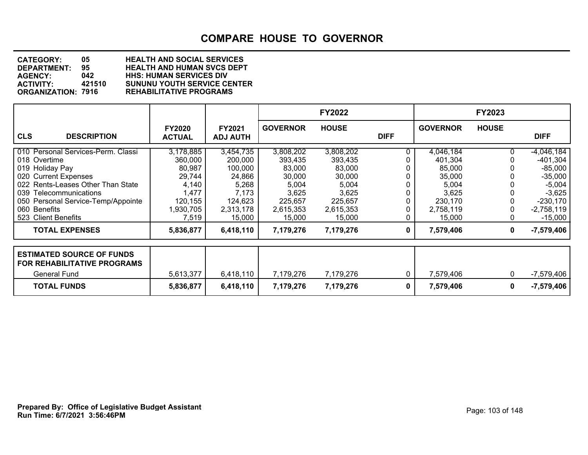| <b>CATEGORY:</b>          | 05     | <b>HEALTH AND SOCIAL SERVICES</b>  |
|---------------------------|--------|------------------------------------|
| <b>DEPARTMENT:</b>        | 95     | <b>HEALTH AND HUMAN SVCS DEPT</b>  |
| <b>AGENCY:</b>            | 042    | <b>HHS: HUMAN SERVICES DIV</b>     |
| <b>ACTIVITY:</b>          | 421510 | <b>SUNUNU YOUTH SERVICE CENTER</b> |
| <b>ORGANIZATION: 7916</b> |        | <b>REHABILITATIVE PROGRAMS</b>     |

|                                                                                 |                                |                                  |                 | <b>FY2022</b> |             |                 | <b>FY2023</b> |              |
|---------------------------------------------------------------------------------|--------------------------------|----------------------------------|-----------------|---------------|-------------|-----------------|---------------|--------------|
| <b>CLS</b><br><b>DESCRIPTION</b>                                                | <b>FY2020</b><br><b>ACTUAL</b> | <b>FY2021</b><br><b>ADJ AUTH</b> | <b>GOVERNOR</b> | <b>HOUSE</b>  | <b>DIFF</b> | <b>GOVERNOR</b> | <b>HOUSE</b>  | <b>DIFF</b>  |
| 010 Personal Services-Perm. Classi                                              | 3,178,885                      | 3,454,735                        | 3,808,202       | 3,808,202     |             | 4,046,184       |               | $-4,046,184$ |
| 018 Overtime                                                                    | 360,000                        | 200,000                          | 393,435         | 393,435       |             | 401,304         |               | $-401,304$   |
| 019 Holiday Pay                                                                 | 80,987                         | 100,000                          | 83,000          | 83,000        |             | 85,000          |               | $-85,000$    |
| 020 Current Expenses                                                            | 29,744                         | 24,866                           | 30,000          | 30,000        |             | 35,000          |               | $-35,000$    |
| 022 Rents-Leases Other Than State                                               | 4,140                          | 5,268                            | 5,004           | 5,004         |             | 5,004           |               | $-5,004$     |
| 039 Telecommunications                                                          | 1,477                          | 7,173                            | 3,625           | 3,625         |             | 3,625           |               | $-3,625$     |
| 050 Personal Service-Temp/Appointe                                              | 120,155                        | 124,623                          | 225,657         | 225,657       |             | 230,170         |               | $-230,170$   |
| 060 Benefits                                                                    | 1,930,705                      | 2,313,178                        | 2,615,353       | 2,615,353     |             | 2,758,119       |               | $-2,758,119$ |
| 523 Client Benefits                                                             | 7,519                          | 15,000                           | 15,000          | 15,000        |             | 15,000          |               | $-15,000$    |
| <b>TOTAL EXPENSES</b>                                                           | 5,836,877                      | 6,418,110                        | 7,179,276       | 7,179,276     | 0           | 7,579,406       | 0             | $-7,579,406$ |
| <b>ESTIMATED SOURCE OF FUNDS</b><br>FOR REHABILITATIVE PROGRAMS<br>General Fund | 5,613,377                      | 6,418,110                        | 7,179,276       | 7,179,276     | 0           | 7,579,406       | 0             | -7,579,406   |
| <b>TOTAL FUNDS</b>                                                              | 5,836,877                      | 6,418,110                        | 7,179,276       | 7,179,276     | 0           | 7,579,406       | 0             | -7,579,406   |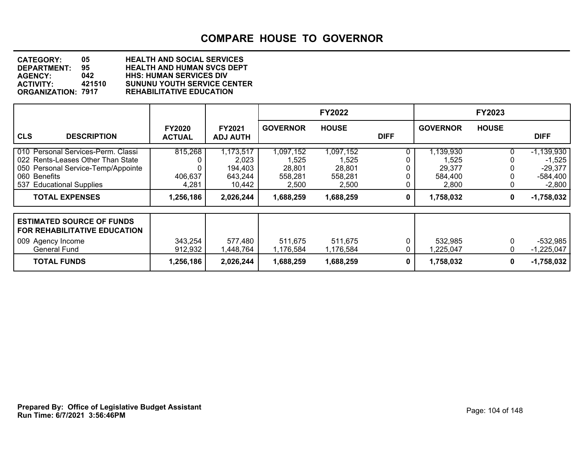| <b>CATEGORY:</b>          | 05.    | <b>HEALTH AND SOCIAL SERVICES</b>  |
|---------------------------|--------|------------------------------------|
| <b>DEPARTMENT:</b>        | 95.    | <b>HEALTH AND HUMAN SVCS DEPT</b>  |
| <b>AGENCY:</b>            | 042    | <b>HHS: HUMAN SERVICES DIV</b>     |
| <b>ACTIVITY:</b>          | 421510 | <b>SUNUNU YOUTH SERVICE CENTER</b> |
| <b>ORGANIZATION: 7917</b> |        | <b>REHABILITATIVE EDUCATION</b>    |

|                                                                                                                                                           |                                |                                                    |                                                  | <b>FY2022</b>                                    |             |                                                  | <b>FY2023</b> |                                                                 |
|-----------------------------------------------------------------------------------------------------------------------------------------------------------|--------------------------------|----------------------------------------------------|--------------------------------------------------|--------------------------------------------------|-------------|--------------------------------------------------|---------------|-----------------------------------------------------------------|
| <b>CLS</b><br><b>DESCRIPTION</b>                                                                                                                          | <b>FY2020</b><br><b>ACTUAL</b> | FY2021<br><b>ADJ AUTH</b>                          | <b>GOVERNOR</b>                                  | <b>HOUSE</b>                                     | <b>DIFF</b> | <b>GOVERNOR</b>                                  | <b>HOUSE</b>  | <b>DIFF</b>                                                     |
| 010 Personal Services-Perm. Classi<br>022 Rents-Leases Other Than State<br>050 Personal Service-Temp/Appointe<br>060 Benefits<br>537 Educational Supplies | 815,268<br>406,637<br>4,281    | 1,173,517<br>2,023<br>194,403<br>643,244<br>10,442 | 1,097,152<br>1,525<br>28,801<br>558,281<br>2,500 | 1,097,152<br>1,525<br>28,801<br>558,281<br>2,500 |             | 1,139,930<br>1,525<br>29,377<br>584,400<br>2,800 |               | $-1,139,930$<br>$-1,525$<br>$-29,377$<br>$-584,400$<br>$-2,800$ |
| <b>TOTAL EXPENSES</b>                                                                                                                                     | 1,256,186                      | 2,026,244                                          | 1,688,259                                        | 1,688,259                                        | 0           | 1,758,032                                        | 0             | $-1,758,032$                                                    |
| <b>ESTIMATED SOURCE OF FUNDS</b><br>FOR REHABILITATIVE EDUCATION<br>009 Agency Income<br><b>General Fund</b>                                              | 343,254<br>912,932             | 577,480<br>1,448,764                               | 511,675<br>1,176,584                             | 511,675<br>1,176,584                             |             | 532,985<br>,225,047                              |               | $-532,985$<br>$-1,225,047$                                      |
| <b>TOTAL FUNDS</b>                                                                                                                                        | 1,256,186                      | 2,026,244                                          | 1,688,259                                        | 1,688,259                                        | 0           | 1,758,032                                        | 0             | $-1,758,032$                                                    |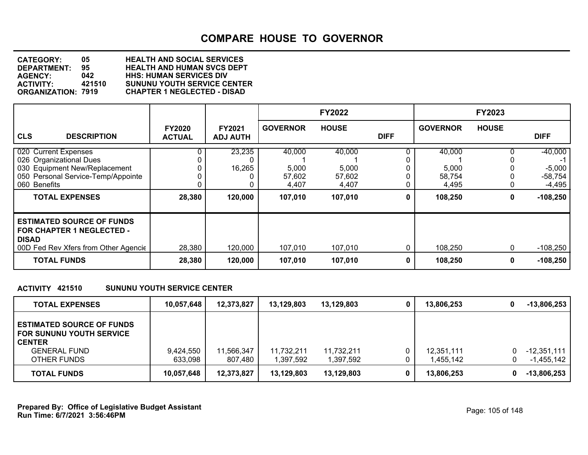| <b>CATEGORY:</b>          | 05     | <b>HEALTH AND SOCIAL SERVICES</b>  |
|---------------------------|--------|------------------------------------|
| <b>DEPARTMENT:</b>        | 95.    | <b>HEALTH AND HUMAN SVCS DEPT</b>  |
| <b>AGENCY:</b>            | 042    | <b>HHS: HUMAN SERVICES DIV</b>     |
| <b>ACTIVITY:</b>          | 421510 | <b>SUNUNU YOUTH SERVICE CENTER</b> |
| <b>ORGANIZATION: 7919</b> |        | <b>CHAPTER 1 NEGLECTED - DISAD</b> |

|                                                                                                                                                                 |                                |                                  |                                               | <b>FY2022</b>                                 |             |                                               | <b>FY2023</b> |                                                            |
|-----------------------------------------------------------------------------------------------------------------------------------------------------------------|--------------------------------|----------------------------------|-----------------------------------------------|-----------------------------------------------|-------------|-----------------------------------------------|---------------|------------------------------------------------------------|
| <b>CLS</b><br><b>DESCRIPTION</b>                                                                                                                                | <b>FY2020</b><br><b>ACTUAL</b> | <b>FY2021</b><br><b>ADJ AUTH</b> | <b>GOVERNOR</b>                               | <b>HOUSE</b>                                  | <b>DIFF</b> | <b>GOVERNOR</b>                               | <b>HOUSE</b>  | <b>DIFF</b>                                                |
| 020 Current Expenses<br>026 Organizational Dues<br>030 Equipment New/Replacement<br>050 Personal Service-Temp/Appointe<br>060 Benefits<br><b>TOTAL EXPENSES</b> | 28,380                         | 23,235<br>16,265<br>120,000      | 40,000<br>5,000<br>57,602<br>4,407<br>107,010 | 40,000<br>5,000<br>57,602<br>4,407<br>107,010 | $\mathbf 0$ | 40,000<br>5,000<br>58,754<br>4,495<br>108,250 | 0             | $-40,000$<br>$-5,000$<br>$-58,754$<br>-4,495<br>$-108,250$ |
| <b>ESTIMATED SOURCE OF FUNDS</b><br><b>FOR CHAPTER 1 NEGLECTED -</b><br><b>DISAD</b><br>00D Fed Rev Xfers from Other Agencie<br><b>TOTAL FUNDS</b>              | 28,380<br>28,380               | 120,000<br>120,000               | 107,010<br>107,010                            | 107,010<br>107,010                            | 0<br>0      | 108,250<br>108,250                            | 0<br>0        | $-108,250$<br>$-108,250$                                   |

### **ACTIVITY 421510 SUNUNU YOUTH SERVICE CENTER**

| <b>TOTAL EXPENSES</b>                                                                                                      | 10,057,648           | 12,373,827           | 13,129,803             | 13,129,803              | 0 | 13,806,253              | $-13,806,253$                          |
|----------------------------------------------------------------------------------------------------------------------------|----------------------|----------------------|------------------------|-------------------------|---|-------------------------|----------------------------------------|
| <b>ESTIMATED SOURCE OF FUNDS</b><br><b>FOR SUNUNU YOUTH SERVICE</b><br><b>CENTER</b><br><b>GENERAL FUND</b><br>OTHER FUNDS | 9,424,550<br>633,098 | 566,347.ا<br>807,480 | 11,732,211<br>,397,592 | 11,732,211<br>1,397,592 |   | 12,351,111<br>1,455,142 | $-12,351,111$<br>0.<br>-1,455,142<br>0 |
| <b>TOTAL FUNDS</b>                                                                                                         | 10,057,648           | 12,373,827           | 13,129,803             | 13,129,803              |   | 13,806,253              | $-13,806,253$<br>0                     |

**Run Time: 6/7/2021 3:56:46PM Prepared By: Office of Legislative Budget Assistant** Page: 105 of 148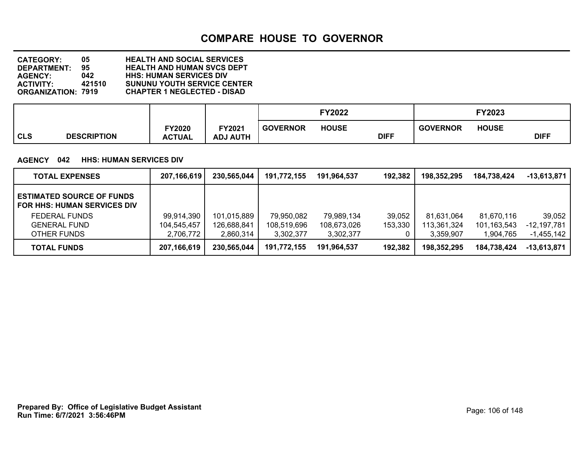**DEPARTMENT: 95 HEALTH AND HUMAN SVCS DEPT CATEGORY: 05 HEALTH AND SOCIAL SERVICES AGENCY: 042 HHS: HUMAN SERVICES DIV ACTIVITY: 421510 SUNUNU YOUTH SERVICE CENTER ORGANIZATION: 7919 CHAPTER 1 NEGLECTED - DISAD**

|            |                    |                                |                                  |                 | FY2022       |             |                 | FY2023       |             |
|------------|--------------------|--------------------------------|----------------------------------|-----------------|--------------|-------------|-----------------|--------------|-------------|
| <b>CLS</b> | <b>DESCRIPTION</b> | <b>FY2020</b><br><b>ACTUAL</b> | <b>FY2021</b><br><b>ADJ AUTH</b> | <b>GOVERNOR</b> | <b>HOUSE</b> | <b>DIFF</b> | <b>GOVERNOR</b> | <b>HOUSE</b> | <b>DIFF</b> |

### **AGENCY 042 HHS: HUMAN SERVICES DIV**

| <b>TOTAL EXPENSES</b>                                                  | 207,166,619 | 230,565,044 | 191,772,155 | 191,964,537 | 192,382 | 198,352,295 | 184,738,424 | $-13,613,871$ |
|------------------------------------------------------------------------|-------------|-------------|-------------|-------------|---------|-------------|-------------|---------------|
| <b>ESTIMATED SOURCE OF FUNDS</b><br><b>FOR HHS: HUMAN SERVICES DIV</b> |             |             |             |             |         |             |             |               |
| <b>FEDERAL FUNDS</b>                                                   | 99,914,390  | 101,015,889 | 79,950,082  | 79,989,134  | 39,052  | 81,631,064  | 81.670.116  | 39,052        |
| <b>GENERAL FUND</b>                                                    | 104,545,457 | 126,688,841 | 108,519,696 | 108,673,026 | 153,330 | 113,361,324 | 101,163,543 | -12,197,781   |
| OTHER FUNDS                                                            | 2,706,772   | 2,860,314   | 3,302,377   | 3,302,377   |         | 3,359,907   | 1.904.765   | $-1,455,142$  |
| <b>TOTAL FUNDS</b>                                                     | 207,166,619 | 230,565,044 | 191,772,155 | 191,964,537 | 192,382 | 198,352,295 | 184,738,424 | $-13,613,871$ |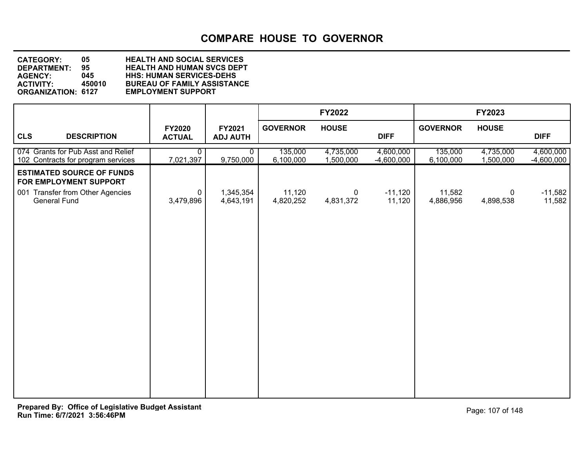**DEPARTMENT: 95 HEALTH AND HUMAN SVCS DEPT CATEGORY: 05 HEALTH AND SOCIAL SERVICES AGENCY: 045 HHS: HUMAN SERVICES-DEHS ACTIVITY: 450010 BUREAU OF FAMILY ASSISTANCE ORGANIZATION: 6127 EMPLOYMENT SUPPORT**

|                                                                                                                |                                |                           |                      | <b>FY2022</b>            |                           |                      | FY2023                 |                           |
|----------------------------------------------------------------------------------------------------------------|--------------------------------|---------------------------|----------------------|--------------------------|---------------------------|----------------------|------------------------|---------------------------|
| <b>CLS</b><br><b>DESCRIPTION</b>                                                                               | <b>FY2020</b><br><b>ACTUAL</b> | FY2021<br><b>ADJ AUTH</b> | <b>GOVERNOR</b>      | <b>HOUSE</b>             | <b>DIFF</b>               | <b>GOVERNOR</b>      | <b>HOUSE</b>           | <b>DIFF</b>               |
| 074 Grants for Pub Asst and Relief<br>102 Contracts for program services                                       | 0<br>7,021,397                 | $\mathbf{0}$<br>9,750,000 | 135,000<br>6,100,000 | 4,735,000<br>1,500,000   | 4,600,000<br>$-4,600,000$ | 135,000<br>6,100,000 | 4,735,000<br>1,500,000 | 4,600,000<br>$-4,600,000$ |
| <b>ESTIMATED SOURCE OF FUNDS</b><br>FOR EMPLOYMENT SUPPORT<br>001 Transfer from Other Agencies<br>General Fund | 0<br>3,479,896                 | 1,345,354<br>4,643,191    | 11,120<br>4,820,252  | $\mathbf 0$<br>4,831,372 | $-11,120$<br>11,120       | 11,582<br>4,886,956  | 0<br>4,898,538         | $-11,582$<br>11,582       |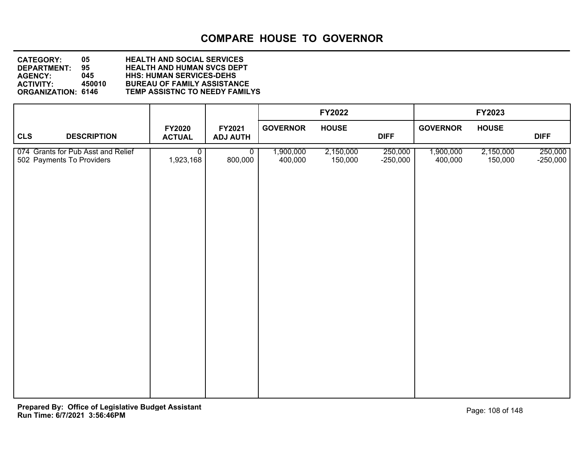| <b>CATEGORY:</b>              | 05.        | <b>HEALTH AND SOCIAL SERVICES</b>                                    |
|-------------------------------|------------|----------------------------------------------------------------------|
| DEPARTMENT:<br><b>AGENCY:</b> | 95.<br>045 | <b>HEALTH AND HUMAN SVCS DEPT</b><br><b>HHS: HUMAN SERVICES-DEHS</b> |
| <b>ACTIVITY:</b>              | 450010     | <b>BUREAU OF FAMILY ASSISTANCE</b>                                   |
| <b>ORGANIZATION: 6146</b>     |            | <b>TEMP ASSISTNC TO NEEDY FAMILYS</b>                                |

|                                                                 |                                   |                           |                      | FY2022               |                       |                      | FY2023               |                       |
|-----------------------------------------------------------------|-----------------------------------|---------------------------|----------------------|----------------------|-----------------------|----------------------|----------------------|-----------------------|
| <b>CLS</b><br><b>DESCRIPTION</b>                                | <b>FY2020</b><br><b>ACTUAL</b>    | FY2021<br><b>ADJ AUTH</b> | <b>GOVERNOR</b>      | <b>HOUSE</b>         | <b>DIFF</b>           | <b>GOVERNOR</b>      | <b>HOUSE</b>         | <b>DIFF</b>           |
| 074 Grants for Pub Asst and Relief<br>502 Payments To Providers | $\overline{\bullet}$<br>1,923,168 | $\overline{0}$<br>800,000 | 1,900,000<br>400,000 | 2,150,000<br>150,000 | 250,000<br>$-250,000$ | 1,900,000<br>400,000 | 2,150,000<br>150,000 | 250,000<br>$-250,000$ |
|                                                                 |                                   |                           |                      |                      |                       |                      |                      |                       |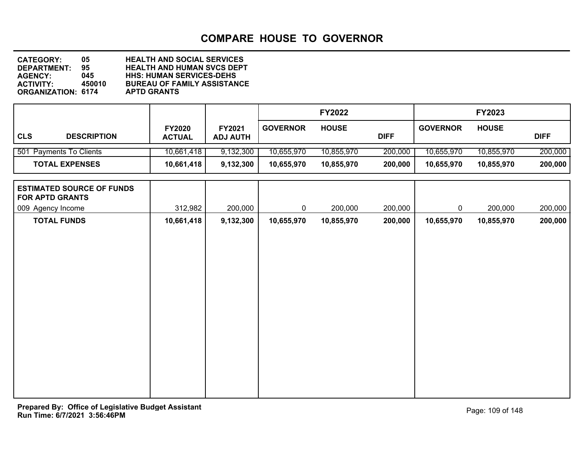**DEPARTMENT: 95 HEALTH AND HUMAN SVCS DEPT CATEGORY: 05 HEALTH AND SOCIAL SERVICES AGENCY: 045 HHS: HUMAN SERVICES-DEHS BUREAU OF FAMILY ASSISTANCE<br>APTD GRANTS ORGANIZATION: 6174** 

|            |                         |                                |                           |                 | <b>FY2022</b> |             |                 | <b>FY2023</b> |             |
|------------|-------------------------|--------------------------------|---------------------------|-----------------|---------------|-------------|-----------------|---------------|-------------|
| <b>CLS</b> | <b>DESCRIPTION</b>      | <b>FY2020</b><br><b>ACTUAL</b> | FY2021<br><b>ADJ AUTH</b> | <b>GOVERNOR</b> | <b>HOUSE</b>  | <b>DIFF</b> | <b>GOVERNOR</b> | <b>HOUSE</b>  | <b>DIFF</b> |
|            | 501 Payments To Clients | 10,661,418                     | 9,132,300                 | 10,655,970      | 10,855,970    | 200,000     | 10,655,970      | 10,855,970    | 200,000     |
|            | <b>TOTAL EXPENSES</b>   | 10,661,418                     | 9,132,300                 | 10,655,970      | 10,855,970    | 200,000     | 10,655,970      | 10,855,970    | 200,000     |

| <b>ESTIMATED SOURCE OF FUNDS</b> |            |           |             |            |         |             |            |         |
|----------------------------------|------------|-----------|-------------|------------|---------|-------------|------------|---------|
| <b>FOR APTD GRANTS</b>           |            |           |             |            |         |             |            |         |
| 009 Agency Income                | 312,982    | 200,000   | $\mathbf 0$ | 200,000    | 200,000 | $\mathbf 0$ | 200,000    | 200,000 |
| <b>TOTAL FUNDS</b>               | 10,661,418 | 9,132,300 | 10,655,970  | 10,855,970 | 200,000 | 10,655,970  | 10,855,970 | 200,000 |
|                                  |            |           |             |            |         |             |            |         |
|                                  |            |           |             |            |         |             |            |         |
|                                  |            |           |             |            |         |             |            |         |
|                                  |            |           |             |            |         |             |            |         |
|                                  |            |           |             |            |         |             |            |         |
|                                  |            |           |             |            |         |             |            |         |
|                                  |            |           |             |            |         |             |            |         |
|                                  |            |           |             |            |         |             |            |         |
|                                  |            |           |             |            |         |             |            |         |
|                                  |            |           |             |            |         |             |            |         |
|                                  |            |           |             |            |         |             |            |         |
|                                  |            |           |             |            |         |             |            |         |
|                                  |            |           |             |            |         |             |            |         |
|                                  |            |           |             |            |         |             |            |         |
|                                  |            |           |             |            |         |             |            |         |
|                                  |            |           |             |            |         |             |            |         |
|                                  |            |           |             |            |         |             |            |         |
|                                  |            |           |             |            |         |             |            |         |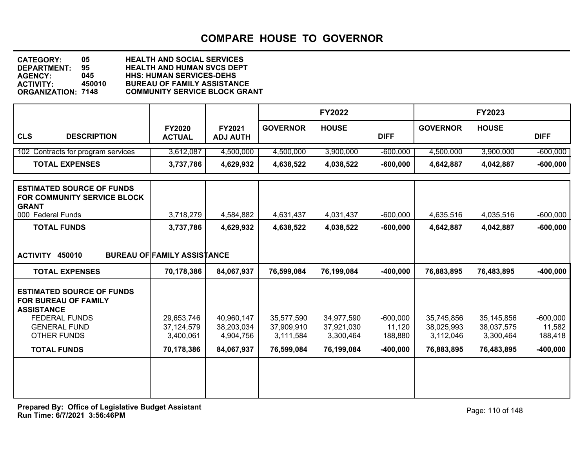| <b>CATEGORY:</b>          | 05     | <b>HEALTH AND SOCIAL SERVICES</b>    |
|---------------------------|--------|--------------------------------------|
| <b>DEPARTMENT:</b>        | 95     | <b>HEALTH AND HUMAN SVCS DEPT</b>    |
| <b>AGENCY:</b>            | 045    | <b>HHS: HUMAN SERVICES-DEHS</b>      |
| <b>ACTIVITY:</b>          | 450010 | <b>BUREAU OF FAMILY ASSISTANCE</b>   |
| <b>ORGANIZATION: 7148</b> |        | <b>COMMUNITY SERVICE BLOCK GRANT</b> |

|                                                                                                                              |                                    |                           |                          | <b>FY2022</b>            |                      |                          | FY2023                   |                      |
|------------------------------------------------------------------------------------------------------------------------------|------------------------------------|---------------------------|--------------------------|--------------------------|----------------------|--------------------------|--------------------------|----------------------|
| <b>CLS</b><br><b>DESCRIPTION</b>                                                                                             | <b>FY2020</b><br><b>ACTUAL</b>     | FY2021<br><b>ADJ AUTH</b> | <b>GOVERNOR</b>          | <b>HOUSE</b>             | <b>DIFF</b>          | <b>GOVERNOR</b>          | <b>HOUSE</b>             | <b>DIFF</b>          |
| 102 Contracts for program services                                                                                           | 3,612,087                          | 4,500,000                 | 4,500,000                | 3,900,000                | $-600,000$           | 4,500,000                | 3,900,000                | $-600,000$           |
| <b>TOTAL EXPENSES</b>                                                                                                        | 3,737,786                          | 4,629,932                 | 4,638,522                | 4,038,522                | $-600,000$           | 4,642,887                | 4,042,887                | $-600,000$           |
| <b>ESTIMATED SOURCE OF FUNDS</b><br>FOR COMMUNITY SERVICE BLOCK<br><b>GRANT</b><br>000 Federal Funds                         | 3,718,279                          | 4,584,882                 | 4,631,437                | 4,031,437                | $-600,000$           | 4,635,516                | 4,035,516                | $-600,000$           |
| <b>TOTAL FUNDS</b>                                                                                                           | 3,737,786                          | 4,629,932                 | 4,638,522                | 4,038,522                | $-600,000$           | 4,642,887                | 4,042,887                | $-600,000$           |
| ACTIVITY 450010                                                                                                              | <b>BUREAU OF FAMILY ASSISTANCE</b> |                           |                          |                          |                      |                          |                          |                      |
| <b>TOTAL EXPENSES</b>                                                                                                        | 70,178,386                         | 84,067,937                | 76,599,084               | 76,199,084               | $-400,000$           | 76,883,895               | 76,483,895               | $-400,000$           |
| <b>ESTIMATED SOURCE OF FUNDS</b><br>FOR BUREAU OF FAMILY<br><b>ASSISTANCE</b><br><b>FEDERAL FUNDS</b><br><b>GENERAL FUND</b> | 29,653,746<br>37,124,579           | 40,960,147<br>38,203,034  | 35,577,590<br>37,909,910 | 34,977,590<br>37,921,030 | $-600,000$<br>11,120 | 35,745,856<br>38,025,993 | 35,145,856<br>38,037,575 | $-600,000$<br>11,582 |
| <b>OTHER FUNDS</b>                                                                                                           | 3,400,061                          | 4,904,756                 | 3,111,584                | 3,300,464                | 188,880              | 3,112,046                | 3,300,464                | 188,418              |
| <b>TOTAL FUNDS</b>                                                                                                           | 70,178,386                         | 84,067,937                | 76,599,084               | 76,199,084               | $-400,000$           | 76,883,895               | 76,483,895               | $-400,000$           |
|                                                                                                                              |                                    |                           |                          |                          |                      |                          |                          |                      |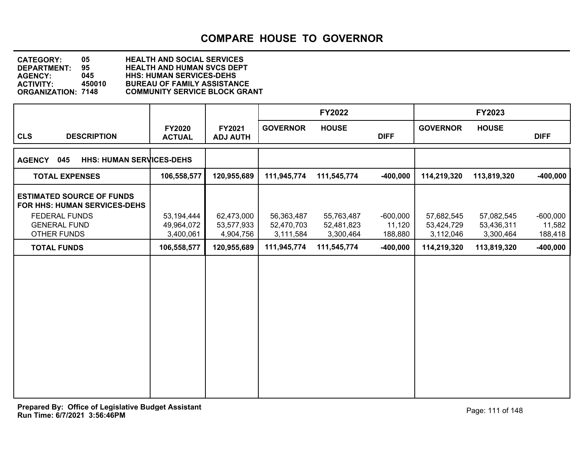| <b>CATEGORY:</b>          | 05     | <b>HEALTH AND SOCIAL SERVICES</b>    |
|---------------------------|--------|--------------------------------------|
| DEPARTMENT:               | 95     | <b>HEALTH AND HUMAN SVCS DEPT</b>    |
| <b>AGENCY:</b>            | 045    | <b>HHS: HUMAN SERVICES-DEHS</b>      |
| <b>ACTIVITY:</b>          | 450010 | <b>BUREAU OF FAMILY ASSISTANCE</b>   |
| <b>ORGANIZATION: 7148</b> |        | <b>COMMUNITY SERVICE BLOCK GRANT</b> |
|                           |        |                                      |

|                                                                                                                                       |                                       |                                       |                                       | <b>FY2022</b>                         |                                 |                                       | FY2023                                |                                 |
|---------------------------------------------------------------------------------------------------------------------------------------|---------------------------------------|---------------------------------------|---------------------------------------|---------------------------------------|---------------------------------|---------------------------------------|---------------------------------------|---------------------------------|
| <b>CLS</b><br><b>DESCRIPTION</b>                                                                                                      | FY2020<br><b>ACTUAL</b>               | FY2021<br><b>ADJ AUTH</b>             | <b>GOVERNOR</b>                       | <b>HOUSE</b>                          | <b>DIFF</b>                     | <b>GOVERNOR</b>                       | <b>HOUSE</b>                          | <b>DIFF</b>                     |
| <b>HHS: HUMAN SERVICES-DEHS</b><br>045<br><b>AGENCY</b>                                                                               |                                       |                                       |                                       |                                       |                                 |                                       |                                       |                                 |
| <b>TOTAL EXPENSES</b>                                                                                                                 | 106,558,577                           | 120,955,689                           | 111,945,774                           | 111,545,774                           | $-400,000$                      | 114,219,320                           | 113,819,320                           | $-400,000$                      |
| <b>ESTIMATED SOURCE OF FUNDS</b><br><b>FOR HHS: HUMAN SERVICES-DEHS</b><br><b>FEDERAL FUNDS</b><br><b>GENERAL FUND</b><br>OTHER FUNDS | 53,194,444<br>49,964,072<br>3,400,061 | 62,473,000<br>53,577,933<br>4,904,756 | 56,363,487<br>52,470,703<br>3,111,584 | 55,763,487<br>52,481,823<br>3,300,464 | $-600,000$<br>11,120<br>188,880 | 57,682,545<br>53,424,729<br>3,112,046 | 57,082,545<br>53,436,311<br>3,300,464 | $-600,000$<br>11,582<br>188,418 |
| <b>TOTAL FUNDS</b>                                                                                                                    | 106,558,577                           | 120,955,689                           | 111,945,774                           | 111,545,774                           | $-400,000$                      | 114,219,320                           | 113,819,320                           | $-400,000$                      |
|                                                                                                                                       |                                       |                                       |                                       |                                       |                                 |                                       |                                       |                                 |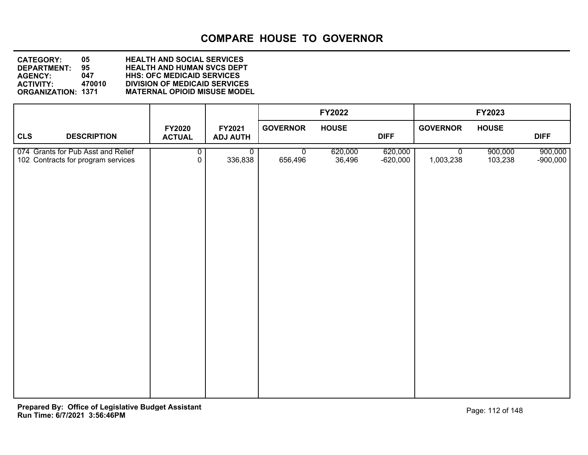**DEPARTMENT: 95 HEALTH AND HUMAN SVCS DEPT CATEGORY: 05 HEALTH AND SOCIAL SERVICES AGENCY: 047 HHS: OFC MEDICAID SERVICES ACTIVITY: 470010 DIVISION OF MEDICAID SERVICES MATERNAL OPIOID MISUSE MODEL** 

|                                                                          |                                  |                           |                        | FY2022            |                       |                             | FY2023             |                       |
|--------------------------------------------------------------------------|----------------------------------|---------------------------|------------------------|-------------------|-----------------------|-----------------------------|--------------------|-----------------------|
| <b>CLS</b><br><b>DESCRIPTION</b>                                         | <b>FY2020</b><br><b>ACTUAL</b>   | FY2021<br><b>ADJ AUTH</b> | <b>GOVERNOR</b>        | <b>HOUSE</b>      | <b>DIFF</b>           | <b>GOVERNOR</b>             | <b>HOUSE</b>       | <b>DIFF</b>           |
| 074 Grants for Pub Asst and Relief<br>102 Contracts for program services | $\overline{0}$<br>$\overline{0}$ | $\mathbf 0$<br>336,838    | $\mathbf 0$<br>656,496 | 620,000<br>36,496 | 620,000<br>$-620,000$ | $\overline{0}$<br>1,003,238 | 900,000<br>103,238 | 900,000<br>$-900,000$ |
|                                                                          |                                  |                           |                        |                   |                       |                             |                    |                       |
|                                                                          |                                  |                           |                        |                   |                       |                             |                    |                       |
|                                                                          |                                  |                           |                        |                   |                       |                             |                    |                       |
|                                                                          |                                  |                           |                        |                   |                       |                             |                    |                       |
|                                                                          |                                  |                           |                        |                   |                       |                             |                    |                       |
|                                                                          |                                  |                           |                        |                   |                       |                             |                    |                       |
|                                                                          |                                  |                           |                        |                   |                       |                             |                    |                       |
|                                                                          |                                  |                           |                        |                   |                       |                             |                    |                       |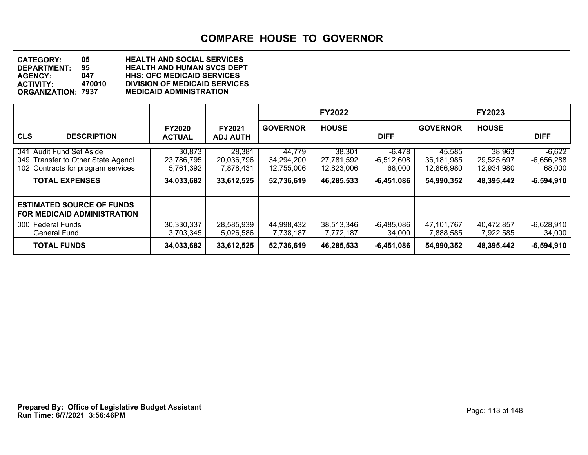**DEPARTMENT: 95 HEALTH AND HUMAN SVCS DEPT CATEGORY: 05 HEALTH AND SOCIAL SERVICES AGENCY: 047 HHS: OFC MEDICAID SERVICES ACTIVITY: 470010 DIVISION OF MEDICAID SERVICES ORGANIZATION: 7937 MEDICAID ADMINISTRATION**

|                                                                                                                               |                                                 |                                                 |                                                  | <b>FY2022</b>                                    |                                                    |                                                  | <b>FY2023</b>                                    |                                                    |
|-------------------------------------------------------------------------------------------------------------------------------|-------------------------------------------------|-------------------------------------------------|--------------------------------------------------|--------------------------------------------------|----------------------------------------------------|--------------------------------------------------|--------------------------------------------------|----------------------------------------------------|
| <b>CLS</b><br><b>DESCRIPTION</b>                                                                                              | <b>FY2020</b><br><b>ACTUAL</b>                  | <b>FY2021</b><br><b>ADJ AUTH</b>                | <b>GOVERNOR</b>                                  | <b>HOUSE</b>                                     | <b>DIFF</b>                                        | <b>GOVERNOR</b>                                  | <b>HOUSE</b>                                     | <b>DIFF</b>                                        |
| 041 Audit Fund Set Aside<br>049 Transfer to Other State Agenci<br>102 Contracts for program services<br><b>TOTAL EXPENSES</b> | 30,873<br>23,786,795<br>5,761,392<br>34,033,682 | 28,381<br>20,036,796<br>7,878,431<br>33,612,525 | 44,779<br>34,294,200<br>12,755,006<br>52,736,619 | 38,301<br>27,781,592<br>12,823,006<br>46,285,533 | $-6,478$<br>$-6,512,608$<br>68,000<br>$-6,451,086$ | 45,585<br>36,181,985<br>12,866,980<br>54,990,352 | 38,963<br>29,525,697<br>12,934,980<br>48,395,442 | $-6,622$<br>$-6,656,288$<br>68,000<br>$-6,594,910$ |
| <b>ESTIMATED SOURCE OF FUNDS</b><br><b>FOR MEDICAID ADMINISTRATION</b><br>000 Federal Funds<br><b>General Fund</b>            | 30,330,337<br>3,703,345                         | 28,585,939<br>5,026,586                         | 44,998,432<br>7,738,187                          | 38,513,346<br>7,772,187                          | -6,485,086<br>34,000                               | 47,101,767<br>7,888,585                          | 40,472,857<br>7,922,585                          | $-6,628,910$<br>34,000                             |
| <b>TOTAL FUNDS</b>                                                                                                            | 34,033,682                                      | 33,612,525                                      | 52,736,619                                       | 46,285,533                                       | $-6,451,086$                                       | 54,990,352                                       | 48,395,442                                       | $-6,594,910$                                       |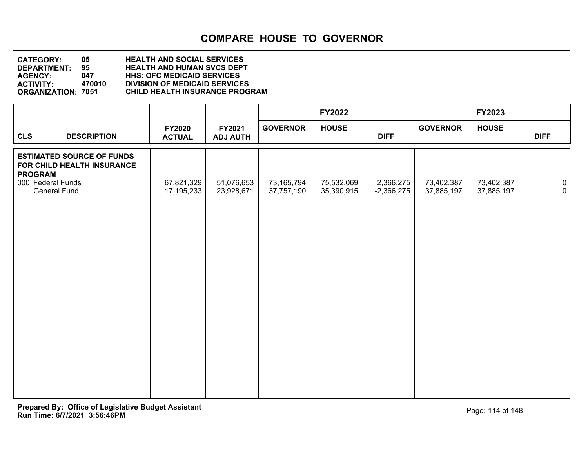| <b>CATEGORY:</b>          | 05     | <b>HEALTH AND SOCIAL SERVICES</b>     |
|---------------------------|--------|---------------------------------------|
| <b>DEPARTMENT:</b>        | 95     | <b>HEALTH AND HUMAN SVCS DEPT</b>     |
| <b>AGENCY:</b>            | 047    | <b>HHS: OFC MEDICAID SERVICES</b>     |
| <b>ACTIVITY:</b>          | 470010 | <b>DIVISION OF MEDICAID SERVICES</b>  |
| <b>ORGANIZATION: 7051</b> |        | <b>CHILD HEALTH INSURANCE PROGRAM</b> |
|                           |        |                                       |

|                                                                                                                       |                                |                           |                          | FY2022                   |                           |                          | FY2023                   |                           |
|-----------------------------------------------------------------------------------------------------------------------|--------------------------------|---------------------------|--------------------------|--------------------------|---------------------------|--------------------------|--------------------------|---------------------------|
| <b>CLS</b><br><b>DESCRIPTION</b>                                                                                      | <b>FY2020</b><br><b>ACTUAL</b> | FY2021<br><b>ADJ AUTH</b> | <b>GOVERNOR</b>          | <b>HOUSE</b>             | <b>DIFF</b>               | <b>GOVERNOR</b>          | <b>HOUSE</b>             | <b>DIFF</b>               |
| <b>ESTIMATED SOURCE OF FUNDS</b><br>FOR CHILD HEALTH INSURANCE<br><b>PROGRAM</b><br>000 Federal Funds<br>General Fund | 67,821,329<br>17,195,233       | 51,076,653<br>23,928,671  | 73,165,794<br>37,757,190 | 75,532,069<br>35,390,915 | 2,366,275<br>$-2,366,275$ | 73,402,387<br>37,885,197 | 73,402,387<br>37,885,197 | $\overline{0}$<br>$\circ$ |
|                                                                                                                       |                                |                           |                          |                          |                           |                          |                          |                           |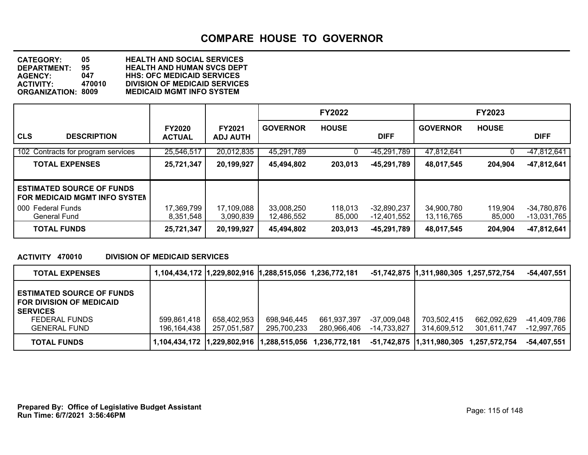**DEPARTMENT: 95 HEALTH AND HUMAN SVCS DEPT CATEGORY: 05 HEALTH AND SOCIAL SERVICES AGENCY: 047 HHS: OFC MEDICAID SERVICES ACTIVITY: 470010 DIVISION OF MEDICAID SERVICES MEDICAID MGMT INFO SYSTEM** 

|                                                                   |                                |                                  |                          | <b>FY2022</b>     |                              |                          | <b>FY2023</b>     |                                |
|-------------------------------------------------------------------|--------------------------------|----------------------------------|--------------------------|-------------------|------------------------------|--------------------------|-------------------|--------------------------------|
| <b>CLS</b><br><b>DESCRIPTION</b>                                  | <b>FY2020</b><br><b>ACTUAL</b> | <b>FY2021</b><br><b>ADJ AUTH</b> | <b>GOVERNOR</b>          | <b>HOUSE</b>      | <b>DIFF</b>                  | <b>GOVERNOR</b>          | <b>HOUSE</b>      | <b>DIFF</b>                    |
| 102 Contracts for program services                                | 25,546,517                     | 20,012,835                       | 45.291.789               |                   | -45.291.789                  | 47,812,641               |                   | $-47,812,641$                  |
| <b>TOTAL EXPENSES</b>                                             | 25,721,347                     | 20,199,927                       | 45,494,802               | 203,013           | $-45,291,789$                | 48,017,545               | 204,904           | -47,812,641                    |
| <b>ESTIMATED SOURCE OF FUNDS</b><br>FOR MEDICAID MGMT INFO SYSTEM |                                |                                  |                          |                   |                              |                          |                   |                                |
| 000 Federal Funds<br>General Fund                                 | 17,369,799<br>8,351,548        | 17,109,088<br>3,090,839          | 33,008,250<br>12,486,552 | 118,013<br>85,000 | $-32,890,237$<br>-12,401,552 | 34,900,780<br>13,116,765 | 119,904<br>85,000 | $-34,780,876$<br>$-13,031,765$ |
| <b>TOTAL FUNDS</b>                                                | 25,721,347                     | 20,199,927                       | 45,494,802               | 203,013           | $-45,291,789$                | 48,017,545               | 204,904           | -47,812,641                    |

#### **ACTIVITY 470010 DIVISION OF MEDICAID SERVICES**

| <b>TOTAL EXPENSES</b>                                                                                                   |                            | 1,104,434,172  1,229,802,916  1,288,515,056 1,236,772,181 |                            |                            |                            | -51,742,875  1,311,980,305 1,257,572,754 |                                          | $-54,407,551$              |
|-------------------------------------------------------------------------------------------------------------------------|----------------------------|-----------------------------------------------------------|----------------------------|----------------------------|----------------------------|------------------------------------------|------------------------------------------|----------------------------|
| <b>ESTIMATED SOURCE OF FUNDS</b><br>FOR DIVISION OF MEDICAID<br><b>SERVICES</b><br>FEDERAL FUNDS<br><b>GENERAL FUND</b> | 599,861,418<br>196,164,438 | 658,402,953<br>257,051,587                                | 698,946,445<br>295,700,233 | 661,937,397<br>280,966,406 | -37,009,048<br>-14,733,827 | 703,502,415<br>314.609.512               | 662,092,629<br>301.611.747               | -41,409,786<br>-12,997,765 |
| <b>TOTAL FUNDS</b>                                                                                                      |                            |                                                           |                            | 1,236,772,181              |                            |                                          | -51,742,875  1,311,980,305 1,257,572,754 | -54,407,551                |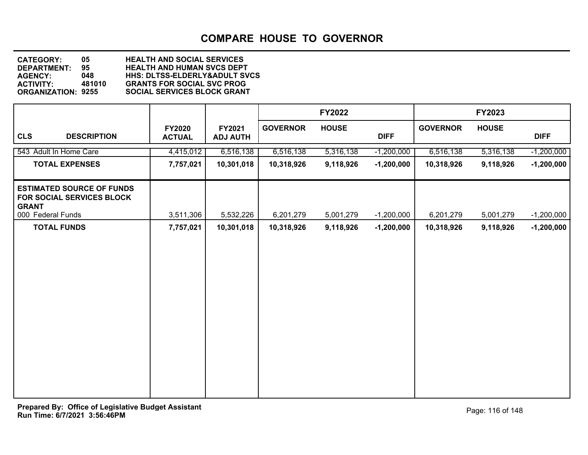**DEPARTMENT: 95 HEALTH AND HUMAN SVCS DEPT CATEGORY: 05 HEALTH AND SOCIAL SERVICES AGENCY: 048 HHS: DLTSS-ELDERLY&ADULT SVCS ACTIVITY: 481010 GRANTS FOR SOCIAL SVC PROG SOCIAL SERVICES BLOCK GRANT** 

|                                                                                                    |                                |                           |                 | <b>FY2022</b> |              |                 | <b>FY2023</b> |              |
|----------------------------------------------------------------------------------------------------|--------------------------------|---------------------------|-----------------|---------------|--------------|-----------------|---------------|--------------|
| <b>CLS</b><br><b>DESCRIPTION</b>                                                                   | <b>FY2020</b><br><b>ACTUAL</b> | FY2021<br><b>ADJ AUTH</b> | <b>GOVERNOR</b> | <b>HOUSE</b>  | <b>DIFF</b>  | <b>GOVERNOR</b> | <b>HOUSE</b>  | <b>DIFF</b>  |
| 543 Adult In Home Care                                                                             | 4,415,012                      | 6,516,138                 | 6,516,138       | 5,316,138     | $-1,200,000$ | 6,516,138       | 5,316,138     | $-1,200,000$ |
| <b>TOTAL EXPENSES</b>                                                                              | 7,757,021                      | 10,301,018                | 10,318,926      | 9,118,926     | $-1,200,000$ | 10,318,926      | 9,118,926     | $-1,200,000$ |
| <b>ESTIMATED SOURCE OF FUNDS</b><br>FOR SOCIAL SERVICES BLOCK<br><b>GRANT</b><br>000 Federal Funds | 3,511,306                      | 5,532,226                 | 6,201,279       | 5,001,279     | $-1,200,000$ | 6,201,279       | 5,001,279     | $-1,200,000$ |
| <b>TOTAL FUNDS</b>                                                                                 | 7,757,021                      | 10,301,018                | 10,318,926      | 9,118,926     | $-1,200,000$ | 10,318,926      | 9,118,926     | $-1,200,000$ |
|                                                                                                    |                                |                           |                 |               |              |                 |               |              |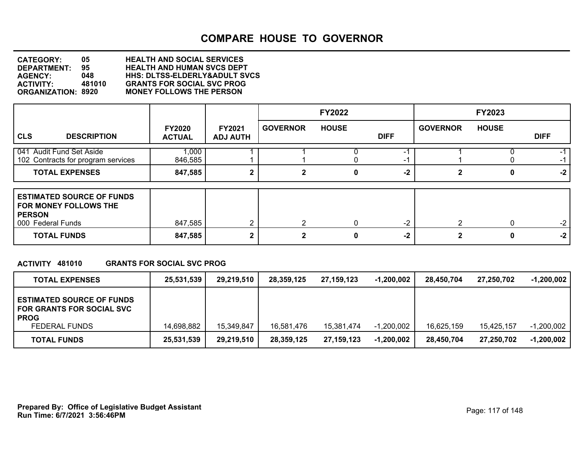**DEPARTMENT: 95 HEALTH AND HUMAN SVCS DEPT CATEGORY: 05 HEALTH AND SOCIAL SERVICES AGENCY: 048 HHS: DLTSS-ELDERLY&ADULT SVCS ACTIVITY: 481010 GRANTS FOR SOCIAL SVC PROG ORGANIZATION: 8920 MONEY FOLLOWS THE PERSON**

|                                                                                                 |                                |                                  |                 | <b>FY2022</b> |             |                 | <b>FY2023</b> |             |
|-------------------------------------------------------------------------------------------------|--------------------------------|----------------------------------|-----------------|---------------|-------------|-----------------|---------------|-------------|
| <b>CLS</b><br><b>DESCRIPTION</b>                                                                | <b>FY2020</b><br><b>ACTUAL</b> | <b>FY2021</b><br><b>ADJ AUTH</b> | <b>GOVERNOR</b> | <b>HOUSE</b>  | <b>DIFF</b> | <b>GOVERNOR</b> | <b>HOUSE</b>  | <b>DIFF</b> |
| 041 Audit Fund Set Aside<br>102 Contracts for program services                                  | 1,000<br>846,585               |                                  |                 |               | -1          |                 |               | -1          |
| <b>TOTAL EXPENSES</b>                                                                           | 847,585                        | 2                                | 2               | 0             | $-2$        |                 | 0             | $-2$        |
| <b>ESTIMATED SOURCE OF FUNDS</b><br>FOR MONEY FOLLOWS THE<br><b>PERSON</b><br>000 Federal Funds | 847,585                        | $\mathbf{2}$                     | $\mathcal{P}$   | 0             | $-2$        | $\mathcal{P}$   |               | $-2$        |
| <b>TOTAL FUNDS</b>                                                                              | 847,585                        | 2                                | ◠               | 0             | $-2$        |                 |               | $-2$        |

#### **ACTIVITY 481010 GRANTS FOR SOCIAL SVC PROG**

| <b>TOTAL EXPENSES</b>                                                               | 25,531,539 | 29,219,510 | 28,359,125 | 27.159.123 | $-1,200,002$ | 28.450.704 | 27,250,702 | $-1,200,002$ |
|-------------------------------------------------------------------------------------|------------|------------|------------|------------|--------------|------------|------------|--------------|
| <b>ESTIMATED SOURCE OF FUNDS</b><br><b>FOR GRANTS FOR SOCIAL SVC</b><br><b>PROG</b> |            |            |            |            |              |            |            |              |
| FEDERAL FUNDS                                                                       | 14,698,882 | 15,349,847 | 16,581,476 | 15,381,474 | $-1,200,002$ | 16,625,159 | 15,425,157 | $-1,200,002$ |
| <b>TOTAL FUNDS</b>                                                                  | 25,531,539 | 29,219,510 | 28,359,125 | 27,159,123 | $-1,200,002$ | 28,450,704 | 27,250,702 | $-1,200,002$ |

**Run Time: 6/7/2021 3:56:46PM Prepared By: Office of Legislative Budget Assistant** Prepared By: 0ffice of Legislative Budget Assistant Page: 117 of 148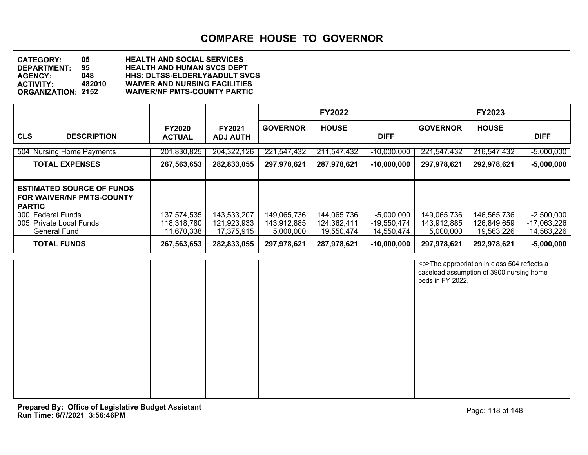**DEPARTMENT: 95 HEALTH AND HUMAN SVCS DEPT CATEGORY: 05 HEALTH AND SOCIAL SERVICES AGENCY: 048 HHS: DLTSS-ELDERLY&ADULT SVCS ACTIVITY: 482010 WAIVER AND NURSING FACILITIES WAIVER/NF PMTS-COUNTY PARTIC** 

|                                                                                                                                       |                                |                                  |                            | <b>FY2022</b>              |                             |                            | <b>FY2023</b>              |                               |
|---------------------------------------------------------------------------------------------------------------------------------------|--------------------------------|----------------------------------|----------------------------|----------------------------|-----------------------------|----------------------------|----------------------------|-------------------------------|
| <b>CLS</b><br><b>DESCRIPTION</b>                                                                                                      | <b>FY2020</b><br><b>ACTUAL</b> | <b>FY2021</b><br><b>ADJ AUTH</b> | <b>GOVERNOR</b>            | <b>HOUSE</b>               | <b>DIFF</b>                 | <b>GOVERNOR</b>            | <b>HOUSE</b>               | <b>DIFF</b>                   |
| 504 Nursing Home Payments                                                                                                             | 201,830,825                    | 204,322,126                      | 221,547,432                | 211,547,432                | $-10,000,000$               | 221,547,432                | 216,547,432                | $-5,000,000$                  |
| <b>TOTAL EXPENSES</b>                                                                                                                 | 267,563,653                    | 282,833,055                      | 297,978,621                | 287,978,621                | $-10,000,000$               | 297,978,621                | 292,978,621                | $-5,000,000$                  |
|                                                                                                                                       |                                |                                  |                            |                            |                             |                            |                            |                               |
| <b>ESTIMATED SOURCE OF FUNDS</b><br><b>FOR WAIVER/NF PMTS-COUNTY</b><br><b>PARTIC</b><br>000 Federal Funds<br>005 Private Local Funds | 137,574,535<br>118,318,780     | 143,533,207<br>121,923,933       | 149,065,736<br>143,912,885 | 144,065,736<br>124,362,411 | $-5,000,000$<br>-19,550,474 | 149,065,736<br>143,912,885 | 146,565,736<br>126,849,659 | $-2,500,000$<br>$-17,063,226$ |
| General Fund                                                                                                                          | 11,670,338                     | 17,375,915                       | 5,000,000                  | 19,550,474                 | 14,550,474                  | 5,000,000                  | 19,563,226                 | 14,563,226                    |
| <b>TOTAL FUNDS</b>                                                                                                                    | 267,563,653                    | 282,833,055                      | 297,978,621                | 287,978,621                | $-10,000,000$               | 297,978,621                | 292,978,621                | $-5,000,000$                  |

|  |  | <p>The appropriation in class 504 reflects a<br/>caseload assumption of 3900 nursing home<br/>beds in FY 2022.</p> |
|--|--|--------------------------------------------------------------------------------------------------------------------|
|  |  |                                                                                                                    |
|  |  |                                                                                                                    |
|  |  |                                                                                                                    |
|  |  |                                                                                                                    |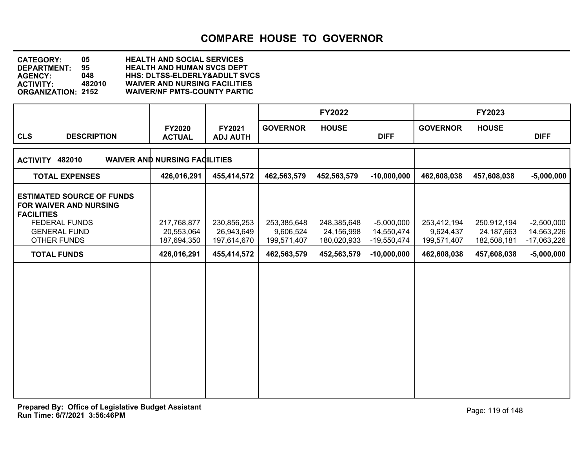**DEPARTMENT: 95 HEALTH AND HUMAN SVCS DEPT CATEGORY: 05 HEALTH AND SOCIAL SERVICES AGENCY: 048 HHS: DLTSS-ELDERLY&ADULT SVCS ACTIVITY: 482010 WAIVER AND NURSING FACILITIES WAIVER/NF PMTS-COUNTY PARTIC** 

|                                                                                                         |                                      |                           |                          | <b>FY2022</b>             |                           |                          | <b>FY2023</b>             |                             |
|---------------------------------------------------------------------------------------------------------|--------------------------------------|---------------------------|--------------------------|---------------------------|---------------------------|--------------------------|---------------------------|-----------------------------|
| <b>CLS</b><br><b>DESCRIPTION</b>                                                                        | <b>FY2020</b><br><b>ACTUAL</b>       | FY2021<br><b>ADJ AUTH</b> | <b>GOVERNOR</b>          | <b>HOUSE</b>              | <b>DIFF</b>               | <b>GOVERNOR</b>          | <b>HOUSE</b>              | <b>DIFF</b>                 |
| ACTIVITY 482010                                                                                         | <b>WAIVER AND NURSING FACILITIES</b> |                           |                          |                           |                           |                          |                           |                             |
| <b>TOTAL EXPENSES</b>                                                                                   | 426,016,291                          | 455,414,572               | 462,563,579              | 452,563,579               | $-10,000,000$             | 462,608,038              | 457,608,038               | $-5,000,000$                |
| <b>ESTIMATED SOURCE OF FUNDS</b><br>FOR WAIVER AND NURSING<br><b>FACILITIES</b><br><b>FEDERAL FUNDS</b> | 217,768,877                          | 230,856,253               | 253,385,648              | 248,385,648               | $-5,000,000$              | 253,412,194              | 250,912,194               | $-2,500,000$                |
| <b>GENERAL FUND</b><br><b>OTHER FUNDS</b>                                                               | 20,553,064<br>187,694,350            | 26,943,649<br>197,614,670 | 9,606,524<br>199,571,407 | 24,156,998<br>180,020,933 | 14,550,474<br>-19,550,474 | 9,624,437<br>199,571,407 | 24,187,663<br>182,508,181 | 14,563,226<br>$-17,063,226$ |
| <b>TOTAL FUNDS</b>                                                                                      | 426,016,291                          | 455,414,572               | 462,563,579              | 452,563,579               | $-10,000,000$             | 462,608,038              | 457,608,038               | $-5,000,000$                |
|                                                                                                         |                                      |                           |                          |                           |                           |                          |                           |                             |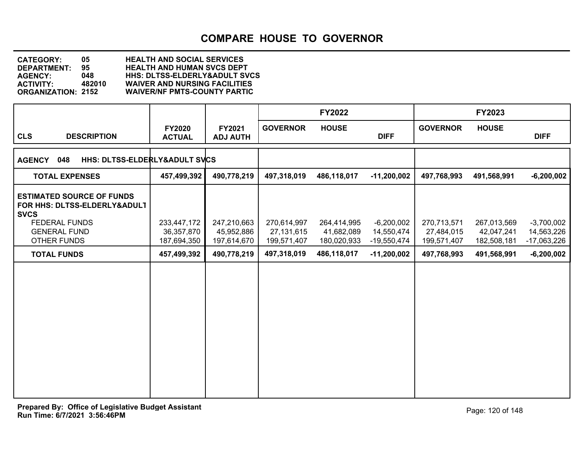**DEPARTMENT: 95 HEALTH AND HUMAN SVCS DEPT CATEGORY: 05 HEALTH AND SOCIAL SERVICES AGENCY: 048 HHS: DLTSS-ELDERLY&ADULT SVCS ACTIVITY: 482010 WAIVER AND NURSING FACILITIES WAIVER/NF PMTS-COUNTY PARTIC** 

|                                                                                 |                                          |                                          |                                          | <b>FY2022</b>                            |                                             |                                          | <b>FY2023</b>                            |                                             |
|---------------------------------------------------------------------------------|------------------------------------------|------------------------------------------|------------------------------------------|------------------------------------------|---------------------------------------------|------------------------------------------|------------------------------------------|---------------------------------------------|
| <b>CLS</b><br><b>DESCRIPTION</b>                                                | <b>FY2020</b><br><b>ACTUAL</b>           | FY2021<br><b>ADJ AUTH</b>                | <b>GOVERNOR</b>                          | <b>HOUSE</b>                             | <b>DIFF</b>                                 | <b>GOVERNOR</b>                          | <b>HOUSE</b>                             | <b>DIFF</b>                                 |
| 048<br><b>HHS: DLTSS-ELDERLY&amp;ADULT SVCS</b><br><b>AGENCY</b>                |                                          |                                          |                                          |                                          |                                             |                                          |                                          |                                             |
| <b>TOTAL EXPENSES</b>                                                           | 457,499,392                              | 490,778,219                              | 497,318,019                              | 486,118,017                              | $-11,200,002$                               | 497,768,993                              | 491,568,991                              | $-6,200,002$                                |
| <b>ESTIMATED SOURCE OF FUNDS</b><br>FOR HHS: DLTSS-ELDERLY&ADULT<br><b>SVCS</b> |                                          |                                          |                                          |                                          |                                             |                                          |                                          |                                             |
| <b>FEDERAL FUNDS</b><br><b>GENERAL FUND</b><br><b>OTHER FUNDS</b>               | 233,447,172<br>36,357,870<br>187,694,350 | 247,210,663<br>45,952,886<br>197,614,670 | 270,614,997<br>27,131,615<br>199,571,407 | 264,414,995<br>41,682,089<br>180,020,933 | $-6,200,002$<br>14,550,474<br>$-19,550,474$ | 270,713,571<br>27,484,015<br>199,571,407 | 267,013,569<br>42,047,241<br>182,508,181 | $-3,700,002$<br>14,563,226<br>$-17,063,226$ |
| <b>TOTAL FUNDS</b>                                                              | 457,499,392                              | 490,778,219                              | 497,318,019                              | 486,118,017                              | $-11,200,002$                               | 497,768,993                              | 491,568,991                              | $-6,200,002$                                |
|                                                                                 |                                          |                                          |                                          |                                          |                                             |                                          |                                          |                                             |
|                                                                                 |                                          |                                          |                                          |                                          |                                             |                                          |                                          |                                             |
|                                                                                 |                                          |                                          |                                          |                                          |                                             |                                          |                                          |                                             |
|                                                                                 |                                          |                                          |                                          |                                          |                                             |                                          |                                          |                                             |
|                                                                                 |                                          |                                          |                                          |                                          |                                             |                                          |                                          |                                             |
|                                                                                 |                                          |                                          |                                          |                                          |                                             |                                          |                                          |                                             |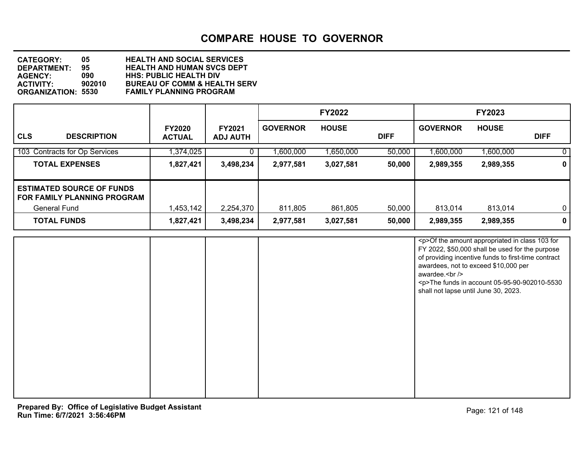| <b>CATEGORY:</b>          | 05.    | <b>HEALTH AND SOCIAL SERVICES</b>       |
|---------------------------|--------|-----------------------------------------|
| DEPARTMENT:               | 95.    | <b>HEALTH AND HUMAN SVCS DEPT</b>       |
| <b>AGENCY:</b>            | 090    | <b>HHS: PUBLIC HEALTH DIV</b>           |
| <b>ACTIVITY:</b>          | 902010 | <b>BUREAU OF COMM &amp; HEALTH SERV</b> |
| <b>ORGANIZATION: 5530</b> |        | <b>FAMILY PLANNING PROGRAM</b>          |

|                                                                                        |                                |                                  |                 | <b>FY2022</b> |             |                 | <b>FY2023</b> |                |
|----------------------------------------------------------------------------------------|--------------------------------|----------------------------------|-----------------|---------------|-------------|-----------------|---------------|----------------|
| <b>CLS</b><br><b>DESCRIPTION</b>                                                       | <b>FY2020</b><br><b>ACTUAL</b> | <b>FY2021</b><br><b>ADJ AUTH</b> | <b>GOVERNOR</b> | <b>HOUSE</b>  | <b>DIFF</b> | <b>GOVERNOR</b> | <b>HOUSE</b>  | <b>DIFF</b>    |
| 103 Contracts for Op Services                                                          | 1,374,025                      |                                  | 00,000,000,     | 1,650,000     | 50,000      | 1,600,000       | 1,600,000     | $\overline{0}$ |
| <b>TOTAL EXPENSES</b>                                                                  | 1,827,421                      | 3,498,234                        | 2,977,581       | 3,027,581     | 50,000      | 2,989,355       | 2,989,355     | $\mathbf{0}$   |
| <b>ESTIMATED SOURCE OF FUNDS</b><br><b>FOR FAMILY PLANNING PROGRAM</b><br>General Fund | 1,453,142                      | 2,254,370                        | 811,805         | 861,805       | 50,000      | 813,014         | 813,014       | 0 <sup>1</sup> |
| <b>TOTAL FUNDS</b>                                                                     | 1,827,421                      | 3,498,234                        | 2,977,581       | 3,027,581     | 50,000      | 2,989,355       | 2,989,355     | $\mathbf{0}$   |

|  | <p>Of the amount appropriated in class 103 for<br/>FY 2022, \$50,000 shall be used for the purpose<br/>of providing incentive funds to first-time contract<br/>awardees, not to exceed \$10,000 per<br/>awardee.<br/><br/><p>The funds in account 05-95-90-902010-5530<br/>shall not lapse until June 30, 2023.</p></p> |
|--|-------------------------------------------------------------------------------------------------------------------------------------------------------------------------------------------------------------------------------------------------------------------------------------------------------------------------|
|  |                                                                                                                                                                                                                                                                                                                         |
|  |                                                                                                                                                                                                                                                                                                                         |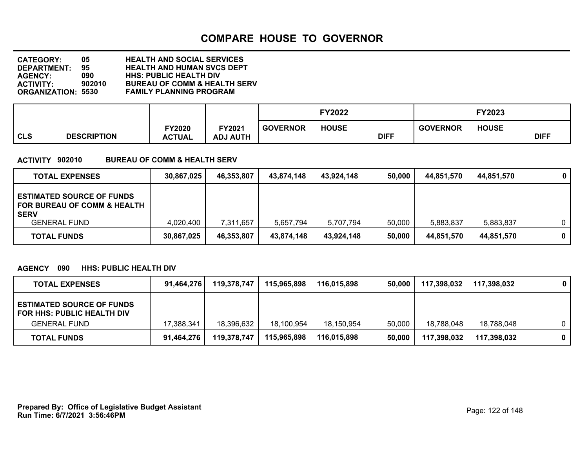**DEPARTMENT: 95 HEALTH AND HUMAN SVCS DEPT CATEGORY: 05 HEALTH AND SOCIAL SERVICES AGENCY: 090 HHS: PUBLIC HEALTH DIV ACTIVITY: 902010 BUREAU OF COMM & HEALTH SERV FAMILY PLANNING PROGRAM** 

|                           |                         |                          |                 | <b>FY2022</b> |             |                 | <b>FY2023</b> |             |
|---------------------------|-------------------------|--------------------------|-----------------|---------------|-------------|-----------------|---------------|-------------|
| CLS<br><b>DESCRIPTION</b> | TY2020<br><b>ACTUAL</b> | Y2021<br><b>ADJ AUTH</b> | <b>GOVERNOR</b> | <b>HOUSE</b>  | <b>DIFF</b> | <b>GOVERNOR</b> | <b>HOUSE</b>  | <b>DIFF</b> |

#### **ACTIVITY 902010 BUREAU OF COMM & HEALTH SERV**

| <b>TOTAL EXPENSES</b>                                                             | 30,867,025 | 46,353,807 | 43.874.148 | 43,924,148 | 50,000 | 44,851,570 | 44,851,570 | $\mathbf{0}$ |
|-----------------------------------------------------------------------------------|------------|------------|------------|------------|--------|------------|------------|--------------|
| <b>ESTIMATED SOURCE OF FUNDS</b><br>I FOR BUREAU OF COMM & HEALTH_<br><b>SERV</b> |            |            |            |            |        |            |            |              |
| <b>GENERAL FUND</b>                                                               | 4,020,400  | 7,311,657  | 5,657,794  | 5.707.794  | 50,000 | 5.883.837  | 5.883.837  |              |
| <b>TOTAL FUNDS</b>                                                                | 30,867,025 | 46,353,807 | 43,874,148 | 43,924,148 | 50,000 | 44,851,570 | 44,851,570 | 0            |

#### **AGENCY 090 HHS: PUBLIC HEALTH DIV**

| <b>TOTAL EXPENSES</b>                                                                        | 91,464,276 | 119,378,747 | 115,965,898 | 116,015,898 | 50,000 | 117,398,032 | 117,398,032 | $\mathbf{0}$ |
|----------------------------------------------------------------------------------------------|------------|-------------|-------------|-------------|--------|-------------|-------------|--------------|
| <b>ESTIMATED SOURCE OF FUNDS</b><br><b>FOR HHS: PUBLIC HEALTH DIV</b><br><b>GENERAL FUND</b> | 17.388.341 | 18,396,632  | 18.100.954  | 18,150,954  | 50,000 | 18.788.048  | 18,788,048  | n.           |
| <b>TOTAL FUNDS</b>                                                                           | 91,464,276 | 119,378,747 | 115,965,898 | 116,015,898 | 50,000 | 117,398,032 | 117,398,032 | 0            |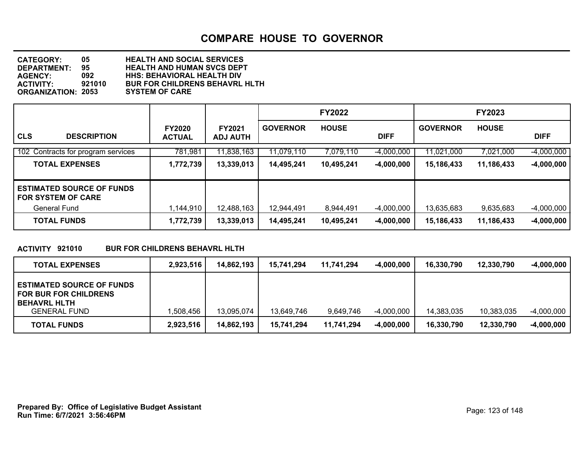**DEPARTMENT: 95 HEALTH AND HUMAN SVCS DEPT CATEGORY: 05 HEALTH AND SOCIAL SERVICES AGENCY: 092 HHS: BEHAVIORAL HEALTH DIV BUR FOR CHILDRENS BEHAVRL HLTH**<br>SYSTEM OF CARE **ORGANIZATION: 2053** 

|                                                               |                                |                                  |                 | <b>FY2022</b> |              |                 | <b>FY2023</b> |              |
|---------------------------------------------------------------|--------------------------------|----------------------------------|-----------------|---------------|--------------|-----------------|---------------|--------------|
| <b>CLS</b><br><b>DESCRIPTION</b>                              | <b>FY2020</b><br><b>ACTUAL</b> | <b>FY2021</b><br><b>ADJ AUTH</b> | <b>GOVERNOR</b> | <b>HOUSE</b>  | <b>DIFF</b>  | <b>GOVERNOR</b> | <b>HOUSE</b>  | <b>DIFF</b>  |
| 102 Contracts for program services                            | 781,981                        | 11,838,163                       | 11,079,110      | 7,079,110     | $-4,000,000$ | 11,021,000      | 7,021,000     | $-4,000,000$ |
| <b>TOTAL EXPENSES</b>                                         | 1,772,739                      | 13,339,013                       | 14,495,241      | 10,495,241    | $-4,000,000$ | 15,186,433      | 11,186,433    | $-4,000,000$ |
| <b>ESTIMATED SOURCE OF FUNDS</b><br><b>FOR SYSTEM OF CARE</b> |                                |                                  |                 |               |              |                 |               |              |
| General Fund                                                  | 1,144,910                      | 12,488,163                       | 12,944,491      | 8,944,491     | $-4,000,000$ | 13,635,683      | 9,635,683     | $-4,000,000$ |
| <b>TOTAL FUNDS</b>                                            | 1,772,739                      | 13,339,013                       | 14,495,241      | 10,495,241    | $-4,000,000$ | 15,186,433      | 11,186,433    | $-4,000,000$ |

#### **ACTIVITY 921010 BUR FOR CHILDRENS BEHAVRL HLTH**

| <b>TOTAL EXPENSES</b>                                                                                          | 2,923,516 | 14,862,193 | 15,741,294 | 11.741.294 | $-4,000,000$ | 16,330,790 | 12,330,790 | $-4,000,000$ |
|----------------------------------------------------------------------------------------------------------------|-----------|------------|------------|------------|--------------|------------|------------|--------------|
| <b>ESTIMATED SOURCE OF FUNDS</b><br><b>FOR BUR FOR CHILDRENS</b><br><b>BEHAVRL HLTH</b><br><b>GENERAL FUND</b> | .508.456  | 13,095,074 | 13.649.746 | 9,649,746  | $-4,000,000$ | 14.383.035 | 10.383.035 | $-4,000,000$ |
| <b>TOTAL FUNDS</b>                                                                                             | 2,923,516 | 14,862,193 | 15,741,294 | 11,741,294 | $-4,000,000$ | 16,330,790 | 12,330,790 | $-4,000,000$ |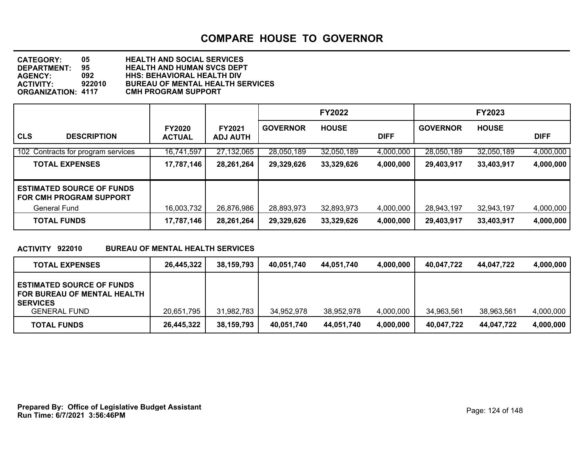**DEPARTMENT: 95 HEALTH AND HUMAN SVCS DEPT CATEGORY: 05 HEALTH AND SOCIAL SERVICES AGENCY: 092 HHS: BEHAVIORAL HEALTH DIV ACTIVITY: 922010 BUREAU OF MENTAL HEALTH SERVICES ORGANIZATION: 4117 CMH PROGRAM SUPPORT**

|                                                                    |                                |                                  |                 | <b>FY2022</b> |             |                 | <b>FY2023</b> |             |
|--------------------------------------------------------------------|--------------------------------|----------------------------------|-----------------|---------------|-------------|-----------------|---------------|-------------|
| <b>CLS</b><br><b>DESCRIPTION</b>                                   | <b>FY2020</b><br><b>ACTUAL</b> | <b>FY2021</b><br><b>ADJ AUTH</b> | <b>GOVERNOR</b> | <b>HOUSE</b>  | <b>DIFF</b> | <b>GOVERNOR</b> | <b>HOUSE</b>  | <b>DIFF</b> |
| 102 Contracts for program services                                 | 16,741,597                     | 27,132,065                       | 28,050,189      | 32,050,189    | 4,000,000   | 28,050,189      | 32,050,189    | 4,000,000   |
| <b>TOTAL EXPENSES</b>                                              | 17,787,146                     | 28,261,264                       | 29,329,626      | 33,329,626    | 4,000,000   | 29,403,917      | 33,403,917    | 4,000,000   |
| <b>ESTIMATED SOURCE OF FUNDS</b><br><b>FOR CMH PROGRAM SUPPORT</b> |                                |                                  |                 |               |             |                 |               |             |
| General Fund                                                       | 16,003,732                     | 26,876,986                       | 28,893,973      | 32,893,973    | 4,000,000   | 28,943,197      | 32,943,197    | 4,000,000   |
| <b>TOTAL FUNDS</b>                                                 | 17,787,146                     | 28,261,264                       | 29,329,626      | 33,329,626    | 4,000,000   | 29,403,917      | 33,403,917    | 4,000,000   |

#### **ACTIVITY 922010 BUREAU OF MENTAL HEALTH SERVICES**

| <b>TOTAL EXPENSES</b>                                                              | 26.445.322 | 38,159,793 | 40.051.740 | 44.051.740 | 4,000,000 | 40.047.722 | 44.047.722 | 4,000,000 |
|------------------------------------------------------------------------------------|------------|------------|------------|------------|-----------|------------|------------|-----------|
| <b>ESTIMATED SOURCE OF FUNDS</b><br>FOR BUREAU OF MENTAL HEALTH<br><b>SERVICES</b> |            |            |            |            |           |            |            |           |
| <b>GENERAL FUND</b>                                                                | 20,651,795 | 31,982,783 | 34,952,978 | 38,952,978 | 4,000,000 | 34,963,561 | 38,963,561 | 4,000,000 |
| <b>TOTAL FUNDS</b>                                                                 | 26,445,322 | 38,159,793 | 40,051,740 | 44.051.740 | 4,000,000 | 40.047.722 | 44.047.722 | 4,000,000 |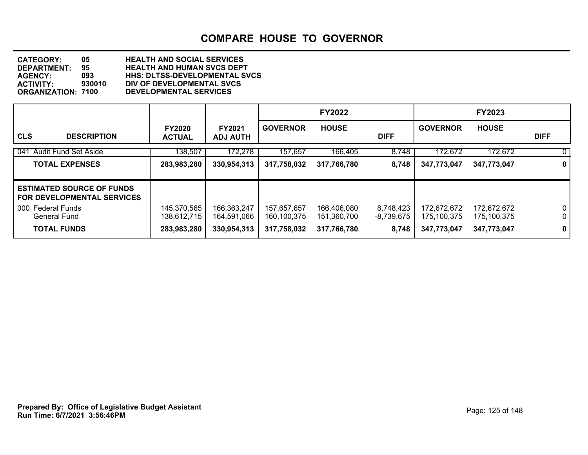**DEPARTMENT: 95 HEALTH AND HUMAN SVCS DEPT CATEGORY: 05 HEALTH AND SOCIAL SERVICES AGENCY: 093 HHS: DLTSS-DEVELOPMENTAL SVCS ACTIVITY: 930010 DIV OF DEVELOPMENTAL SVCS ORGANIZATION: 7100 DEVELOPMENTAL SERVICES**

|                                                                       |                                |                                  |                            | <b>FY2022</b>              |                         |                            | <b>FY2023</b>              |                            |
|-----------------------------------------------------------------------|--------------------------------|----------------------------------|----------------------------|----------------------------|-------------------------|----------------------------|----------------------------|----------------------------|
| <b>CLS</b><br><b>DESCRIPTION</b>                                      | <b>FY2020</b><br><b>ACTUAL</b> | <b>FY2021</b><br><b>ADJ AUTH</b> | <b>GOVERNOR</b>            | <b>HOUSE</b>               | <b>DIFF</b>             | <b>GOVERNOR</b>            | <b>HOUSE</b>               | <b>DIFF</b>                |
| 041 Audit Fund Set Aside                                              | 138,507                        | 172,278                          | 157,657                    | 166,405                    | 8,748                   | 172,672                    | 172,672                    | $\mathbf 0$                |
| <b>TOTAL EXPENSES</b>                                                 | 283,983,280                    | 330,954,313                      | 317,758,032                | 317,766,780                | 8,748                   | 347,773,047                | 347,773,047                | $\mathbf{0}$               |
| <b>ESTIMATED SOURCE OF FUNDS</b><br><b>FOR DEVELOPMENTAL SERVICES</b> |                                |                                  |                            |                            |                         |                            |                            |                            |
| 000 Federal Funds<br>General Fund                                     | 145,370,565<br>138.612.715     | 166,363,247<br>164,591,066       | 157,657,657<br>160,100,375 | 166,406,080<br>151.360.700 | 8,748,423<br>-8,739,675 | 172,672,672<br>175,100,375 | 172,672,672<br>175,100,375 | $\mathbf 0$<br>$\mathbf 0$ |
| <b>TOTAL FUNDS</b>                                                    | 283,983,280                    | 330,954,313                      | 317,758,032                | 317,766,780                | 8,748                   | 347,773,047                | 347,773,047                | $\mathbf 0$                |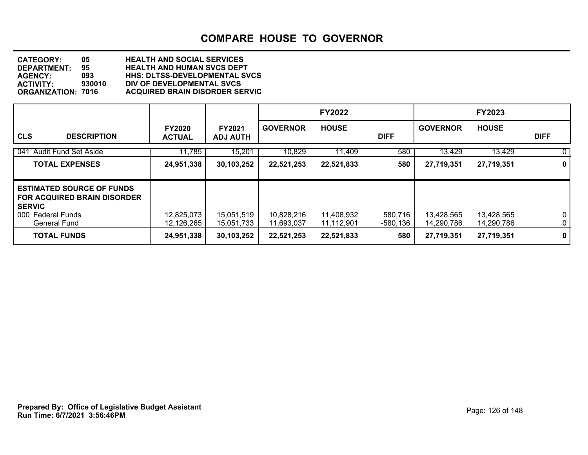**DEPARTMENT: 95 HEALTH AND HUMAN SVCS DEPT CATEGORY: 05 HEALTH AND SOCIAL SERVICES AGENCY: 093 HHS: DLTSS-DEVELOPMENTAL SVCS ACTIVITY: 930010 DIV OF DEVELOPMENTAL SVCS ORGANIZATION: 7016 ACQUIRED BRAIN DISORDER SERVIC**

|                                                                                                                                     |                                |                                  |                          | <b>FY2022</b>            |                     |                          | <b>FY2023</b>            |                            |
|-------------------------------------------------------------------------------------------------------------------------------------|--------------------------------|----------------------------------|--------------------------|--------------------------|---------------------|--------------------------|--------------------------|----------------------------|
| <b>CLS</b><br><b>DESCRIPTION</b>                                                                                                    | <b>FY2020</b><br><b>ACTUAL</b> | <b>FY2021</b><br><b>ADJ AUTH</b> | <b>GOVERNOR</b>          | <b>HOUSE</b>             | <b>DIFF</b>         | <b>GOVERNOR</b>          | <b>HOUSE</b>             | <b>DIFF</b>                |
| 041 Audit Fund Set Aside                                                                                                            | 11,785                         | 15,201                           | 10,829                   | 11,409                   | 580                 | 13,429                   | 13,429                   | $\mathbf 0$                |
| <b>TOTAL EXPENSES</b>                                                                                                               | 24,951,338                     | 30,103,252                       | 22,521,253               | 22,521,833               | 580                 | 27,719,351               | 27,719,351               | $\mathbf 0$                |
| <b>ESTIMATED SOURCE OF FUNDS</b><br><b>FOR ACQUIRED BRAIN DISORDER</b><br><b>SERVIC</b><br>000 Federal Funds<br><b>General Fund</b> | 12,825,073<br>12,126,265       | 15,051,519<br>15,051,733         | 10,828,216<br>11,693,037 | 11,408,932<br>11,112,901 | 580,716<br>-580,136 | 13,428,565<br>14.290.786 | 13,428,565<br>14,290,786 | $\mathbf 0$<br>$\mathbf 0$ |
| <b>TOTAL FUNDS</b>                                                                                                                  | 24,951,338                     | 30,103,252                       | 22,521,253               | 22,521,833               | 580                 | 27,719,351               | 27,719,351               | $\mathbf 0$                |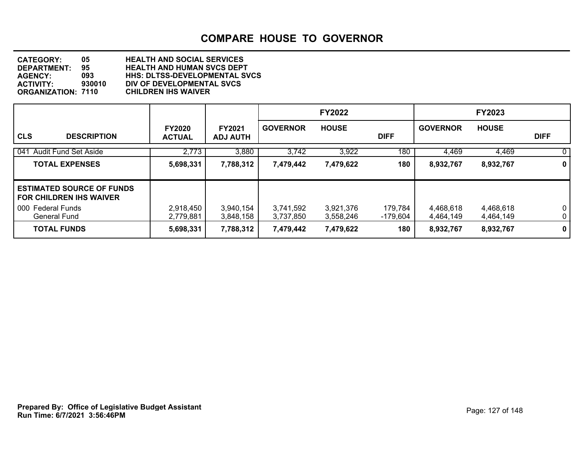**DEPARTMENT: 95 HEALTH AND HUMAN SVCS DEPT CATEGORY: 05 HEALTH AND SOCIAL SERVICES AGENCY: 093 HHS: DLTSS-DEVELOPMENTAL SVCS ACTIVITY: 930010 DIV OF DEVELOPMENTAL SVCS ORGANIZATION: 7110 CHILDREN IHS WAIVER**

|                                                                    |                                |                                  |                        | <b>FY2022</b>          |                     |                        | FY2023                 |                            |
|--------------------------------------------------------------------|--------------------------------|----------------------------------|------------------------|------------------------|---------------------|------------------------|------------------------|----------------------------|
| <b>CLS</b><br><b>DESCRIPTION</b>                                   | <b>FY2020</b><br><b>ACTUAL</b> | <b>FY2021</b><br><b>ADJ AUTH</b> | <b>GOVERNOR</b>        | <b>HOUSE</b>           | <b>DIFF</b>         | <b>GOVERNOR</b>        | <b>HOUSE</b>           | <b>DIFF</b>                |
| 041 Audit Fund Set Aside                                           | 2,773                          | 3,880                            | 3,742                  | 3,922                  | 180                 | 4,469                  | 4,469                  | $\mathbf 0$                |
| <b>TOTAL EXPENSES</b>                                              | 5,698,331                      | 7,788,312                        | 7,479,442              | 7,479,622              | 180                 | 8,932,767              | 8,932,767              | $\mathbf 0$                |
| <b>ESTIMATED SOURCE OF FUNDS</b><br><b>FOR CHILDREN IHS WAIVER</b> |                                |                                  |                        |                        |                     |                        |                        |                            |
| 000 Federal Funds<br>General Fund                                  | 2,918,450<br>2,779,881         | 3,940,154<br>3,848,158           | 3,741,592<br>3,737,850 | 3,921,376<br>3,558,246 | 179,784<br>-179,604 | 4,468,618<br>4,464,149 | 4,468,618<br>4,464,149 | $\mathbf 0$<br>$\mathbf 0$ |
| <b>TOTAL FUNDS</b>                                                 | 5,698,331                      | 7,788,312                        | 7,479,442              | 7,479,622              | 180                 | 8,932,767              | 8,932,767              | $\mathbf 0$                |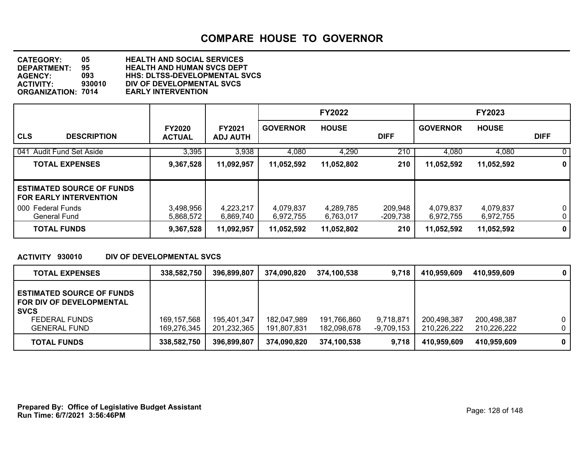**DEPARTMENT: 95 HEALTH AND HUMAN SVCS DEPT CATEGORY: 05 HEALTH AND SOCIAL SERVICES AGENCY: 093 HHS: DLTSS-DEVELOPMENTAL SVCS DIV OF DEVELOPMENTAL SVCS**<br>EARLY INTERVENTION **ORGANIZATION: 7014** 

|                                                                   |                                |                                  |                        | <b>FY2022</b>          |                     |                        | <b>FY2023</b>          |                   |
|-------------------------------------------------------------------|--------------------------------|----------------------------------|------------------------|------------------------|---------------------|------------------------|------------------------|-------------------|
| <b>CLS</b><br><b>DESCRIPTION</b>                                  | <b>FY2020</b><br><b>ACTUAL</b> | <b>FY2021</b><br><b>ADJ AUTH</b> | <b>GOVERNOR</b>        | <b>HOUSE</b>           | <b>DIFF</b>         | <b>GOVERNOR</b>        | <b>HOUSE</b>           | <b>DIFF</b>       |
| 041 Audit Fund Set Aside                                          | 3,395                          | 3,938                            | 4,080                  | 4,290                  | 210                 | 4,080                  | 4,080                  | $\mathbf{0}$      |
| <b>TOTAL EXPENSES</b>                                             | 9,367,528                      | 11,092,957                       | 11,052,592             | 11,052,802             | 210                 | 11,052,592             | 11,052,592             | 0                 |
| <b>ESTIMATED SOURCE OF FUNDS</b><br><b>FOR EARLY INTERVENTION</b> |                                |                                  |                        |                        |                     |                        |                        |                   |
| 000 Federal Funds<br><b>General Fund</b>                          | 3,498,956<br>5,868,572         | 4,223,217<br>6.869.740           | 4,079,837<br>6,972,755 | 4,289,785<br>6,763,017 | 209,948<br>-209,738 | 4,079,837<br>6,972,755 | 4,079,837<br>6,972,755 | $\mathbf{0}$<br>0 |
| <b>TOTAL FUNDS</b>                                                | 9,367,528                      | 11,092,957                       | 11,052,592             | 11,052,802             | 210                 | 11,052,592             | 11,052,592             | $\mathbf{0}$      |

#### **ACTIVITY 930010 DIV OF DEVELOPMENTAL SVCS**

| <b>TOTAL EXPENSES</b>                                                                                                      | 338,582,750                  | 396,899,807                | 374,090,820                | 374.100.538                | 9,718                   | 410.959.609                | 410,959,609                | $\mathbf{0}$         |
|----------------------------------------------------------------------------------------------------------------------------|------------------------------|----------------------------|----------------------------|----------------------------|-------------------------|----------------------------|----------------------------|----------------------|
| <b>ESTIMATED SOURCE OF FUNDS</b><br>FOR DIV OF DEVELOPMENTAL<br><b>SVCS</b><br><b>FEDERAL FUNDS</b><br><b>GENERAL FUND</b> | 169, 157, 568<br>169,276,345 | 195,401,347<br>201,232,365 | 182,047,989<br>191,807,831 | 191,766,860<br>182,098,678 | 9,718,871<br>-9,709,153 | 200,498,387<br>210,226,222 | 200,498,387<br>210,226,222 | $\Omega$<br>$\Omega$ |
| <b>TOTAL FUNDS</b>                                                                                                         | 338,582,750                  | 396,899,807                | 374.090.820                | 374,100,538                | 9,718                   | 410.959.609                | 410.959.609                | $\mathbf{0}$         |

**Run Time: 6/7/2021 3:56:46PM Prepared By: Office of Legislative Budget Assistant** Prepared By: 0138 of 148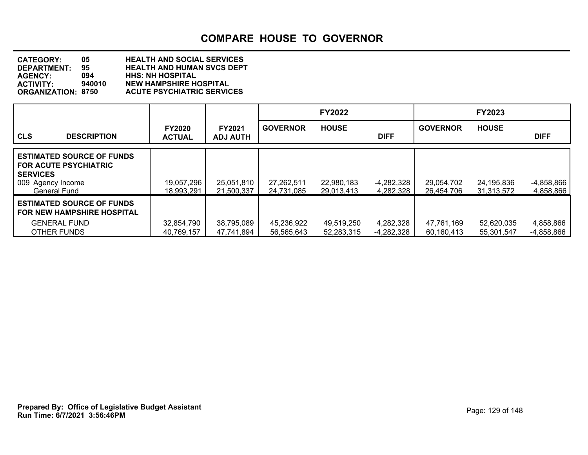| <b>CATEGORY:</b>          | 05.    | <b>HEALTH AND SOCIAL SERVICES</b> |
|---------------------------|--------|-----------------------------------|
| <b>DEPARTMENT:</b>        | 95.    | <b>HEALTH AND HUMAN SVCS DEPT</b> |
| <b>AGENCY:</b>            | 094    | <b>HHS: NH HOSPITAL</b>           |
| <b>ACTIVITY:</b>          | 940010 | <b>NEW HAMPSHIRE HOSPITAL</b>     |
| <b>ORGANIZATION: 8750</b> |        | <b>ACUTE PSYCHIATRIC SERVICES</b> |

|                                                                                                                                  |                                |                                  |                          | <b>FY2022</b>            |                           |                          | <b>FY2023</b>            |                           |
|----------------------------------------------------------------------------------------------------------------------------------|--------------------------------|----------------------------------|--------------------------|--------------------------|---------------------------|--------------------------|--------------------------|---------------------------|
| <b>CLS</b><br><b>DESCRIPTION</b>                                                                                                 | <b>FY2020</b><br><b>ACTUAL</b> | <b>FY2021</b><br><b>ADJ AUTH</b> | <b>GOVERNOR</b>          | <b>HOUSE</b>             | <b>DIFF</b>               | <b>GOVERNOR</b>          | <b>HOUSE</b>             | <b>DIFF</b>               |
| <b>LESTIMATED SOURCE OF FUNDS</b><br><b>FOR ACUTE PSYCHIATRIC</b><br><b>SERVICES</b><br>009 Agency Income<br><b>General Fund</b> | 19,057,296<br>18.993.291       | 25,051,810<br>21,500,337         | 27,262,511<br>24,731,085 | 22,980,183<br>29,013,413 | $-4,282,328$<br>4,282,328 | 29,054,702<br>26,454,706 | 24,195,836<br>31,313,572 | $-4,858,866$<br>4,858,866 |
| <b>LESTIMATED SOURCE OF FUNDS</b><br><b>FOR NEW HAMPSHIRE HOSPITAL</b><br><b>GENERAL FUND</b><br>OTHER FUNDS                     | 32,854,790<br>40,769,157       | 38,795,089<br>47,741,894         | 45,236,922<br>56,565,643 | 49,519,250<br>52,283,315 | 4,282,328<br>-4,282,328   | 47,761,169<br>60.160.413 | 52,620,035<br>55,301,547 | 4,858,866<br>-4,858,866   |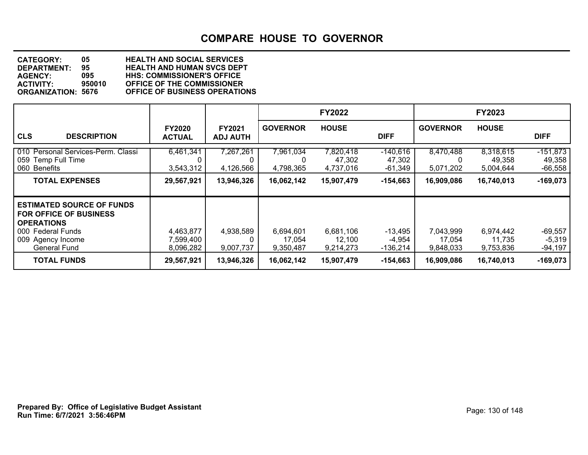**DEPARTMENT: 95 HEALTH AND HUMAN SVCS DEPT CATEGORY: 05 HEALTH AND SOCIAL SERVICES AGENCY: 095 HHS: COMMISSIONER'S OFFICE ACTIVITY: 950010 OFFICE OF THE COMMISSIONER ORGANIZATION: 5676 OFFICE OF BUSINESS OPERATIONS**

|                                                                                                                                                         |                                     |                           |                                  | <b>FY2022</b>                    |                                   |                                  | <b>FY2023</b>                    |                                   |
|---------------------------------------------------------------------------------------------------------------------------------------------------------|-------------------------------------|---------------------------|----------------------------------|----------------------------------|-----------------------------------|----------------------------------|----------------------------------|-----------------------------------|
| <b>CLS</b><br><b>DESCRIPTION</b>                                                                                                                        | <b>FY2020</b><br><b>ACTUAL</b>      | FY2021<br><b>ADJ AUTH</b> | <b>GOVERNOR</b>                  | <b>HOUSE</b>                     | <b>DIFF</b>                       | <b>GOVERNOR</b>                  | <b>HOUSE</b>                     | <b>DIFF</b>                       |
| 010 Personal Services-Perm. Classi<br>059 Temp Full Time<br><b>Benefits</b><br>060                                                                      | 6,461,341<br>3,543,312              | 7,267,261<br>4,126,566    | 7,961,034<br>4,798,365           | 7,820,418<br>47,302<br>4,737,016 | $-140,616$<br>47,302<br>$-61,349$ | 8,470,488<br>5,071,202           | 8,318,615<br>49,358<br>5,004,644 | $-151,873$<br>49,358<br>$-66,558$ |
| <b>TOTAL EXPENSES</b>                                                                                                                                   | 29,567,921                          | 13,946,326                | 16,062,142                       | 15,907,479                       | $-154,663$                        | 16,909,086                       | 16,740,013                       | $-169,073$                        |
| <b>ESTIMATED SOURCE OF FUNDS</b><br><b>FOR OFFICE OF BUSINESS</b><br><b>OPERATIONS</b><br>000 Federal Funds<br>009 Agency Income<br><b>General Fund</b> | 4,463,877<br>7,599,400<br>8,096,282 | 4,938,589<br>9,007,737    | 6,694,601<br>17,054<br>9,350,487 | 6,681,106<br>12,100<br>9,214,273 | $-13,495$<br>$-4,954$<br>-136,214 | 7,043,999<br>17,054<br>9,848,033 | 6,974,442<br>11,735<br>9,753,836 | $-69,557$<br>$-5,319$<br>-94,197  |
| <b>TOTAL FUNDS</b>                                                                                                                                      | 29,567,921                          | 13,946,326                | 16,062,142                       | 15,907,479                       | $-154,663$                        | 16,909,086                       | 16,740,013                       | $-169,073$                        |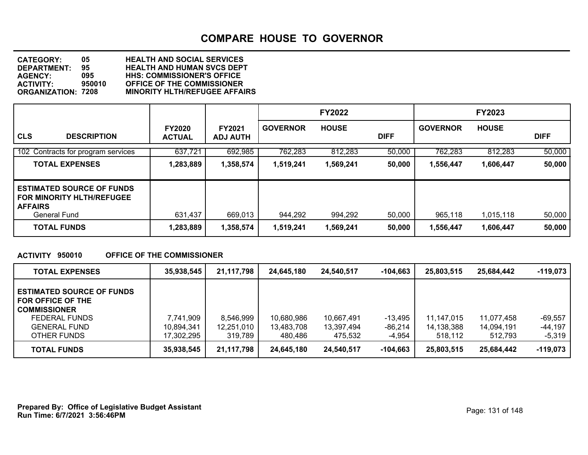**DEPARTMENT: 95 HEALTH AND HUMAN SVCS DEPT CATEGORY: 05 HEALTH AND SOCIAL SERVICES AGENCY: 095 HHS: COMMISSIONER'S OFFICE ACTIVITY: 950010 OFFICE OF THE COMMISSIONER MINORITY HLTH/REFUGEE AFFAIRS** 

|                                                                                                        |                                |                                  |                 | <b>FY2022</b> |             |                 | <b>FY2023</b> |             |
|--------------------------------------------------------------------------------------------------------|--------------------------------|----------------------------------|-----------------|---------------|-------------|-----------------|---------------|-------------|
| <b>CLS</b><br><b>DESCRIPTION</b>                                                                       | <b>FY2020</b><br><b>ACTUAL</b> | <b>FY2021</b><br><b>ADJ AUTH</b> | <b>GOVERNOR</b> | <b>HOUSE</b>  | <b>DIFF</b> | <b>GOVERNOR</b> | <b>HOUSE</b>  | <b>DIFF</b> |
| 102 Contracts for program services                                                                     | 637,721                        | 692,985                          | 762,283         | 812,283       | 50,000      | 762,283         | 812,283       | 50,000      |
| <b>TOTAL EXPENSES</b>                                                                                  | 1,283,889                      | 1,358,574                        | 1,519,241       | 1,569,241     | 50,000      | 1,556,447       | 1,606,447     | 50,000      |
| <b>ESTIMATED SOURCE OF FUNDS</b><br><b>FOR MINORITY HLTH/REFUGEE</b><br><b>AFFAIRS</b><br>General Fund | 631,437                        | 669,013                          | 944,292         | 994,292       | 50,000      | 965,118         | 1,015,118     | 50,000      |
| <b>TOTAL FUNDS</b>                                                                                     | 1,283,889                      | 1,358,574                        | 1,519,241       | 1,569,241     | 50,000      | 1,556,447       | 1,606,447     | 50,000      |

#### **ACTIVITY 950010 OFFICE OF THE COMMISSIONER**

| <b>TOTAL EXPENSES</b>                                                                                                               | 35,938,545                            | 21,117,798                         | 24.645.180                          | 24.540.517                          | -104.663                       | 25,803,515                          | 25,684,442                          | $-119,073$                     |
|-------------------------------------------------------------------------------------------------------------------------------------|---------------------------------------|------------------------------------|-------------------------------------|-------------------------------------|--------------------------------|-------------------------------------|-------------------------------------|--------------------------------|
| <b>ESTIMATED SOURCE OF FUNDS</b><br>FOR OFFICE OF THE<br><b>COMMISSIONER</b><br>FEDERAL FUNDS<br><b>GENERAL FUND</b><br>OTHER FUNDS | 7,741,909<br>10,894,341<br>17,302,295 | 8,546,999<br>12,251,010<br>319.789 | 10,680,986<br>13,483,708<br>480.486 | 10,667,491<br>13,397,494<br>475.532 | $-13,495$<br>-86,214<br>-4,954 | 11.147.015<br>14,138,388<br>518,112 | 11,077,458<br>14,094,191<br>512.793 | -69.557<br>-44,197<br>$-5,319$ |
| <b>TOTAL FUNDS</b>                                                                                                                  | 35,938,545                            | 21,117,798                         | 24.645.180                          | 24,540,517                          | $-104,663$                     | 25,803,515                          | 25,684,442                          | $-119,073$                     |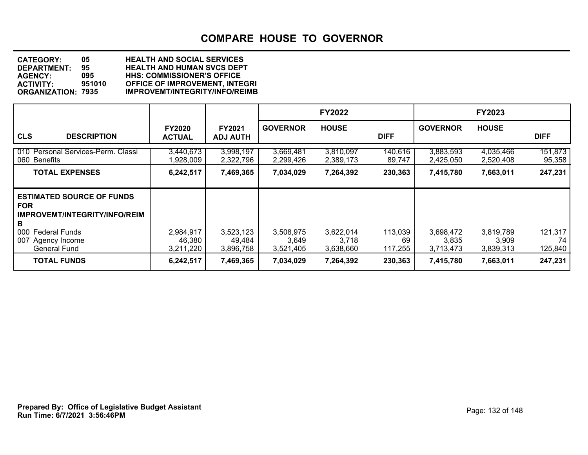| <b>CATEGORY:</b>          | 05.    | <b>HEALTH AND SOCIAL SERVICES</b>     |
|---------------------------|--------|---------------------------------------|
| DEPARTMENT:               | 95     | <b>HEALTH AND HUMAN SVCS DEPT</b>     |
| <b>AGENCY:</b>            | 095    | <b>HHS: COMMISSIONER'S OFFICE</b>     |
| <b>ACTIVITY:</b>          | 951010 | <b>OFFICE OF IMPROVEMENT, INTEGRI</b> |
| <b>ORGANIZATION: 7935</b> |        | <b>IMPROVEMT/INTEGRITY/INFO/REIMB</b> |
|                           |        |                                       |

|                                                                                                                                                                        |                                  |                                  |                                 | <b>FY2022</b>                   |                          |                                 | <b>FY2023</b>                   |                          |
|------------------------------------------------------------------------------------------------------------------------------------------------------------------------|----------------------------------|----------------------------------|---------------------------------|---------------------------------|--------------------------|---------------------------------|---------------------------------|--------------------------|
| <b>CLS</b><br><b>DESCRIPTION</b>                                                                                                                                       | <b>FY2020</b><br>ACTUAL          | <b>FY2021</b><br><b>ADJ AUTH</b> | <b>GOVERNOR</b>                 | <b>HOUSE</b>                    | <b>DIFF</b>              | <b>GOVERNOR</b>                 | <b>HOUSE</b>                    | <b>DIFF</b>              |
| 010 Personal Services-Perm. Classi<br>060 Benefits                                                                                                                     | 3,440,673<br>1,928,009           | 3,998,197<br>2,322,796           | 3,669,481<br>2,299,426          | 3,810,097<br>2,389,173          | 140,616<br>89,747        | 3,883,593<br>2,425,050          | 4,035,466<br>2,520,408          | 151,873<br>95,358        |
| <b>TOTAL EXPENSES</b>                                                                                                                                                  | 6,242,517                        | 7,469,365                        | 7,034,029                       | 7,264,392                       | 230,363                  | 7,415,780                       | 7,663,011                       | 247,231                  |
| <b>ESTIMATED SOURCE OF FUNDS</b><br><b>FOR</b><br><b>IMPROVEMT/INTEGRITY/INFO/REIM</b><br>B<br>000<br><b>Federal Funds</b><br>007 Agency Income<br><b>General Fund</b> | 2,984,917<br>46,380<br>3,211,220 | 3,523,123<br>49,484<br>3,896,758 | 3,508,975<br>3,649<br>3,521,405 | 3,622,014<br>3,718<br>3,638,660 | 113,039<br>69<br>117,255 | 3,698,472<br>3,835<br>3,713,473 | 3,819,789<br>3,909<br>3,839,313 | 121,317<br>74<br>125,840 |
| <b>TOTAL FUNDS</b>                                                                                                                                                     | 6,242,517                        | 7,469,365                        | 7,034,029                       | 7,264,392                       | 230,363                  | 7,415,780                       | 7,663,011                       | 247,231                  |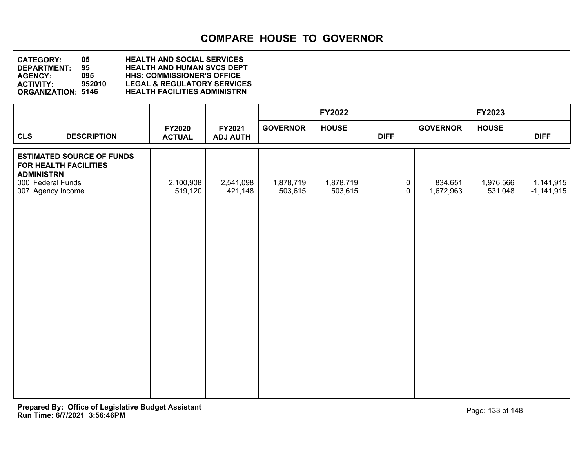**DEPARTMENT: 95 HEALTH AND HUMAN SVCS DEPT CATEGORY: 05 HEALTH AND SOCIAL SERVICES AGENCY: 095 HHS: COMMISSIONER'S OFFICE ACTIVITY: 952010 LEGAL & REGULATORY SERVICES ORGANIZATION: 5146 HEALTH FACILITIES ADMINISTRN**

|                                                                                                                          |                         |                           |                      | <b>FY2022</b>        |                            |                      | <b>FY2023</b>        |                           |
|--------------------------------------------------------------------------------------------------------------------------|-------------------------|---------------------------|----------------------|----------------------|----------------------------|----------------------|----------------------|---------------------------|
| <b>CLS</b><br><b>DESCRIPTION</b>                                                                                         | FY2020<br><b>ACTUAL</b> | FY2021<br><b>ADJ AUTH</b> | <b>GOVERNOR</b>      | <b>HOUSE</b>         | <b>DIFF</b>                | <b>GOVERNOR</b>      | <b>HOUSE</b>         | <b>DIFF</b>               |
| <b>ESTIMATED SOURCE OF FUNDS</b><br>FOR HEALTH FACILITIES<br><b>ADMINISTRN</b><br>000 Federal Funds<br>007 Agency Income | 2,100,908<br>519,120    | 2,541,098<br>421,148      | 1,878,719<br>503,615 | 1,878,719<br>503,615 | $\mathbf 0$<br>$\mathbf 0$ | 834,651<br>1,672,963 | 1,976,566<br>531,048 | 1,141,915<br>$-1,141,915$ |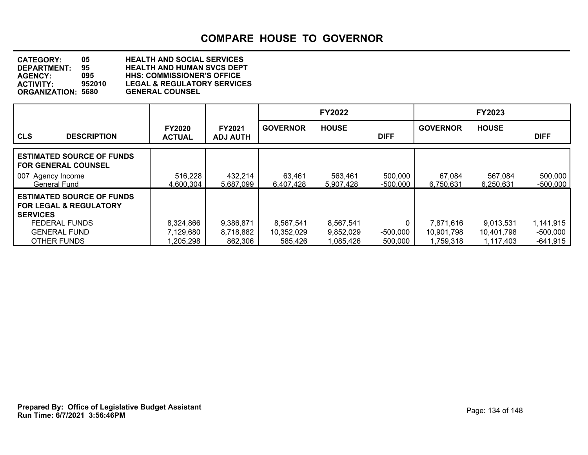**DEPARTMENT: 95 HEALTH AND HUMAN SVCS DEPT CATEGORY: 05 HEALTH AND SOCIAL SERVICES AGENCY: 095 HHS: COMMISSIONER'S OFFICE** LEGAL & REGULATORY SERVICES<br>GENERAL COUNSEL **ORGANIZATION: 5680** 

|                                                                                 |                                |                                  |                     | <b>FY2022</b>        |                     |                     | <b>FY2023</b>        |                       |
|---------------------------------------------------------------------------------|--------------------------------|----------------------------------|---------------------|----------------------|---------------------|---------------------|----------------------|-----------------------|
| <b>CLS</b><br><b>DESCRIPTION</b>                                                | <b>FY2020</b><br><b>ACTUAL</b> | <b>FY2021</b><br><b>ADJ AUTH</b> | <b>GOVERNOR</b>     | <b>HOUSE</b>         | <b>DIFF</b>         | <b>GOVERNOR</b>     | <b>HOUSE</b>         | <b>DIFF</b>           |
| <b>ESTIMATED SOURCE OF FUNDS</b><br><b>I FOR GENERAL COUNSEL</b>                |                                |                                  |                     |                      |                     |                     |                      |                       |
| 007 Agency Income<br><b>General Fund</b>                                        | 516,228<br>4,600,304           | 432,214<br>5,687,099             | 63,461<br>6,407,428 | 563,461<br>5,907,428 | 500,000<br>-500,000 | 67,084<br>6.750.631 | 567,084<br>6,250,631 | 500,000<br>$-500,000$ |
| <b>ESTIMATED SOURCE OF FUNDS</b><br>l FOR LEGAL & REGULATORY<br><b>SERVICES</b> |                                |                                  |                     |                      |                     |                     |                      |                       |
| <b>FEDERAL FUNDS</b>                                                            | 8,324,866                      | 9,386,871                        | 8,567,541           | 8,567,541            | 0                   | 7,871,616           | 9,013,531            | 1,141,915             |
| <b>GENERAL FUND</b>                                                             | 7,129,680                      | 8,718,882                        | 10,352,029          | 9,852,029            | $-500,000$          | 10,901,798          | 10,401,798           | $-500,000$            |
| OTHER FUNDS                                                                     | 1,205,298                      | 862,306                          | 585,426             | 1,085,426            | 500,000             | 1.759.318           | 1,117,403            | $-641,915$            |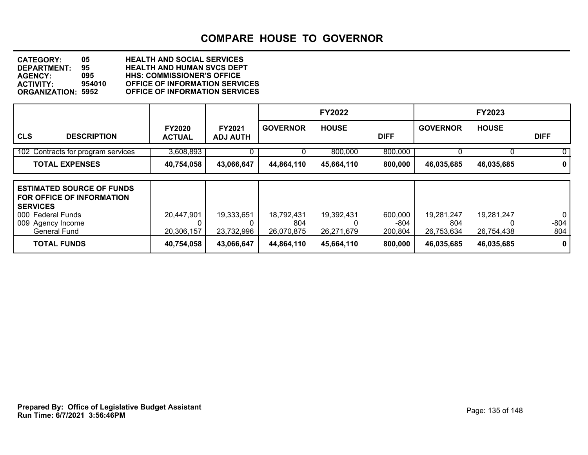**DEPARTMENT: 95 HEALTH AND HUMAN SVCS DEPT CATEGORY: 05 HEALTH AND SOCIAL SERVICES AGENCY: 095 HHS: COMMISSIONER'S OFFICE ACTIVITY: 954010 OFFICE OF INFORMATION SERVICES OFFICE OF INFORMATION SERVICES** 

|                                                                                                                                                   |                                |                                  |                                 | <b>FY2022</b>            |                            |                                 | FY2023                   |                                 |
|---------------------------------------------------------------------------------------------------------------------------------------------------|--------------------------------|----------------------------------|---------------------------------|--------------------------|----------------------------|---------------------------------|--------------------------|---------------------------------|
| <b>CLS</b><br><b>DESCRIPTION</b>                                                                                                                  | <b>FY2020</b><br><b>ACTUAL</b> | <b>FY2021</b><br><b>ADJ AUTH</b> | <b>GOVERNOR</b>                 | <b>HOUSE</b>             | <b>DIFF</b>                | <b>GOVERNOR</b>                 | <b>HOUSE</b>             | <b>DIFF</b>                     |
| 102 Contracts for program services                                                                                                                | 3,608,893                      | 0                                |                                 | 800,000                  | 800,000                    |                                 | $\mathbf{U}$             | $\Omega$                        |
| <b>TOTAL EXPENSES</b>                                                                                                                             | 40,754,058                     | 43,066,647                       | 44,864,110                      | 45,664,110               | 800,000                    | 46,035,685                      | 46,035,685               | $\mathbf 0$                     |
| <b>ESTIMATED SOURCE OF FUNDS</b><br><b>FOR OFFICE OF INFORMATION</b><br><b>SERVICES</b><br>000 Federal Funds<br>009 Agency Income<br>General Fund | 20,447,901<br>20,306,157       | 19,333,651<br>23,732,996         | 18,792,431<br>804<br>26,070,875 | 19,392,431<br>26,271,679 | 600,000<br>-804<br>200,804 | 19,281,247<br>804<br>26,753,634 | 19,281,247<br>26,754,438 | $\overline{0}$<br>$-804$<br>804 |
| <b>TOTAL FUNDS</b>                                                                                                                                | 40,754,058                     | 43,066,647                       | 44,864,110                      | 45,664,110               | 800,000                    | 46,035,685                      | 46,035,685               | $\mathbf 0$                     |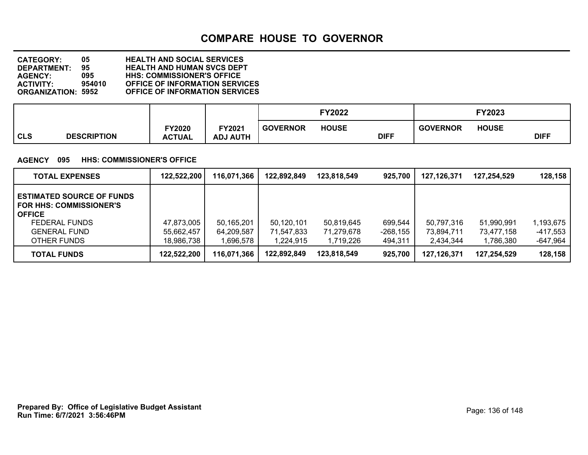**DEPARTMENT: 95 HEALTH AND HUMAN SVCS DEPT CATEGORY: 05 HEALTH AND SOCIAL SERVICES AGENCY: 095 HHS: COMMISSIONER'S OFFICE ACTIVITY: 954010 OFFICE OF INFORMATION SERVICES OFFICE OF INFORMATION SERVICES** 

|                                  |                                |                           |                 | FY2022       |             |                 | FY2023       |             |
|----------------------------------|--------------------------------|---------------------------|-----------------|--------------|-------------|-----------------|--------------|-------------|
| <b>CLS</b><br><b>DESCRIPTION</b> | <b>FY2020</b><br><b>ACTUAL</b> | FY2021<br><b>ADJ AUTH</b> | <b>GOVERNOR</b> | <b>HOUSE</b> | <b>DIFF</b> | <b>GOVERNOR</b> | <b>HOUSE</b> | <b>DIFF</b> |

#### **AGENCY 095 HHS: COMMISSIONER'S OFFICE**

| <b>TOTAL EXPENSES</b>                                                                                                                      | 122,522,200                            | 116,071,366                           | 122,892,849                           | 123.818.549                           | 925,700                          | 127,126,371                           | 127.254.529                           | 128,158                             |
|--------------------------------------------------------------------------------------------------------------------------------------------|----------------------------------------|---------------------------------------|---------------------------------------|---------------------------------------|----------------------------------|---------------------------------------|---------------------------------------|-------------------------------------|
| <b>ESTIMATED SOURCE OF FUNDS</b><br>FOR HHS: COMMISSIONER'S<br><b>OFFICE</b><br><b>FEDERAL FUNDS</b><br><b>GENERAL FUND</b><br>OTHER FUNDS | 47,873,005<br>55,662,457<br>18,986,738 | 50,165,201<br>64,209,587<br>1,696,578 | 50,120,101<br>71,547,833<br>1.224.915 | 50,819,645<br>71,279,678<br>1,719,226 | 699,544<br>$-268,155$<br>494,311 | 50,797,316<br>73.894.711<br>2,434,344 | 51,990,991<br>73,477,158<br>1,786,380 | 1,193,675<br>-417,553<br>$-647,964$ |
| <b>TOTAL FUNDS</b>                                                                                                                         | 122,522,200                            | 116,071,366                           | 122,892,849                           | 123.818.549                           | 925,700                          | 127.126.371                           | 127,254,529                           | 128,158                             |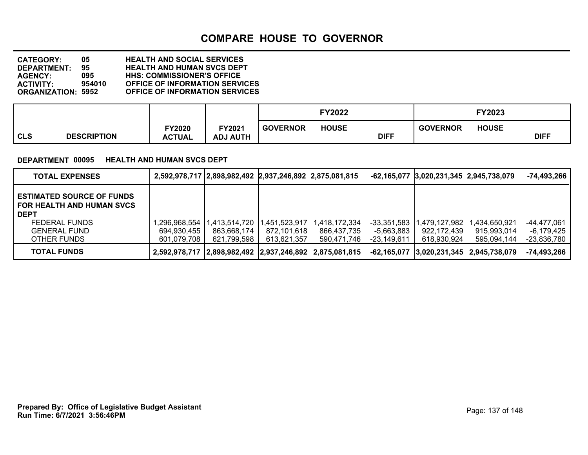**DEPARTMENT: 95 HEALTH AND HUMAN SVCS DEPT CATEGORY: 05 HEALTH AND SOCIAL SERVICES AGENCY: 095 HHS: COMMISSIONER'S OFFICE ACTIVITY: 954010 OFFICE OF INFORMATION SERVICES OFFICE OF INFORMATION SERVICES** 

|                           |                         |                           |                 | <b>FY2022</b> |             |                 | Y2023        |             |
|---------------------------|-------------------------|---------------------------|-----------------|---------------|-------------|-----------------|--------------|-------------|
| CLS<br><b>DESCRIPTION</b> | FY2020<br><b>ACTUAL</b> | FY2021<br><b>ADJ AUTH</b> | <b>GOVERNOR</b> | <b>HOUSE</b>  | <b>DIFF</b> | <b>GOVERNOR</b> | <b>HOUSE</b> | <b>DIFF</b> |

#### **DEPARTMENT 00095 HEALTH AND HUMAN SVCS DEPT**

| <b>TOTAL EXPENSES</b>                                                                                                       |                             | 2,592,978,717 2,898,982,492 2,937,246,892 2,875,081,815 |                               |                                                         |                           | -62,165,077 3,020,231,345 2,945,738,079 |                                         | -74,493,266               |
|-----------------------------------------------------------------------------------------------------------------------------|-----------------------------|---------------------------------------------------------|-------------------------------|---------------------------------------------------------|---------------------------|-----------------------------------------|-----------------------------------------|---------------------------|
| <b>ESTIMATED SOURCE OF FUNDS</b><br>FOR HEALTH AND HUMAN SVCS<br><b>DEPT</b><br><b>FEDERAL FUNDS</b><br><b>GENERAL FUND</b> | ,296,968,554<br>694,930,455 | 413,514,720<br>863.668.174                              | 11.451.523.917<br>872.101.618 | 1,418,172,334<br>866.437.735                            | -33.351.583<br>-5.663.883 | .479.127.982<br>922,172,439             | l.434.650.921<br>915,993,014            | -44,477,061<br>-6,179,425 |
| OTHER FUNDS                                                                                                                 | 601.079.708                 | 621,799,598                                             | 613.621.357                   | 590.471.746                                             | -23.149.611               | 618.930.924                             | 595.094.144                             | -23,836,780               |
| <b>TOTAL FUNDS</b>                                                                                                          |                             |                                                         |                               | 2,592,978,717 2,898,982,492 2,937,246,892 2,875,081,815 |                           |                                         | -62,165,077 3,020,231,345 2,945,738,079 | $-74,493,266$             |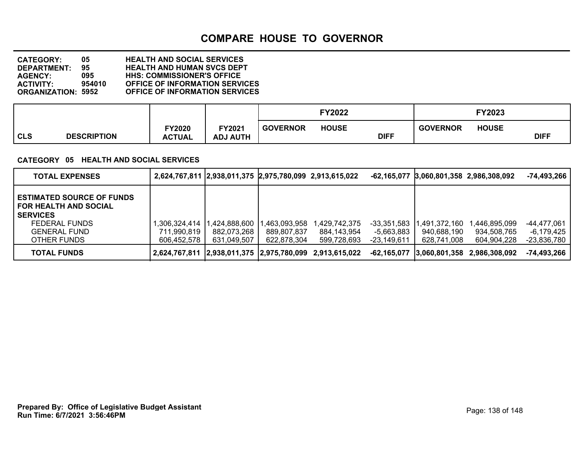**DEPARTMENT: 95 HEALTH AND HUMAN SVCS DEPT CATEGORY: 05 HEALTH AND SOCIAL SERVICES AGENCY: 095 HHS: COMMISSIONER'S OFFICE ACTIVITY: 954010 OFFICE OF INFORMATION SERVICES OFFICE OF INFORMATION SERVICES** 

|                                  |                                |                           |                 | FY2022       |             |                 | FY2023       |             |
|----------------------------------|--------------------------------|---------------------------|-----------------|--------------|-------------|-----------------|--------------|-------------|
| <b>CLS</b><br><b>DESCRIPTION</b> | <b>FY2020</b><br><b>ACTUAL</b> | FY2021<br><b>ADJ AUTH</b> | <b>GOVERNOR</b> | <b>HOUSE</b> | <b>DIFF</b> | <b>GOVERNOR</b> | <b>HOUSE</b> | <b>DIFF</b> |

#### **CATEGORY 05 HEALTH AND SOCIAL SERVICES**

| <b>TOTAL EXPENSES</b>                                                                                                                      |                                            | 2,624,767,811 2,938,011,375 2,975,780,099 2,913,615,022 |                                            |                                                         |                                          | -62,165,077 3,060,801,358 2,986,308,092     |                                            | -74,493,266                              |
|--------------------------------------------------------------------------------------------------------------------------------------------|--------------------------------------------|---------------------------------------------------------|--------------------------------------------|---------------------------------------------------------|------------------------------------------|---------------------------------------------|--------------------------------------------|------------------------------------------|
| <b>ESTIMATED SOURCE OF FUNDS</b><br><b>FOR HEALTH AND SOCIAL</b><br><b>SERVICES</b><br>FEDERAL FUNDS<br><b>GENERAL FUND</b><br>OTHER FUNDS | ,306,324,414<br>711.990.819<br>606.452.578 | 424,888,600, ا<br>882.073.268<br>631,049,507            | ,463,093,958<br>889,807,837<br>622.878.304 | 1,429,742,375<br>884,143,954<br>599,728,693             | -33,351,583<br>-5.663.883<br>-23.149.611 | 1,491,372,160<br>940.688.190<br>628.741.008 | ,446,895,099<br>934,508,765<br>604,904,228 | -44,477,061<br>-6,179,425<br>-23,836,780 |
| <b>TOTAL FUNDS</b>                                                                                                                         |                                            |                                                         |                                            | 2,624,767,811 2,938,011,375 2,975,780,099 2,913,615,022 |                                          |                                             | -62.165.077 3.060.801.358 2.986.308.092    | -74,493,266                              |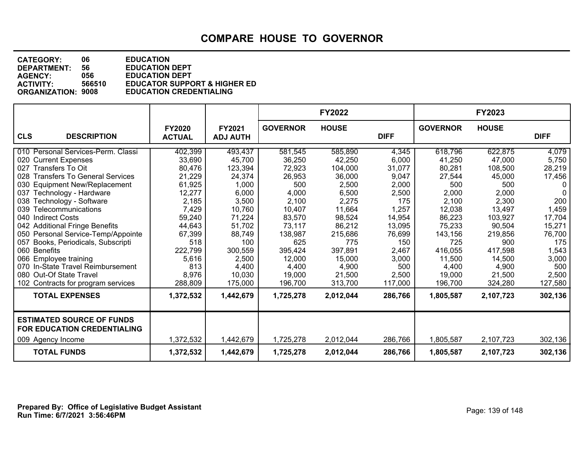**DEPARTMENT: 56 EDUCATION DEPT<br>AGENCY: 056 EDUCATION DEPT CATEGORY: 06 EDUCATION AGENCY: 056 EDUCATION DEPT ACTIVITY: 566510 EDUCATOR SUPPORT & HIGHER ED ORGANIZATION: 9008 EDUCATION CREDENTIALING**

|                                                                                      |                                |                           |                 | <b>FY2022</b> |             |                 | FY2023       |             |
|--------------------------------------------------------------------------------------|--------------------------------|---------------------------|-----------------|---------------|-------------|-----------------|--------------|-------------|
| <b>CLS</b><br><b>DESCRIPTION</b>                                                     | <b>FY2020</b><br><b>ACTUAL</b> | FY2021<br><b>ADJ AUTH</b> | <b>GOVERNOR</b> | <b>HOUSE</b>  | <b>DIFF</b> | <b>GOVERNOR</b> | <b>HOUSE</b> | <b>DIFF</b> |
| 010 Personal Services-Perm. Classi                                                   | 402,399                        | 493,437                   | 581,545         | 585,890       | 4,345       | 618,796         | 622,875      | 4,079       |
| 020 Current Expenses                                                                 | 33,690                         | 45,700                    | 36,250          | 42,250        | 6,000       | 41,250          | 47,000       | 5,750       |
| 027 Transfers To Oit                                                                 | 80,476                         | 123,394                   | 72,923          | 104,000       | 31,077      | 80,281          | 108,500      | 28,219      |
| 028 Transfers To General Services                                                    | 21,229                         | 24,374                    | 26,953          | 36,000        | 9,047       | 27,544          | 45,000       | 17,456      |
| 030 Equipment New/Replacement                                                        | 61,925                         | 1,000                     | 500             | 2,500         | 2,000       | 500             | 500          | 0           |
| 037 Technology - Hardware                                                            | 12,277                         | 6,000                     | 4,000           | 6,500         | 2,500       | 2,000           | 2,000        | $\Omega$    |
| 038 Technology - Software                                                            | 2,185                          | 3,500                     | 2,100           | 2,275         | 175         | 2,100           | 2,300        | 200         |
| Telecommunications<br>039                                                            | 7,429                          | 10,760                    | 10,407          | 11,664        | 1,257       | 12,038          | 13,497       | 1,459       |
| 040 Indirect Costs                                                                   | 59,240                         | 71,224                    | 83,570          | 98,524        | 14,954      | 86,223          | 103,927      | 17,704      |
| 042 Additional Fringe Benefits                                                       | 44,643                         | 51,702                    | 73,117          | 86,212        | 13,095      | 75,233          | 90,504       | 15,271      |
| 050 Personal Service-Temp/Appointe                                                   | 67,399                         | 88,749                    | 138,987         | 215,686       | 76,699      | 143,156         | 219,856      | 76,700      |
| Books, Periodicals, Subscripti<br>057                                                | 518                            | 100                       | 625             | 775           | 150         | 725             | 900          | 175         |
| 060 Benefits                                                                         | 222,799                        | 300,559                   | 395,424         | 397,891       | 2,467       | 416,055         | 417,598      | 1,543       |
| 066 Employee training                                                                | 5,616                          | 2,500                     | 12,000          | 15,000        | 3,000       | 11,500          | 14,500       | 3,000       |
| 070 In-State Travel Reimbursement                                                    | 813                            | 4,400                     | 4,400           | 4,900         | 500         | 4,400           | 4,900        | 500         |
| 080 Out-Of State Travel                                                              | 8,976                          | 10,030                    | 19,000          | 21,500        | 2,500       | 19,000          | 21,500       | 2,500       |
| 102 Contracts for program services                                                   | 288,809                        | 175,000                   | 196,700         | 313,700       | 117,000     | 196,700         | 324,280      | 127,580     |
| <b>TOTAL EXPENSES</b>                                                                | 1,372,532                      | 1,442,679                 | 1,725,278       | 2,012,044     | 286,766     | 1,805,587       | 2,107,723    | 302,136     |
| <b>ESTIMATED SOURCE OF FUNDS</b><br>FOR EDUCATION CREDENTIALING<br>009 Agency Income | 1,372,532                      | 1,442,679                 | 1,725,278       | 2,012,044     | 286,766     | 1,805,587       | 2,107,723    | 302,136     |
|                                                                                      |                                |                           |                 |               |             |                 |              |             |
| <b>TOTAL FUNDS</b>                                                                   | 1,372,532                      | 1,442,679                 | 1,725,278       | 2,012,044     | 286,766     | 1,805,587       | 2,107,723    | 302,136     |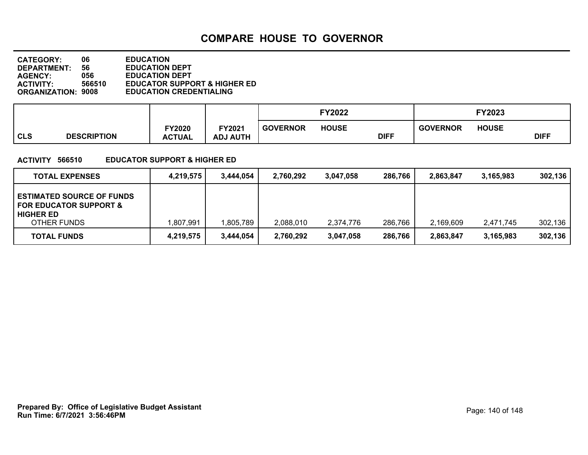**DEPARTMENT: 56 EDUCATION DEPT<br>AGENCY: 056 EDUCATION DEPT CATEGORY: 06 EDUCATION AGENCY: 056 EDUCATION DEPT ACTIVITY: 566510 EDUCATOR SUPPORT & HIGHER ED ORGANIZATION: 9008 EDUCATION CREDENTIALING**

|     |                    |                                |                           |                 | <b>FY2022</b> |             |                 | <b>FY2023</b> |             |
|-----|--------------------|--------------------------------|---------------------------|-----------------|---------------|-------------|-----------------|---------------|-------------|
| CLS | <b>DESCRIPTION</b> | <b>FY2020</b><br><b>ACTUAL</b> | FY2021<br><b>ADJ AUTH</b> | <b>GOVERNOR</b> | <b>HOUSE</b>  | <b>DIFF</b> | <b>GOVERNOR</b> | <b>HOUSE</b>  | <b>DIFF</b> |

#### **ACTIVITY 566510 EDUCATOR SUPPORT & HIGHER ED**

| <b>TOTAL EXPENSES</b>                                                                                    | 4.219.575 | 3.444.054 | 2.760.292 | 3.047.058 | 286.766 | 2.863.847 | 3.165.983 | 302,136 |
|----------------------------------------------------------------------------------------------------------|-----------|-----------|-----------|-----------|---------|-----------|-----------|---------|
| <b>ESTIMATED SOURCE OF FUNDS</b><br><b>FOR EDUCATOR SUPPORT &amp;</b><br><b>HIGHER ED</b><br>OTHER FUNDS | 1,807,991 | .805,789  | 2,088,010 | 2,374,776 | 286,766 | 2,169,609 | 2.471.745 | 302,136 |
| <b>TOTAL FUNDS</b>                                                                                       | 4,219,575 | 3,444,054 | 2,760,292 | 3,047,058 | 286,766 | 2,863,847 | 3,165,983 | 302,136 |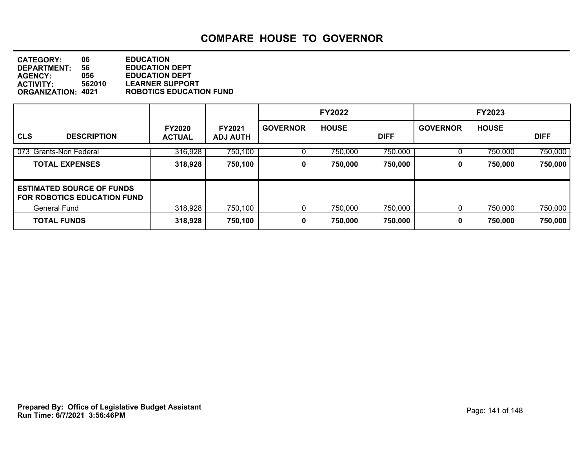**DEPARTMENT: 56 EDUCATION DEPT<br>AGENCY: 056 EDUCATION DEPT CATEGORY: 06 EDUCATION AGENCY: 056 EDUCATION DEPT ACTIVITY: 562010 LEARNER SUPPORT ORGANIZATION: 4021 ROBOTICS EDUCATION FUND**

|                                                                        |                                |                                  |                 | <b>FY2022</b> |             |                 | <b>FY2023</b> |             |
|------------------------------------------------------------------------|--------------------------------|----------------------------------|-----------------|---------------|-------------|-----------------|---------------|-------------|
| <b>CLS</b><br><b>DESCRIPTION</b>                                       | <b>FY2020</b><br><b>ACTUAL</b> | <b>FY2021</b><br><b>ADJ AUTH</b> | <b>GOVERNOR</b> | <b>HOUSE</b>  | <b>DIFF</b> | <b>GOVERNOR</b> | <b>HOUSE</b>  | <b>DIFF</b> |
| Grants-Non Federal<br>073                                              | 316,928                        | 750,100                          |                 | 750,000       | 750,000     |                 | 750,000       | 750,000     |
| <b>TOTAL EXPENSES</b>                                                  | 318,928                        | 750,100                          | 0               | 750,000       | 750,000     | 0               | 750,000       | 750,000     |
| <b>ESTIMATED SOURCE OF FUNDS</b><br><b>FOR ROBOTICS EDUCATION FUND</b> |                                |                                  |                 |               |             |                 |               |             |
| <b>General Fund</b>                                                    | 318,928                        | 750,100                          |                 | 750,000       | 750,000     | 0               | 750,000       | 750,000     |
| <b>TOTAL FUNDS</b>                                                     | 318,928                        | 750,100                          | 0               | 750,000       | 750,000     | 0               | 750,000       | 750,000     |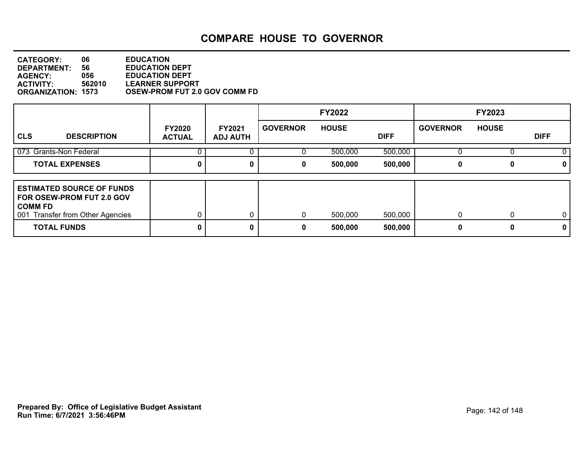| 06                        | <b>EDUCATION</b>                     |
|---------------------------|--------------------------------------|
| 56                        | <b>EDUCATION DEPT</b>                |
| 056                       | <b>EDUCATION DEPT</b>                |
| 562010                    | <b>LEARNER SUPPORT</b>               |
| <b>ORGANIZATION: 1573</b> | <b>OSEW-PROM FUT 2.0 GOV COMM FD</b> |
|                           |                                      |

|                                                                                                                                       |                                |                                  |                 | <b>FY2022</b>      |                    |                   | <b>FY2023</b> |                   |
|---------------------------------------------------------------------------------------------------------------------------------------|--------------------------------|----------------------------------|-----------------|--------------------|--------------------|-------------------|---------------|-------------------|
| <b>CLS</b><br><b>DESCRIPTION</b>                                                                                                      | <b>FY2020</b><br><b>ACTUAL</b> | <b>FY2021</b><br><b>ADJ AUTH</b> | <b>GOVERNOR</b> | <b>HOUSE</b>       | <b>DIFF</b>        | <b>GOVERNOR</b>   | <b>HOUSE</b>  | <b>DIFF</b>       |
| 073 Grants-Non Federal                                                                                                                |                                |                                  |                 | 500,000            | 500,000            |                   |               |                   |
| <b>TOTAL EXPENSES</b>                                                                                                                 |                                | 0                                | 0               | 500,000            | 500,000            | 0                 |               | 0                 |
| <b>LESTIMATED SOURCE OF FUNDS</b><br>FOR OSEW-PROM FUT 2.0 GOV<br>l COMM FD<br>001 Transfer from Other Agencies<br><b>TOTAL FUNDS</b> |                                | 0<br>0                           | 0<br>0          | 500,000<br>500,000 | 500,000<br>500,000 | $\mathbf{0}$<br>0 |               | $\mathbf{0}$<br>0 |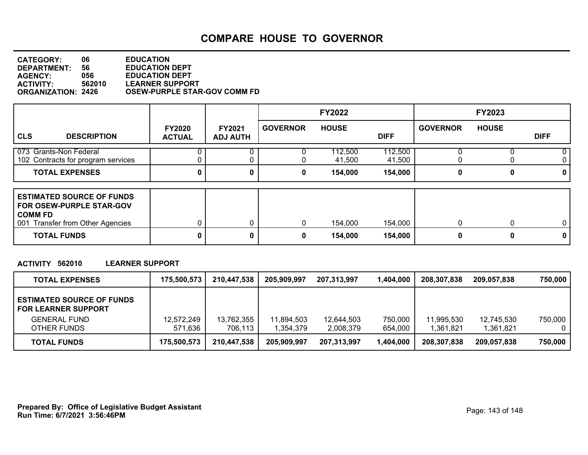| 06                        | <b>EDUCATION</b>                    |
|---------------------------|-------------------------------------|
| 56                        | <b>EDUCATION DEPT</b>               |
| 056                       | <b>EDUCATION DEPT</b>               |
| 562010                    | <b>LEARNER SUPPORT</b>              |
| <b>ORGANIZATION: 2426</b> | <b>OSEW-PURPLE STAR-GOV COMM FD</b> |
|                           |                                     |

|                                                                                                                    |                                |                                  |                 | <b>FY2022</b>     |                   |                 | <b>FY2023</b> |                |
|--------------------------------------------------------------------------------------------------------------------|--------------------------------|----------------------------------|-----------------|-------------------|-------------------|-----------------|---------------|----------------|
| <b>CLS</b><br><b>DESCRIPTION</b>                                                                                   | <b>FY2020</b><br><b>ACTUAL</b> | <b>FY2021</b><br><b>ADJ AUTH</b> | <b>GOVERNOR</b> | <b>HOUSE</b>      | <b>DIFF</b>       | <b>GOVERNOR</b> | <b>HOUSE</b>  | <b>DIFF</b>    |
| 073 Grants-Non Federal<br>102 Contracts for program services                                                       |                                |                                  |                 | 112,500<br>41,500 | 112,500<br>41,500 | U               |               | 0<br>0         |
| <b>TOTAL EXPENSES</b>                                                                                              |                                | 0                                | 0               | 154,000           | 154,000           | 0               | 0             | 0              |
| <b>ESTIMATED SOURCE OF FUNDS</b><br>FOR OSEW-PURPLE STAR-GOV<br><b>COMM FD</b><br>001 Transfer from Other Agencies |                                |                                  | $\mathbf{0}$    | 154,000           | 154,000           | 0               |               | $\overline{0}$ |
| <b>TOTAL FUNDS</b>                                                                                                 |                                | 0                                | 0               | 154,000           | 154,000           | 0               | 0             | 0              |

#### **ACTIVITY 562010 LEARNER SUPPORT**

| <b>TOTAL EXPENSES</b>                                          | 175,500,573 | 210,447,538 | 205.909.997 | 207,313,997 | 1,404,000 | 208,307,838 | 209,057,838 | 750.000 |
|----------------------------------------------------------------|-------------|-------------|-------------|-------------|-----------|-------------|-------------|---------|
| <b>ESTIMATED SOURCE OF FUNDS</b><br><b>FOR LEARNER SUPPORT</b> |             |             |             |             |           |             |             |         |
| <b>GENERAL FUND</b>                                            | 12,572,249  | 13,762,355  | 11,894,503  | 12,644,503  | 750,000   | 11.995.530  | 12,745,530  | 750,000 |
| OTHER FUNDS                                                    | 571,636     | 706,113     | 1.354.379   | 2,008,379   | 654,000   | 1,361,821   | 1.361.821   | 0       |
| <b>TOTAL FUNDS</b>                                             | 175,500,573 | 210,447,538 | 205,909,997 | 207,313,997 | 1,404,000 | 208,307,838 | 209,057,838 | 750,000 |

**Run Time: 6/7/2021 3:56:46PM Prepared By: Office of Legislative Budget Assistant** Page: 143 of 148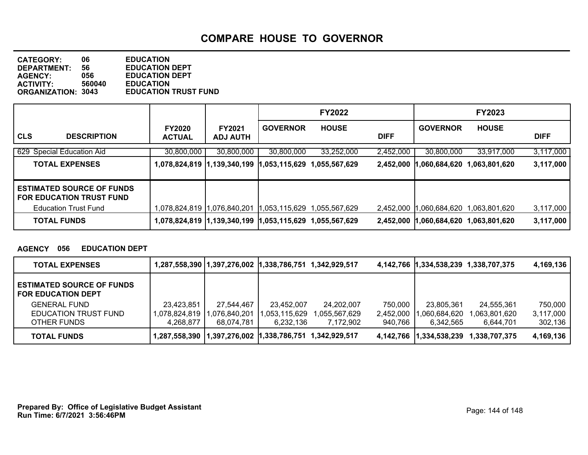**DEPARTMENT: 56 EDUCATION DEPT<br>AGENCY: 056 EDUCATION DEPT CATEGORY: 06 EDUCATION AGENCY: 056 EDUCATION DEPT ACTIVITY: 560040 EDUCATION EDUCATION TRUST FUND** 

|                                                                     |                                |                                  |                 | <b>FY2022</b>                  |             |                 | <b>FY2023</b> |             |
|---------------------------------------------------------------------|--------------------------------|----------------------------------|-----------------|--------------------------------|-------------|-----------------|---------------|-------------|
| <b>CLS</b><br><b>DESCRIPTION</b>                                    | <b>FY2020</b><br><b>ACTUAL</b> | <b>FY2021</b><br><b>ADJ AUTH</b> | <b>GOVERNOR</b> | <b>HOUSE</b>                   | <b>DIFF</b> | <b>GOVERNOR</b> | <b>HOUSE</b>  | <b>DIFF</b> |
| 629 Special Education Aid                                           | 30,800,000                     | 30,800,000                       | 30,800,000      | 33,252,000                     | 2,452,000   | 30,800,000      | 33,917,000    | 3,117,000   |
| <b>TOTAL EXPENSES</b>                                               |                                | 1,078,824,819  1,139,340,199     | ,053,115,629    | ,055,567,629                   | 2,452,000   | ,060,684,620    | ,063,801,620  | 3,117,000   |
| <b>ESTIMATED SOURCE OF FUNDS</b><br><b>FOR EDUCATION TRUST FUND</b> |                                |                                  |                 |                                |             |                 |               |             |
| <b>Education Trust Fund</b>                                         |                                |                                  | 1,053,115,629   | .055.567.629                   | 2,452,000   | .060,684,620    | ,063,801,620  | 3,117,000   |
| <b>TOTAL FUNDS</b>                                                  |                                |                                  |                 | $ 1,053,115,629$ 1,055,567,629 | 2,452,000   | 1,060,684,620   | ,063,801,620  | 3,117,000   |

#### **AGENCY 056 EDUCATION DEPT**

| <b>TOTAL EXPENSES</b>                                         |               |                                            |              |               |           | 4,142,766 1,334,538,239 1,338,707,375 |               | 4,169,136 |
|---------------------------------------------------------------|---------------|--------------------------------------------|--------------|---------------|-----------|---------------------------------------|---------------|-----------|
| <b>ESTIMATED SOURCE OF FUNDS</b><br><b>FOR EDUCATION DEPT</b> |               |                                            |              |               |           |                                       |               |           |
| <b>GENERAL FUND</b>                                           | 23,423,851    | 27,544,467                                 | 23,452,007   | 24,202,007    | 750,000   | 23,805,361                            | 24,555,361    | 750,000   |
| EDUCATION TRUST FUND                                          | 1,078,824,819 | 076,840,201,ا                              | ,053,115,629 | 1,055,567,629 | 2,452,000 | ,060,684,620                          | 1,063,801,620 | 3,117,000 |
| OTHER FUNDS                                                   | 4,268,877     | 68,074,781                                 | 6,232,136    | 7,172,902     | 940.766   | 6,342,565                             | 6.644.701     | 302,136   |
| <b>TOTAL FUNDS</b>                                            | 1,287,558,390 | 1,397,276,002  1,338,786,751 1,342,929,517 |              |               |           | 4,142,766 1,334,538,239               | 1,338,707,375 | 4,169,136 |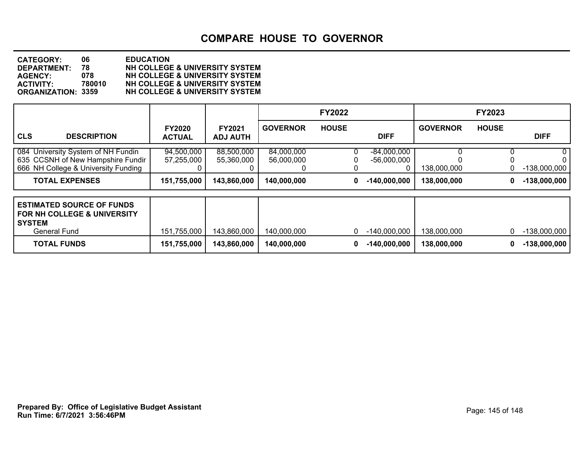| <b>CATEGORY:</b>          | 06.    | <b>EDUCATION</b>                          |
|---------------------------|--------|-------------------------------------------|
| <b>DEPARTMENT:</b>        | 78     | NH COLLEGE & UNIVERSITY SYSTEM            |
| <b>AGENCY:</b>            | 078    | NH COLLEGE & UNIVERSITY SYSTEM            |
| <b>ACTIVITY:</b>          | 780010 | <b>NH COLLEGE &amp; UNIVERSITY SYSTEM</b> |
| <b>ORGANIZATION: 3359</b> |        | NH COLLEGE & UNIVERSITY SYSTEM            |

|                                                                                                                    |                                |                                  |                          | <b>FY2022</b> |                                     |                 | FY2023       |                |
|--------------------------------------------------------------------------------------------------------------------|--------------------------------|----------------------------------|--------------------------|---------------|-------------------------------------|-----------------|--------------|----------------|
| <b>CLS</b><br><b>DESCRIPTION</b>                                                                                   | <b>FY2020</b><br><b>ACTUAL</b> | <b>FY2021</b><br><b>ADJ AUTH</b> | <b>GOVERNOR</b>          | <b>HOUSE</b>  | <b>DIFF</b>                         | <b>GOVERNOR</b> | <b>HOUSE</b> | <b>DIFF</b>    |
| 084 University System of NH Fundin<br>635 CCSNH of New Hampshire Fundir<br>666 NH College & University Funding     | 94,500,000<br>57,255,000       | 88,500,000<br>55,360,000         | 84,000,000<br>56,000,000 |               | $-84,000,000$<br>$-56,000,000$<br>0 | 138,000,000     |              | $-138,000,000$ |
| <b>TOTAL EXPENSES</b>                                                                                              | 151,755,000                    | 143,860,000                      | 140,000,000              | 0             | $-140,000,000$                      | 138,000,000     | 0            | $-138,000,000$ |
| <b>ESTIMATED SOURCE OF FUNDS</b><br><b>FOR NH COLLEGE &amp; UNIVERSITY</b><br><b>SYSTEM</b><br><b>General Fund</b> | 151,755,000                    | 143,860,000                      | 140,000,000              | 0             | $-140,000,000$                      | 138,000,000     | 0            | $-138,000,000$ |
| <b>TOTAL FUNDS</b>                                                                                                 | 151,755,000                    | 143,860,000                      | 140,000,000              | 0             | $-140,000,000$                      | 138,000,000     | 0            | $-138,000,000$ |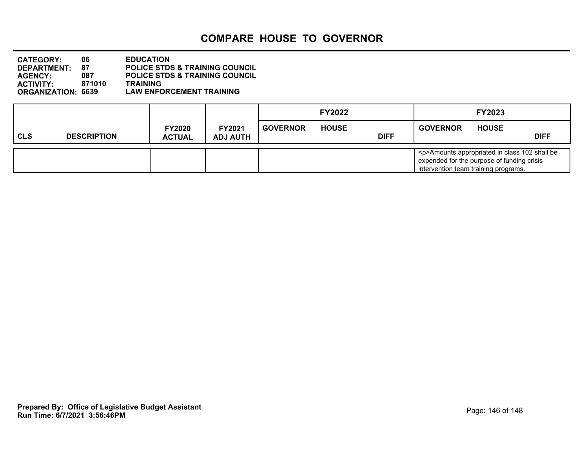| <b>CATEGORY:</b>          | 06.    | <b>EDUCATION</b>                          |
|---------------------------|--------|-------------------------------------------|
| DEPARTMENT:               | 87     | <b>POLICE STDS &amp; TRAINING COUNCIL</b> |
| <b>AGENCY:</b>            | 087    | <b>POLICE STDS &amp; TRAINING COUNCIL</b> |
| <b>ACTIVITY:</b>          | 871010 | <b>TRAINING</b>                           |
| <b>ORGANIZATION: 6639</b> |        | <b>LAW ENFORCEMENT TRAINING</b>           |

|     |                    |                                |                                  |                 | <b>FY2022</b> |             |                                                                                                                                           | <b>FY2023</b> |             |
|-----|--------------------|--------------------------------|----------------------------------|-----------------|---------------|-------------|-------------------------------------------------------------------------------------------------------------------------------------------|---------------|-------------|
| CLS | <b>DESCRIPTION</b> | <b>FY2020</b><br><b>ACTUAL</b> | <b>FY2021</b><br><b>ADJ AUTH</b> | <b>GOVERNOR</b> | <b>HOUSE</b>  | <b>DIFF</b> | <b>GOVERNOR</b>                                                                                                                           | <b>HOUSE</b>  | <b>DIFF</b> |
|     |                    |                                |                                  |                 |               |             | <p>Amounts appropriated in class 102 shall be<br/>expended for the purpose of funding crisis<br/>intervention team training programs.</p> |               |             |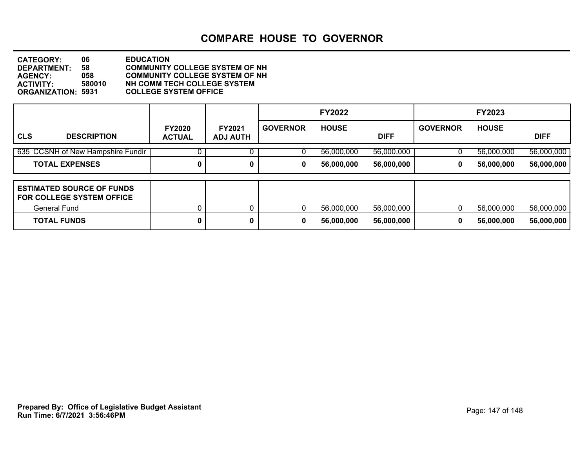**DEPARTMENT: 58 COMMUNITY COLLEGE SYSTEM OF NH CATEGORY: 06 EDUCATION AGENCY: 058 COMMUNITY COLLEGE SYSTEM OF NH ACTIVITY: 580010 NH COMM TECH COLLEGE SYSTEM ORGANIZATION: 5931 COLLEGE SYSTEM OFFICE**

|                                                                 |                                |                                  |                 | <b>FY2022</b> |             |                 | <b>FY2023</b> |             |
|-----------------------------------------------------------------|--------------------------------|----------------------------------|-----------------|---------------|-------------|-----------------|---------------|-------------|
| <b>CLS</b><br><b>DESCRIPTION</b>                                | <b>FY2020</b><br><b>ACTUAL</b> | <b>FY2021</b><br><b>ADJ AUTH</b> | <b>GOVERNOR</b> | <b>HOUSE</b>  | <b>DIFF</b> | <b>GOVERNOR</b> | <b>HOUSE</b>  | <b>DIFF</b> |
| 635 CCSNH of New Hampshire Fundir                               |                                | 0                                | U               | 56,000,000    | 56,000,000  |                 | 56,000,000    | 56,000,000  |
| <b>TOTAL EXPENSES</b>                                           | 0                              | 0                                | 0               | 56,000,000    | 56,000,000  | 0               | 56,000,000    | 56,000,000  |
|                                                                 |                                |                                  |                 |               |             |                 |               |             |
| <b>ESTIMATED SOURCE OF FUNDS</b><br>l FOR COLLEGE SYSTEM OFFICE |                                |                                  |                 |               |             |                 |               |             |
| General Fund                                                    |                                |                                  | 0               | 56,000,000    | 56,000,000  | $\Omega$        | 56,000,000    | 56,000,000  |
| <b>TOTAL FUNDS</b>                                              | 0                              | 0                                | 0               | 56,000,000    | 56,000,000  | 0               | 56,000,000    | 56,000,000  |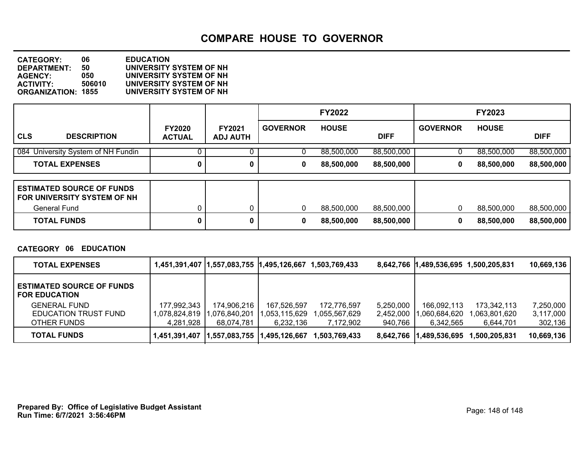**DEPARTMENT: 50 UNIVERSITY SYSTEM OF NH CATEGORY: 06 EDUCATION AGENCY: 050 UNIVERSITY SYSTEM OF NH ACTIVITY: 506010 UNIVERSITY SYSTEM OF NH ORGANIZATION: 1855 UNIVERSITY SYSTEM OF NH**

|                                                                                        |                                |                                  |                 | <b>FY2022</b> |             |                 | <b>FY2023</b> |             |
|----------------------------------------------------------------------------------------|--------------------------------|----------------------------------|-----------------|---------------|-------------|-----------------|---------------|-------------|
| <b>CLS</b><br><b>DESCRIPTION</b>                                                       | <b>FY2020</b><br><b>ACTUAL</b> | <b>FY2021</b><br><b>ADJ AUTH</b> | <b>GOVERNOR</b> | <b>HOUSE</b>  | <b>DIFF</b> | <b>GOVERNOR</b> | <b>HOUSE</b>  | <b>DIFF</b> |
| 084 University System of NH Fundin                                                     |                                |                                  |                 | 88,500,000    | 88,500,000  | U               | 88,500,000    | 88,500,000  |
| <b>TOTAL EXPENSES</b>                                                                  | 0                              | 0                                | 0               | 88,500,000    | 88,500,000  | 0               | 88,500,000    | 88,500,000  |
| <b>ESTIMATED SOURCE OF FUNDS</b><br>FOR UNIVERSITY SYSTEM OF NH<br><b>General Fund</b> |                                | 0                                | $\mathbf{0}$    | 88,500,000    | 88,500,000  | 0               | 88,500,000    | 88,500,000  |
| <b>TOTAL FUNDS</b>                                                                     |                                | 0                                | 0               | 88,500,000    | 88,500,000  | 0               | 88,500,000    | 88,500,000  |

**CATEGORY 06 EDUCATION**

| <b>TOTAL EXPENSES</b>                                    |               | 1,451,391,407   1,557,083,755   1,495,126,667 |               | 1,503,769,433  |           | 8,642,766 1,489,536,695 1,500,205,831 |               | 10,669,136 |
|----------------------------------------------------------|---------------|-----------------------------------------------|---------------|----------------|-----------|---------------------------------------|---------------|------------|
| <b>ESTIMATED SOURCE OF FUNDS</b><br><b>FOR EDUCATION</b> |               |                                               |               |                |           |                                       |               |            |
| <b>GENERAL FUND</b>                                      | 177,992,343   | 174,906,216                                   | 167,526,597   | 172,776,597    | 5,250,000 | 166,092,113                           | 173,342,113   | 7,250,000  |
| EDUCATION TRUST FUND                                     | 1,078,824,819 | ,076,840,201                                  | 1,053,115,629 | 055,567,629, ا | 2,452,000 | ,060,684,620                          | 063,801,620,ا | 3,117,000  |
| OTHER FUNDS                                              | 4.281.928     | 68.074.781                                    | 6,232,136     | 7,172,902      | 940,766   | 6.342.565                             | 6.644.701     | 302,136    |
| TOTAL FUNDS                                              | 1,451,391,407 | 1,557,083,755  1,495,126,667                  |               | 1.503.769.433  | 8.642.766 | 1,489,536,695                         | 1.500.205.831 | 10,669,136 |